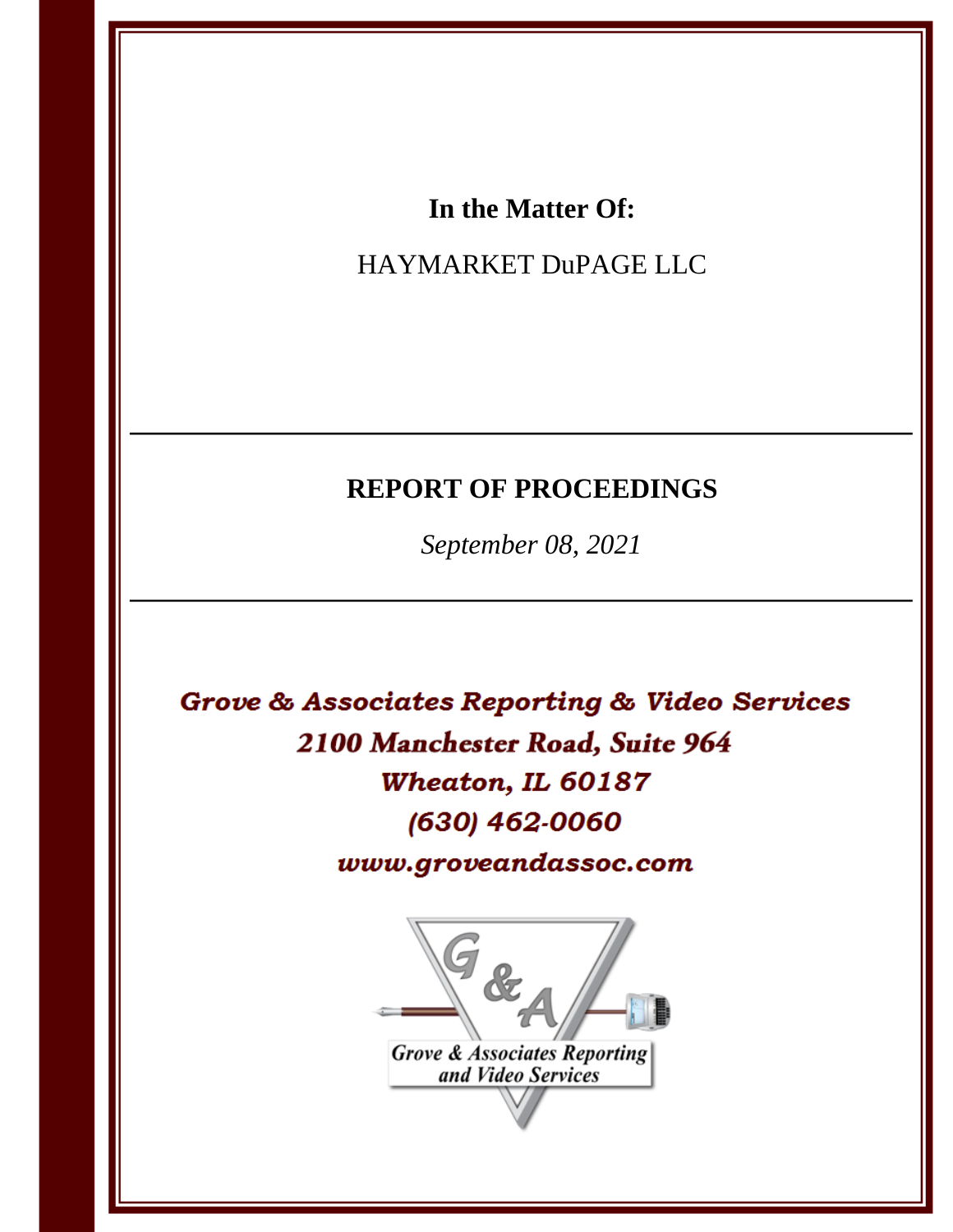# In the Matter Of:

# HAYMARKET DuPAGE LLC

# **REPORT OF PROCEEDINGS**

September 08, 2021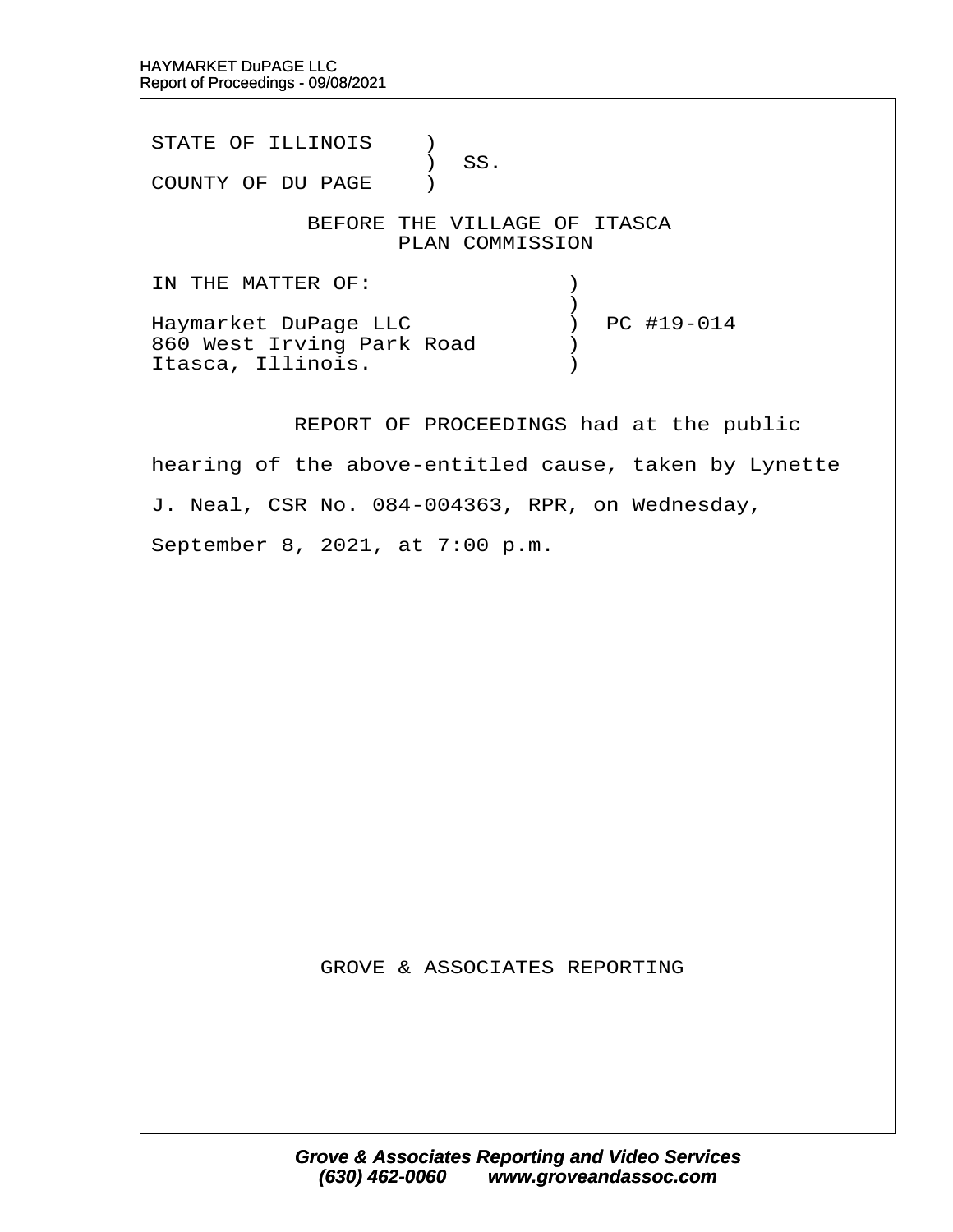STATE OF ILLINOIS )  $\prime$  SS. COUNTY OF DU PAGE ) BEFORE THE VILLAGE OF ITASCA PLAN COMMISSION IN THE MATTER OF:  $\qquad \qquad$  )  $\hspace{0.5cm}$   $\hspace{0.5cm}$   $\hspace{0.5cm}$   $\hspace{0.5cm}$   $\hspace{0.5cm}$   $\hspace{0.5cm}$   $\hspace{0.5cm}$   $\hspace{0.5cm}$   $\hspace{0.5cm}$   $\hspace{0.5cm}$   $\hspace{0.5cm}$   $\hspace{0.5cm}$   $\hspace{0.5cm}$   $\hspace{0.5cm}$   $\hspace{0.5cm}$   $\hspace{0.5cm}$   $\hspace{0.5cm}$   $\hspace{0.5cm}$   $\hspace{$ Haymarket DuPage LLC  $\qquad \qquad$  ) PC #19-014 860 West Irving Park Road  $\qquad$ Itasca, Illinois. (a)

REPORT OF PROCEEDINGS had at the public

hearing of the above-entitled cause, taken by Lynette

J. Neal, CSR No. 084-004363, RPR, on Wednesday,

September 8, 2021, at 7:00 p.m.

**GROVE & ASSOCIATES REPORTING**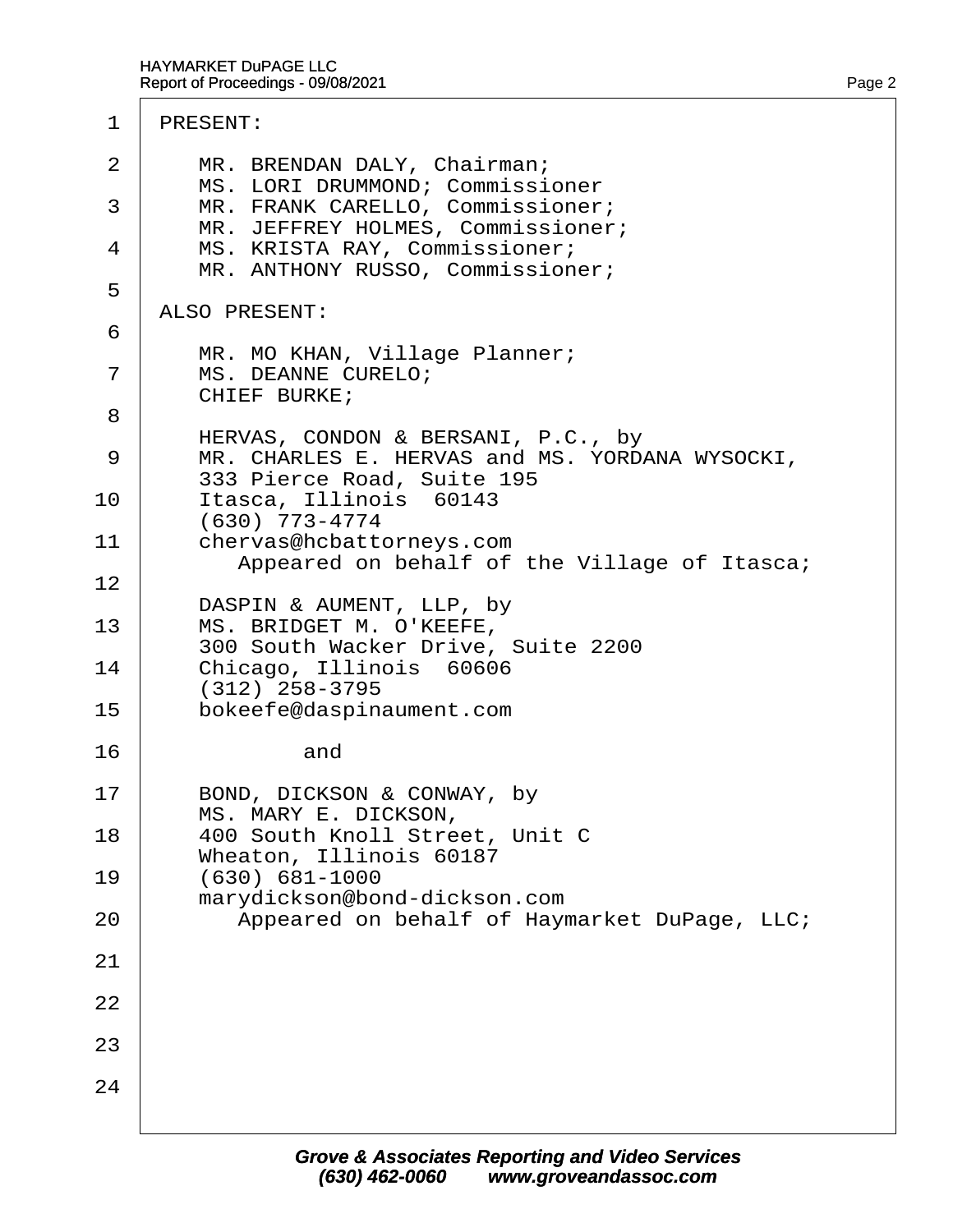| $\overline{2}$<br>3 | MR. BRENDAN DALY, Chairman;<br>MS. LORI DRUMMOND; Commissioner<br>MR. FRANK CARELLO, Commissioner;                 |
|---------------------|--------------------------------------------------------------------------------------------------------------------|
| 4                   | MR. JEFFREY HOLMES, Commissioner;<br>MS. KRISTA RAY, Commissioner;<br>MR. ANTHONY RUSSO, Commissioner;             |
| 5                   | <b>ALSO PRESENT:</b>                                                                                               |
| 6                   |                                                                                                                    |
| 7                   | MR. MO KHAN, Village Planner;<br><b>MS. DEANNE CURELO;</b><br><b>CHIEF BURKE;</b>                                  |
| 8                   |                                                                                                                    |
| 9                   | HERVAS, CONDON & BERSANI, P.C., by<br>MR. CHARLES E. HERVAS and MS. YORDANA WYSOCKI,<br>333 Pierce Road, Suite 195 |
| 10                  | Itasca, Illinois 60143                                                                                             |
| 11                  | (630) 773-4774<br>chervas@hcbattorneys.com<br>Appeared on behalf of the Village of Itasca;                         |
| 12                  |                                                                                                                    |
| 13                  | DASPIN & AUMENT, LLP, by<br>MS. BRIDGET M. O'KEEFE,<br>300 South Wacker Drive, Suite 2200                          |
| 14                  | Chicago, Illinois 60606                                                                                            |
| 15                  | $(312)$ 258-3795<br>bokeefe@daspinaument.com                                                                       |
| 16                  | and                                                                                                                |
| 17                  | BOND, DICKSON & CONWAY, by<br>MS. MARY E. DICKSON,                                                                 |
| 18                  | 400 South Knoll Street, Unit C<br>Wheaton, Illinois 60187                                                          |
| 19                  | $(630) 681 - 1000$                                                                                                 |
| 20                  | marydickson@bond-dickson.com<br>Appeared on behalf of Haymarket DuPage, LLC;                                       |
| 21                  |                                                                                                                    |
| 22                  |                                                                                                                    |
| 23                  |                                                                                                                    |
| 24                  |                                                                                                                    |
|                     |                                                                                                                    |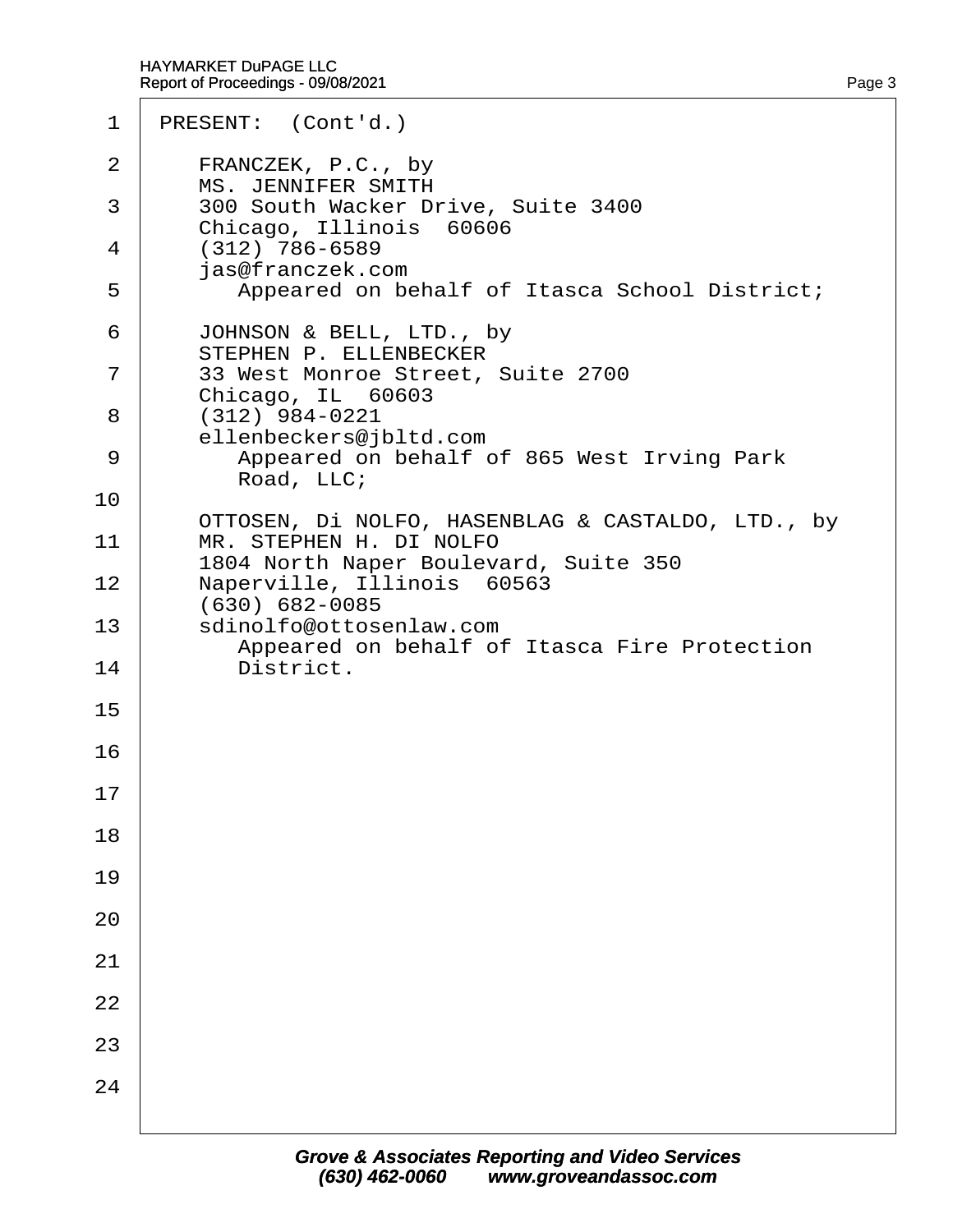| 1  | PRESENT: (Cont'd.)                                                      |
|----|-------------------------------------------------------------------------|
| 2  | FRANCZEK, P.C., by<br>MS. JENNIFER SMITH                                |
| 3  | 300 South Wacker Drive, Suite 3400                                      |
| 4  | Chicago, Illinois 60606<br>$(312)$ 786-6589                             |
| 5  | jas@franczek.com<br>Appeared on behalf of Itasca School District;       |
| 6  | JOHNSON & BELL, LTD., by<br><b>STEPHEN P. ELLENBECKER</b>               |
| 7  | 33 West Monroe Street, Suite 2700<br>Chicago, IL 60603                  |
| 8  | $(312)$ 984-0221<br>ellenbeckers@jbltd.com                              |
| 9  | Appeared on behalf of 865 West Irving Park<br>Road, LLC;                |
| 10 | OTTOSEN, DI NOLFO, HASENBLAG & CASTALDO, LTD., by                       |
| 11 | MR. STEPHEN H. DI NOLFO<br>1804 North Naper Boulevard, Suite 350        |
| 12 | Naperville, Illinois 60563<br>(630) 682-0085                            |
| 13 | sdinolfo@ottosenlaw.com<br>Appeared on behalf of Itasca Fire Protection |
| 14 | District.                                                               |
| 15 |                                                                         |
| 16 |                                                                         |
| 17 |                                                                         |
| 18 |                                                                         |
| 19 |                                                                         |
| 20 |                                                                         |
| 21 |                                                                         |
| 22 |                                                                         |
| 23 |                                                                         |
| 24 |                                                                         |
|    |                                                                         |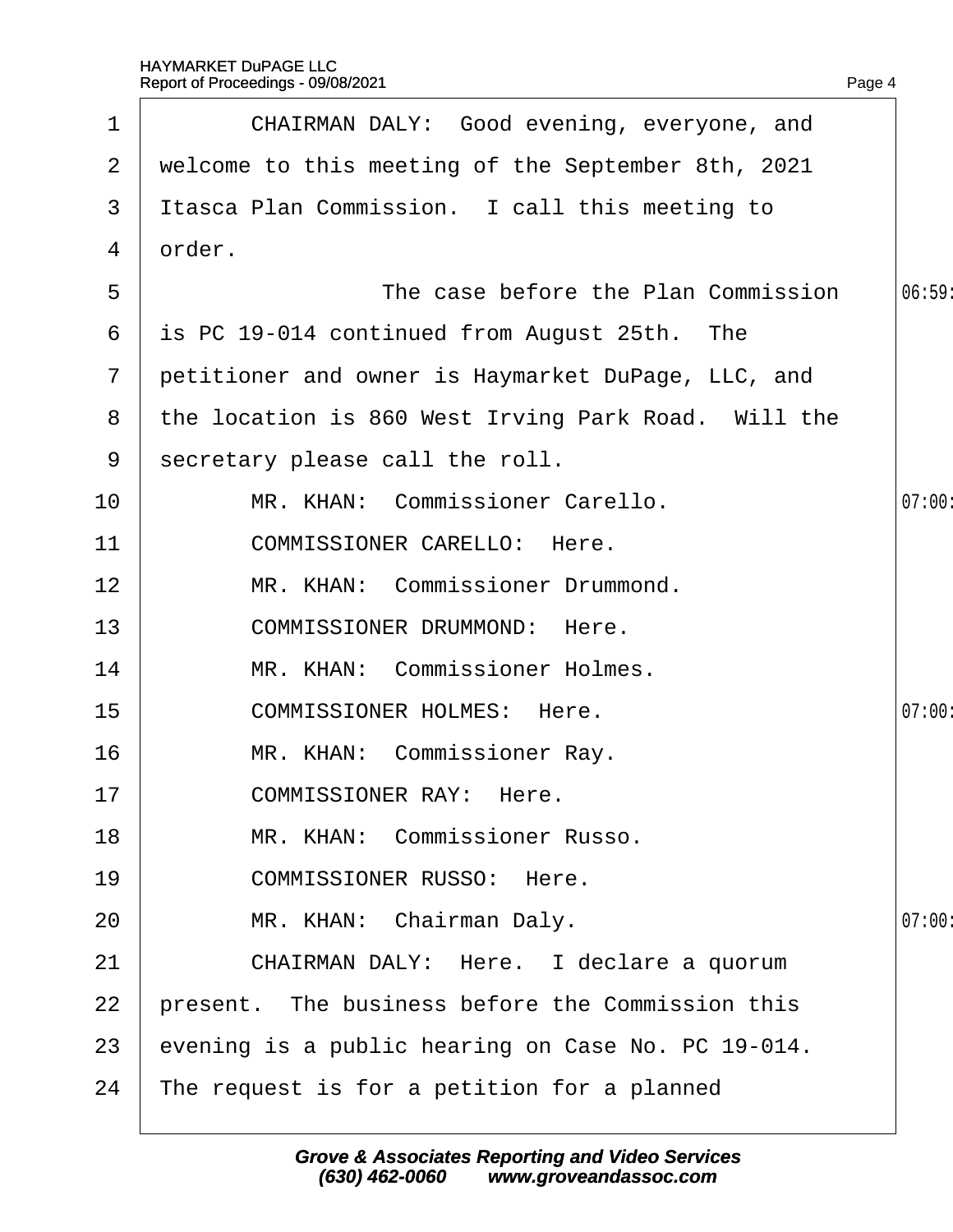|                | Report of Proceedings - 09/08/2021                  | Page 4 |
|----------------|-----------------------------------------------------|--------|
| $\mathbf 1$    | CHAIRMAN DALY: Good evening, everyone, and          |        |
| 2              | welcome to this meeting of the September 8th, 2021  |        |
| 3              | Itasca Plan Commission. I call this meeting to      |        |
| 4              | drder.                                              |        |
| 5              | The case before the Plan Commission                 | 06:59  |
| 6              | is PC 19-014 continued from August 25th. The        |        |
| 7 <sup>1</sup> | petitioner and owner is Haymarket DuPage, LLC, and  |        |
| 8              | the location is 860 West Irving Park Road. Will the |        |
| 9              | secretary please call the roll.                     |        |
| 10             | MR. KHAN: Commissioner Carello.                     | 07:00  |
| 11             | <b>COMMISSIONER CARELLO: Here.</b>                  |        |
| 12             | MR. KHAN: Commissioner Drummond.                    |        |
| 13             | <b>COMMISSIONER DRUMMOND: Here.</b>                 |        |
| 14             | MR. KHAN: Commissioner Holmes.                      |        |
| 15             | <b>COMMISSIONER HOLMES: Here.</b>                   | 07:00  |
| 16             | MR. KHAN: Commissioner Ray.                         |        |
| 17             | <b>COMMISSIONER RAY: Here.</b>                      |        |
| 18             | MR. KHAN: Commissioner Russo.                       |        |
| 19             | <b>COMMISSIONER RUSSO: Here.</b>                    |        |
| 20             | MR. KHAN: Chairman Daly.                            | 07:00  |
| 21             | CHAIRMAN DALY: Here. I declare a quorum             |        |
| 22             | present. The business before the Commission this    |        |
| 23             | evening is a public hearing on Case No. PC 19-014.  |        |
| 24             | The request is for a petition for a planned         |        |
|                |                                                     |        |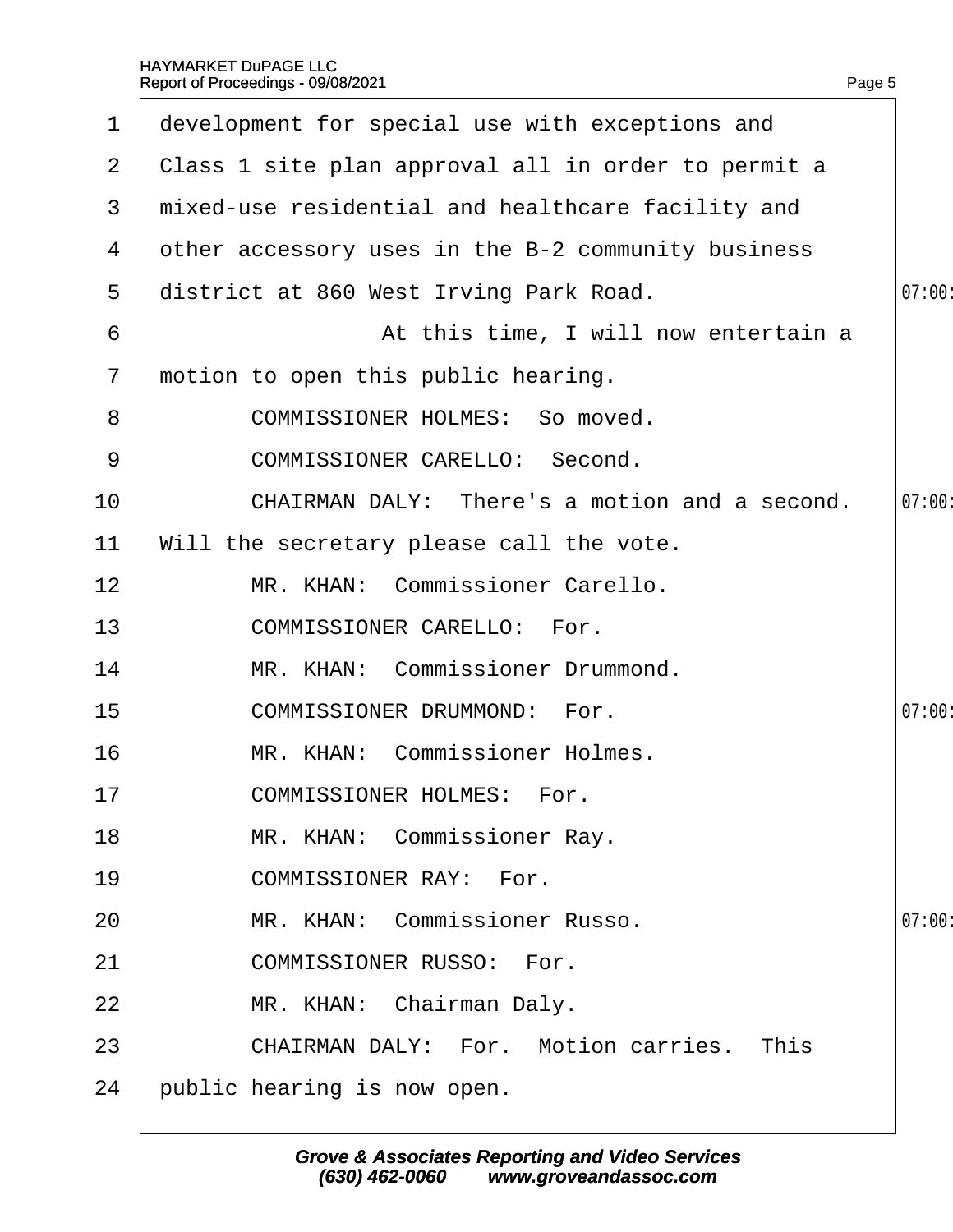| $\mathbf 1$    | development for special use with exceptions and     |        |
|----------------|-----------------------------------------------------|--------|
| $\mathbf{2}$   | Class 1 site plan approval all in order to permit a |        |
| 3              | mixed-use residential and healthcare facility and   |        |
| 4              | other accessory uses in the B-2 community business  |        |
| 5              | district at 860 West Irving Park Road.              | 07:00  |
| 6              | At this time, I will now entertain a                |        |
| $\overline{7}$ | motion to open this public hearing.                 |        |
| 8              | <b>COMMISSIONER HOLMES: So moved.</b>               |        |
| 9              | <b>COMMISSIONER CARELLO: Second.</b>                |        |
| 10             | CHAIRMAN DALY: There's a motion and a second.       | 07:00  |
| 11             | Will the secretary please call the vote.            |        |
| 12             | MR. KHAN: Commissioner Carello.                     |        |
| 13             | <b>COMMISSIONER CARELLO: For.</b>                   |        |
| 14             | MR. KHAN: Commissioner Drummond.                    |        |
| 15             | <b>COMMISSIONER DRUMMOND: For.</b>                  | 07:00  |
| 16             | MR. KHAN: Commissioner Holmes.                      |        |
| 17             | <b>COMMISSIONER HOLMES: For.</b>                    |        |
| 18             | MR. KHAN: Commissioner Ray.                         |        |
| 19             | <b>COMMISSIONER RAY: For.</b>                       |        |
| 20             | MR. KHAN: Commissioner Russo.                       | 07:00: |
| 21             | <b>COMMISSIONER RUSSO: For.</b>                     |        |
| 22             | MR. KHAN: Chairman Daly.                            |        |
| 23             | <b>CHAIRMAN DALY: For. Motion carries. This</b>     |        |
| 24             | public hearing is now open.                         |        |
|                |                                                     |        |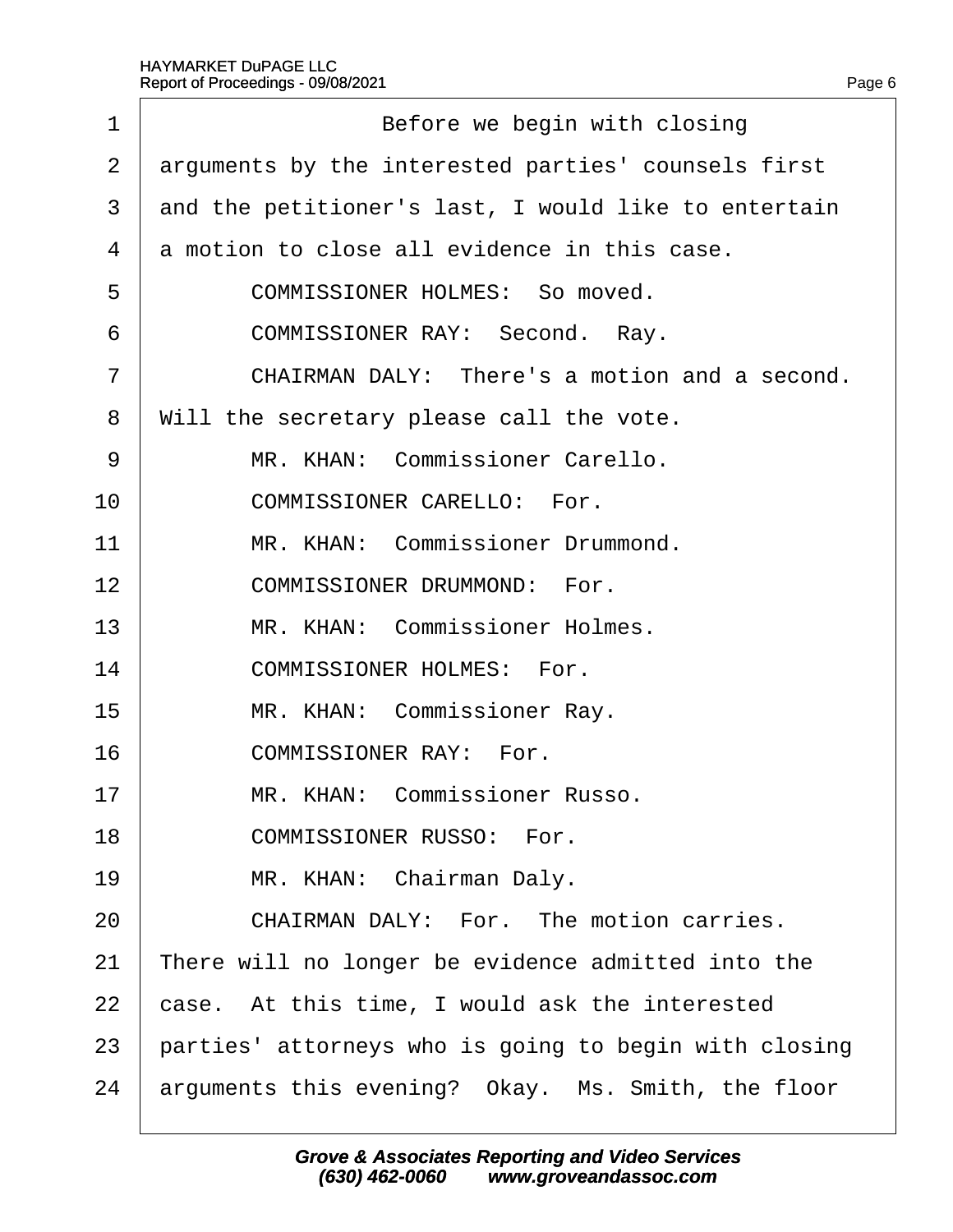| 1              | Before we begin with closing                          |
|----------------|-------------------------------------------------------|
| 2              | arguments by the interested parties' counsels first   |
| 3              | and the petitioner's last, I would like to entertain  |
| 4              | a motion to close all evidence in this case.          |
| 5              | <b>COMMISSIONER HOLMES: So moved.</b>                 |
| 6              | COMMISSIONER RAY: Second. Ray.                        |
| $\overline{7}$ | CHAIRMAN DALY: There's a motion and a second.         |
| 8              | Will the secretary please call the vote.              |
| 9              | MR. KHAN: Commissioner Carello.                       |
| 10             | <b>COMMISSIONER CARELLO: For.</b>                     |
| 11             | MR. KHAN: Commissioner Drummond.                      |
| 12             | <b>COMMISSIONER DRUMMOND: For.</b>                    |
| 13             | MR. KHAN: Commissioner Holmes.                        |
| 14             | <b>COMMISSIONER HOLMES: For.</b>                      |
| 15             | MR. KHAN: Commissioner Ray.                           |
| 16             | <b>COMMISSIONER RAY: For.</b>                         |
| 17             | MR. KHAN: Commissioner Russo.                         |
| 18             | <b>COMMISSIONER RUSSO: For.</b>                       |
| 19             | MR. KHAN: Chairman Daly.                              |
| 20             | CHAIRMAN DALY: For. The motion carries.               |
| 21             | There will no longer be evidence admitted into the    |
| 22             | case. At this time, I would ask the interested        |
| 23             | parties' attorneys who is going to begin with closing |
| 24             | arguments this evening? Okay. Ms. Smith, the floor    |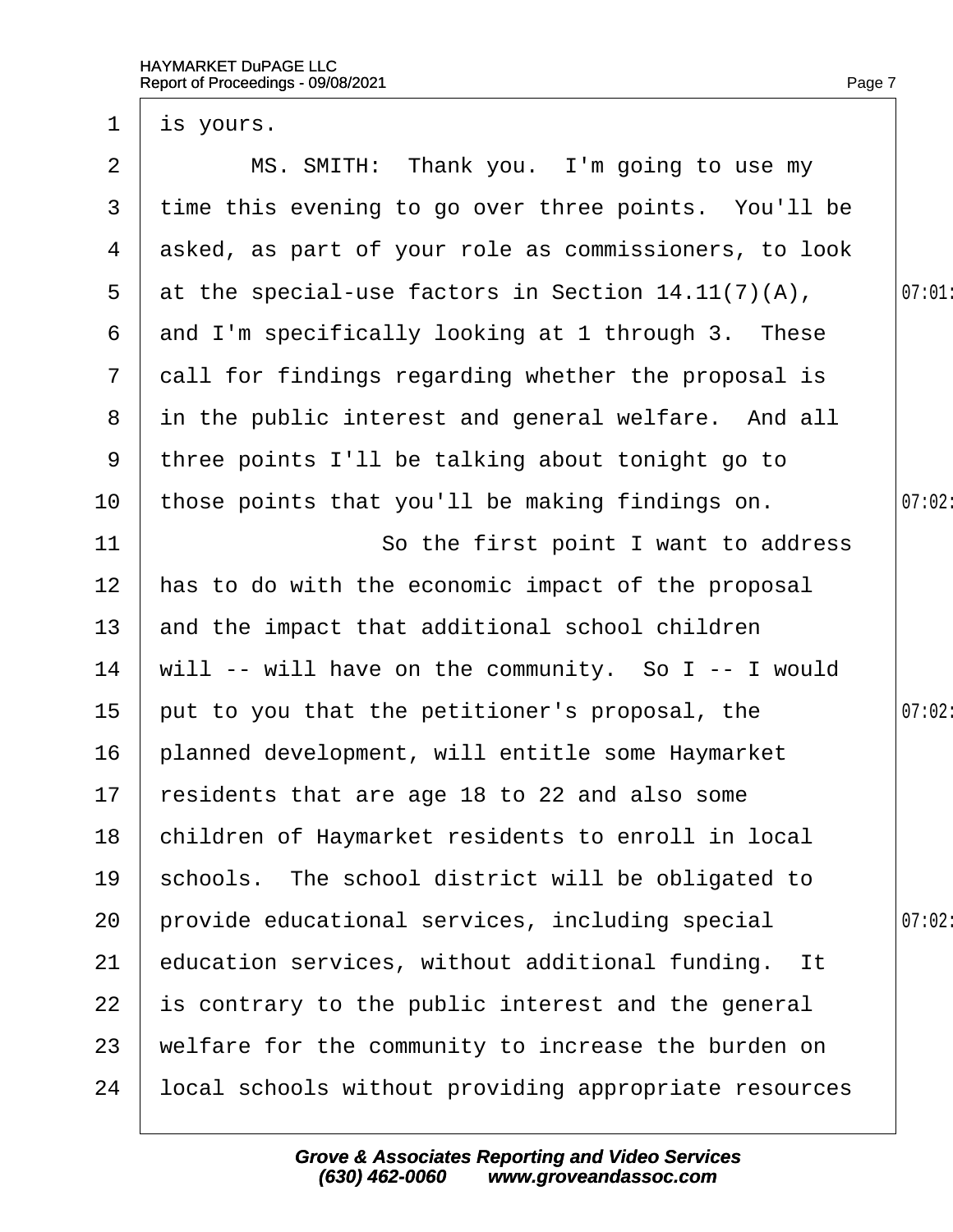| $\mathbf 1$     | i\$ yours.                                            |       |
|-----------------|-------------------------------------------------------|-------|
| 2               | MS. SMITH: Thank you. I'm going to use my             |       |
| 3               | time this evening to go over three points. You'll be  |       |
| 4               | asked, as part of your role as commissioners, to look |       |
| $5\overline{)}$ | at the special-use factors in Section 14.11(7)(A),    | 07:01 |
| 6               | and I'm specifically looking at 1 through 3. These    |       |
| $7\phantom{.}$  | dall for findings regarding whether the proposal is   |       |
| 8               | in the public interest and general welfare. And all   |       |
| 9               | three points I'll be talking about tonight go to      |       |
| 10              | those points that you'll be making findings on.       | 07:02 |
| 11              | So the first point I want to address                  |       |
| 12              | has to do with the economic impact of the proposal    |       |
| 13              | and the impact that additional school children        |       |
| 14              | will -- will have on the community. So I -- I would   |       |
| 15              | put to you that the petitioner's proposal, the        | 07:02 |
| 16              | planned development, will entitle some Haymarket      |       |
| 17 <sub>1</sub> | residents that are age 18 to 22 and also some         |       |
| 18              | children of Haymarket residents to enroll in local    |       |
| 19              | schools. The school district will be obligated to     |       |
| 20              | provide educational services, including special       | 07:02 |
| 21              | education services, without additional funding. It    |       |
| 22              | is contrary to the public interest and the general    |       |
| 23              | welfare for the community to increase the burden on   |       |
| 24              | local schools without providing appropriate resources |       |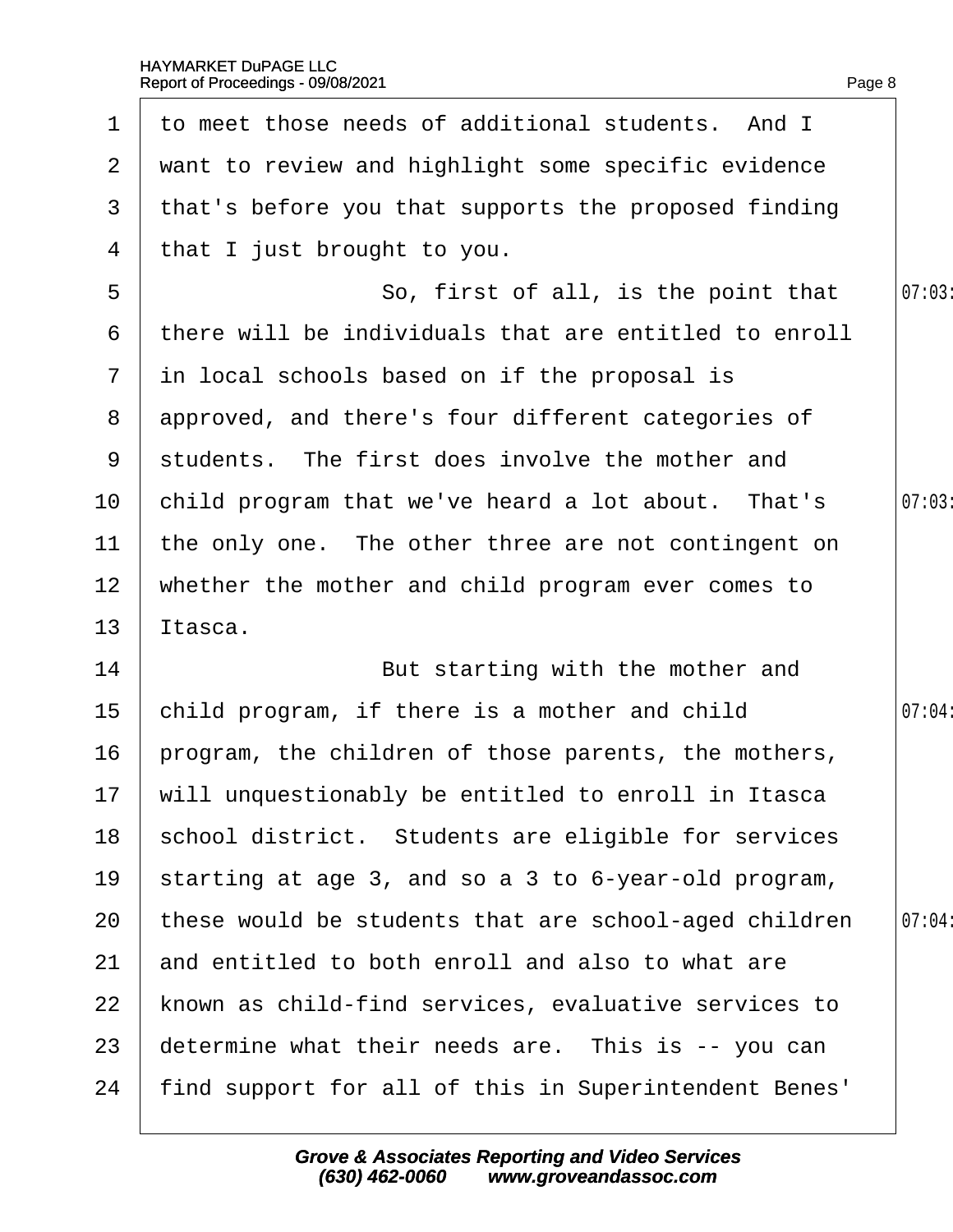| $\mathbf 1$    | to meet those needs of additional students. And I      |       |
|----------------|--------------------------------------------------------|-------|
|                | 2 want to review and highlight some specific evidence  |       |
| 3              | that's before you that supports the proposed finding   |       |
| 4              | that I just brought to you.                            |       |
| 5              | So, first of all, is the point that                    | 07:03 |
| 6              | there will be individuals that are entitled to enroll  |       |
| $\overline{7}$ | in local schools based on if the proposal is           |       |
| 8              | approved, and there's four different categories of     |       |
| 9              | students. The first does involve the mother and        |       |
| 10             | child program that we've heard a lot about. That's     | 07:03 |
| 11             | the only one. The other three are not contingent on    |       |
| 12             | whether the mother and child program ever comes to     |       |
| 13             | ltasca.                                                |       |
| 14             | But starting with the mother and                       |       |
| 15             | child program, if there is a mother and child          | 07:04 |
| 16             | program, the children of those parents, the mothers,   |       |
|                | 17 will unquestionably be entitled to enroll in Itasca |       |
| 18             | school district. Students are eligible for services    |       |
| 19             | starting at age 3, and so a 3 to 6-year-old program,   |       |
| 20             | these would be students that are school-aged children  | 07:04 |
| 21             | and entitled to both enroll and also to what are       |       |
| 22             | known as child-find services, evaluative services to   |       |
| 23             | determine what their needs are. This is -- you can     |       |
| 24             | find support for all of this in Superintendent Benes'  |       |
|                |                                                        |       |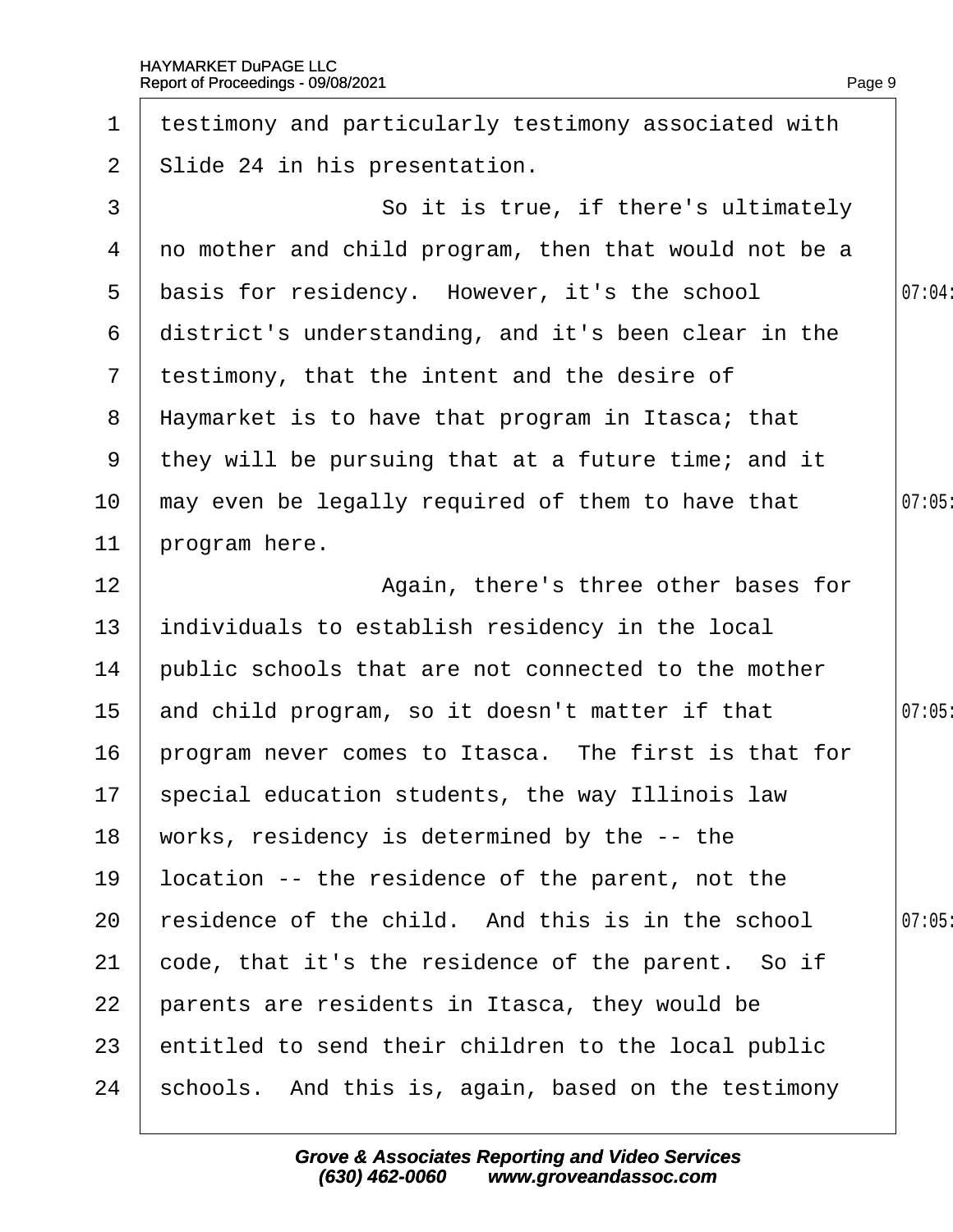|  | Page 9 |
|--|--------|

| $\mathbf 1$     | testimony and particularly testimony associated with  |        |
|-----------------|-------------------------------------------------------|--------|
| $\overline{2}$  | Slide 24 in his presentation.                         |        |
| 3               | So it is true, if there's ultimately                  |        |
| 4               | no mother and child program, then that would not be a |        |
| 5               | basis for residency. However, it's the school         | 07:04: |
| 6               | district's understanding, and it's been clear in the  |        |
|                 | 7 testimony, that the intent and the desire of        |        |
| 8               | Haymarket is to have that program in Itasca; that     |        |
|                 | 9 they will be pursuing that at a future time; and it |        |
| 10              | may even be legally required of them to have that     | 07:05  |
| 11              | program here.                                         |        |
| 12              | Again, there's three other bases for                  |        |
| 13              | individuals to establish residency in the local       |        |
| 14              | public schools that are not connected to the mother   |        |
| 15 <sub>1</sub> | and child program, so it doesn't matter if that       | 07:05  |
| 16              | program never comes to Itasca. The first is that for  |        |
|                 | 17 special education students, the way Illinois law   |        |
| 18              | works, residency is determined by the -- the          |        |
| 19              | location -- the residence of the parent, not the      |        |
| 20              | esidence of the child. And this is in the school      | 07:05  |
| 21              | code, that it's the residence of the parent. So if    |        |
| 22              | parents are residents in Itasca, they would be        |        |
| 23              | entitled to send their children to the local public   |        |
| 24              | schools. And this is, again, based on the testimony   |        |
|                 |                                                       |        |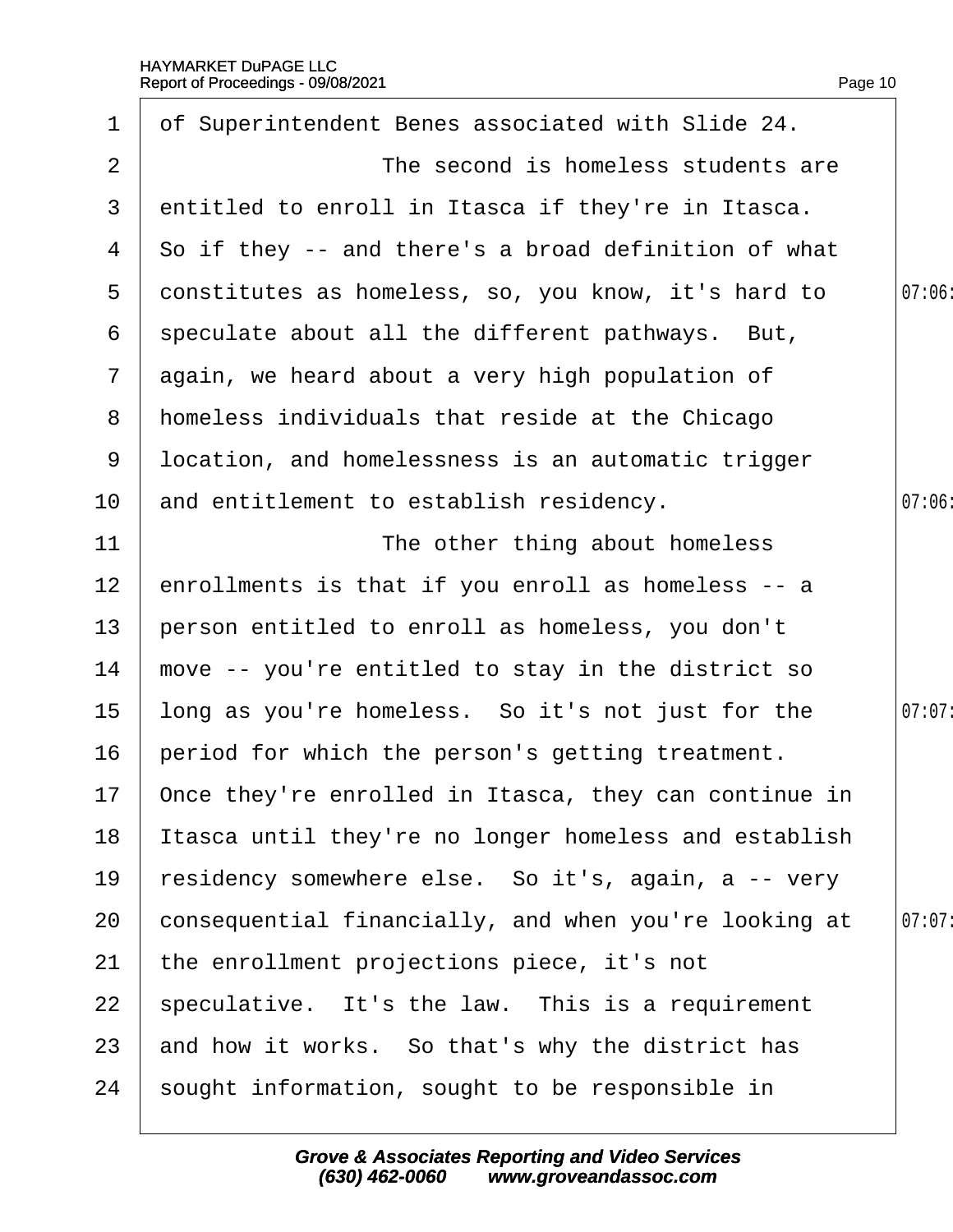| $\mathbf 1$     | of Superintendent Benes associated with Slide 24.        |        |
|-----------------|----------------------------------------------------------|--------|
| 2               | The second is homeless students are                      |        |
| 3               | entitled to enroll in Itasca if they're in Itasca.       |        |
| 4               | So if they -- and there's a broad definition of what     |        |
| 5               | donstitutes as homeless, so, you know, it's hard to      | 07:06  |
| 6               | speculate about all the different pathways. But,         |        |
| $\mathbf{7}$    | again, we heard about a very high population of          |        |
| 8               | homeless individuals that reside at the Chicago          |        |
| 9               | Ipcation, and homelessness is an automatic trigger       |        |
| 10              | and entitlement to establish residency.                  | 07:06  |
| 11              | The other thing about homeless                           |        |
| 12              | enrollments is that if you enroll as homeless -- a       |        |
| 13 <sup>°</sup> | person entitled to enroll as homeless, you don't         |        |
| 14              | move -- you're entitled to stay in the district so       |        |
| 15              | long as you're homeless. So it's not just for the        | 07:07: |
| 16              | period for which the person's getting treatment.         |        |
|                 | 17 Once they're enrolled in Itasca, they can continue in |        |
| 18              | Itasca until they're no longer homeless and establish    |        |
| 19              | residency somewhere else. So it's, again, a -- very      |        |
| 20              | consequential financially, and when you're looking at    | 07:07  |
| 21              | the enrollment projections piece, it's not               |        |
| 22              | speculative. It's the law. This is a requirement         |        |
| 23              | and how it works. So that's why the district has         |        |
| 24              | sought information, sought to be responsible in          |        |
|                 |                                                          |        |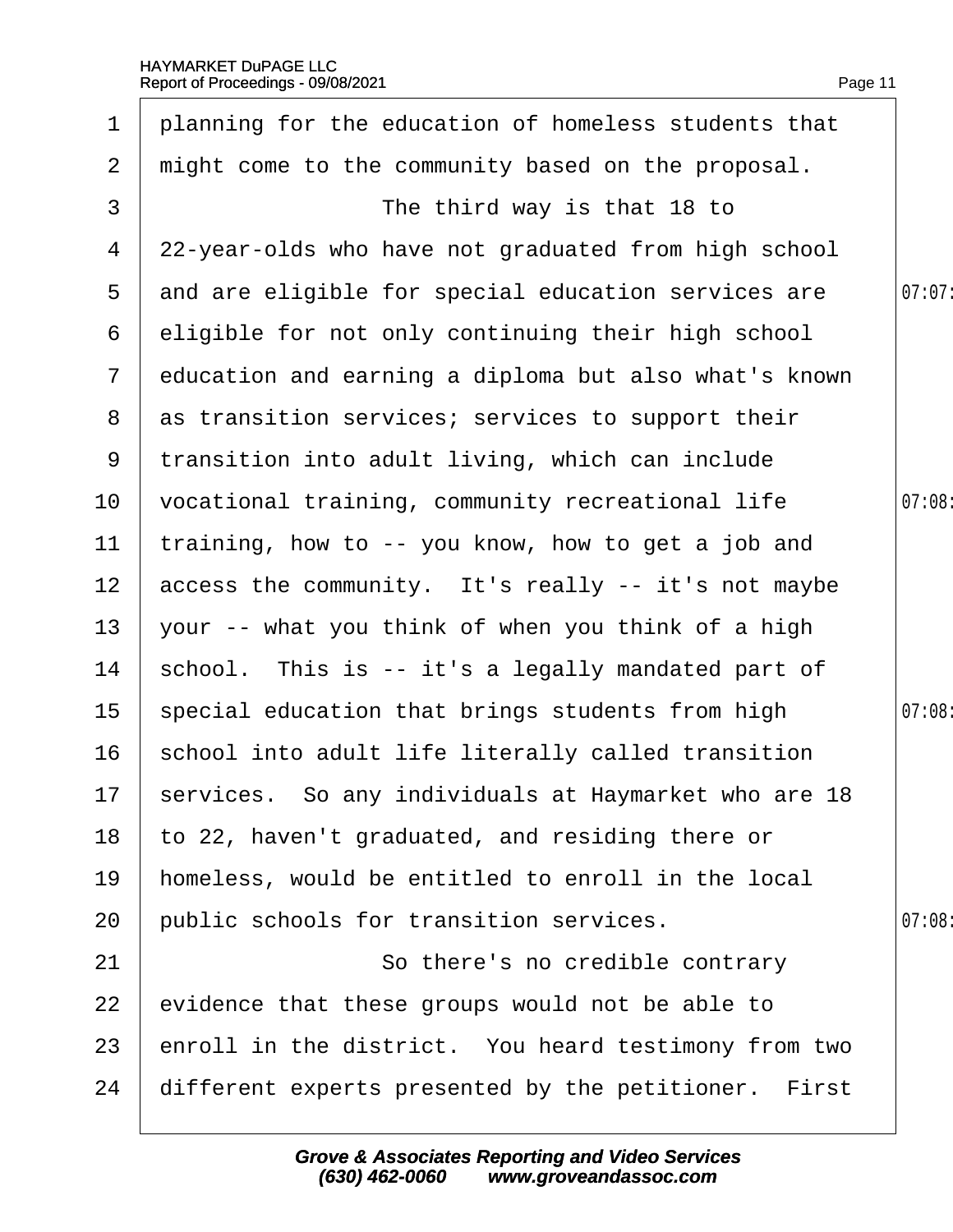| $\mathbf 1$     | planning for the education of homeless students that    |        |
|-----------------|---------------------------------------------------------|--------|
| $\overline{2}$  | might come to the community based on the proposal.      |        |
| 3               | The third way is that 18 to                             |        |
| 4               | 22-year-olds who have not graduated from high school    |        |
| 5               | and are eligible for special education services are     | 07:07: |
| 6               | eligible for not only continuing their high school      |        |
| $\mathbf{7}$    | education and earning a diploma but also what's known   |        |
| 8               | as transition services; services to support their       |        |
| 9               | transition into adult living, which can include         |        |
| 10              | vocational training, community recreational life        | 07:08  |
| 11              | training, how to -- you know, how to get a job and      |        |
| 12 <sup>1</sup> | access the community. It's really -- it's not maybe     |        |
| 13              | your -- what you think of when you think of a high      |        |
| 14              | school. This is -- it's a legally mandated part of      |        |
| 15 <sub>1</sub> | special education that brings students from high        | 07:08: |
| 16              | school into adult life literally called transition      |        |
|                 | 17 services. So any individuals at Haymarket who are 18 |        |
| 18              | to 22, haven't graduated, and residing there or         |        |
| 19              | homeless, would be entitled to enroll in the local      |        |
| 20              | public schools for transition services.                 | 07:08  |
| 21              | So there's no credible contrary                         |        |
| 22              | evidence that these groups would not be able to         |        |
| 23              | enroll in the district. You heard testimony from two    |        |
| 24              | different experts presented by the petitioner. First    |        |
|                 |                                                         |        |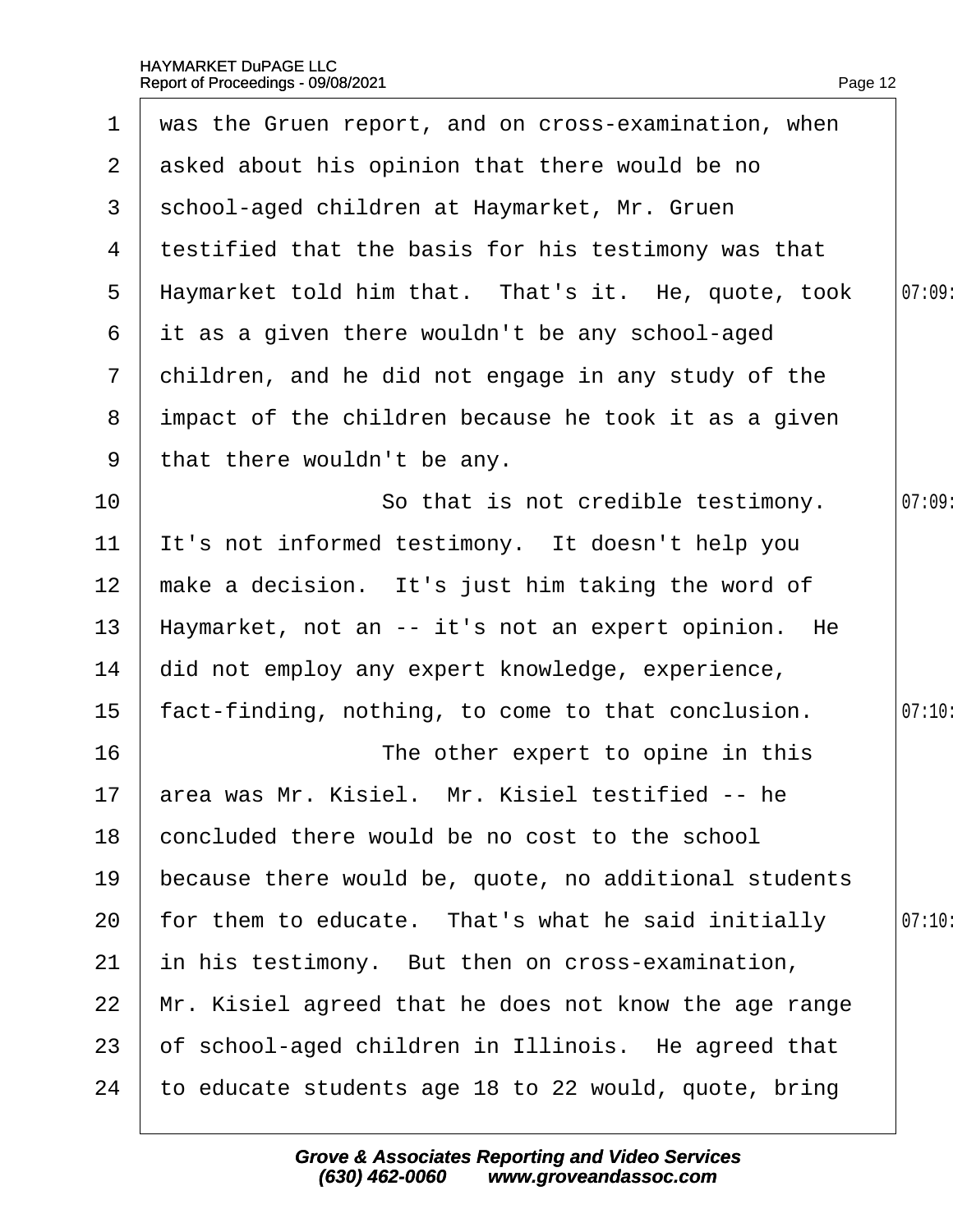$\overline{\phantom{a}}$ 

|                   | 1 was the Gruen report, and on cross-examination, when |        |
|-------------------|--------------------------------------------------------|--------|
| 2 <sup>1</sup>    | asked about his opinion that there would be no         |        |
| 3                 | school-aged children at Haymarket, Mr. Gruen           |        |
| 4                 | testified that the basis for his testimony was that    |        |
| $5^{\circ}$       | Haymarket told him that. That's it. He, quote, took    | 07:09  |
| 6                 | it as a given there wouldn't be any school-aged        |        |
| $\overline{7}$    | children, and he did not engage in any study of the    |        |
| 8                 | impact of the children because he took it as a given   |        |
| 9                 | that there wouldn't be any.                            |        |
| 10                | So that is not credible testimony.                     | 07:09  |
| 11                | It's not informed testimony. It doesn't help you       |        |
| $12 \overline{ }$ | make a decision. It's just him taking the word of      |        |
| 13                | Haymarket, not an -- it's not an expert opinion. He    |        |
| 14                | did not employ any expert knowledge, experience,       |        |
| 15                | fact-finding, nothing, to come to that conclusion.     | 07:10: |
| 16                | The other expert to opine in this                      |        |
| 17 <sub>2</sub>   | area was Mr. Kisiel. Mr. Kisiel testified -- he        |        |
| 18                | concluded there would be no cost to the school         |        |
| 19                | because there would be, quote, no additional students  |        |
| 20                | for them to educate. That's what he said initially     | 07:10  |
| 21                | in his testimony. But then on cross-examination,       |        |
| 22                | Mr. Kisiel agreed that he does not know the age range  |        |
| 23                | of school-aged children in Illinois. He agreed that    |        |
| 24                | to educate students age 18 to 22 would, quote, bring   |        |
|                   |                                                        |        |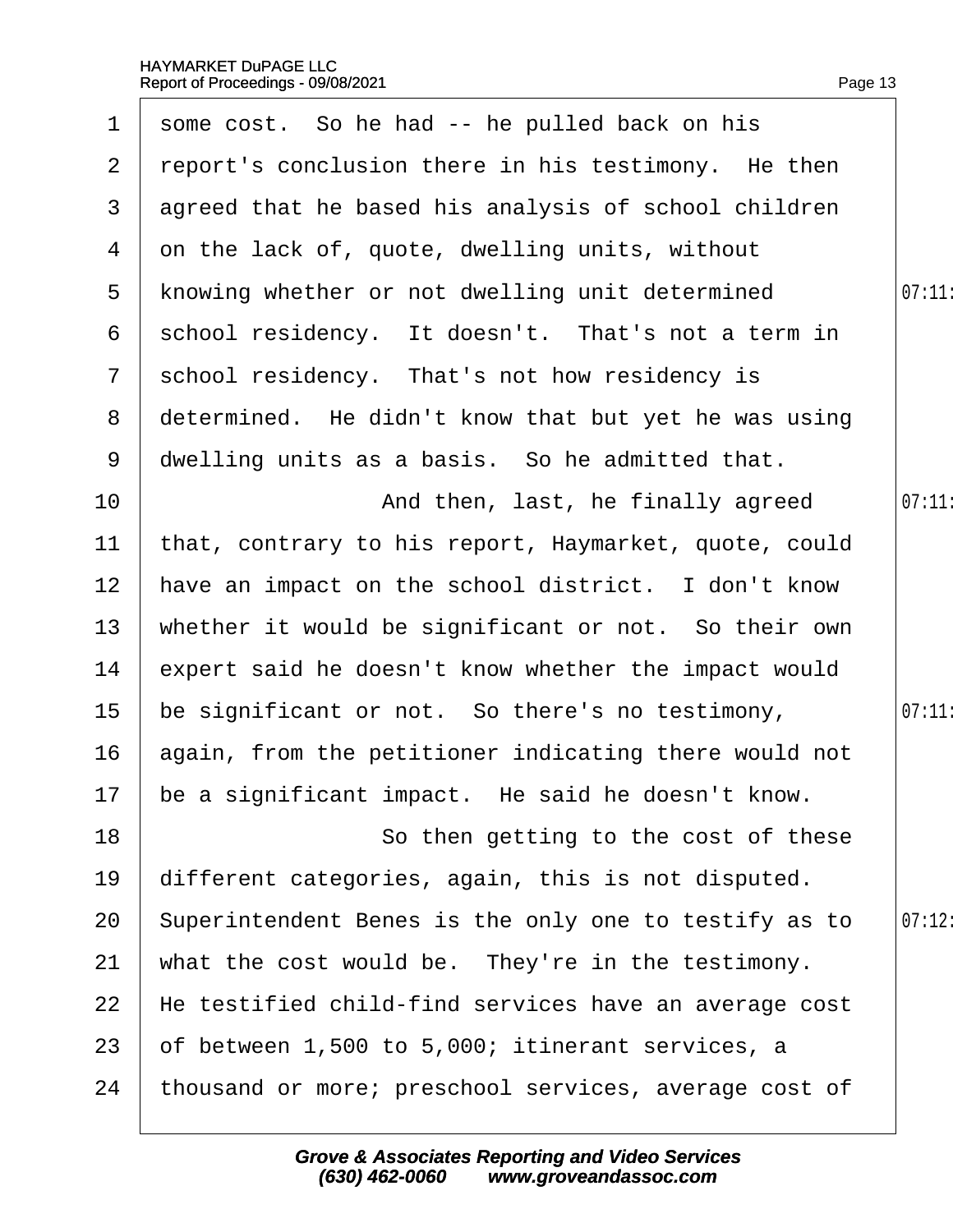|                 | 1 some cost. So he had -- he pulled back on his       |        |
|-----------------|-------------------------------------------------------|--------|
| 2 <sup>1</sup>  | report's conclusion there in his testimony. He then   |        |
| 3               | agreed that he based his analysis of school children  |        |
| 4               | on the lack of, quote, dwelling units, without        |        |
| $5^{\circ}$     | knowing whether or not dwelling unit determined       | 07:11  |
| 6               | school residency. It doesn't. That's not a term in    |        |
| $\overline{7}$  | school residency. That's not how residency is         |        |
| 8               | determined. He didn't know that but yet he was using  |        |
| 9               | dwelling units as a basis. So he admitted that.       |        |
| 10              | And then, last, he finally agreed                     | 07:11: |
| 11              | that, contrary to his report, Haymarket, quote, could |        |
| 12 <sup>2</sup> | have an impact on the school district. I don't know   |        |
| 13              | whether it would be significant or not. So their own  |        |
| 14              | expert said he doesn't know whether the impact would  |        |
| 15              | be significant or not. So there's no testimony,       | 07:11  |
| 16              | again, from the petitioner indicating there would not |        |
|                 | 17 be a significant impact. He said he doesn't know.  |        |
| 18              | So then getting to the cost of these                  |        |
| 19              | different categories, again, this is not disputed.    |        |
| 20              | Superintendent Benes is the only one to testify as to | 07:12  |
| 21              | what the cost would be. They're in the testimony.     |        |
| 22              | He testified child-find services have an average cost |        |
| 23              | of between 1,500 to 5,000; itinerant services, a      |        |
| 24              | thousand or more; preschool services, average cost of |        |
|                 |                                                       |        |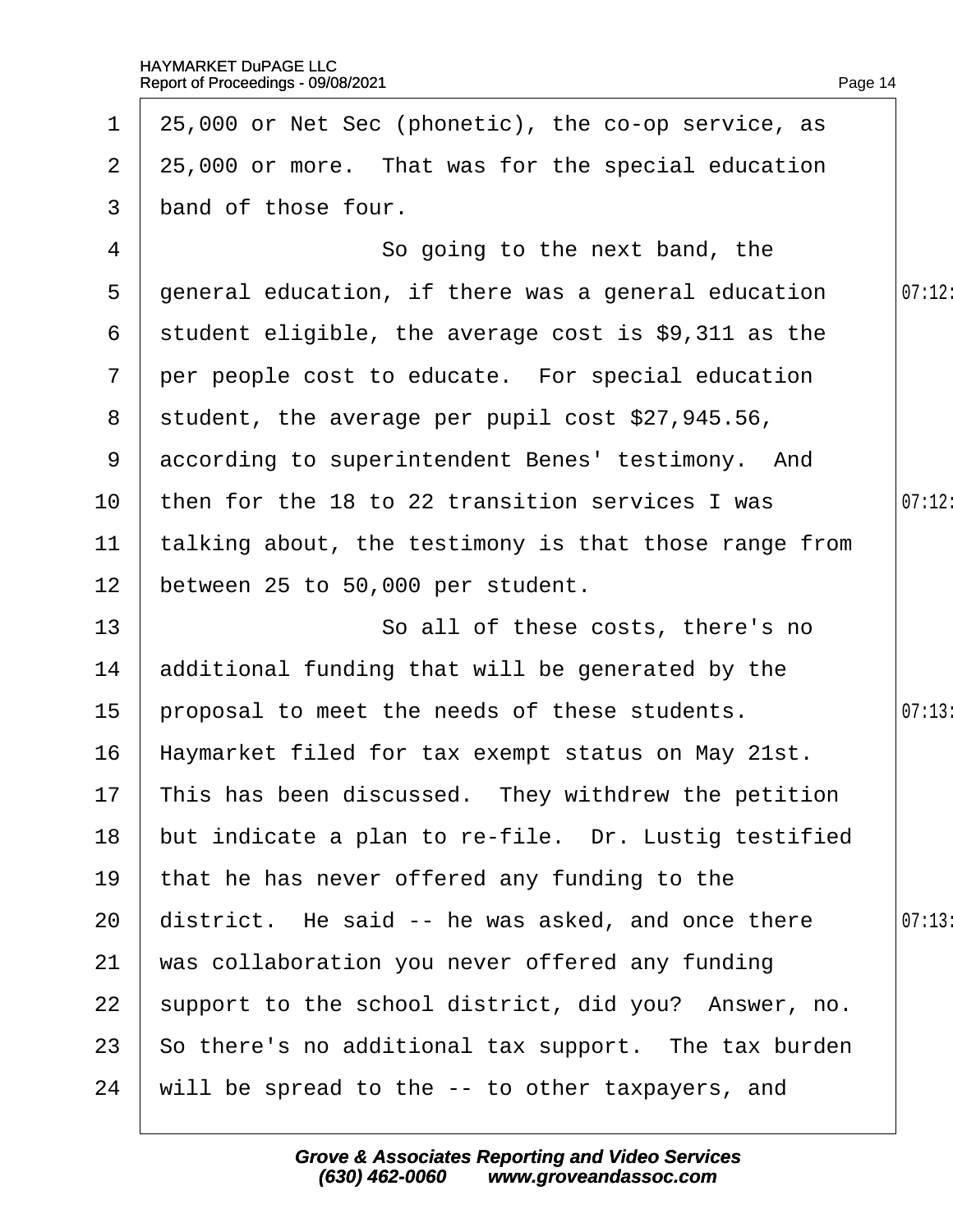| $\mathbf{1}$          | 25,000 or Net Sec (phonetic), the co-op service, as    |        |
|-----------------------|--------------------------------------------------------|--------|
| $\mathbf{2}^{\prime}$ | 25,000 or more. That was for the special education     |        |
| 3 <sup>1</sup>        | band of those four.                                    |        |
| 4                     | So going to the next band, the                         |        |
| 5                     | general education, if there was a general education    | 07:12: |
|                       | 6 student eligible, the average cost is \$9,311 as the |        |
| $7\overline{ }$       | per people cost to educate. For special education      |        |
|                       | 8 student, the average per pupil cost \$27,945.56,     |        |
|                       | 9 according to superintendent Benes' testimony. And    |        |
| 10                    | then for the 18 to 22 transition services I was        | 07:12: |
| 11                    | talking about, the testimony is that those range from  |        |
| 12 <sub>2</sub>       | between 25 to 50,000 per student.                      |        |
| 13                    | So all of these costs, there's no                      |        |
| 14                    | additional funding that will be generated by the       |        |
| 15 <sub>1</sub>       | proposal to meet the needs of these students.          | 07:13: |
| 16                    | Haymarket filed for tax exempt status on May 21st.     |        |
|                       | 17 This has been discussed. They withdrew the petition |        |
| 18                    | but indicate a plan to re-file. Dr. Lustig testified   |        |
| 19                    | that he has never offered any funding to the           |        |
| 20                    | district. He said -- he was asked, and once there      | 07:13  |
| 21                    | was collaboration you never offered any funding        |        |
| 22                    | support to the school district, did you? Answer, no.   |        |
| 23                    | So there's no additional tax support. The tax burden   |        |
| 24                    | will be spread to the -- to other taxpayers, and       |        |
|                       |                                                        |        |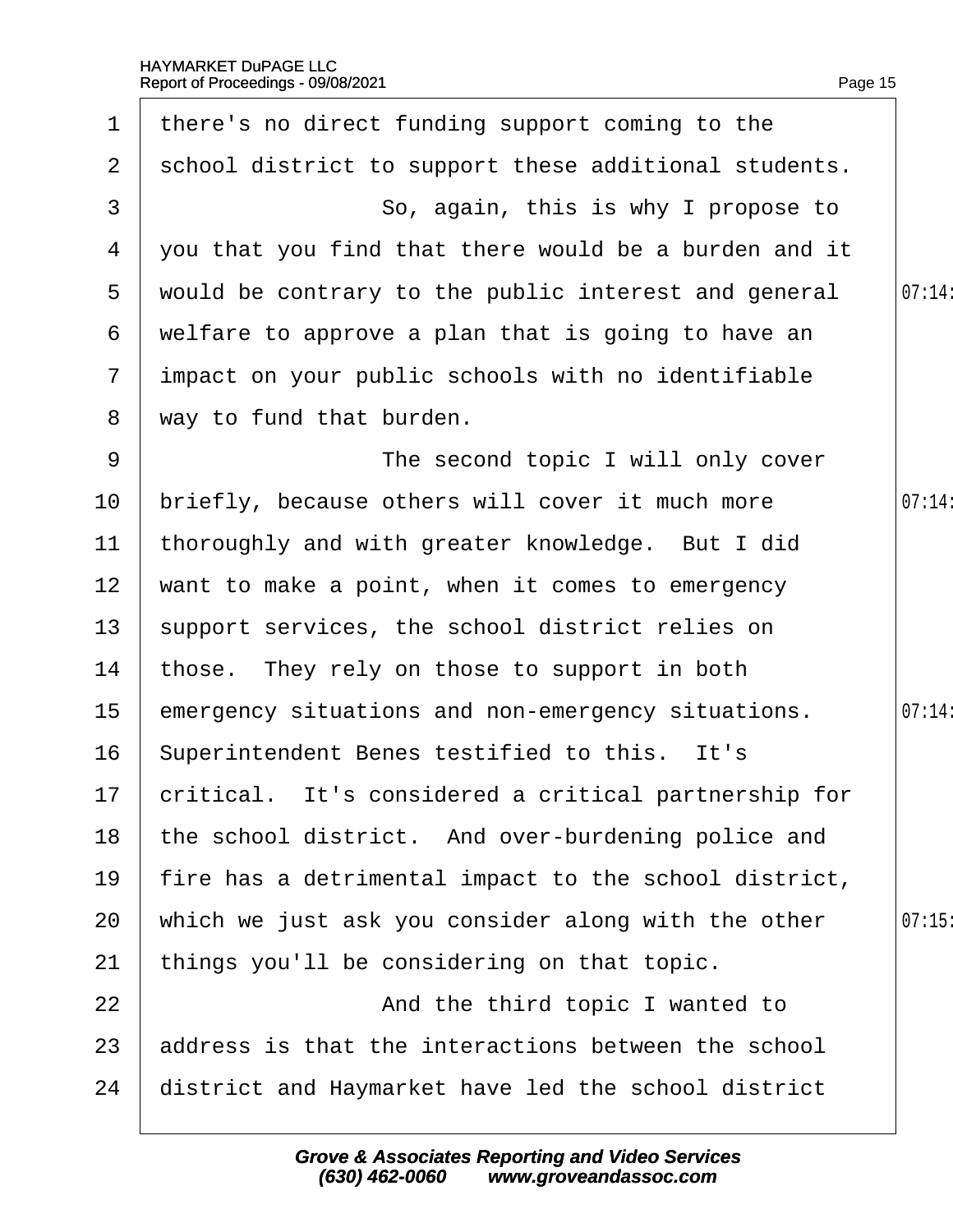| $\mathbf 1$     | there's no direct funding support coming to the         |        |
|-----------------|---------------------------------------------------------|--------|
| $\overline{2}$  | school district to support these additional students.   |        |
| 3               | So, again, this is why I propose to                     |        |
| 4               | you that you find that there would be a burden and it   |        |
| 5               | would be contrary to the public interest and general    | 07:14: |
| 6               | welfare to approve a plan that is going to have an      |        |
| $7\overline{ }$ | impact on your public schools with no identifiable      |        |
| 8               | way to fund that burden.                                |        |
| 9               | The second topic I will only cover                      |        |
| 10              | briefly, because others will cover it much more         | 07:14  |
| 11              | thoroughly and with greater knowledge. But I did        |        |
| 12 <sub>2</sub> | want to make a point, when it comes to emergency        |        |
| 13 <sup>°</sup> | support services, the school district relies on         |        |
| 14              | those. They rely on those to support in both            |        |
| 15 <sub>1</sub> | emergency situations and non-emergency situations.      | 07:14: |
| 16              | Superintendent Benes testified to this. It's            |        |
|                 | 17 critical. It's considered a critical partnership for |        |
| 18              | the school district. And over-burdening police and      |        |
| 19              | fire has a detrimental impact to the school district,   |        |
| 20              | which we just ask you consider along with the other     | 07:15  |
| 21              | things you'll be considering on that topic.             |        |
| 22              | And the third topic I wanted to                         |        |
| 23              | address is that the interactions between the school     |        |
| 24              | district and Haymarket have led the school district     |        |
|                 |                                                         |        |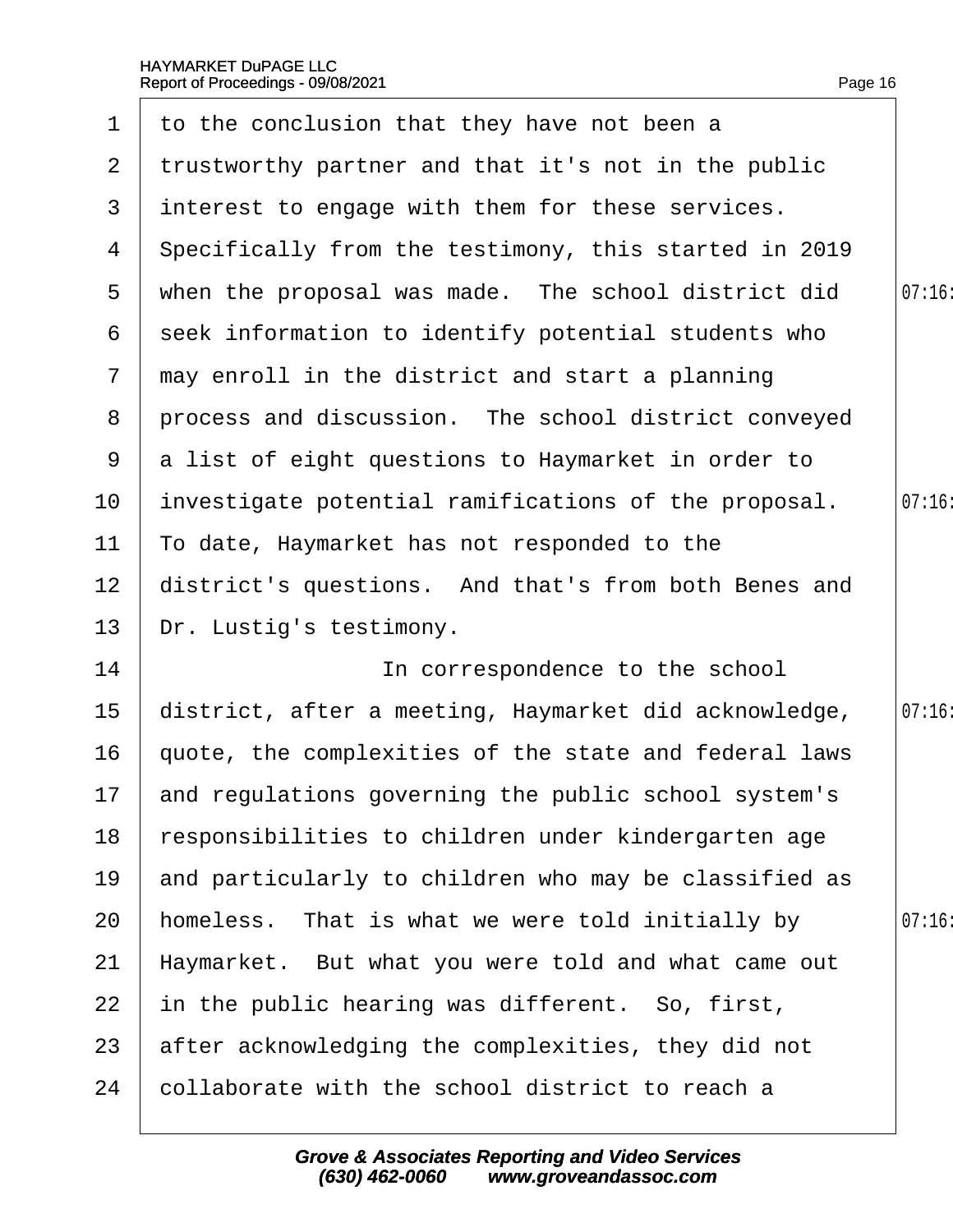| $\mathbf 1$     | to the conclusion that they have not been a             |       |
|-----------------|---------------------------------------------------------|-------|
| $\mathbf{2}$    | trustworthy partner and that it's not in the public     |       |
| 3               | interest to engage with them for these services.        |       |
| 4               | Specifically from the testimony, this started in 2019   |       |
| 5               | when the proposal was made. The school district did     | 07:16 |
| 6               | seek information to identify potential students who     |       |
| $\overline{7}$  | may enroll in the district and start a planning         |       |
| 8               | process and discussion. The school district conveyed    |       |
| 9               | a list of eight questions to Haymarket in order to      |       |
| 10 <sup>°</sup> | investigate potential ramifications of the proposal.    | 07:16 |
| 11              | To date, Haymarket has not responded to the             |       |
| 12 <sub>2</sub> | district's questions. And that's from both Benes and    |       |
| 13              | Dr. Lustig's testimony.                                 |       |
| 14              | In correspondence to the school                         |       |
| $15\,$          | district, after a meeting, Haymarket did acknowledge,   | 07:16 |
| 16              | quote, the complexities of the state and federal laws   |       |
|                 | 17 and regulations governing the public school system's |       |
| 18              | responsibilities to children under kindergarten age     |       |
| 19              | and particularly to children who may be classified as   |       |
| 20              | homeless. That is what we were told initially by        | 07:16 |
| 21              | Haymarket. But what you were told and what came out     |       |
| 22              | in the public hearing was different. So, first,         |       |
| 23              | after acknowledging the complexities, they did not      |       |
| 24              | collaborate with the school district to reach a         |       |
|                 |                                                         |       |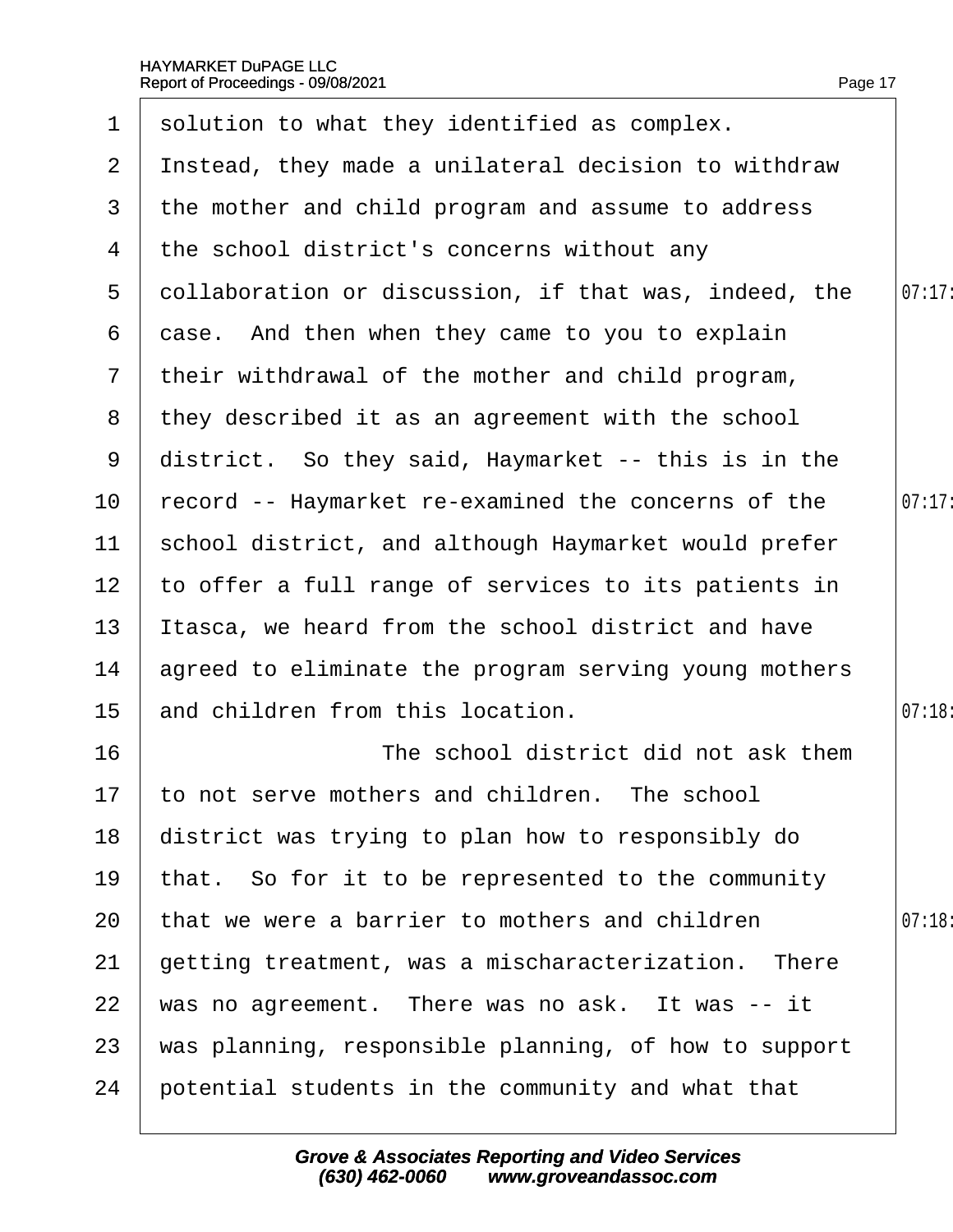|                 | 1 solution to what they identified as complex.         |        |
|-----------------|--------------------------------------------------------|--------|
|                 | 2 Instead, they made a unilateral decision to withdraw |        |
|                 | 3 the mother and child program and assume to address   |        |
| 4               | the school district's concerns without any             |        |
| 5               | dollaboration or discussion, if that was, indeed, the  | 07:17  |
| 6               | dase. And then when they came to you to explain        |        |
|                 | 7 their withdrawal of the mother and child program,    |        |
| 8               | they described it as an agreement with the school      |        |
| 9               | district. So they said, Haymarket -- this is in the    |        |
| 10              | record -- Haymarket re-examined the concerns of the    | 07:17: |
| 11              | school district, and although Haymarket would prefer   |        |
| 12 <sub>2</sub> | to offer a full range of services to its patients in   |        |
| 13              | Itasca, we heard from the school district and have     |        |
| 14              | agreed to eliminate the program serving young mothers  |        |
| 15 <sub>1</sub> | and children from this location.                       | 07:18  |
| 16              | The school district did not ask them                   |        |
| 17 <sup>1</sup> | to not serve mothers and children. The school          |        |
| 18              | district was trying to plan how to responsibly do      |        |
| 19              | that. So for it to be represented to the community     |        |
| 20              | that we were a barrier to mothers and children         | 07:18  |
| 21              | getting treatment, was a mischaracterization. There    |        |
| 22              | was no agreement. There was no ask. It was -- it       |        |
| 23              | was planning, responsible planning, of how to support  |        |
| 24              | potential students in the community and what that      |        |
|                 |                                                        |        |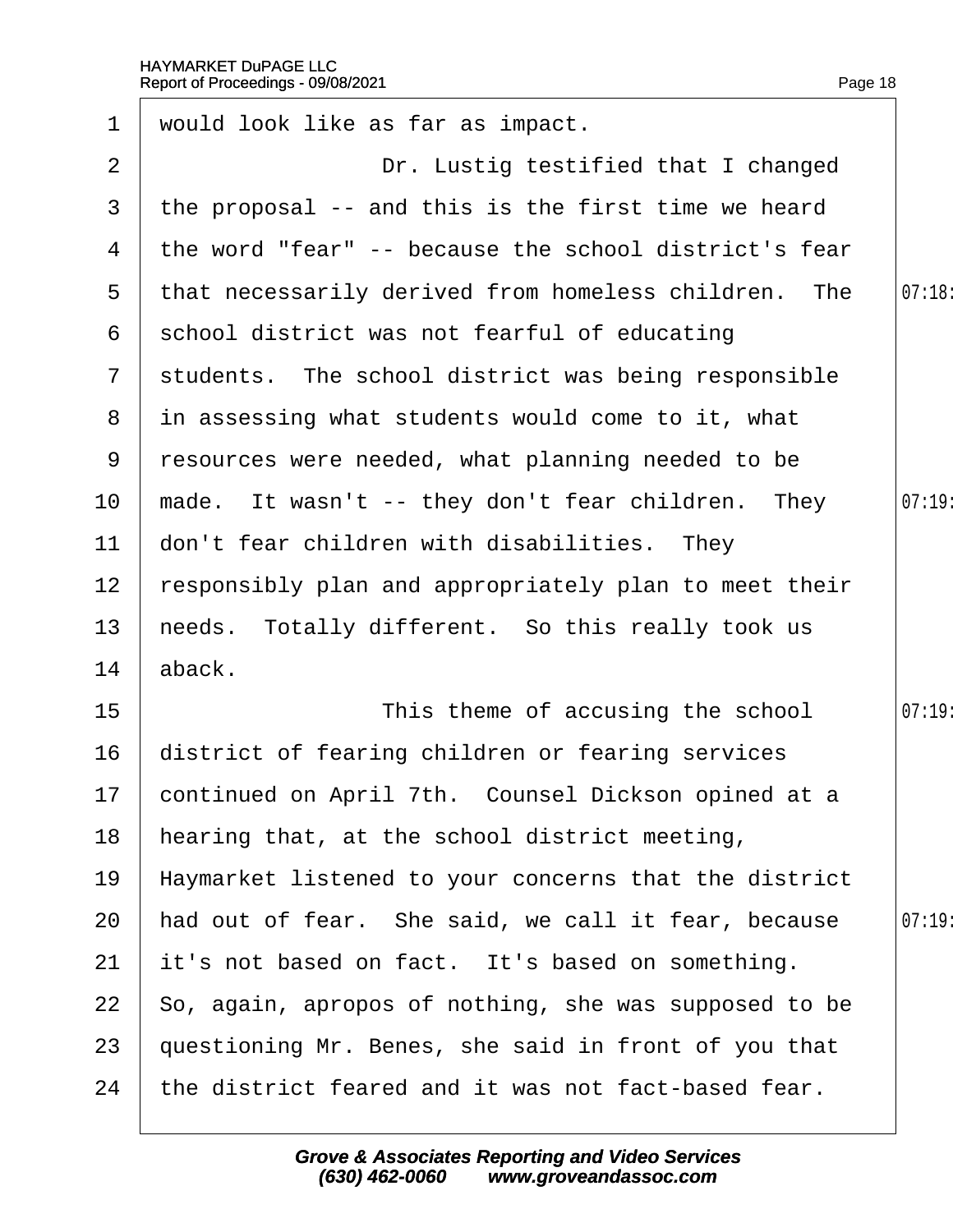| $\mathbf 1$     | would look like as far as impact.                      |        |
|-----------------|--------------------------------------------------------|--------|
| 2               | Dr. Lustig testified that I changed                    |        |
| 3               | the proposal -- and this is the first time we heard    |        |
| 4               | the word "fear" -- because the school district's fear  |        |
| $5^{\circ}$     | that necessarily derived from homeless children. The   | 07:18: |
| 6               | school district was not fearful of educating           |        |
| $7\overline{ }$ | students. The school district was being responsible    |        |
|                 | 8 in assessing what students would come to it, what    |        |
| 9               | resources were needed, what planning needed to be      |        |
| 10              | made. It wasn't -- they don't fear children. They      | 07:19  |
| 11              | don't fear children with disabilities. They            |        |
| 12 <sub>2</sub> | responsibly plan and appropriately plan to meet their  |        |
| 13              | heeds. Totally different. So this really took us       |        |
| 14              | aback.                                                 |        |
| 15              | This theme of accusing the school                      | 07:19  |
| 16              | district of fearing children or fearing services       |        |
|                 | 17 continued on April 7th. Counsel Dickson opined at a |        |
| 18              | hearing that, at the school district meeting,          |        |
| 19              | Haymarket listened to your concerns that the district  |        |
| 20              | had out of fear. She said, we call it fear, because    | 07:19  |
| 21              | it's not based on fact. It's based on something.       |        |
| 22              | So, again, apropos of nothing, she was supposed to be  |        |
| 23              | questioning Mr. Benes, she said in front of you that   |        |
| 24              | the district feared and it was not fact-based fear.    |        |
|                 |                                                        |        |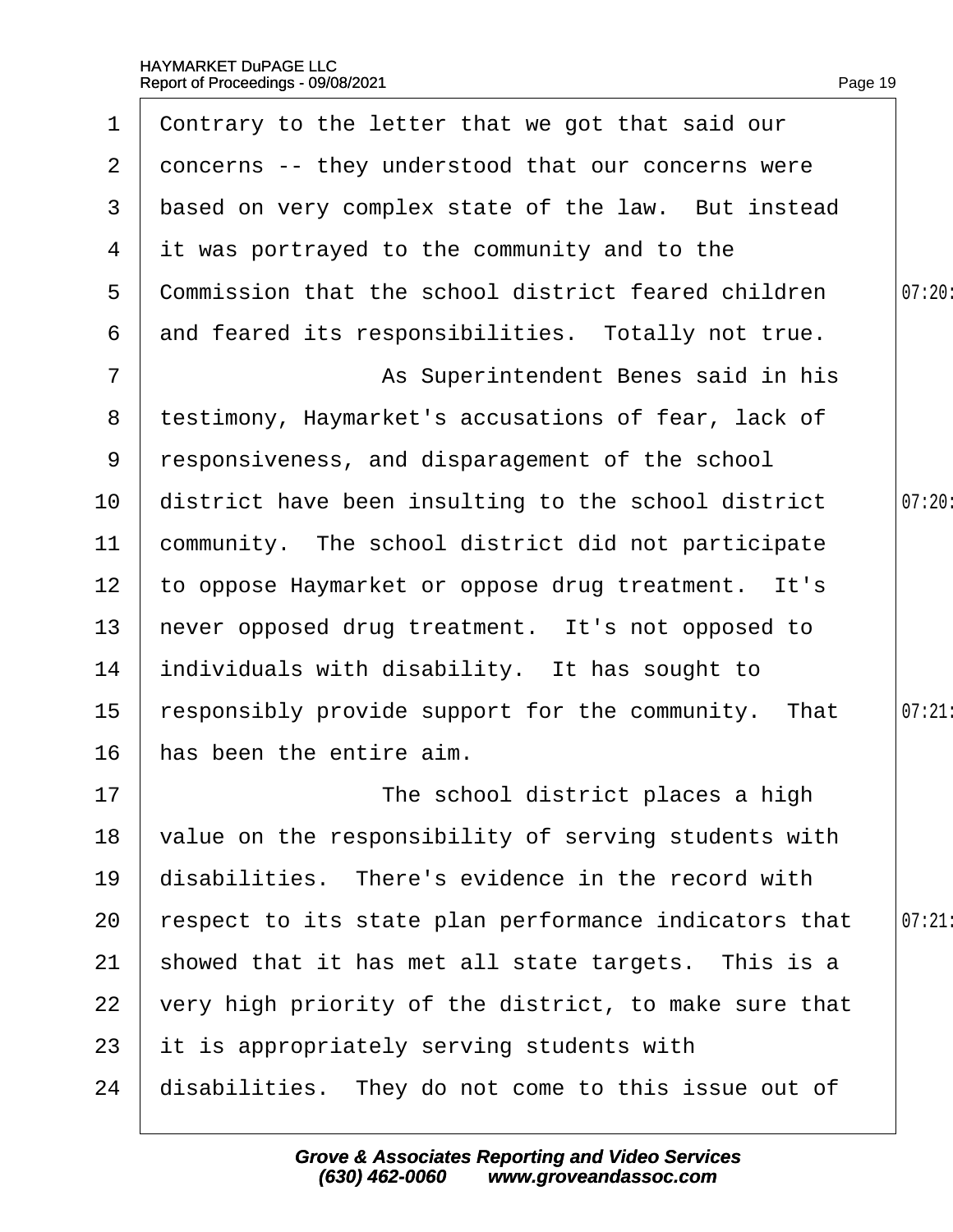| 1                     | Contrary to the letter that we got that said our      |        |
|-----------------------|-------------------------------------------------------|--------|
| $\mathbf{2}^{\prime}$ | doncerns -- they understood that our concerns were    |        |
| 3                     | based on very complex state of the law. But instead   |        |
| 4                     | it was portrayed to the community and to the          |        |
| 5                     | Commission that the school district feared children   | 07:20: |
| 6                     | and feared its responsibilities. Totally not true.    |        |
| $\overline{7}$        | As Superintendent Benes said in his                   |        |
| 8                     | testimony, Haymarket's accusations of fear, lack of   |        |
| 9                     | responsiveness, and disparagement of the school       |        |
| 10                    | district have been insulting to the school district   | 07:20  |
| 11                    | community. The school district did not participate    |        |
| 12 <sub>2</sub>       | to oppose Haymarket or oppose drug treatment. It's    |        |
| 13                    | hever opposed drug treatment. It's not opposed to     |        |
| 14                    | individuals with disability. It has sought to         |        |
| $15\,$                | responsibly provide support for the community. That   | 07:21  |
| 16                    | has been the entire aim.                              |        |
| 17                    | The school district places a high                     |        |
| 18                    | value on the responsibility of serving students with  |        |
| 19                    | disabilities. There's evidence in the record with     |        |
| 20                    | respect to its state plan performance indicators that | 07:21  |
| 21                    | showed that it has met all state targets. This is a   |        |
| 22                    | very high priority of the district, to make sure that |        |
| 23                    | it is appropriately serving students with             |        |
| 24                    | disabilities. They do not come to this issue out of   |        |
|                       |                                                       |        |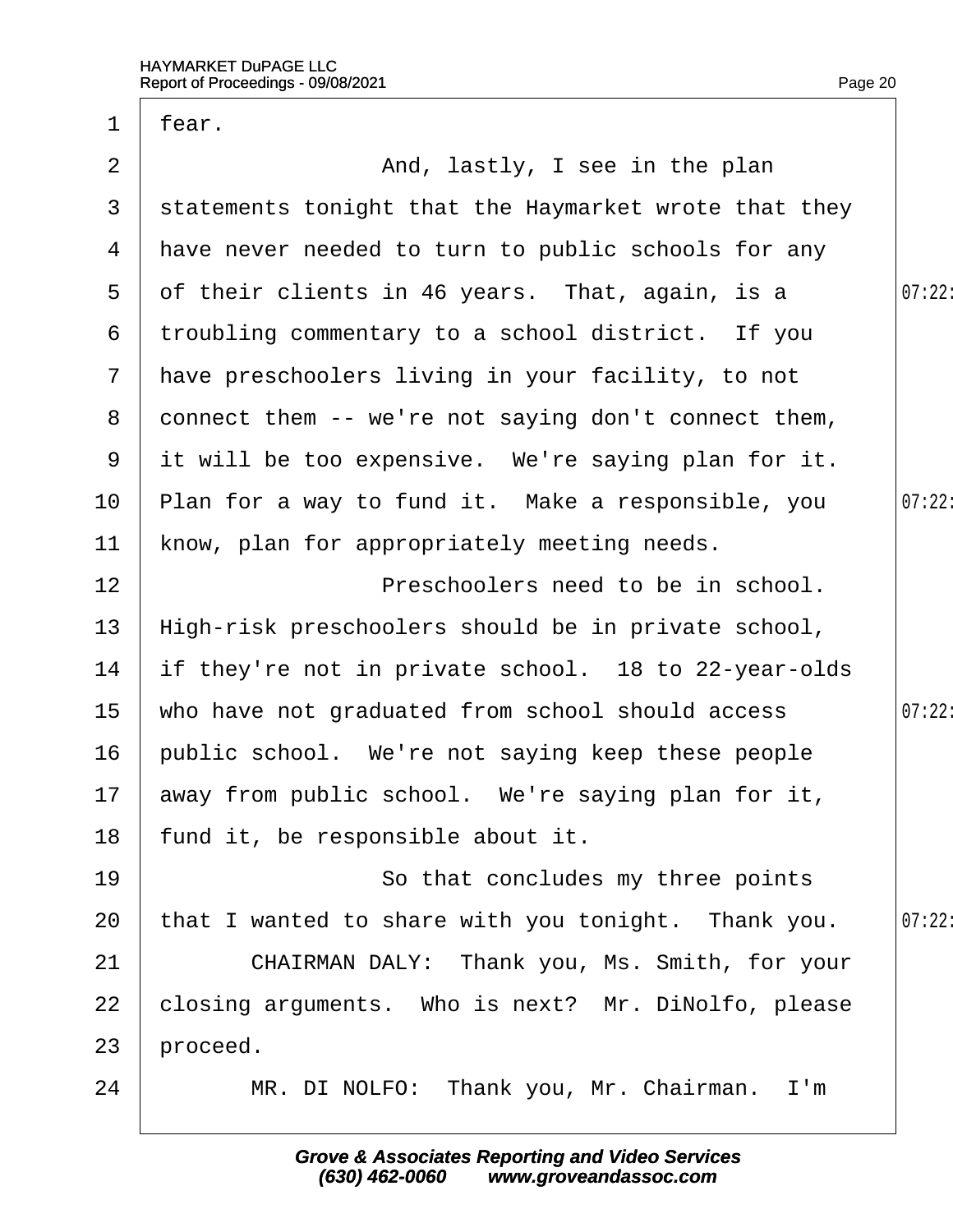| $\mathbf 1$    | fear.                                                 |        |
|----------------|-------------------------------------------------------|--------|
| $\overline{2}$ | And, lastly, I see in the plan                        |        |
| 3              | statements tonight that the Haymarket wrote that they |        |
| 4              | have never needed to turn to public schools for any   |        |
| 5              | of their clients in 46 years. That, again, is a       | 07:22  |
| 6              | troubling commentary to a school district. If you     |        |
| $\overline{7}$ | have preschoolers living in your facility, to not     |        |
| 8              | donnect them -- we're not saying don't connect them,  |        |
| 9              | it will be too expensive. We're saying plan for it.   |        |
| 10             | Plan for a way to fund it. Make a responsible, you    | 07:22  |
| 11             | know, plan for appropriately meeting needs.           |        |
| 12             | Preschoolers need to be in school.                    |        |
| 13             | High-risk preschoolers should be in private school,   |        |
| 14             | if they're not in private school. 18 to 22-year-olds  |        |
| 15             | who have not graduated from school should access      | 07:22: |
| 16             | public school. We're not saying keep these people     |        |
|                | 17 away from public school. We're saying plan for it, |        |
| 18             | fund it, be responsible about it.                     |        |
| 19             | So that concludes my three points                     |        |
| 20             | that I wanted to share with you tonight. Thank you.   | 07:22  |
| 21             | CHAIRMAN DALY: Thank you, Ms. Smith, for your         |        |
| 22             | closing arguments. Who is next? Mr. DiNolfo, please   |        |
| 23             | proceed.                                              |        |
| 24             | MR. DI NOLFO: Thank you, Mr. Chairman. I'm            |        |
|                |                                                       |        |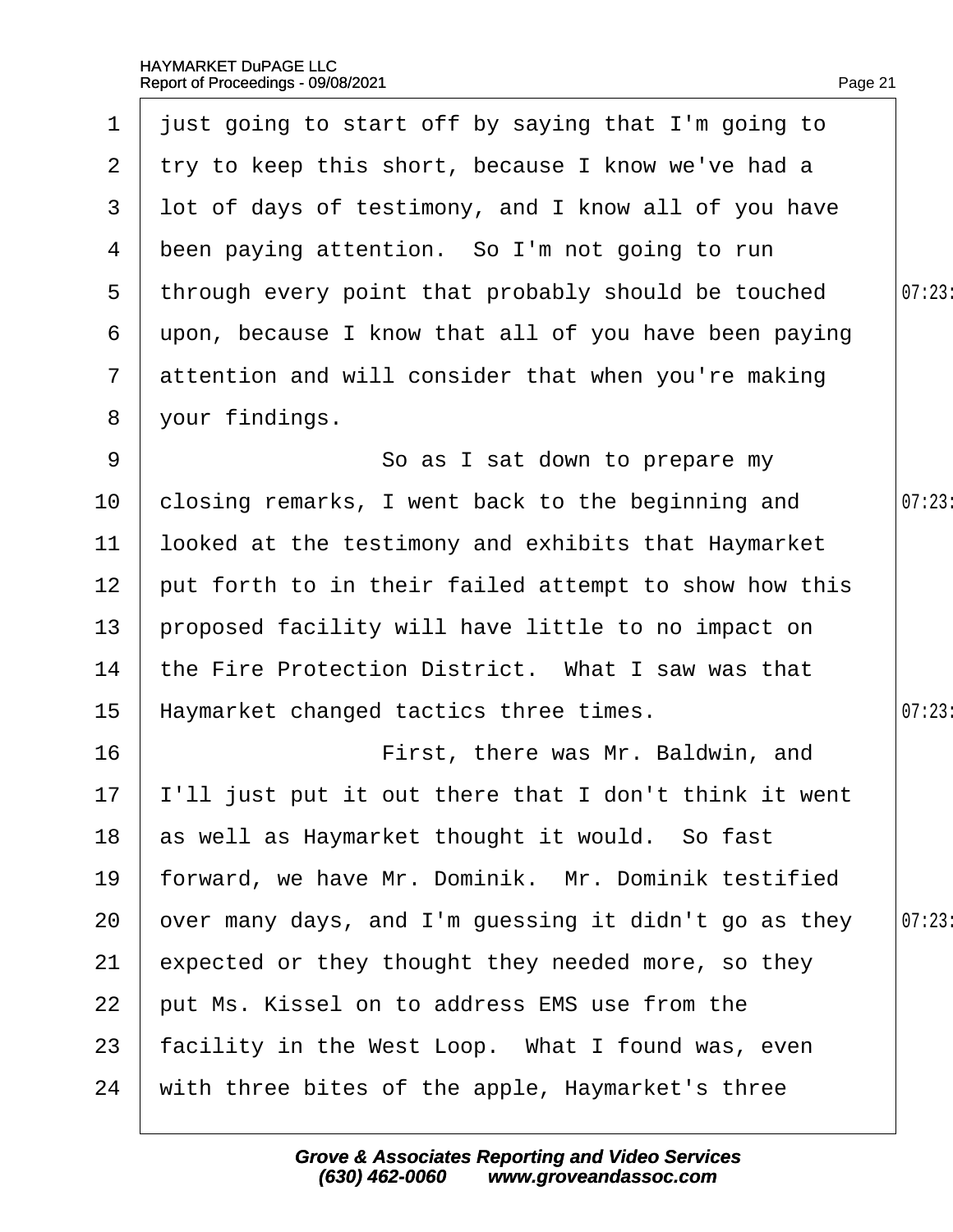| 1              | just going to start off by saying that I'm going to      |        |
|----------------|----------------------------------------------------------|--------|
| $\mathbf{2}$   | try to keep this short, because I know we've had a       |        |
| 3              | lot of days of testimony, and I know all of you have     |        |
| 4              | been paying attention. So I'm not going to run           |        |
| 5              | through every point that probably should be touched      | 07:23: |
| 6              | upon, because I know that all of you have been paying    |        |
| $\overline{7}$ | attention and will consider that when you're making      |        |
| 8              | your findings.                                           |        |
| 9              | So as I sat down to prepare my                           |        |
| 10             | closing remarks, I went back to the beginning and        | 07:23  |
| 11             | looked at the testimony and exhibits that Haymarket      |        |
| 12             | put forth to in their failed attempt to show how this    |        |
| 13             | proposed facility will have little to no impact on       |        |
| 14             | the Fire Protection District. What I saw was that        |        |
| 15             | Haymarket changed tactics three times.                   | 07:23  |
| 16             | First, there was Mr. Baldwin, and                        |        |
|                | 17  'Il just put it out there that I don't think it went |        |
| 18             | as well as Haymarket thought it would. So fast           |        |
| 19             | forward, we have Mr. Dominik. Mr. Dominik testified      |        |
| 20             | over many days, and I'm guessing it didn't go as they    | 07:23  |
| 21             | expected or they thought they needed more, so they       |        |
| 22             | put Ms. Kissel on to address EMS use from the            |        |
| 23             | facility in the West Loop. What I found was, even        |        |
| 24             | with three bites of the apple, Haymarket's three         |        |
|                |                                                          |        |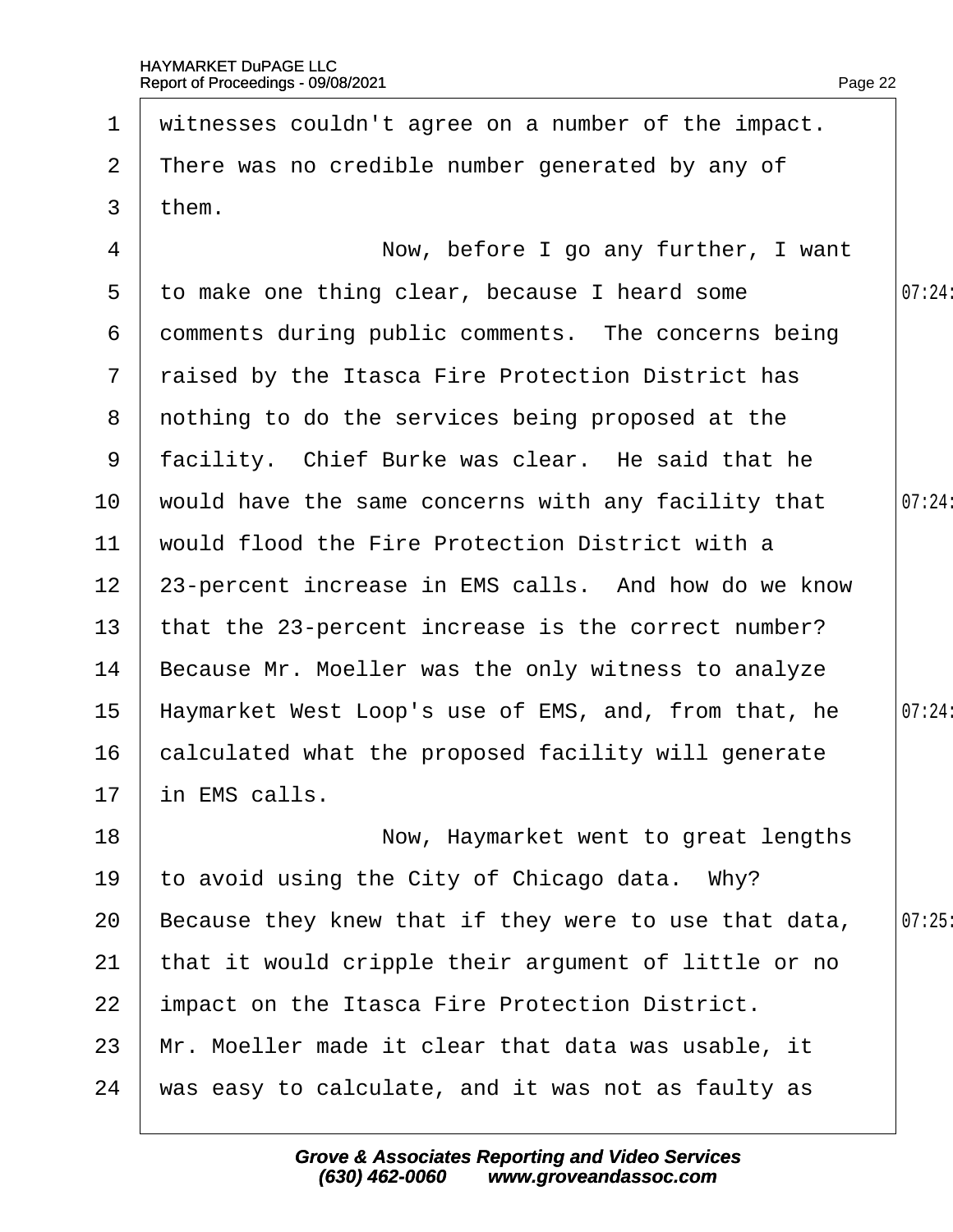| $\mathbf 1$     | witnesses couldn't agree on a number of the impact.   |        |
|-----------------|-------------------------------------------------------|--------|
| $\overline{2}$  | There was no credible number generated by any of      |        |
| 3               | them.                                                 |        |
| 4               | Now, before I go any further, I want                  |        |
| $5^{\circ}$     | to make one thing clear, because I heard some         | 07:24: |
| 6               | domments during public comments. The concerns being   |        |
| $7\phantom{.}$  | raised by the Itasca Fire Protection District has     |        |
|                 | 8 nothing to do the services being proposed at the    |        |
| 9               | facility. Chief Burke was clear. He said that he      |        |
| 10              | would have the same concerns with any facility that   | 07:24: |
| 11              | would flood the Fire Protection District with a       |        |
| 12 <sub>2</sub> | 23-percent increase in EMS calls. And how do we know  |        |
| 13              | that the 23-percent increase is the correct number?   |        |
| 14              | Because Mr. Moeller was the only witness to analyze   |        |
| 15              | Haymarket West Loop's use of EMS, and, from that, he  | 07:24: |
| 16              | calculated what the proposed facility will generate   |        |
| 17              | in EMS calls                                          |        |
| 18              | Now, Haymarket went to great lengths                  |        |
| 19              | to avoid using the City of Chicago data. Why?         |        |
| 20              | Because they knew that if they were to use that data, | 07:25  |
| 21              | that it would cripple their argument of little or no  |        |
| 22              | Impact on the Itasca Fire Protection District.        |        |
| 23              | Mr. Moeller made it clear that data was usable, it    |        |
| 24              | was easy to calculate, and it was not as faulty as    |        |
|                 |                                                       |        |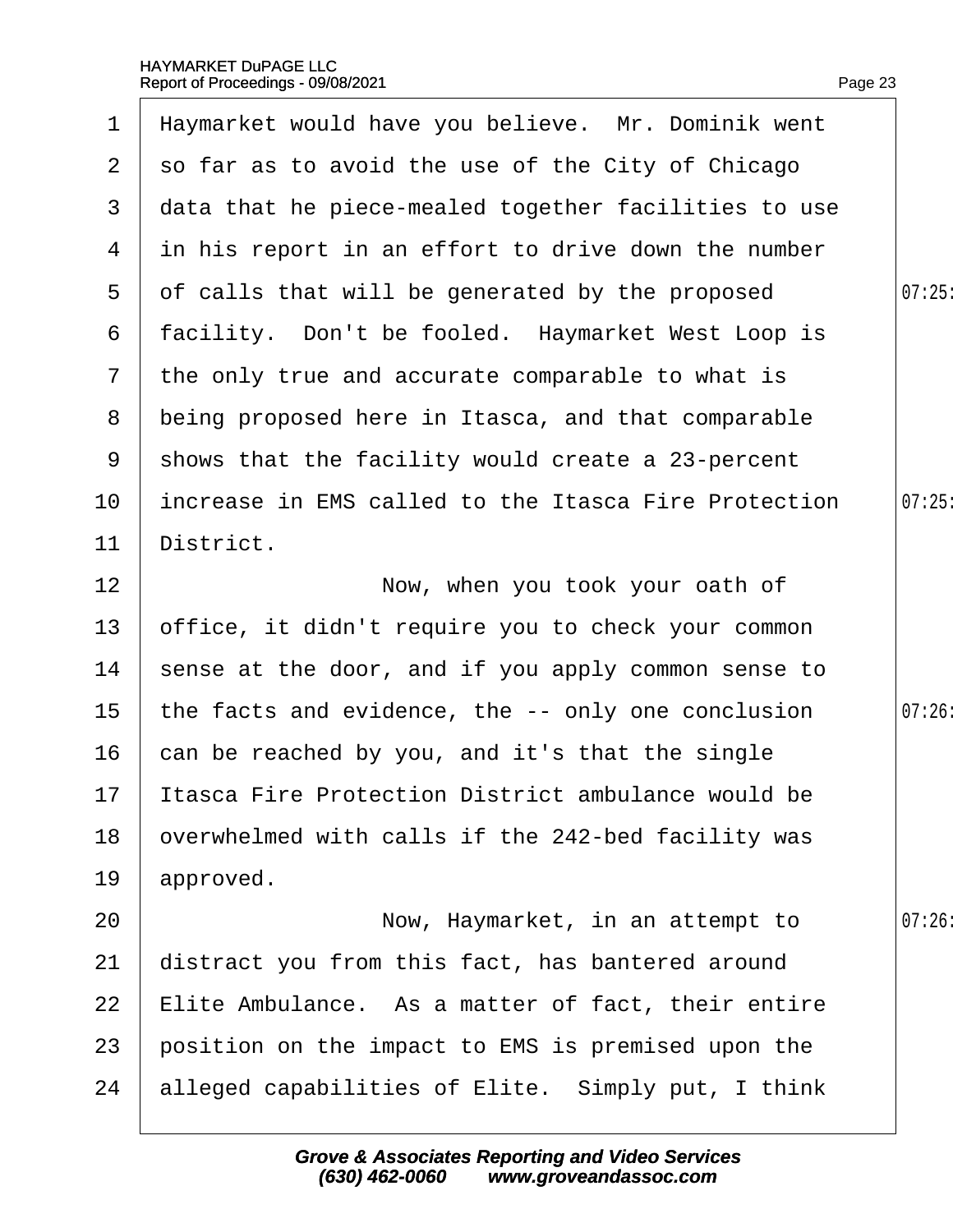$\overline{\phantom{a}}$ 

| $\mathbf 1$    | Haymarket would have you believe. Mr. Dominik went   |        |
|----------------|------------------------------------------------------|--------|
| $\mathbf{2}$   | so far as to avoid the use of the City of Chicago    |        |
| 3              | data that he piece-mealed together facilities to use |        |
| 4              | in his report in an effort to drive down the number  |        |
| $5^{\circ}$    | of calls that will be generated by the proposed      | 07:25  |
| 6              | facility. Don't be fooled. Haymarket West Loop is    |        |
| $\overline{7}$ | the only true and accurate comparable to what is     |        |
| 8              | being proposed here in Itasca, and that comparable   |        |
| 9              | shows that the facility would create a 23-percent    |        |
| 10             | increase in EMS called to the Itasca Fire Protection | 07:25  |
| 11             | District.                                            |        |
| 12             | Now, when you took your oath of                      |        |
| 13             | office, it didn't require you to check your common   |        |
| 14             | sense at the door, and if you apply common sense to  |        |
| 15             | the facts and evidence, the -- only one conclusion   | 07:26: |
| 16             | can be reached by you, and it's that the single      |        |
| 17             | Itasca Fire Protection District ambulance would be   |        |
| 18             | overwhelmed with calls if the 242-bed facility was   |        |
| 19             | approved.                                            |        |
| 20             | Now, Haymarket, in an attempt to                     | 07:26  |
| 21             | distract you from this fact, has bantered around     |        |
| 22             | Elite Ambulance. As a matter of fact, their entire   |        |
| 23             | position on the impact to EMS is premised upon the   |        |
| 24             | alleged capabilities of Elite. Simply put, I think   |        |
|                |                                                      |        |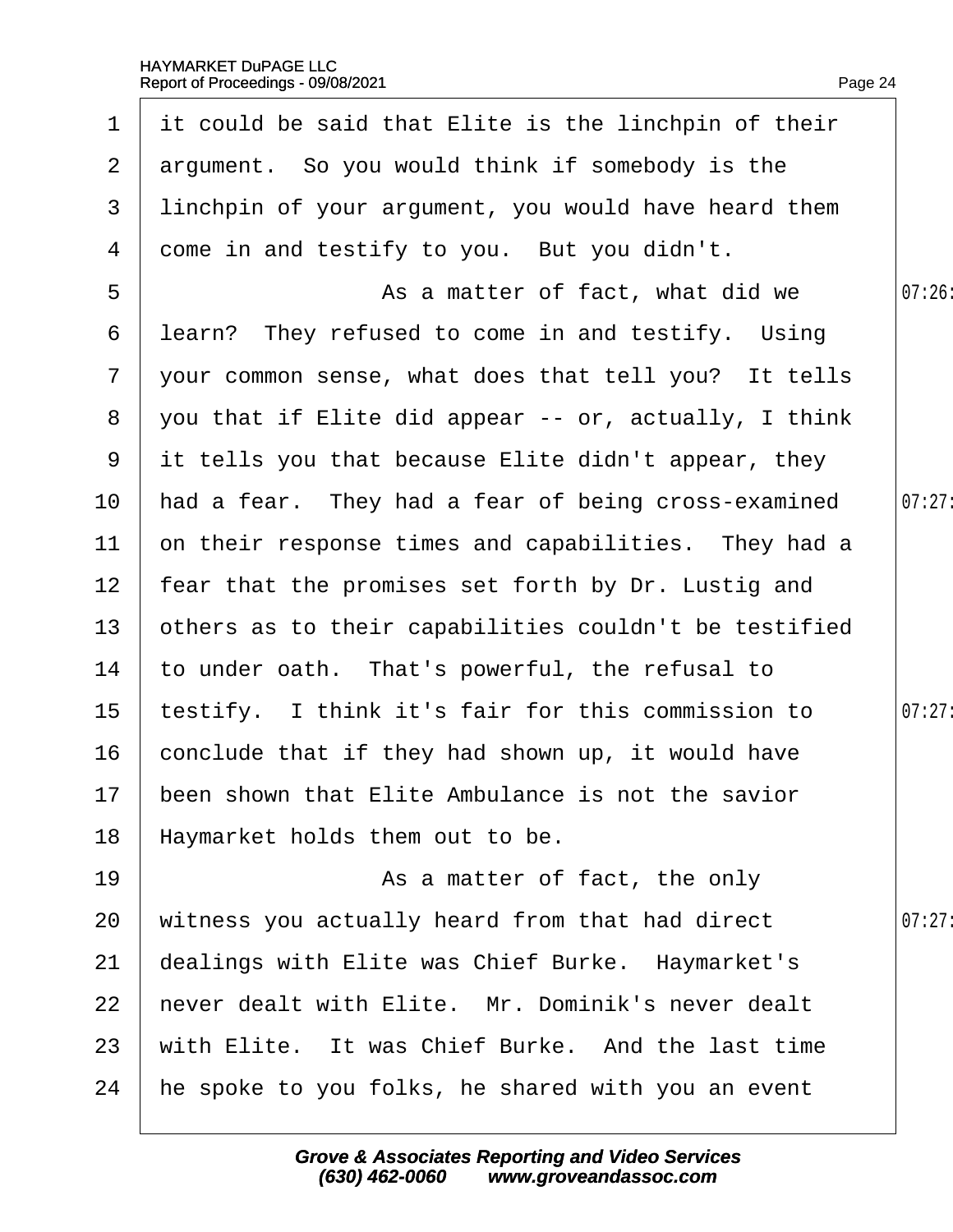| $\mathbf 1$           | it could be said that Elite is the linchpin of their  |        |
|-----------------------|-------------------------------------------------------|--------|
| $\mathbf{2}^{\prime}$ | argument. So you would think if somebody is the       |        |
| 3                     | linchpin of your argument, you would have heard them  |        |
| 4                     | dome in and testify to you. But you didn't.           |        |
| 5                     | As a matter of fact, what did we                      | 07:26  |
| 6                     | learn? They refused to come in and testify. Using     |        |
| $7\overline{ }$       | your common sense, what does that tell you? It tells  |        |
| 8                     | you that if Elite did appear -- or, actually, I think |        |
| 9                     | it tells you that because Elite didn't appear, they   |        |
| 10                    | had a fear. They had a fear of being cross-examined   | 07:27  |
| 11                    | on their response times and capabilities. They had a  |        |
| 12 <sub>2</sub>       | fear that the promises set forth by Dr. Lustig and    |        |
| 13                    | others as to their capabilities couldn't be testified |        |
| 14                    | to under oath. That's powerful, the refusal to        |        |
| 15                    | testify. I think it's fair for this commission to     | 07:27  |
| 16                    | conclude that if they had shown up, it would have     |        |
|                       | 17 been shown that Elite Ambulance is not the savior  |        |
| 18                    | Haymarket holds them out to be.                       |        |
| 19                    | As a matter of fact, the only                         |        |
| 20                    | witness you actually heard from that had direct       | 07:27: |
| 21                    | dealings with Elite was Chief Burke. Haymarket's      |        |
| 22                    | hever dealt with Elite. Mr. Dominik's never dealt     |        |
| 23                    | with Elite. It was Chief Burke. And the last time     |        |
| 24                    | he spoke to you folks, he shared with you an event    |        |
|                       |                                                       |        |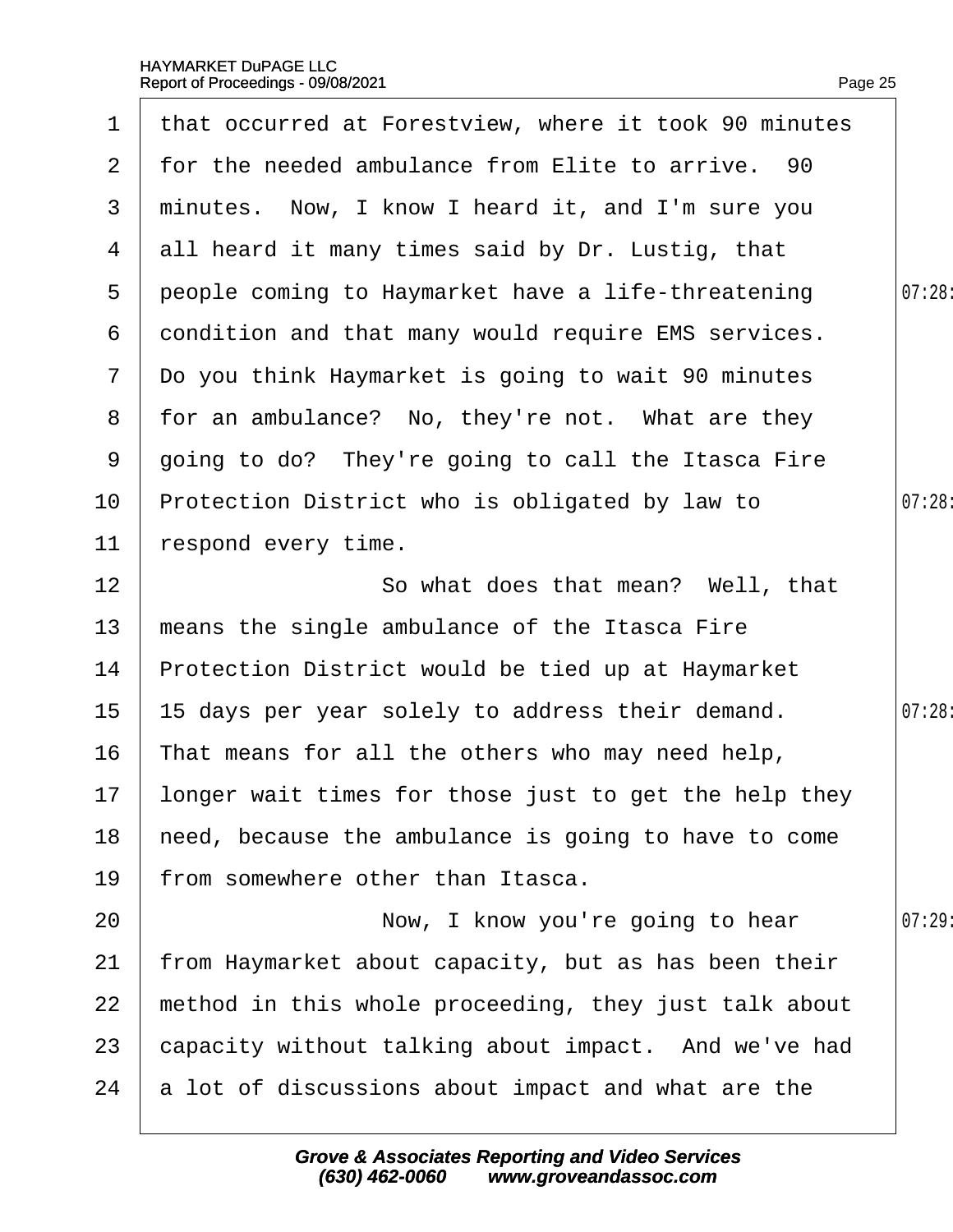| 1              | that occurred at Forestview, where it took 90 minutes |        |
|----------------|-------------------------------------------------------|--------|
| $\overline{2}$ | for the needed ambulance from Elite to arrive. 90     |        |
| 3              | minutes. Now, I know I heard it, and I'm sure you     |        |
| 4              | all heard it many times said by Dr. Lustig, that      |        |
| 5              | people coming to Haymarket have a life-threatening    | 07:28  |
| 6              | dondition and that many would require EMS services.   |        |
| $\mathbf{7}$   | Do you think Haymarket is going to wait 90 minutes    |        |
| 8              | for an ambulance? No, they're not. What are they      |        |
| 9              | going to do? They're going to call the Itasca Fire    |        |
| 10             | Protection District who is obligated by law to        | 07:28: |
| 11             | respond every time.                                   |        |
| 12             | So what does that mean? Well, that                    |        |
| 13             | means the single ambulance of the Itasca Fire         |        |
| 14             | Protection District would be tied up at Haymarket     |        |
| 15             | 15 days per year solely to address their demand.      | 07:28: |
| 16             | That means for all the others who may need help,      |        |
| 17             | longer wait times for those just to get the help they |        |
| 18             | heed, because the ambulance is going to have to come  |        |
| 19             | from somewhere other than Itasca.                     |        |
| 20             | Now, I know you're going to hear                      | 07:29  |
| 21             | from Haymarket about capacity, but as has been their  |        |
| 22             | method in this whole proceeding, they just talk about |        |
| 23             | capacity without talking about impact. And we've had  |        |
| 24             | a lot of discussions about impact and what are the    |        |
|                |                                                       |        |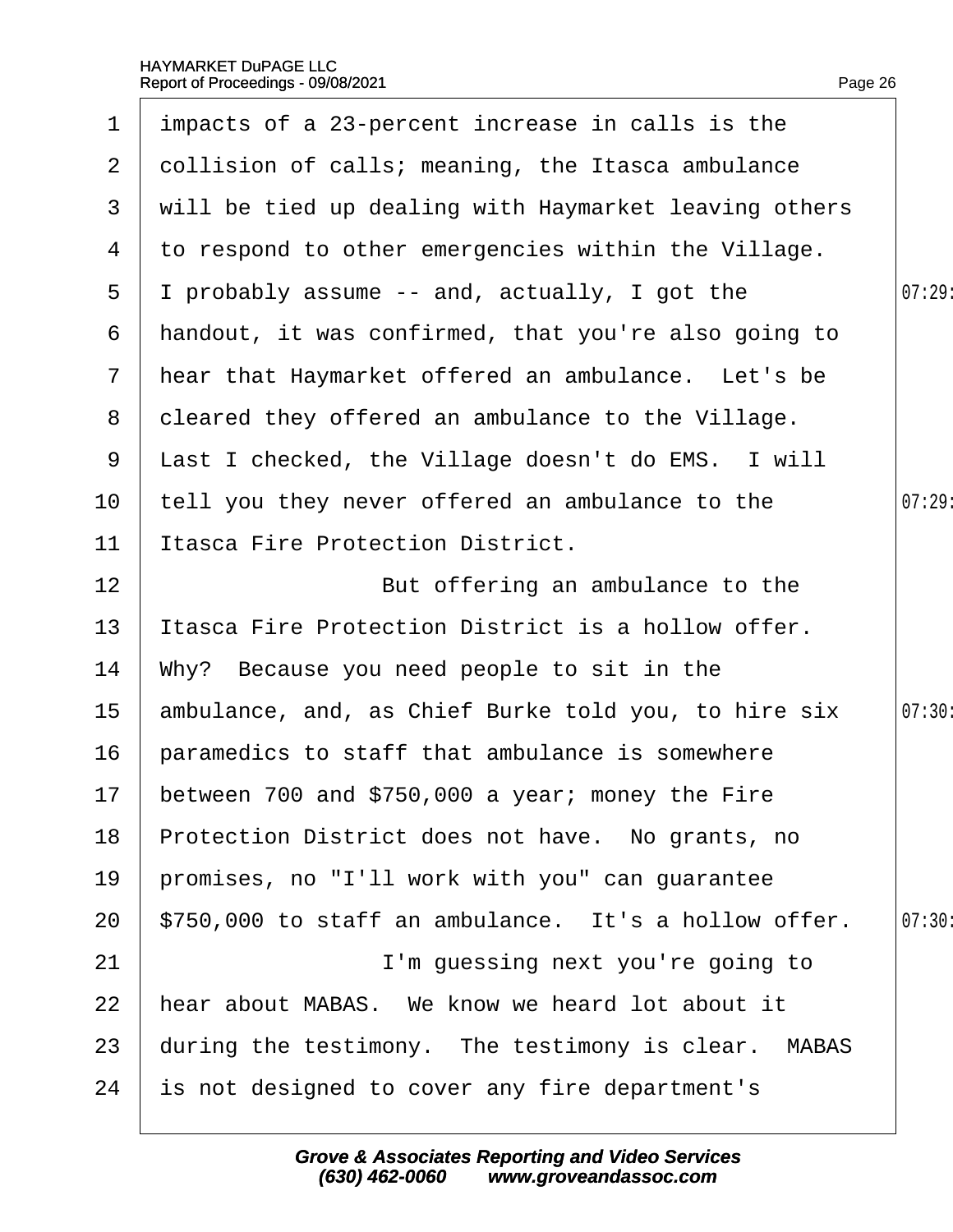| $\mathbf 1$    | impacts of a 23-percent increase in calls is the      |        |
|----------------|-------------------------------------------------------|--------|
| $\overline{2}$ | dollision of calls; meaning, the Itasca ambulance     |        |
| 3              | will be tied up dealing with Haymarket leaving others |        |
| 4              | to respond to other emergencies within the Village.   |        |
| 5              | I probably assume -- and, actually, I got the         | 07:29: |
| 6              | handout, it was confirmed, that you're also going to  |        |
| $\mathbf{7}$   | hear that Haymarket offered an ambulance. Let's be    |        |
| 8              | deared they offered an ambulance to the Village.      |        |
| 9              | Last I checked, the Village doesn't do EMS. I will    |        |
| 10             | tell you they never offered an ambulance to the       | 07:29  |
| 11             | <b>Itasca Fire Protection District.</b>               |        |
| 12             | But offering an ambulance to the                      |        |
| 13             | Itasca Fire Protection District is a hollow offer.    |        |
| 14             | Why? Because you need people to sit in the            |        |
| 15             | ambulance, and, as Chief Burke told you, to hire six  | 07:30: |
| 16             | paramedics to staff that ambulance is somewhere       |        |
|                | 17 between 700 and \$750,000 a year; money the Fire   |        |
| 18             | Protection District does not have. No grants, no      |        |
| 19             | promises, no "I'll work with you" can guarantee       |        |
| 20             | \$750,000 to staff an ambulance. It's a hollow offer. | 07:30: |
| 21             | I'm guessing next you're going to                     |        |
| 22             | hear about MABAS. We know we heard lot about it       |        |
| 23             | during the testimony. The testimony is clear. MABAS   |        |
| 24             | is not designed to cover any fire department's        |        |
|                |                                                       |        |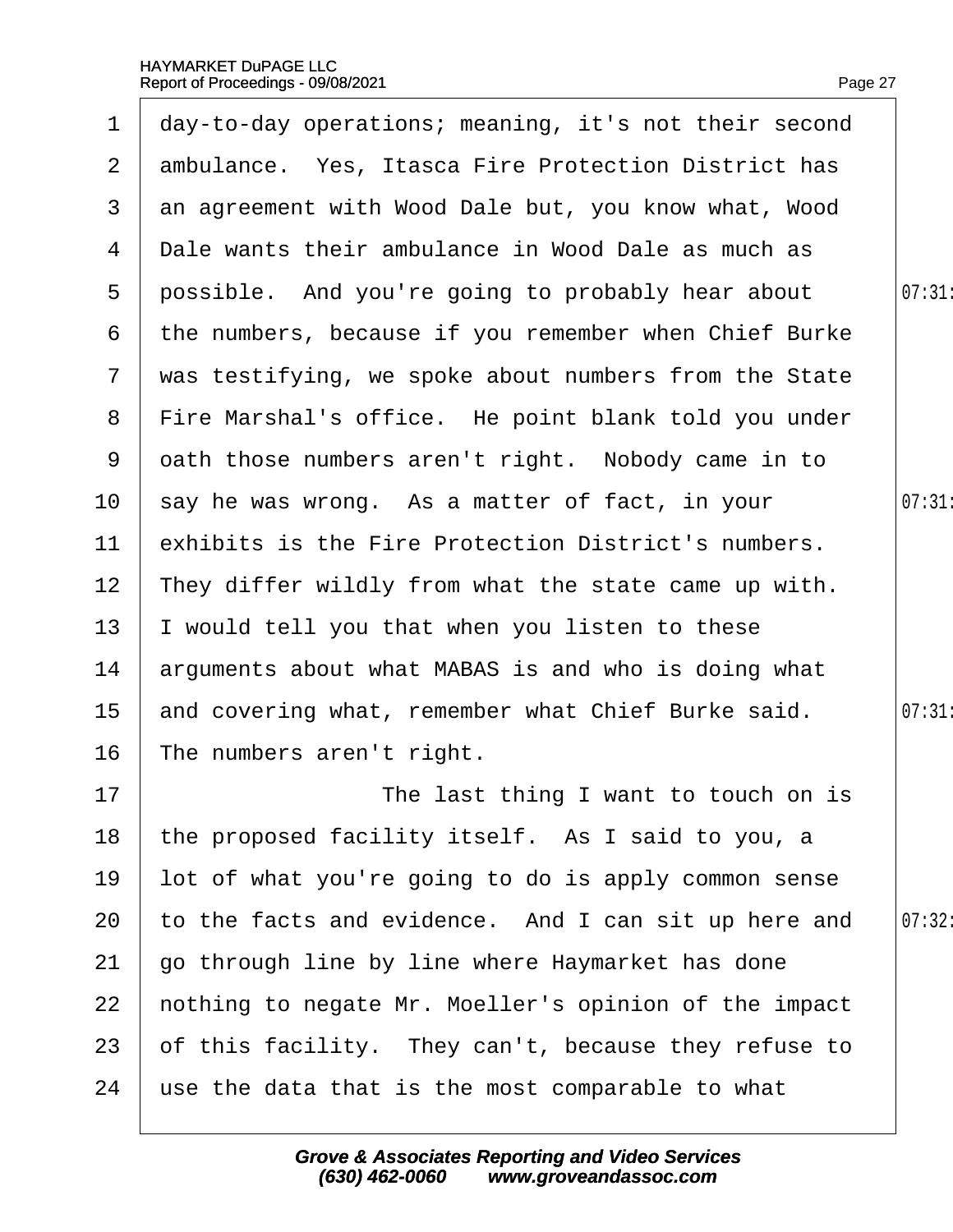| $\mathbf 1$    | day-to-day operations; meaning, it's not their second |       |
|----------------|-------------------------------------------------------|-------|
| $\overline{2}$ | ambulance. Yes, Itasca Fire Protection District has   |       |
| 3              | an agreement with Wood Dale but, you know what, Wood  |       |
| 4              | Dale wants their ambulance in Wood Dale as much as    |       |
| 5              | possible. And you're going to probably hear about     | 07:31 |
| 6              | the numbers, because if you remember when Chief Burke |       |
| $\overline{7}$ | was testifying, we spoke about numbers from the State |       |
| 8              | Fire Marshal's office. He point blank told you under  |       |
| 9              | dath those numbers aren't right. Nobody came in to    |       |
| 10             | say he was wrong. As a matter of fact, in your        | 07:31 |
| 11             | exhibits is the Fire Protection District's numbers.   |       |
| 12             | They differ wildly from what the state came up with.  |       |
| 13             | would tell you that when you listen to these          |       |
| 14             | arguments about what MABAS is and who is doing what   |       |
| 15             | and covering what, remember what Chief Burke said.    | 07:31 |
| 16             | The numbers aren't right.                             |       |
| 17             | The last thing I want to touch on is                  |       |
| 18             | the proposed facility itself. As I said to you, a     |       |
| 19             | lot of what you're going to do is apply common sense  |       |
| 20             | to the facts and evidence. And I can sit up here and  | 07:32 |
| 21             | go through line by line where Haymarket has done      |       |
| 22             | hothing to negate Mr. Moeller's opinion of the impact |       |
| 23             | of this facility. They can't, because they refuse to  |       |
| 24             | use the data that is the most comparable to what      |       |
|                |                                                       |       |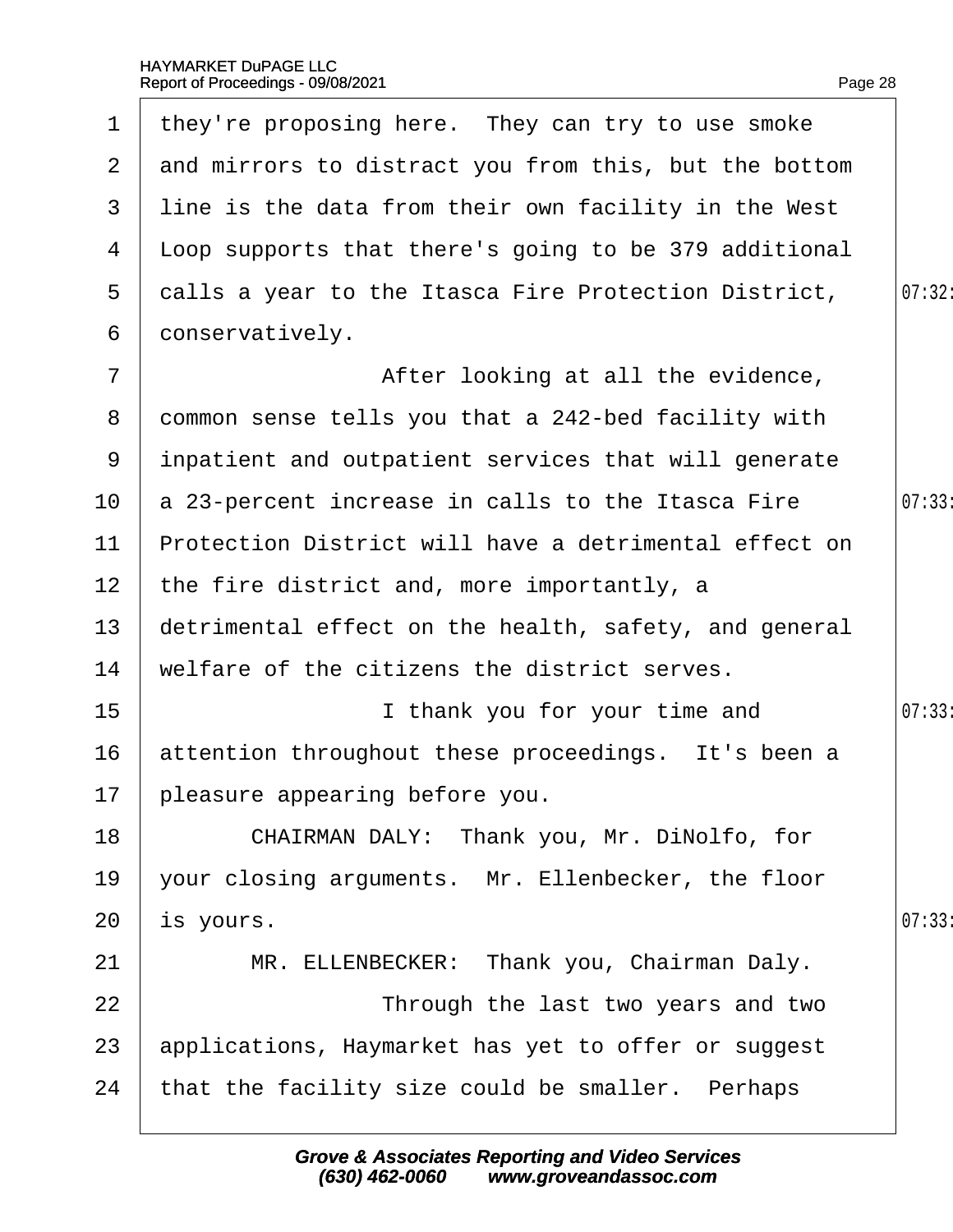| $\mathbf 1$     | they're proposing here. They can try to use smoke      |        |
|-----------------|--------------------------------------------------------|--------|
| $\mathbf{2}$    | and mirrors to distract you from this, but the bottom  |        |
| 3               | line is the data from their own facility in the West   |        |
| 4               | Lloop supports that there's going to be 379 additional |        |
| 5               | dalls a year to the Itasca Fire Protection District,   | 07:32: |
| 6               | donservatively.                                        |        |
| $\overline{7}$  | After looking at all the evidence,                     |        |
| 8               | dommon sense tells you that a 242-bed facility with    |        |
| 9               | inpatient and outpatient services that will generate   |        |
| 10              | a 23-percent increase in calls to the Itasca Fire      | 07:33  |
| 11              | Protection District will have a detrimental effect on  |        |
| 12 <sub>2</sub> | the fire district and, more importantly, a             |        |
| 13              | detrimental effect on the health, safety, and general  |        |
| 14              | welfare of the citizens the district serves.           |        |
| 15              | I thank you for your time and                          | 07:33  |
| 16              | attention throughout these proceedings. It's been a    |        |
|                 | 17 pleasure appearing before you.                      |        |
| 18              | CHAIRMAN DALY: Thank you, Mr. DiNolfo, for             |        |
| 19              | your closing arguments. Mr. Ellenbecker, the floor     |        |
| 20              | is yours.                                              | 07:33  |
| 21              | MR. ELLENBECKER: Thank you, Chairman Daly.             |        |
| 22              | Through the last two years and two                     |        |
| 23              | applications, Haymarket has yet to offer or suggest    |        |
| 24              | that the facility size could be smaller. Perhaps       |        |
|                 |                                                        |        |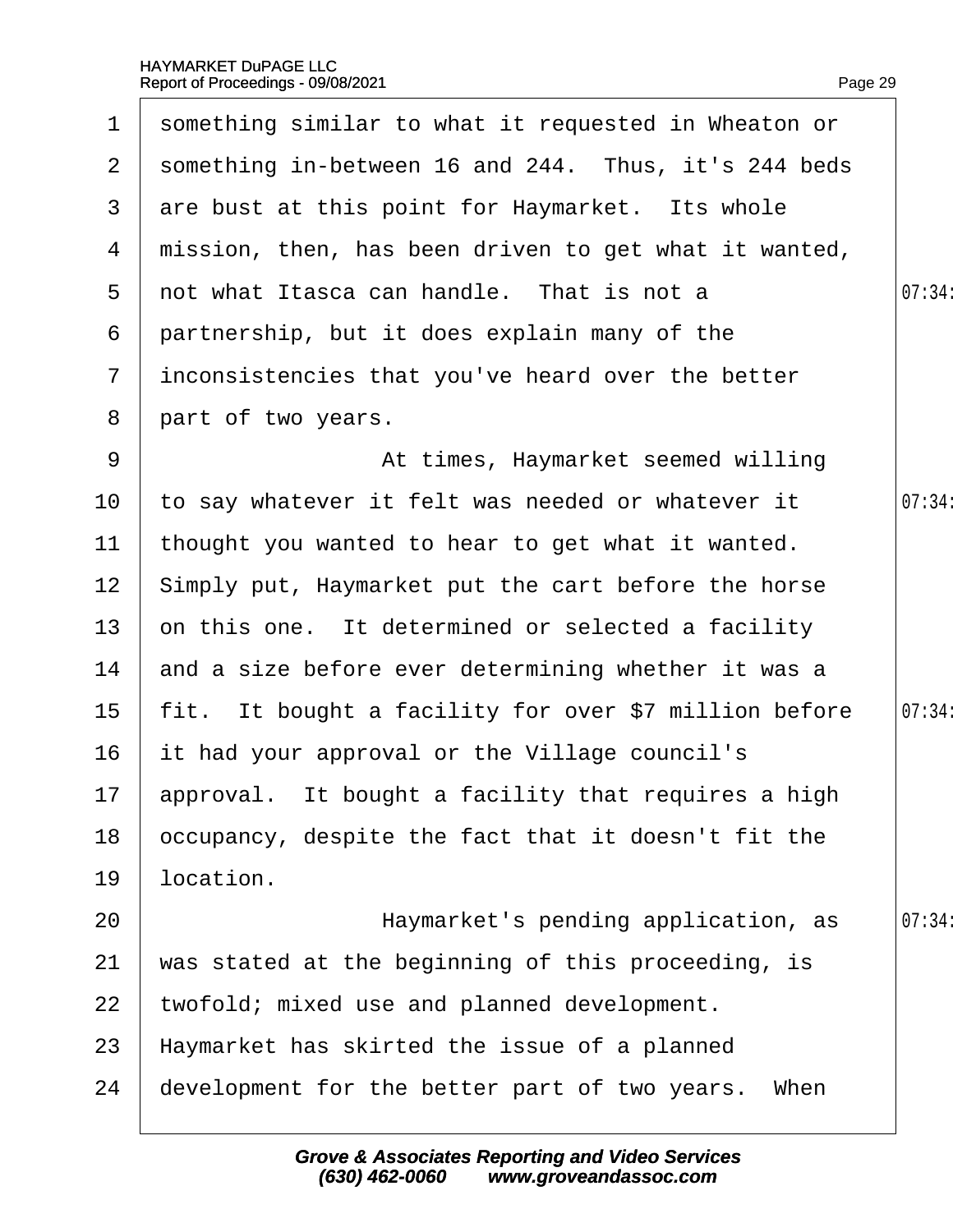| $\mathbf 1$     | something similar to what it requested in Wheaton or   |        |
|-----------------|--------------------------------------------------------|--------|
| $\mathbf{2}$    | something in-between 16 and 244. Thus, it's 244 beds   |        |
| 3               | are bust at this point for Haymarket. Its whole        |        |
| 4               | mission, then, has been driven to get what it wanted,  |        |
| 5               | not what Itasca can handle. That is not a              | 07:34: |
| 6               | partnership, but it does explain many of the           |        |
| $\overline{7}$  | inconsistencies that you've heard over the better      |        |
| 8               | part of two years.                                     |        |
| 9               | At times, Haymarket seemed willing                     |        |
| 10 <sup>°</sup> | to say whatever it felt was needed or whatever it      | 07:34: |
| 11              | thought you wanted to hear to get what it wanted.      |        |
| 12 <sub>2</sub> | Simply put, Haymarket put the cart before the horse    |        |
| 13              | on this one. It determined or selected a facility      |        |
| 14              | and a size before ever determining whether it was a    |        |
| 15 <sub>1</sub> | fit. It bought a facility for over \$7 million before  | 07:34: |
| 16              | it had your approval or the Village council's          |        |
|                 | 17 approval. It bought a facility that requires a high |        |
| 18              | occupancy, despite the fact that it doesn't fit the    |        |
| 19              | location.                                              |        |
| 20              | Haymarket's pending application, as                    | 07:34  |
| 21              | was stated at the beginning of this proceeding, is     |        |
| 22              | twofold; mixed use and planned development.            |        |
| 23              | Haymarket has skirted the issue of a planned           |        |
| 24              | development for the better part of two years. When     |        |
|                 |                                                        |        |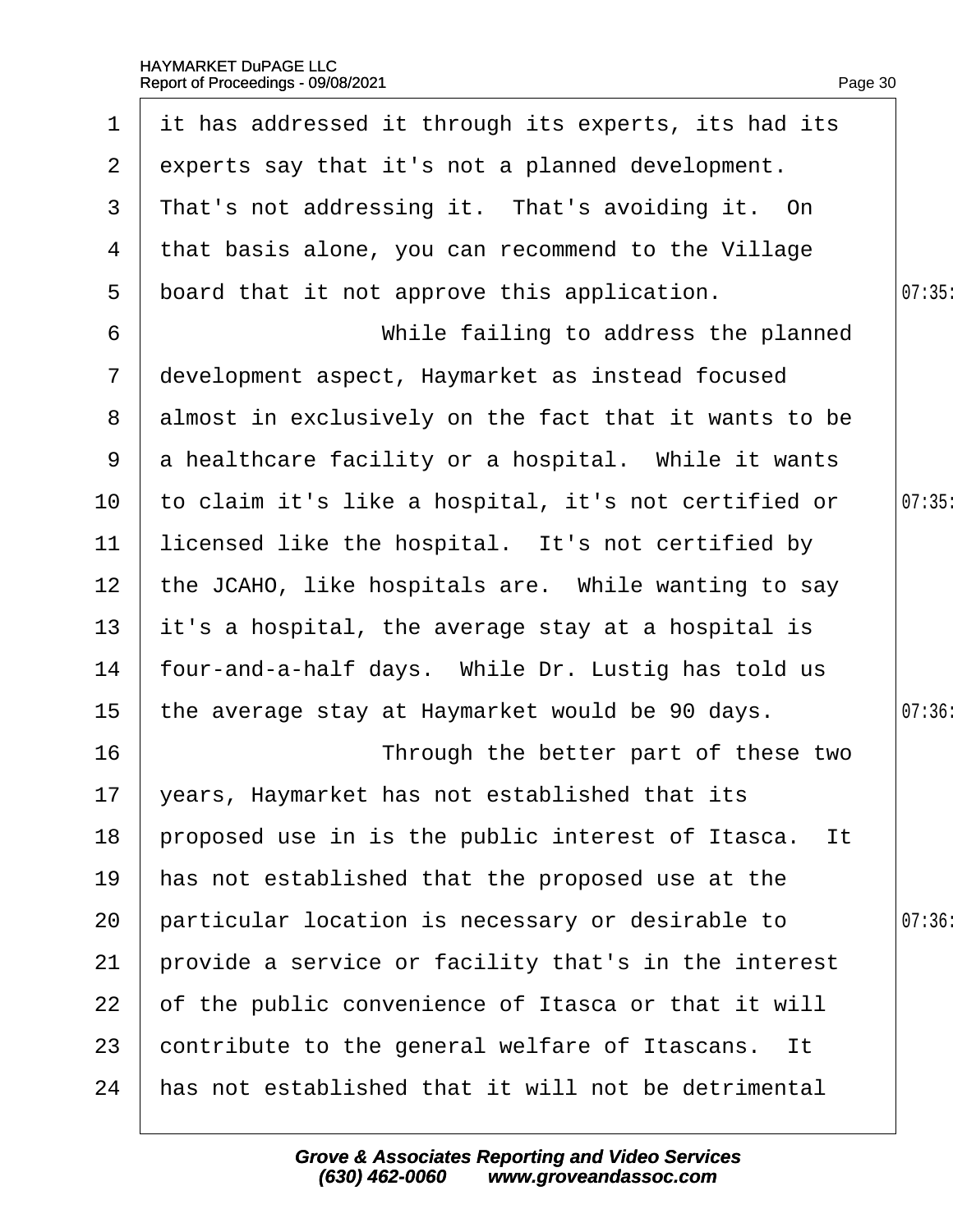| $\mathbf 1$     | it has addressed it through its experts, its had its  |       |
|-----------------|-------------------------------------------------------|-------|
| $\overline{2}$  | experts say that it's not a planned development.      |       |
| 3               | That's not addressing it. That's avoiding it. On      |       |
| 4               | that basis alone, you can recommend to the Village    |       |
| 5               | board that it not approve this application.           | 07:35 |
| $6\phantom{1}6$ | While failing to address the planned                  |       |
| $\overline{7}$  | development aspect, Haymarket as instead focused      |       |
| 8               | almost in exclusively on the fact that it wants to be |       |
| 9               | a healthcare facility or a hospital. While it wants   |       |
| 10              | to claim it's like a hospital, it's not certified or  | 07:35 |
| 11              | licensed like the hospital. It's not certified by     |       |
| 12 <sup>2</sup> | the JCAHO, like hospitals are. While wanting to say   |       |
| 13              | it's a hospital, the average stay at a hospital is    |       |
| 14              | four-and-a-half days. While Dr. Lustig has told us    |       |
| 15 <sub>1</sub> | the average stay at Haymarket would be 90 days.       | 07:36 |
| 16              | Through the better part of these two                  |       |
|                 | 17 years, Haymarket has not established that its      |       |
| 18              | proposed use in is the public interest of Itasca. It  |       |
| 19              | has not established that the proposed use at the      |       |
| 20              | particular location is necessary or desirable to      | 07:36 |
| 21              | provide a service or facility that's in the interest  |       |
| 22              | of the public convenience of Itasca or that it will   |       |
| 23              | contribute to the general welfare of Itascans. It     |       |
| 24              | has not established that it will not be detrimental   |       |
|                 |                                                       |       |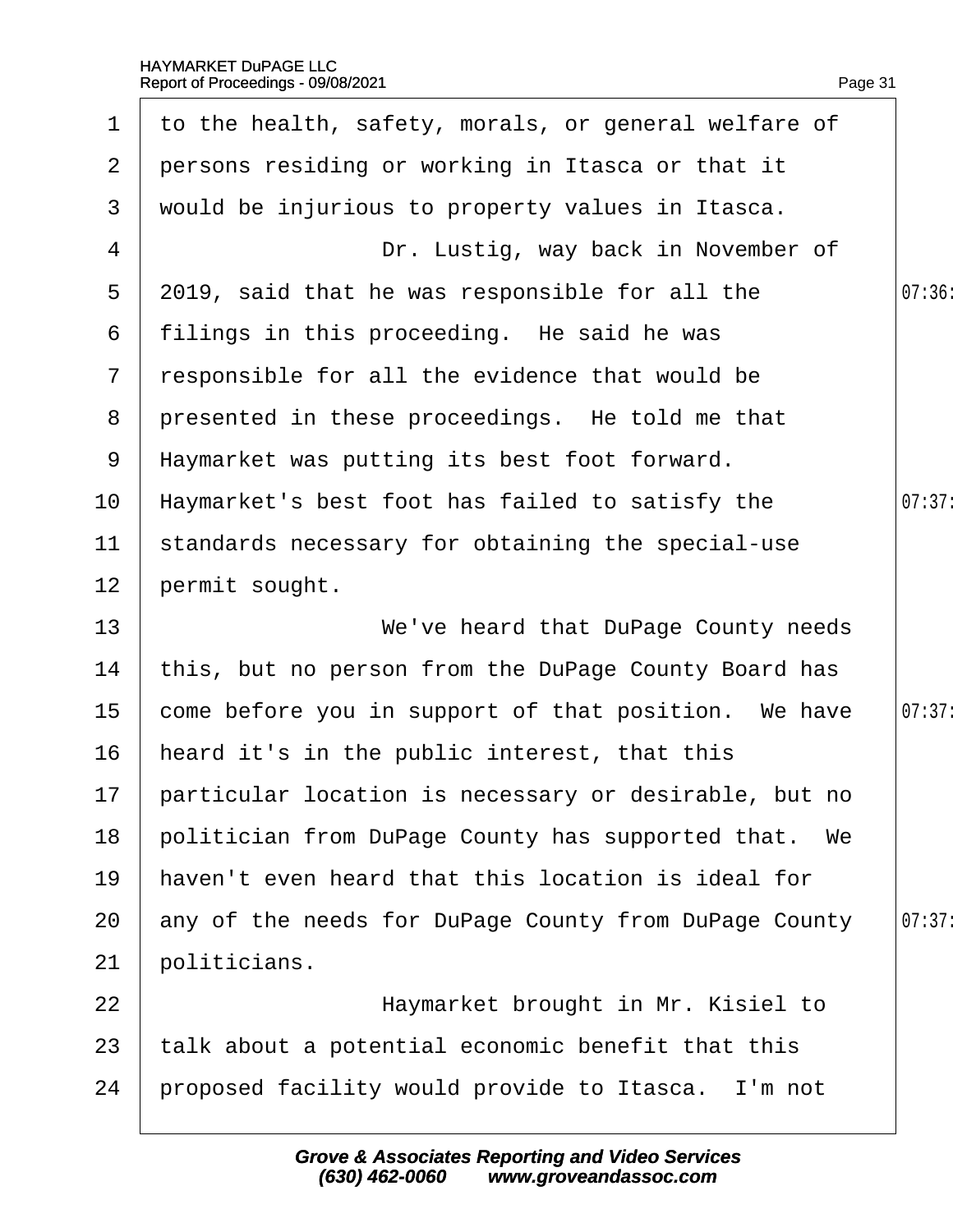|                 | 1 to the health, safety, morals, or general welfare of |        |
|-----------------|--------------------------------------------------------|--------|
|                 | 2 persons residing or working in Itasca or that it     |        |
| 3 <sup>1</sup>  | would be injurious to property values in Itasca.       |        |
| $\overline{4}$  | Dr. Lustig, way back in November of                    |        |
| 5               | 2019, said that he was responsible for all the         | 07:36: |
|                 | 6 filings in this proceeding. He said he was           |        |
| $7\overline{ }$ | responsible for all the evidence that would be         |        |
|                 | 8 presented in these proceedings. He told me that      |        |
|                 | 9 Haymarket was putting its best foot forward.         |        |
| 10 <sup>°</sup> | Haymarket's best foot has failed to satisfy the        | 07:37: |
| 11              | standards necessary for obtaining the special-use      |        |
| 12              | permit sought.                                         |        |
| 13              | We've heard that DuPage County needs                   |        |
| 14              | this, but no person from the DuPage County Board has   |        |

Page 31

| 15 | come before you in support of that position. We have  | 07:37: |
|----|-------------------------------------------------------|--------|
| 16 | heard it's in the public interest, that this          |        |
| 17 | particular location is necessary or desirable, but no |        |
| 18 | politician from DuPage County has supported that. We  |        |
| 19 | haven't even heard that this location is ideal for    |        |
| 20 | any of the needs for DuPage County from DuPage County | 07:37: |
| 21 | boliticians.                                          |        |

- 22 **Haymarket brought in Mr. Kisiel to** 23 talk about a potential economic benefit that this
- 24 broposed facility would provide to Itasca. I'm not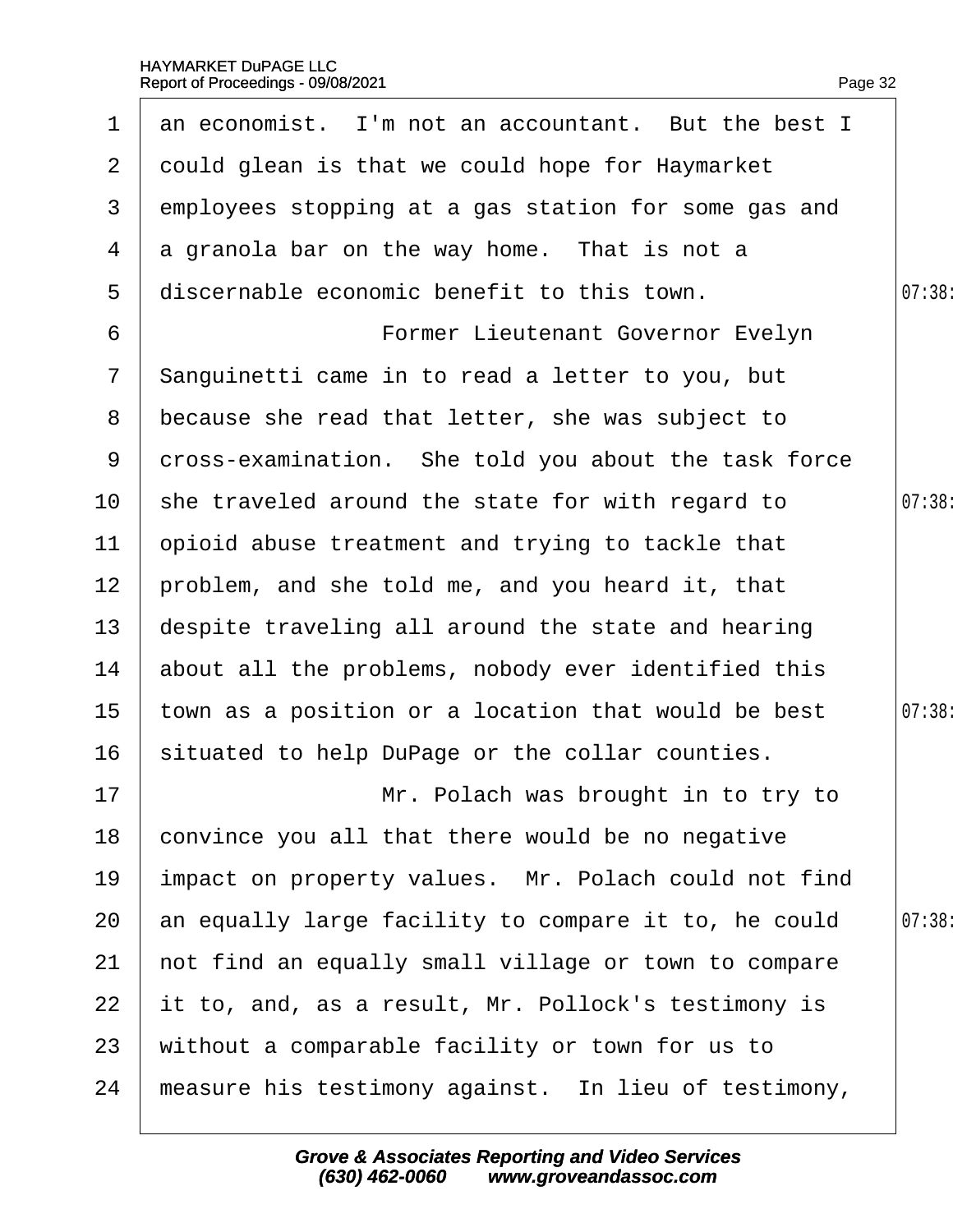| $\mathbf 1$     | an economist. I'm not an accountant. But the best I  |        |
|-----------------|------------------------------------------------------|--------|
| $\overline{2}$  | dould glean is that we could hope for Haymarket      |        |
| 3               | employees stopping at a gas station for some gas and |        |
| 4               | a granola bar on the way home. That is not a         |        |
| 5               | discernable economic benefit to this town.           | 07:38  |
| 6               | Former Lieutenant Governor Evelyn                    |        |
| $\overline{7}$  | Sanguinetti came in to read a letter to you, but     |        |
| 8               | because she read that letter, she was subject to     |        |
| 9               | dross-examination. She told you about the task force |        |
| 10              | she traveled around the state for with regard to     | 07:38: |
| 11              | ppioid abuse treatment and trying to tackle that     |        |
| 12 <sub>2</sub> | problem, and she told me, and you heard it, that     |        |
| 13              | despite traveling all around the state and hearing   |        |
| 14              | about all the problems, nobody ever identified this  |        |
| 15 <sub>1</sub> | town as a position or a location that would be best  | 07:38: |
| 16              | situated to help DuPage or the collar counties.      |        |
| 17              | Mr. Polach was brought in to try to                  |        |
| 18              | convince you all that there would be no negative     |        |
| 19              | impact on property values. Mr. Polach could not find |        |
| 20              | an equally large facility to compare it to, he could | 07:38  |
| 21              | not find an equally small village or town to compare |        |
| 22              | it to, and, as a result, Mr. Pollock's testimony is  |        |
| 23              | without a comparable facility or town for us to      |        |
| 24              | measure his testimony against. In lieu of testimony, |        |
|                 |                                                      |        |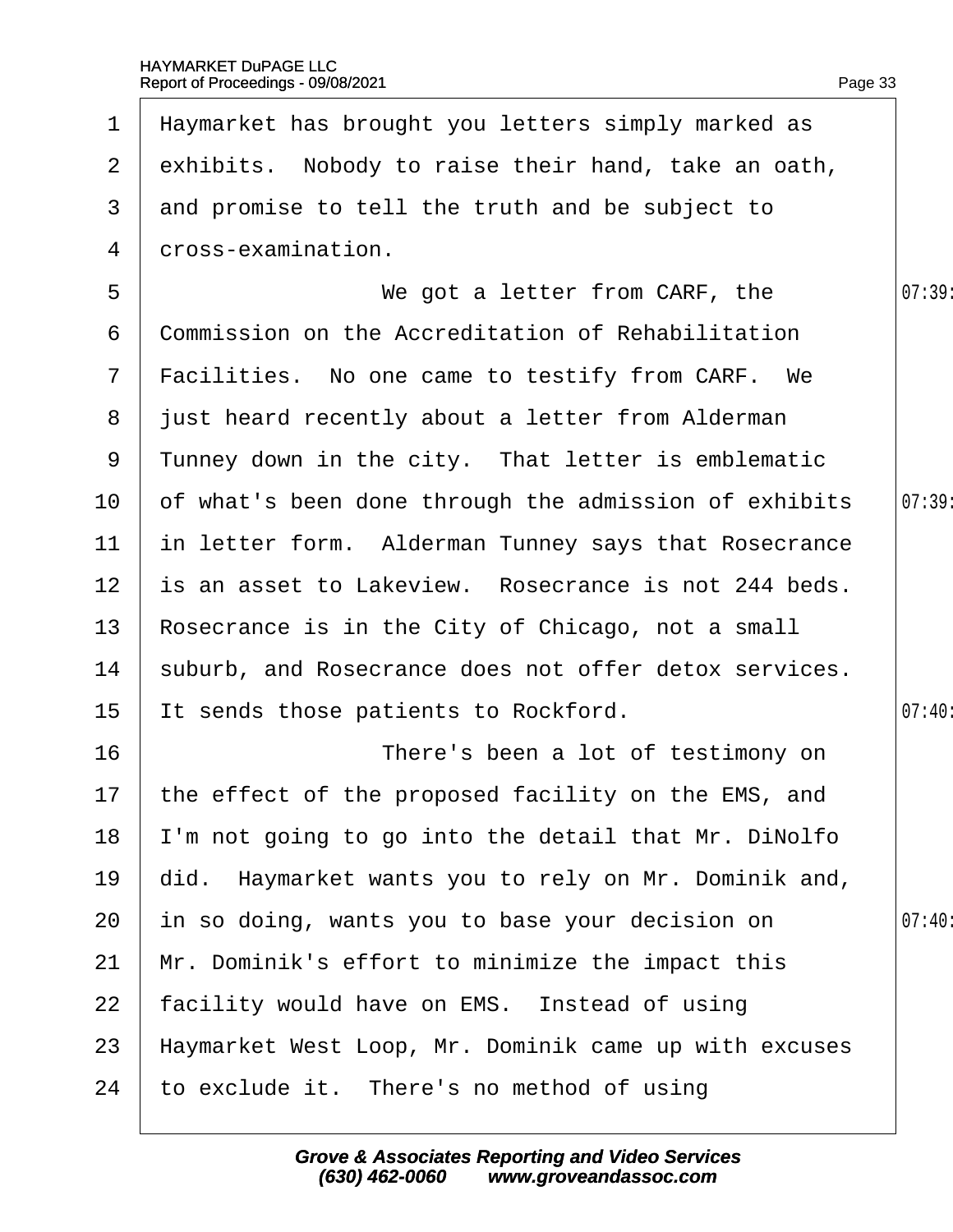|                 | 1 Haymarket has brought you letters simply marked as     |        |
|-----------------|----------------------------------------------------------|--------|
|                 | 2 exhibits. Nobody to raise their hand, take an oath,    |        |
| 3               | and promise to tell the truth and be subject to          |        |
| 4               | dross-examination.                                       |        |
| 5               | We got a letter from CARF, the                           | 07:39  |
| 6               | <b>Commission on the Accreditation of Rehabilitation</b> |        |
|                 | 7 Facilities. No one came to testify from CARF. We       |        |
|                 | 8 just heard recently about a letter from Alderman       |        |
| 9               | Tunney down in the city. That letter is emblematic       |        |
| 10 <sup>°</sup> | of what's been done through the admission of exhibits    | 07:39: |
| 11              | in letter form. Alderman Tunney says that Rosecrance     |        |
| 12 <sub>2</sub> | is an asset to Lakeview. Rosecrance is not 244 beds.     |        |
| 13              | Rosecrance is in the City of Chicago, not a small        |        |
| 14              | suburb, and Rosecrance does not offer detox services.    |        |
| 15              | It sends those patients to Rockford.                     | 07:40: |
| 16              | There's been a lot of testimony on                       |        |
|                 | 17 the effect of the proposed facility on the EMS, and   |        |
| 18              | 'm not going to go into the detail that Mr. DiNolfo      |        |
| 19              | did. Haymarket wants you to rely on Mr. Dominik and,     |        |
| 20              | in so doing, wants you to base your decision on          | 07:40  |
| 21              | Mr. Dominik's effort to minimize the impact this         |        |
| 22              | facility would have on EMS. Instead of using             |        |
| 23              | Haymarket West Loop, Mr. Dominik came up with excuses    |        |
| 24              | to exclude it. There's no method of using                |        |
|                 |                                                          |        |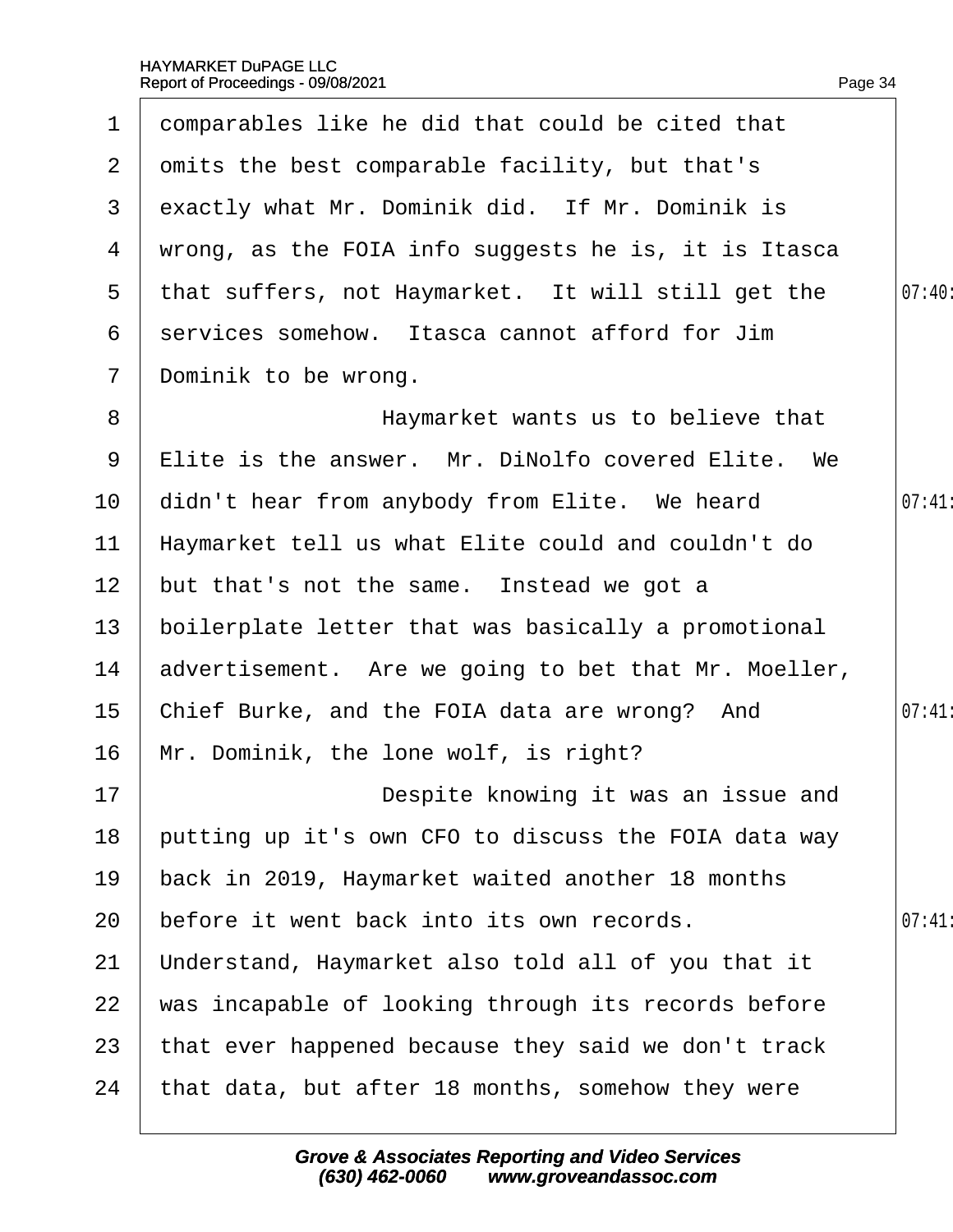| 1               | domparables like he did that could be cited that     |       |
|-----------------|------------------------------------------------------|-------|
| $\overline{2}$  | omits the best comparable facility, but that's       |       |
| 3               | exactly what Mr. Dominik did. If Mr. Dominik is      |       |
| 4               | wrong, as the FOIA info suggests he is, it is Itasca |       |
| $5^{\circ}$     | that suffers, not Haymarket. It will still get the   | 07:40 |
| 6               | services somehow. Itasca cannot afford for Jim       |       |
| $\overline{7}$  | Dominik to be wrong.                                 |       |
| 8               | Haymarket wants us to believe that                   |       |
| 9               | Elite is the answer. Mr. DiNolfo covered Elite. We   |       |
| 10              | didn't hear from anybody from Elite. We heard        | 07:41 |
| 11              | Haymarket tell us what Elite could and couldn't do   |       |
| 12 <sub>2</sub> | but that's not the same. Instead we got a            |       |
| 13              | boilerplate letter that was basically a promotional  |       |
| 14              | advertisement. Are we going to bet that Mr. Moeller, |       |
| 15              | Chief Burke, and the FOIA data are wrong? And        | 07:41 |
| 16              | Mr. Dominik, the lone wolf, is right?                |       |
| 17              | Despite knowing it was an issue and                  |       |
| 18              | putting up it's own CFO to discuss the FOIA data way |       |
| 19              | back in 2019, Haymarket waited another 18 months     |       |
| 20              | before it went back into its own records.            | 07:41 |
| 21              | Understand, Haymarket also told all of you that it   |       |
| 22              | was incapable of looking through its records before  |       |
| 23              | that ever happened because they said we don't track  |       |
| 24              | that data, but after 18 months, somehow they were    |       |
|                 |                                                      |       |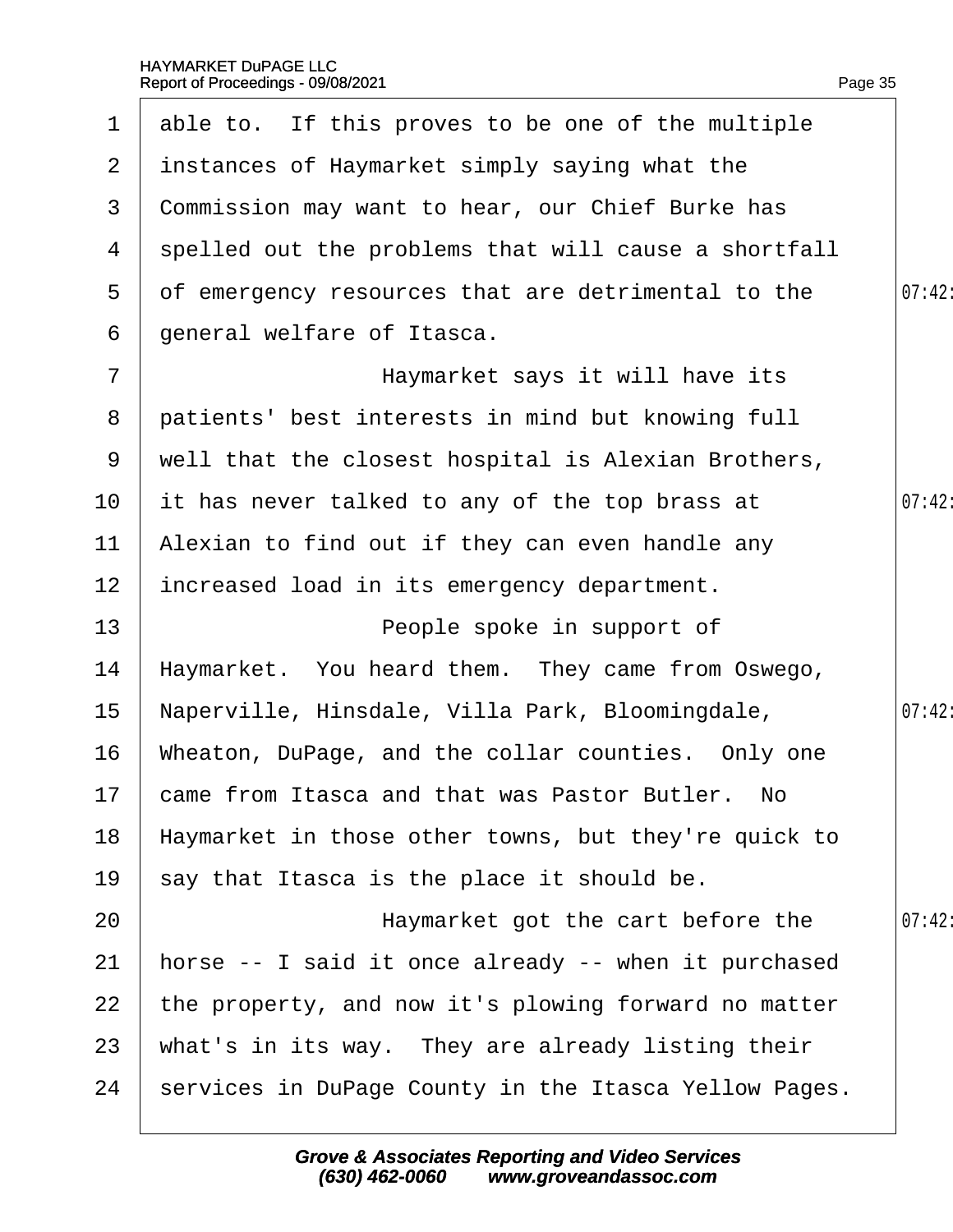| $\mathbf 1$    | able to. If this proves to be one of the multiple     |        |
|----------------|-------------------------------------------------------|--------|
| $\mathbf{2}$   | instances of Haymarket simply saying what the         |        |
| 3              | Commission may want to hear, our Chief Burke has      |        |
| 4              | spelled out the problems that will cause a shortfall  |        |
| 5              | of emergency resources that are detrimental to the    | 07:42: |
| 6              | general welfare of Itasca.                            |        |
| $\overline{7}$ | Haymarket says it will have its                       |        |
| 8              | patients' best interests in mind but knowing full     |        |
| 9              | well that the closest hospital is Alexian Brothers,   |        |
| 10             | it has never talked to any of the top brass at        | 07:42: |
| 11             | Alexian to find out if they can even handle any       |        |
| 12             | increased load in its emergency department.           |        |
| 13             | People spoke in support of                            |        |
| 14             | Haymarket. You heard them. They came from Oswego,     |        |
| 15             | Naperville, Hinsdale, Villa Park, Bloomingdale,       | 07:42: |
| 16             | Wheaton, DuPage, and the collar counties. Only one    |        |
|                | 17 came from Itasca and that was Pastor Butler. No    |        |
| 18             | Haymarket in those other towns, but they're quick to  |        |
| 19             | say that Itasca is the place it should be.            |        |
| 20             | Haymarket got the cart before the                     | 07:42: |
| 21             | horse -- I said it once already -- when it purchased  |        |
| 22             | the property, and now it's plowing forward no matter  |        |
| 23             | what's in its way. They are already listing their     |        |
| 24             | services in DuPage County in the Itasca Yellow Pages. |        |
|                |                                                       |        |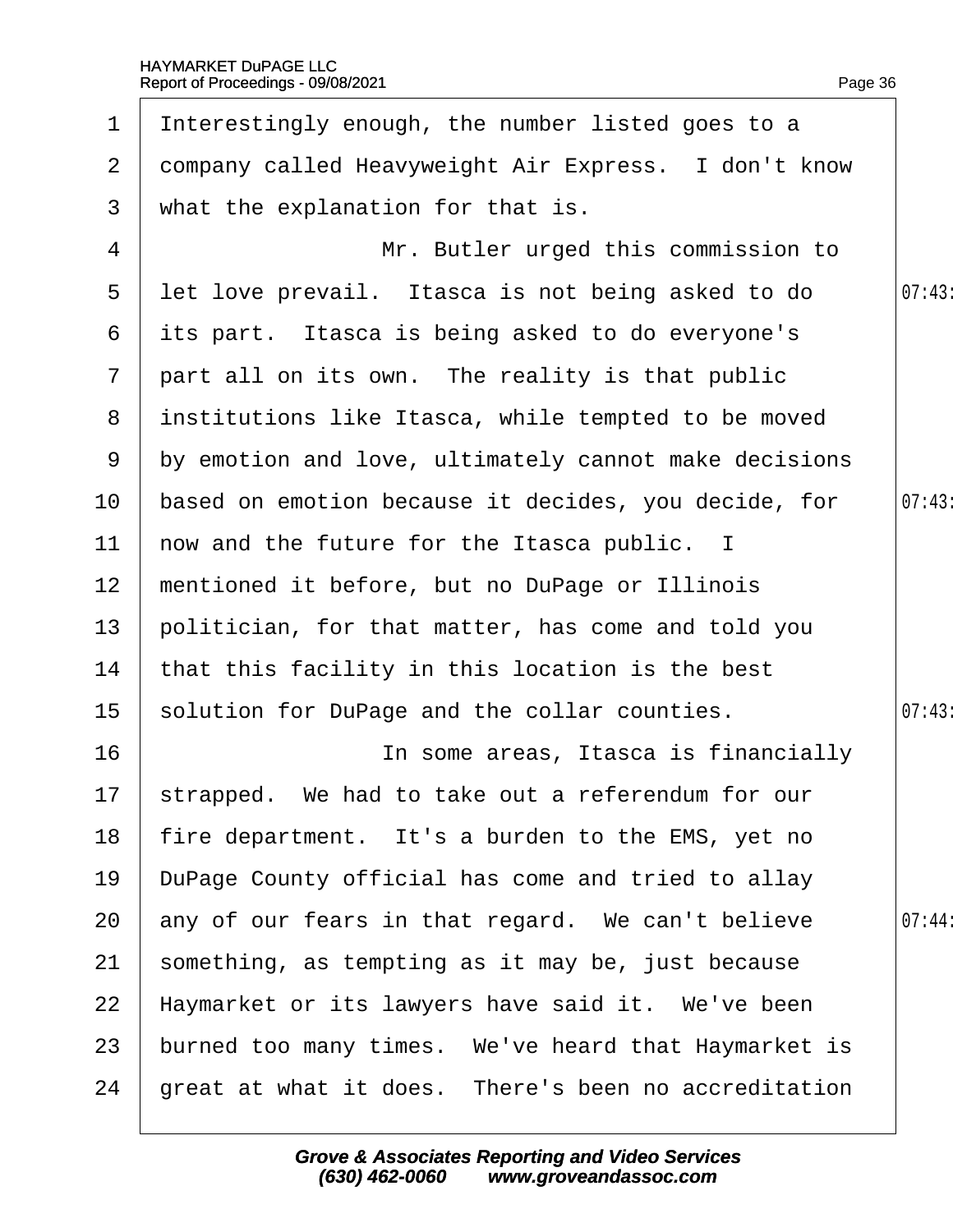| $\mathbf 1$     | Interestingly enough, the number listed goes to a     |       |
|-----------------|-------------------------------------------------------|-------|
| $\overline{2}$  | dompany called Heavyweight Air Express. I don't know  |       |
| 3               | what the explanation for that is.                     |       |
| 4               | Mr. Butler urged this commission to                   |       |
| 5               | let love prevail. Itasca is not being asked to do     | 07:43 |
| 6               | its part. Itasca is being asked to do everyone's      |       |
| $7\overline{ }$ | part all on its own. The reality is that public       |       |
| 8               | institutions like Itasca, while tempted to be moved   |       |
| 9               | by emotion and love, ultimately cannot make decisions |       |
| 10 <sub>1</sub> | based on emotion because it decides, you decide, for  | 07:43 |
| 11              | how and the future for the Itasca public. I           |       |
| 12 <sub>2</sub> | mentioned it before, but no DuPage or Illinois        |       |
| 13              | politician, for that matter, has come and told you    |       |
| 14              | that this facility in this location is the best       |       |
| 15 <sub>1</sub> | solution for DuPage and the collar counties.          | 07:43 |
| 16              | In some areas, Itasca is financially                  |       |
|                 | 17 strapped. We had to take out a referendum for our  |       |
| 18              | fire department. It's a burden to the EMS, yet no     |       |
| 19              | DuPage County official has come and tried to allay    |       |
| 20              | any of our fears in that regard. We can't believe     | 07:44 |
| 21              | something, as tempting as it may be, just because     |       |
| 22              | Haymarket or its lawyers have said it. We've been     |       |
| 23              | burned too many times. We've heard that Haymarket is  |       |
| 24              | great at what it does. There's been no accreditation  |       |
|                 |                                                       |       |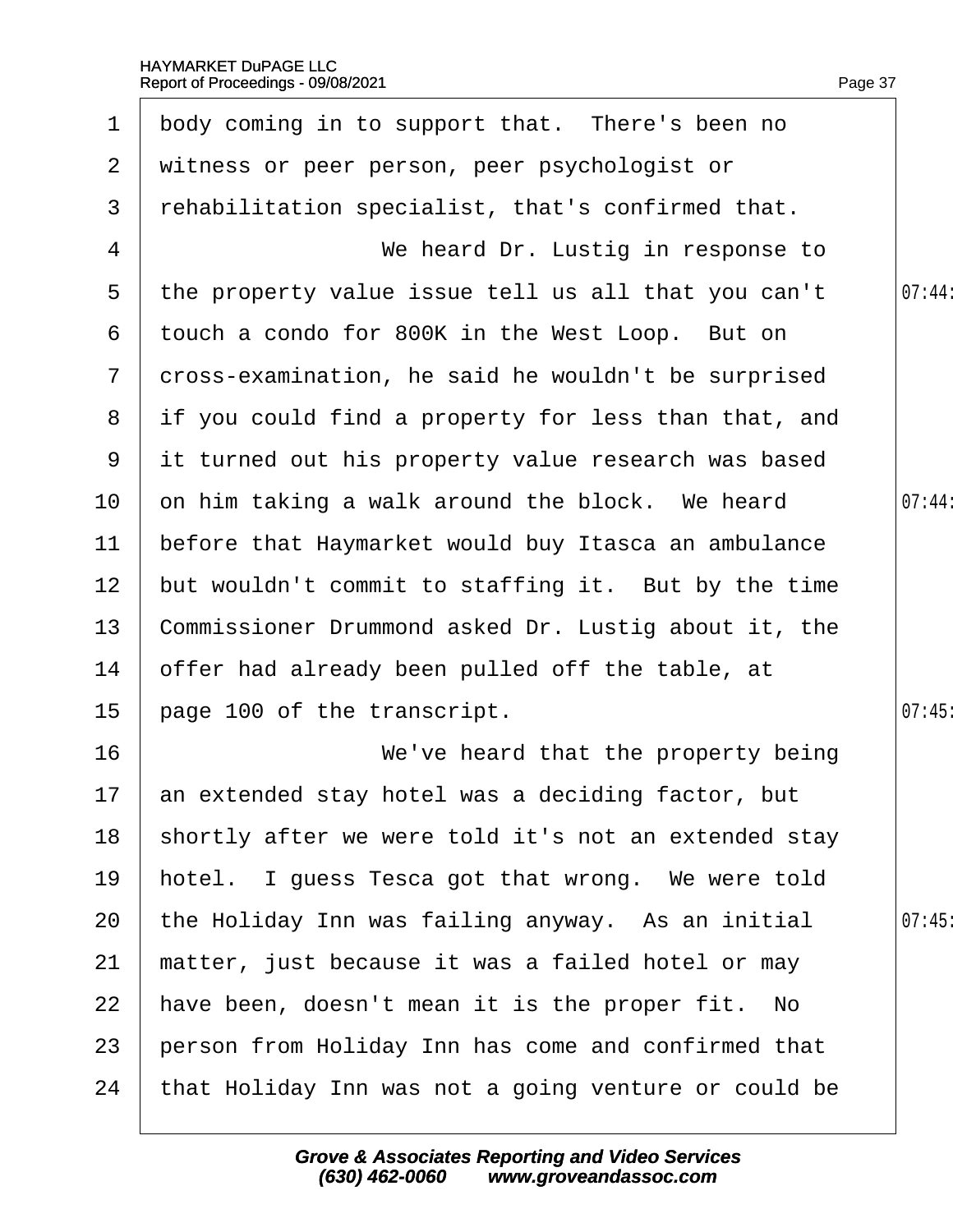1 body coming in to support that. There's been no

|                 | 2 witness or peer person, peer psychologist or         |       |
|-----------------|--------------------------------------------------------|-------|
| 3               | rehabilitation specialist, that's confirmed that.      |       |
| 4               | We heard Dr. Lustig in response to                     |       |
| $5\overline{)}$ | the property value issue tell us all that you can't    | 07:44 |
| 6               | touch a condo for 800K in the West Loop. But on        |       |
| $7\overline{ }$ | dross-examination, he said he wouldn't be surprised    |       |
|                 | 8 if you could find a property for less than that, and |       |
|                 | 9 it turned out his property value research was based  |       |
| 10              | on him taking a walk around the block. We heard        | 07:44 |
| 11              | before that Haymarket would buy Itasca an ambulance    |       |
| 12 <sub>2</sub> | but wouldn't commit to staffing it. But by the time    |       |
| 13              | Commissioner Drummond asked Dr. Lustig about it, the   |       |
| 14              | offer had already been pulled off the table, at        |       |
| 15 <sub>1</sub> | page 100 of the transcript.                            | 07:45 |
| 16              | We've heard that the property being                    |       |
| 17              | an extended stay hotel was a deciding factor, but      |       |
| 18              | shortly after we were told it's not an extended stay   |       |
| 19              | hotel. I guess Tesca got that wrong. We were told      |       |
| 20              | the Holiday Inn was failing anyway. As an initial      | 07:45 |
| 21              | matter, just because it was a failed hotel or may      |       |
| 22              | have been, doesn't mean it is the proper fit. No       |       |
| 23              | person from Holiday Inn has come and confirmed that    |       |
| 24              | that Holiday Inn was not a going venture or could be   |       |
|                 |                                                        |       |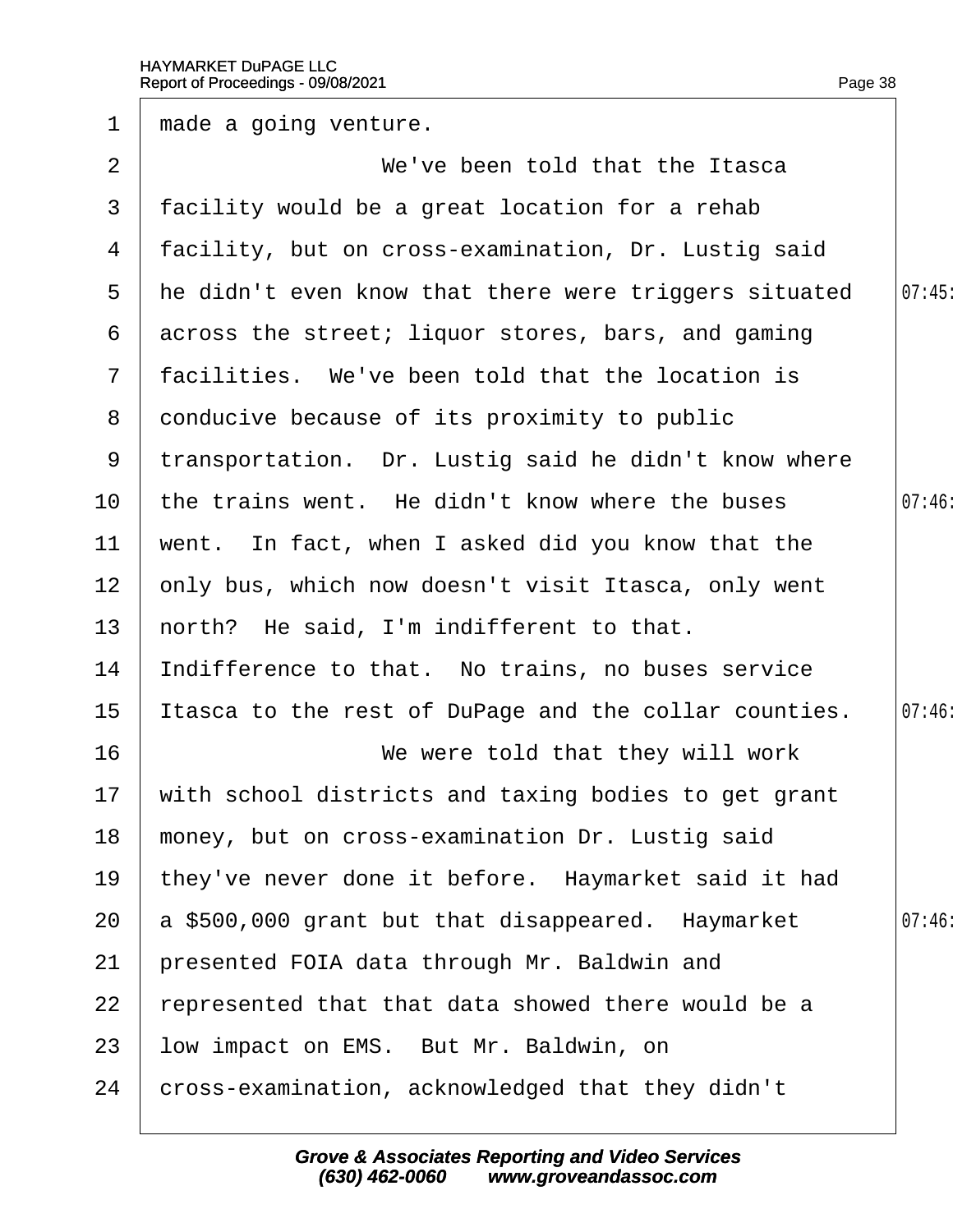| $\mathbf 1$     | made a going venture.                                  |        |
|-----------------|--------------------------------------------------------|--------|
| 2               | We've been told that the Itasca                        |        |
| 3               | facility would be a great location for a rehab         |        |
| 4               | facility, but on cross-examination, Dr. Lustig said    |        |
| 5               | the didn't even know that there were triggers situated | 07:45  |
| 6               | across the street; liquor stores, bars, and gaming     |        |
| $7\phantom{.}$  | facilities. We've been told that the location is       |        |
| 8               | donducive because of its proximity to public           |        |
|                 | 9 transportation. Dr. Lustig said he didn't know where |        |
| 10              | the trains went. He didn't know where the buses        | 07:46: |
| 11              | went. In fact, when I asked did you know that the      |        |
| 12 <sub>2</sub> | only bus, which now doesn't visit Itasca, only went    |        |
| 13 <sup>°</sup> | horth? He said, I'm indifferent to that.               |        |
| 14              | Indifference to that. No trains, no buses service      |        |
| 15              | tasca to the rest of DuPage and the collar counties.   | 07:46  |
| 16              | We were told that they will work                       |        |
| 17 <sub>1</sub> | with school districts and taxing bodies to get grant   |        |
| 18              | money, but on cross-examination Dr. Lustig said        |        |
| 19              | they've never done it before. Haymarket said it had    |        |
| 20              | a \$500,000 grant but that disappeared. Haymarket      | 07:46  |
| 21              | presented FOIA data through Mr. Baldwin and            |        |
| 22              | represented that that data showed there would be a     |        |
| 23              | low impact on EMS. But Mr. Baldwin, on                 |        |
| 24              | cross-examination, acknowledged that they didn't       |        |
|                 |                                                        |        |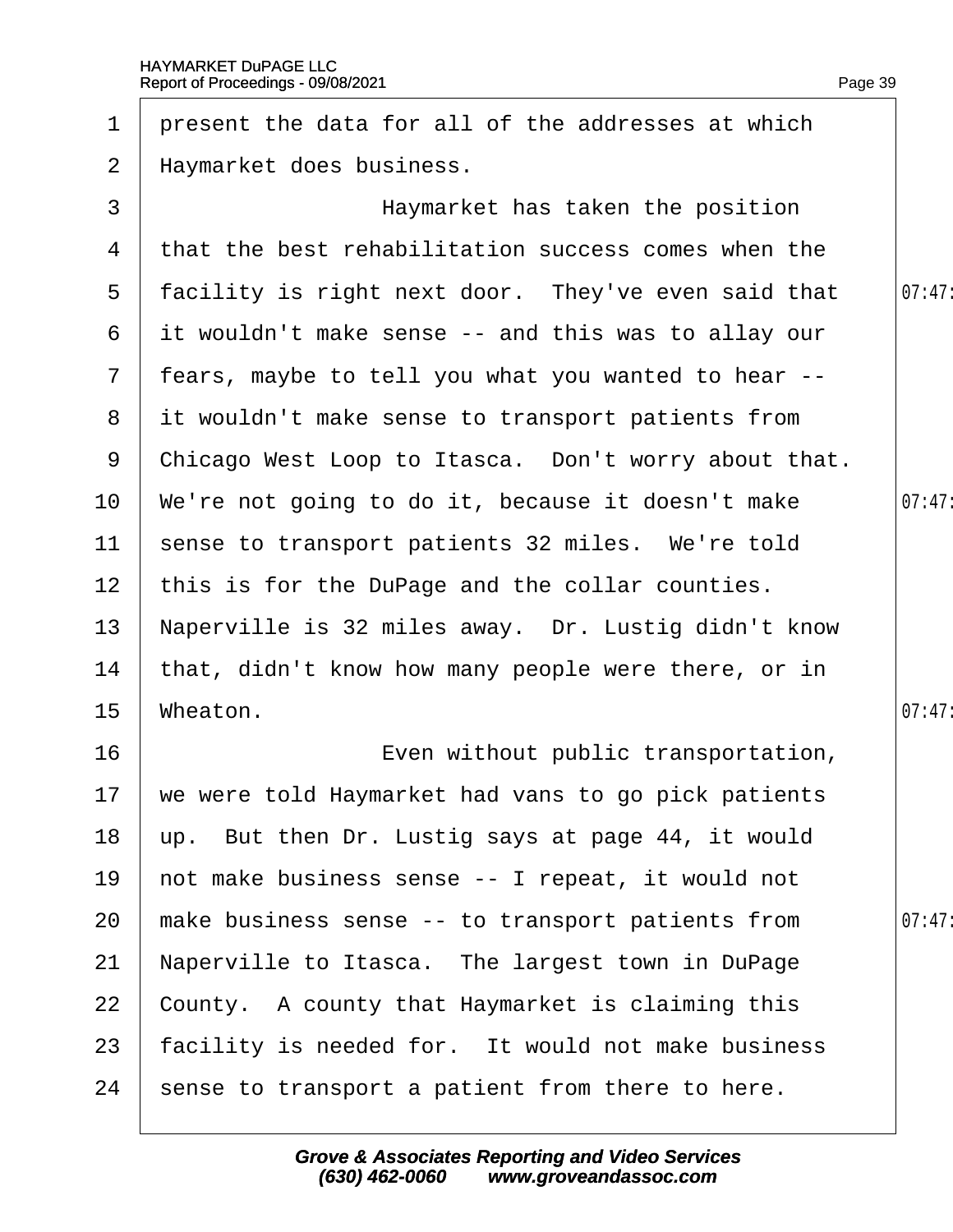| $\mathbf 1$     | present the data for all of the addresses at which   |        |
|-----------------|------------------------------------------------------|--------|
| $\overline{2}$  | Haymarket does business.                             |        |
| 3               | Haymarket has taken the position                     |        |
| 4               | that the best rehabilitation success comes when the  |        |
| 5               | facility is right next door. They've even said that  | 07:47  |
| 6               | it wouldn't make sense -- and this was to allay our  |        |
| $7\overline{ }$ | fears, maybe to tell you what you wanted to hear --  |        |
| 8               | it wouldn't make sense to transport patients from    |        |
| 9               | Chicago West Loop to Itasca. Don't worry about that. |        |
| 10 <sup>°</sup> | We're not going to do it, because it doesn't make    | 07:47  |
| 11              | sense to transport patients 32 miles. We're told     |        |
| 12 <sub>2</sub> | this is for the DuPage and the collar counties.      |        |
| 13              | Naperville is 32 miles away. Dr. Lustig didn't know  |        |
| 14              | that, didn't know how many people were there, or in  |        |
| 15              | Wheaton.                                             | 07:47: |
| 16              | Even without public transportation,                  |        |
| 17              | we were told Haymarket had vans to go pick patients  |        |
| 18              | up. But then Dr. Lustig says at page 44, it would    |        |
| 19              | hot make business sense -- I repeat, it would not    |        |
| 20              | make business sense -- to transport patients from    | 07:47: |
| 21              | Naperville to Itasca. The largest town in DuPage     |        |
| 22              | County. A county that Haymarket is claiming this     |        |
| 23              | facility is needed for. It would not make business   |        |
| 24              | sense to transport a patient from there to here.     |        |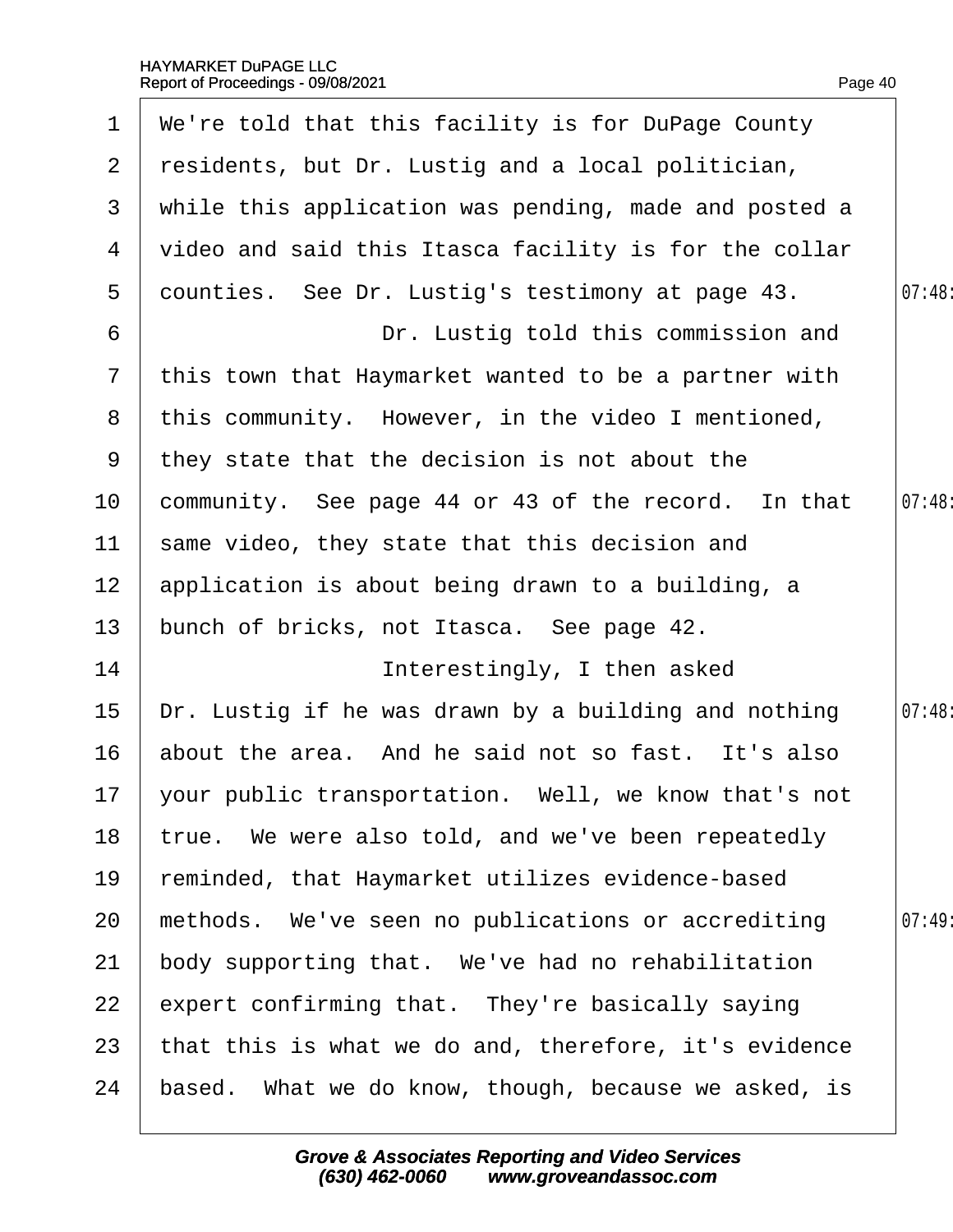| $\mathbf 1$     | We're told that this facility is for DuPage County      |        |
|-----------------|---------------------------------------------------------|--------|
| $\mathbf{2}$    | residents, but Dr. Lustig and a local politician,       |        |
| 3 <sup>7</sup>  | while this application was pending, made and posted a   |        |
| 4               | video and said this Itasca facility is for the collar   |        |
| 5               | dounties. See Dr. Lustig's testimony at page 43.        | 07:48  |
| 6               | Dr. Lustig told this commission and                     |        |
| $\mathbf{7}$    | this town that Haymarket wanted to be a partner with    |        |
|                 | 8 this community. However, in the video I mentioned,    |        |
| 9               | they state that the decision is not about the           |        |
| 10              | community. See page 44 or 43 of the record. In that     | 07:48  |
| 11              | same video, they state that this decision and           |        |
| 12 <sup>2</sup> | application is about being drawn to a building, a       |        |
| 13              | bunch of bricks, not Itasca. See page 42.               |        |
| 14              | Interestingly, I then asked                             |        |
| 15              | Dr. Lustig if he was drawn by a building and nothing    | 07:48: |
| 16              | about the area. And he said not so fast. It's also      |        |
|                 | 17 your public transportation. Well, we know that's not |        |
| 18              | true. We were also told, and we've been repeatedly      |        |
| 19              | reminded, that Haymarket utilizes evidence-based        |        |
| 20              | methods. We've seen no publications or accrediting      | 07:49  |
| 21              | body supporting that. We've had no rehabilitation       |        |
| 22              | expert confirming that. They're basically saying        |        |
| 23              | that this is what we do and, therefore, it's evidence   |        |
| 24              | based. What we do know, though, because we asked, is    |        |
|                 |                                                         |        |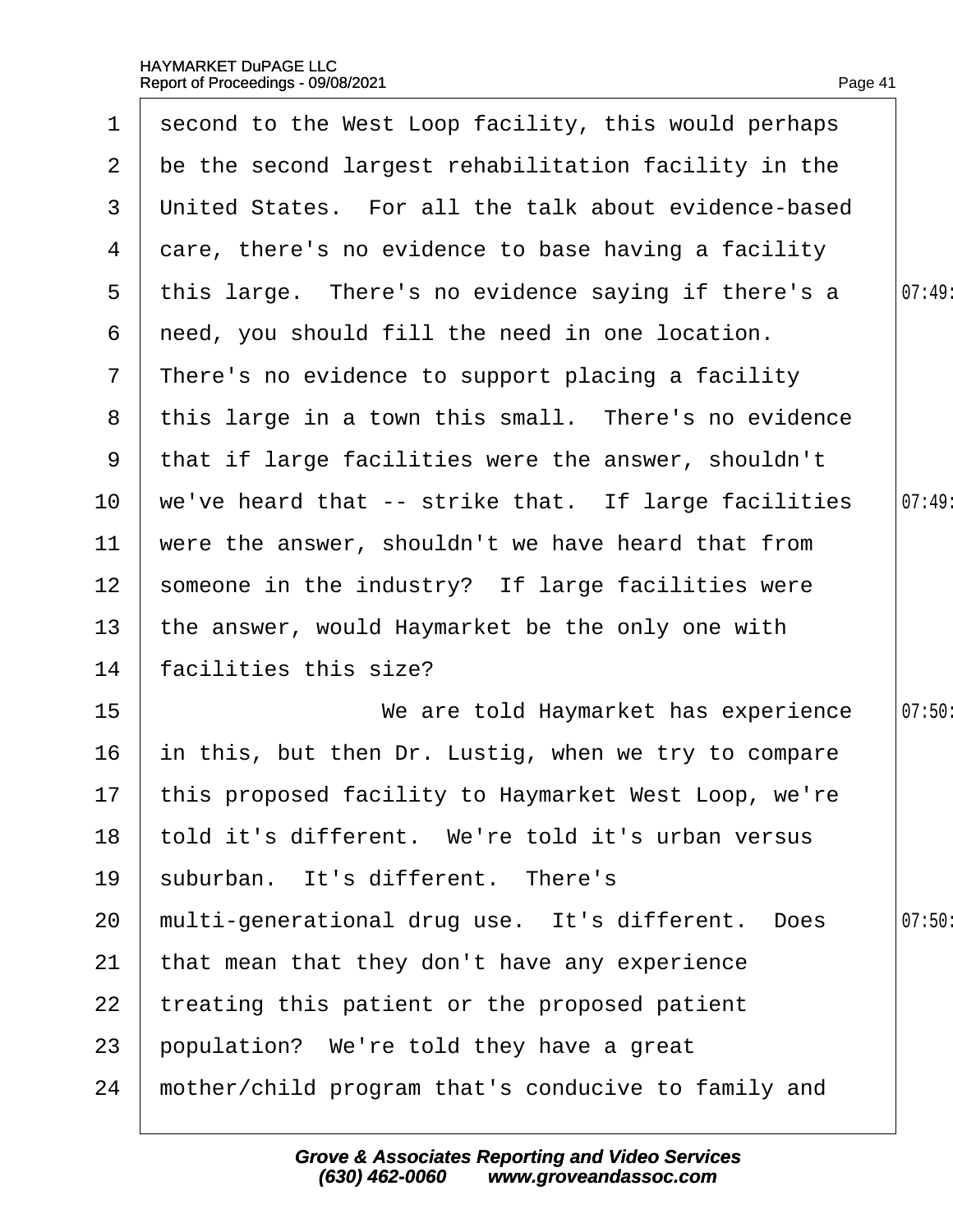$\Gamma$ 

 $\overline{\phantom{a}}$ 

| 1               | second to the West Loop facility, this would perhaps |        |
|-----------------|------------------------------------------------------|--------|
| 2 <sup>1</sup>  | be the second largest rehabilitation facility in the |        |
| 3               | United States. For all the talk about evidence-based |        |
| 4               | dare, there's no evidence to base having a facility  |        |
| 5               | this large. There's no evidence saying if there's a  | 07:49  |
| 6               | reed, you should fill the need in one location.      |        |
| $\mathbf{7}$    | There's no evidence to support placing a facility    |        |
| 8               | this large in a town this small. There's no evidence |        |
| 9               | that if large facilities were the answer, shouldn't  |        |
| 10              | we've heard that -- strike that. If large facilities | 07:49  |
| 11              | were the answer, shouldn't we have heard that from   |        |
| 12              | someone in the industry? If large facilities were    |        |
| 13              | the answer, would Haymarket be the only one with     |        |
| 14              | facilities this size?                                |        |
| 15              | We are told Haymarket has experience                 | 07:50: |
| 16              | in this, but then Dr. Lustig, when we try to compare |        |
| 17 <sub>2</sub> | this proposed facility to Haymarket West Loop, we're |        |
| 18              | told it's different. We're told it's urban versus    |        |
| 19              | suburban. It's different. There's                    |        |
| 20              | multi-generational drug use. It's different. Does    | 07:50  |
| 21              | that mean that they don't have any experience        |        |
| 22              | treating this patient or the proposed patient        |        |
| 23              | population? We're told they have a great             |        |
| 24              | mother/child program that's conducive to family and  |        |
|                 |                                                      |        |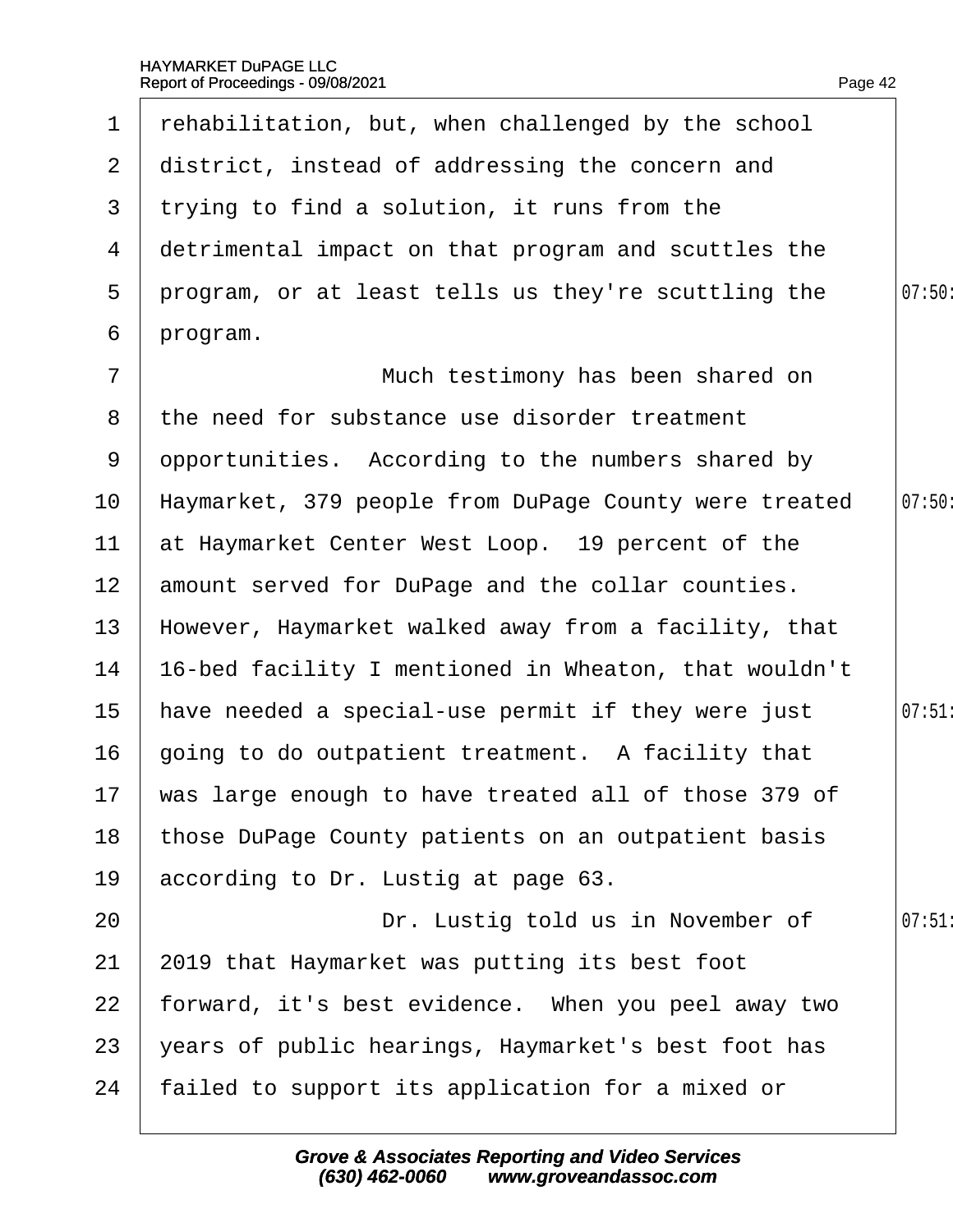| $\mathbf 1$     | rehabilitation, but, when challenged by the school      |        |
|-----------------|---------------------------------------------------------|--------|
| 2 <sup>1</sup>  | district, instead of addressing the concern and         |        |
| 3 <sup>1</sup>  | trying to find a solution, it runs from the             |        |
| 4               | detrimental impact on that program and scuttles the     |        |
| 5               | program, or at least tells us they're scuttling the     | 07:50: |
| 6               | program.                                                |        |
| $\overline{7}$  | Much testimony has been shared on                       |        |
| 8               | the need for substance use disorder treatment           |        |
| 9               | dpportunities. According to the numbers shared by       |        |
| 10 <sup>°</sup> | Haymarket, 379 people from DuPage County were treated   | 07:50  |
| 11              | at Haymarket Center West Loop. 19 percent of the        |        |
| 12 <sub>2</sub> | amount served for DuPage and the collar counties.       |        |
| 13              | However, Haymarket walked away from a facility, that    |        |
| 14              | 16-bed facility I mentioned in Wheaton, that wouldn't   |        |
| 15              | have needed a special-use permit if they were just      | 07:51  |
| 16              | going to do outpatient treatment. A facility that       |        |
|                 | 17 was large enough to have treated all of those 379 of |        |
| 18              | those DuPage County patients on an outpatient basis     |        |
| 19              | according to Dr. Lustig at page 63.                     |        |
| 20              | Dr. Lustig told us in November of                       | 07:51  |
| 21              | 2019 that Haymarket was putting its best foot           |        |
| 22              | forward, it's best evidence. When you peel away two     |        |
| 23              | years of public hearings, Haymarket's best foot has     |        |
| 24              | failed to support its application for a mixed or        |        |
|                 |                                                         |        |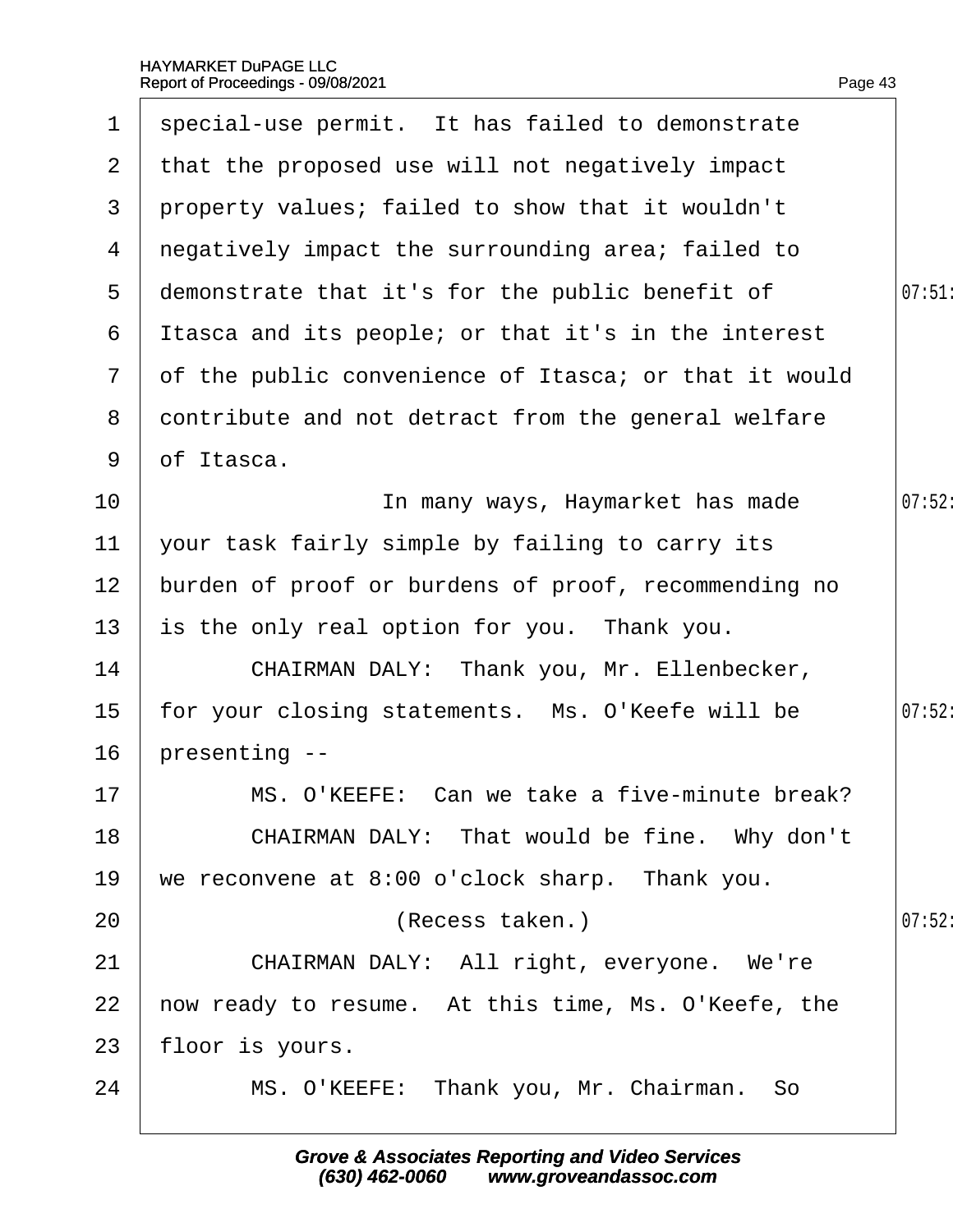| 1              | special-use permit. It has failed to demonstrate      |        |
|----------------|-------------------------------------------------------|--------|
| $\mathbf{2}$   | that the proposed use will not negatively impact      |        |
| 3              | property values; failed to show that it wouldn't      |        |
| 4              | negatively impact the surrounding area; failed to     |        |
| 5              | demonstrate that it's for the public benefit of       | 07:51  |
| 6              | It as ca and its people; or that it's in the interest |        |
| $\overline{7}$ | of the public convenience of Itasca; or that it would |        |
| 8              | contribute and not detract from the general welfare   |        |
| 9              | of Itasca.                                            |        |
| 10             | In many ways, Haymarket has made                      | 07:52  |
| 11             | your task fairly simple by failing to carry its       |        |
| 12             | burden of proof or burdens of proof, recommending no  |        |
| 13             | is the only real option for you. Thank you.           |        |
| 14             | CHAIRMAN DALY: Thank you, Mr. Ellenbecker,            |        |
| 15             | for your closing statements. Ms. O'Keefe will be      | 07:52: |
| 16             | presenting --                                         |        |
| 17             | MS. O'KEEFE: Can we take a five-minute break?         |        |
| 18             | CHAIRMAN DALY: That would be fine. Why don't          |        |
| 19             | we reconvene at 8:00 o'clock sharp. Thank you.        |        |
| 20             | (Recess taken.)                                       | 07:52: |
| 21             | CHAIRMAN DALY: All right, everyone. We're             |        |
| 22             | how ready to resume. At this time, Ms. O'Keefe, the   |        |
| 23             | floor is yours.                                       |        |
| 24             | MS. O'KEEFE: Thank you, Mr. Chairman. So              |        |
|                |                                                       |        |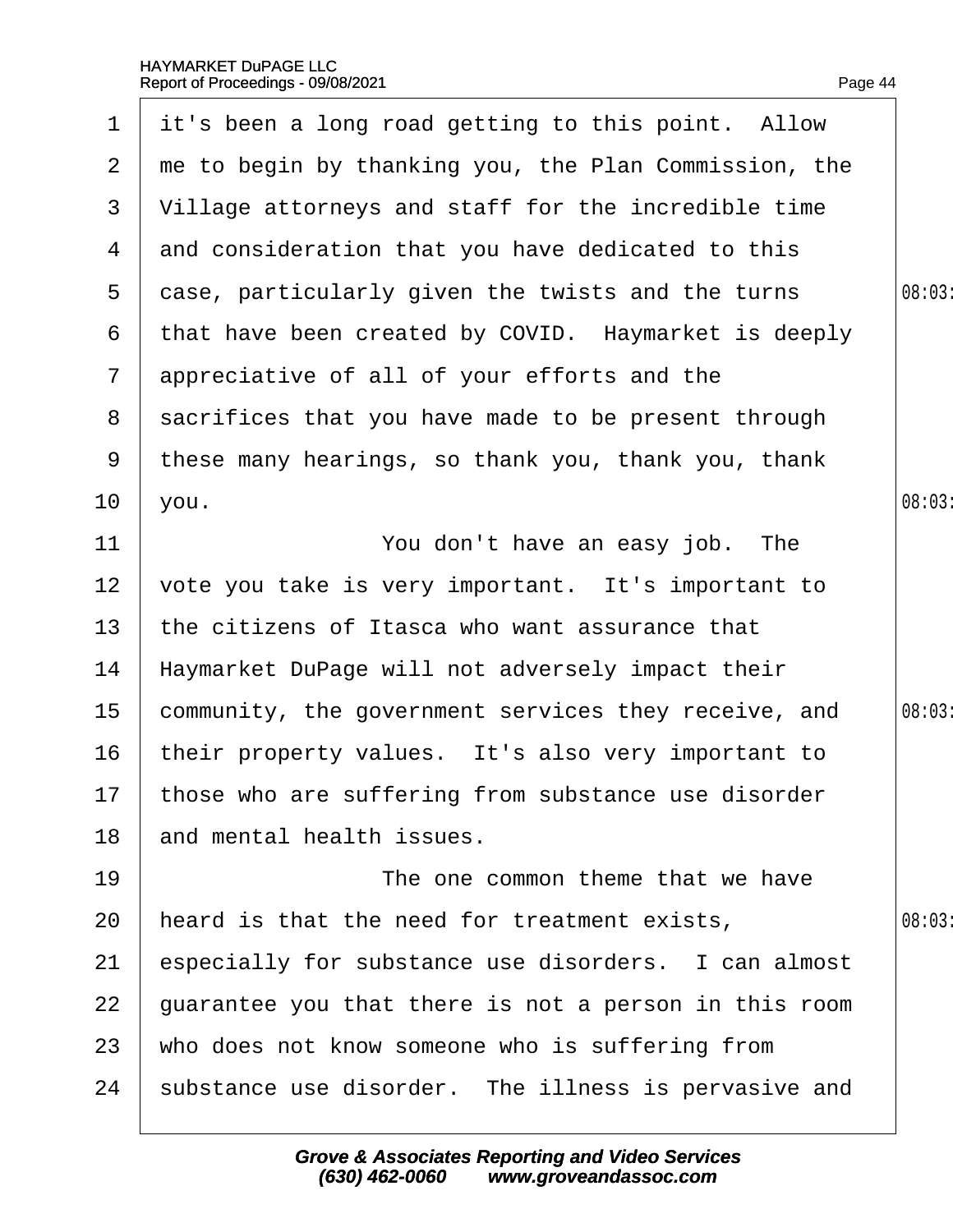| $\mathbf 1$           | it's been a long road getting to this point. Allow     |       |
|-----------------------|--------------------------------------------------------|-------|
| $\mathbf{2}^{\prime}$ | the to begin by thanking you, the Plan Commission, the |       |
| 3                     | Village attorneys and staff for the incredible time    |       |
| 4                     | and consideration that you have dedicated to this      |       |
| 5                     | dase, particularly given the twists and the turns      | 08:03 |
| 6                     | that have been created by COVID. Haymarket is deeply   |       |
| $\mathbf{7}$          | appreciative of all of your efforts and the            |       |
| 8                     | sacrifices that you have made to be present through    |       |
| 9                     | these many hearings, so thank you, thank you, thank    |       |
| 10 <sup>°</sup>       | you.                                                   | 08:03 |
| 11                    | You don't have an easy job. The                        |       |
| 12 <sub>2</sub>       | vote you take is very important. It's important to     |       |
| 13                    | the citizens of Itasca who want assurance that         |       |
| 14                    | Haymarket DuPage will not adversely impact their       |       |
| $15\,$                | community, the government services they receive, and   | 08:03 |
| 16                    | their property values. It's also very important to     |       |
|                       | 17 those who are suffering from substance use disorder |       |
| 18                    | and mental health issues.                              |       |
| 19                    | The one common theme that we have                      |       |
| 20                    | heard is that the need for treatment exists,           | 08:03 |
| 21                    | especially for substance use disorders. I can almost   |       |
| 22                    | guarantee you that there is not a person in this room  |       |
| 23                    | who does not know someone who is suffering from        |       |
| 24                    | substance use disorder. The illness is pervasive and   |       |
|                       |                                                        |       |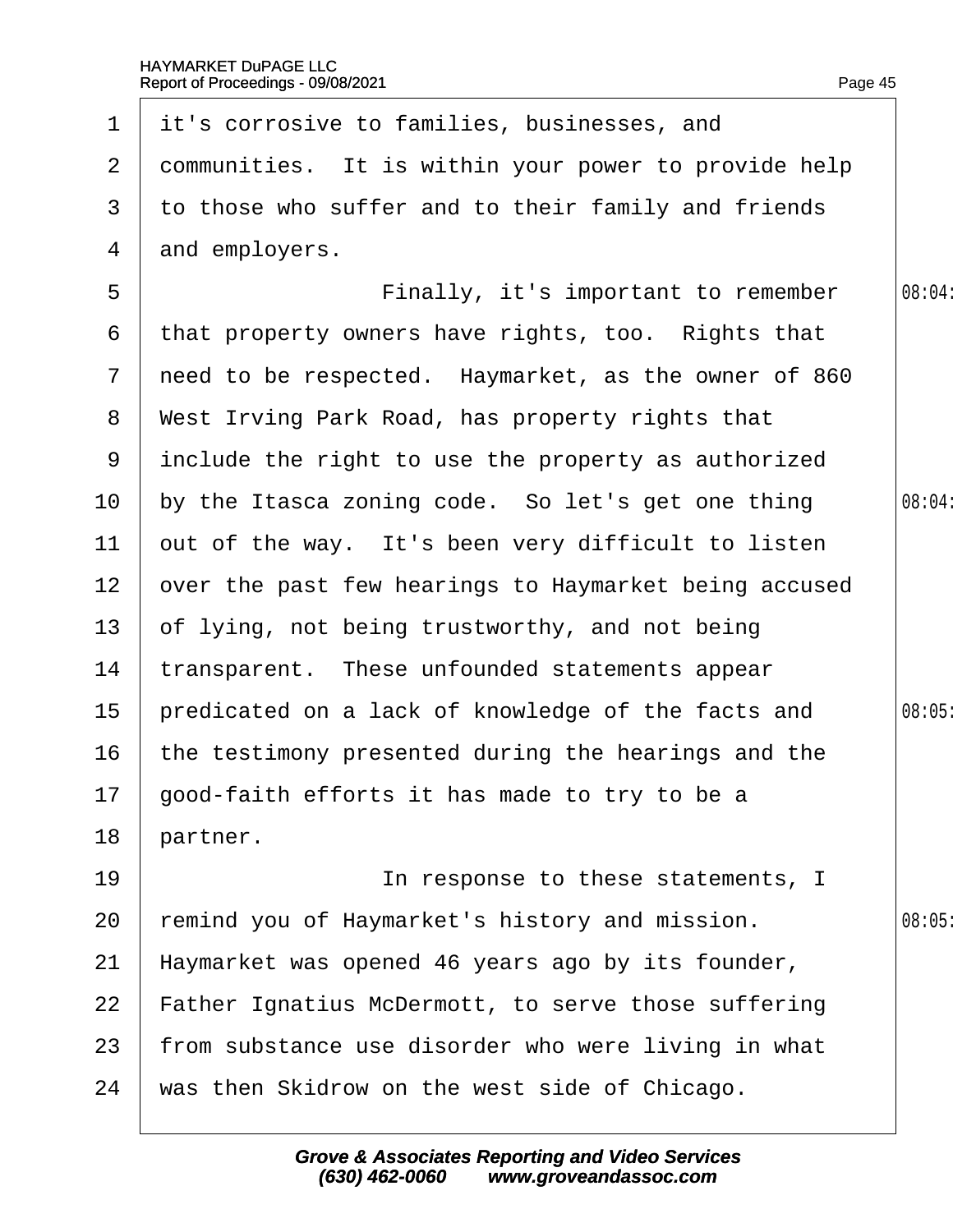|                 | 1 it's corrosive to families, businesses, and          |        |
|-----------------|--------------------------------------------------------|--------|
| $\mathbf{2}$    | dommunities. It is within your power to provide help   |        |
| 3               | to those who suffer and to their family and friends    |        |
| 4               | and employers.                                         |        |
| 5               | Finally, it's important to remember                    | 08:04: |
| 6               | that property owners have rights, too. Rights that     |        |
|                 | 7 need to be respected. Haymarket, as the owner of 860 |        |
|                 | 8 West Irving Park Road, has property rights that      |        |
|                 | 9 include the right to use the property as authorized  |        |
| 10              | by the Itasca zoning code. So let's get one thing      | 08:04: |
| 11              | but of the way. It's been very difficult to listen     |        |
| 12 <sub>2</sub> | over the past few hearings to Haymarket being accused  |        |
| 13 <sup>°</sup> | of lying, not being trustworthy, and not being         |        |
| 14              | transparent. These unfounded statements appear         |        |
| 15              | predicated on a lack of knowledge of the facts and     | 08:05  |
| 16              | the testimony presented during the hearings and the    |        |
|                 | 17 good-faith efforts it has made to try to be a       |        |
| 18              | partner.                                               |        |
| 19              | In response to these statements, I                     |        |
| 20              | emind you of Haymarket's history and mission.          | 08:05  |
| 21              | Haymarket was opened 46 years ago by its founder,      |        |
| 22              | Father Ignatius McDermott, to serve those suffering    |        |
| 23              | from substance use disorder who were living in what    |        |
| 24              | was then Skidrow on the west side of Chicago.          |        |
|                 |                                                        |        |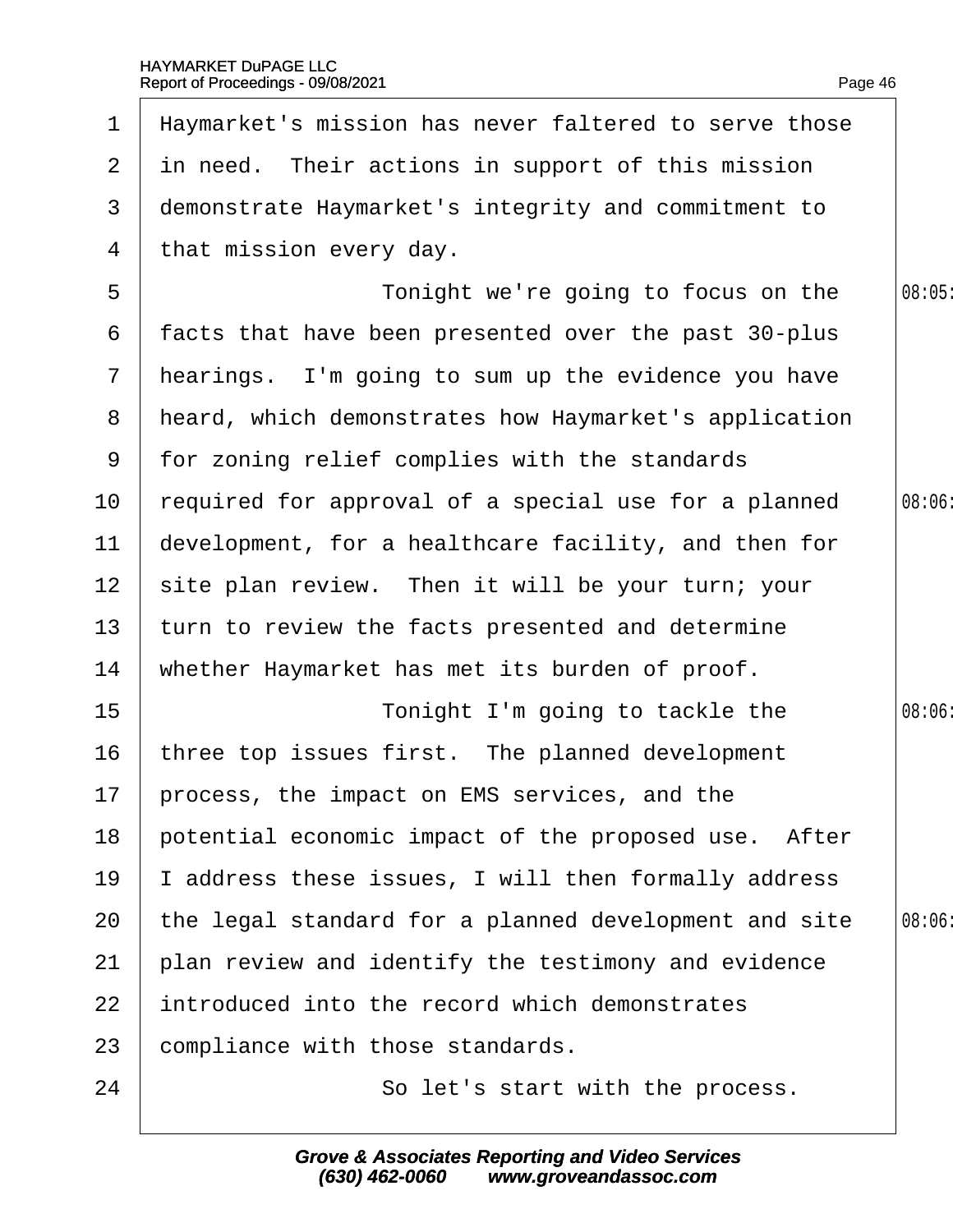| $\mathbf 1$     | Haymarket's mission has never faltered to serve those |        |
|-----------------|-------------------------------------------------------|--------|
|                 | 2 in need. Their actions in support of this mission   |        |
| 3               | demonstrate Haymarket's integrity and commitment to   |        |
| 4               | that mission every day.                               |        |
| 5               | Tonight we're going to focus on the                   | 08:05  |
| 6               | facts that have been presented over the past 30-plus  |        |
| $\overline{7}$  | hearings. I'm going to sum up the evidence you have   |        |
| 8               | heard, which demonstrates how Haymarket's application |        |
| 9               | for zoning relief complies with the standards         |        |
| 10 <sup>°</sup> | required for approval of a special use for a planned  | 08:06  |
| 11              | development, for a healthcare facility, and then for  |        |
| 12 <sup>2</sup> | site plan review. Then it will be your turn; your     |        |
| 13              | turn to review the facts presented and determine      |        |
| 14              | whether Haymarket has met its burden of proof.        |        |
| 15              | Tonight I'm going to tackle the                       | 08:06: |
| 16              | three top issues first. The planned development       |        |
|                 | 17 process, the impact on EMS services, and the       |        |
| 18              | potential economic impact of the proposed use. After  |        |
| 19              | address these issues, I will then formally address    |        |
| 20              | the legal standard for a planned development and site | 08:06  |
| 21              | plan review and identify the testimony and evidence   |        |
| 22              | introduced into the record which demonstrates         |        |
| 23              | compliance with those standards.                      |        |
| 24              | So let's start with the process.                      |        |
|                 |                                                       |        |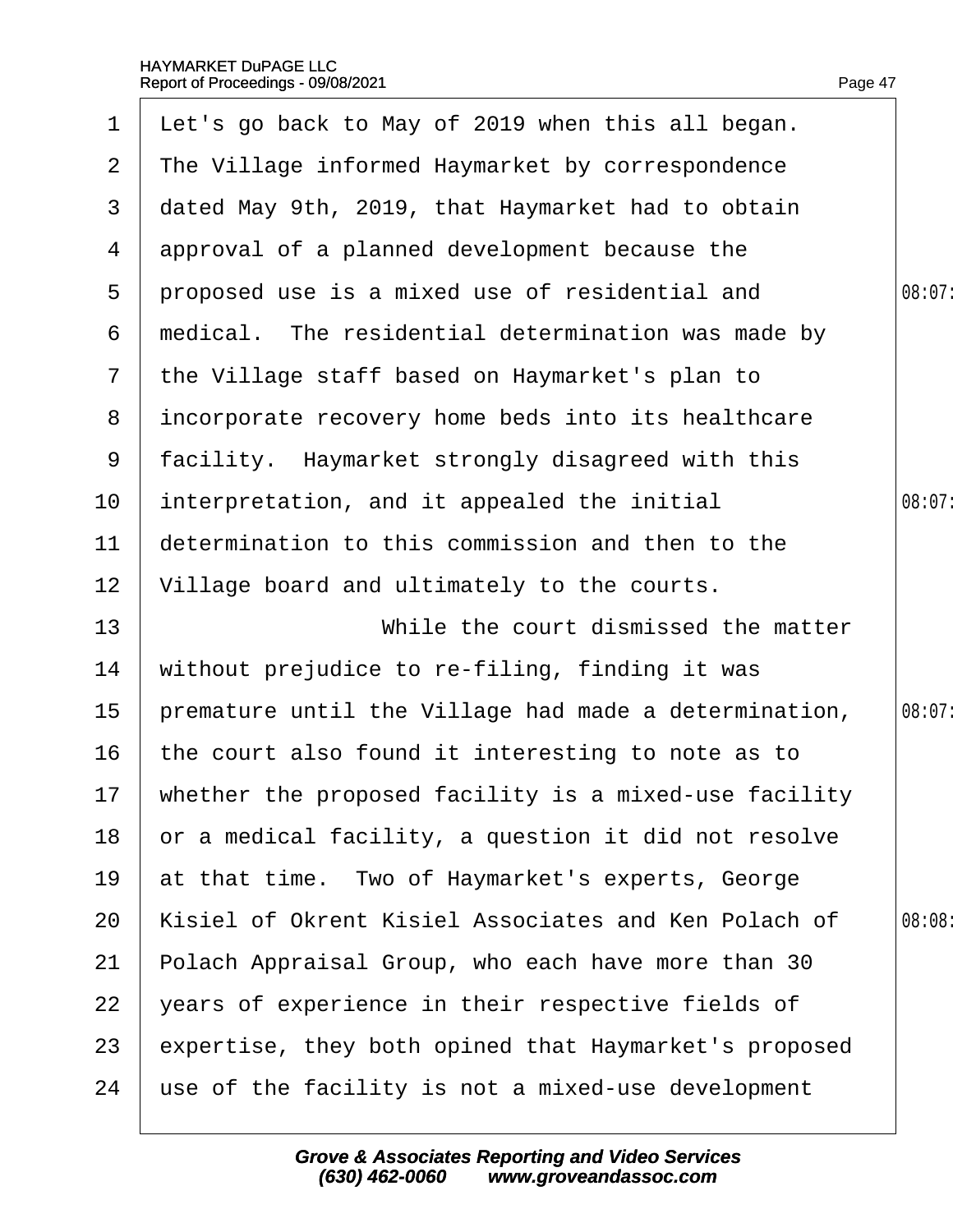| $\mathbf 1$     | Let's go back to May of 2019 when this all began.        |        |
|-----------------|----------------------------------------------------------|--------|
| $\overline{2}$  | The Village informed Haymarket by correspondence         |        |
| 3               | dated May 9th, 2019, that Haymarket had to obtain        |        |
| 4               | approval of a planned development because the            |        |
| 5               | proposed use is a mixed use of residential and           | 08:07: |
| 6               | medical. The residential determination was made by       |        |
| $\mathbf{7}$    | the Village staff based on Haymarket's plan to           |        |
| 8               | incorporate recovery home beds into its healthcare       |        |
| 9               | facility. Haymarket strongly disagreed with this         |        |
| 10 <sup>°</sup> | interpretation, and it appealed the initial              | 08:07: |
| 11              | determination to this commission and then to the         |        |
| 12              | Village board and ultimately to the courts.              |        |
| 13              | While the court dismissed the matter                     |        |
| 14              | without prejudice to re-filing, finding it was           |        |
| 15              | premature until the Village had made a determination,    | 08:07: |
| 16              | the court also found it interesting to note as to        |        |
|                 | 17 whether the proposed facility is a mixed-use facility |        |
| 18              | or a medical facility, a question it did not resolve     |        |
| 19              | at that time. Two of Haymarket's experts, George         |        |
| 20              | Kisiel of Okrent Kisiel Associates and Ken Polach of     | 08:08  |
| 21              | Polach Appraisal Group, who each have more than 30       |        |
| 22              | years of experience in their respective fields of        |        |
| 23              | expertise, they both opined that Haymarket's proposed    |        |
| 24              | use of the facility is not a mixed-use development       |        |
|                 |                                                          |        |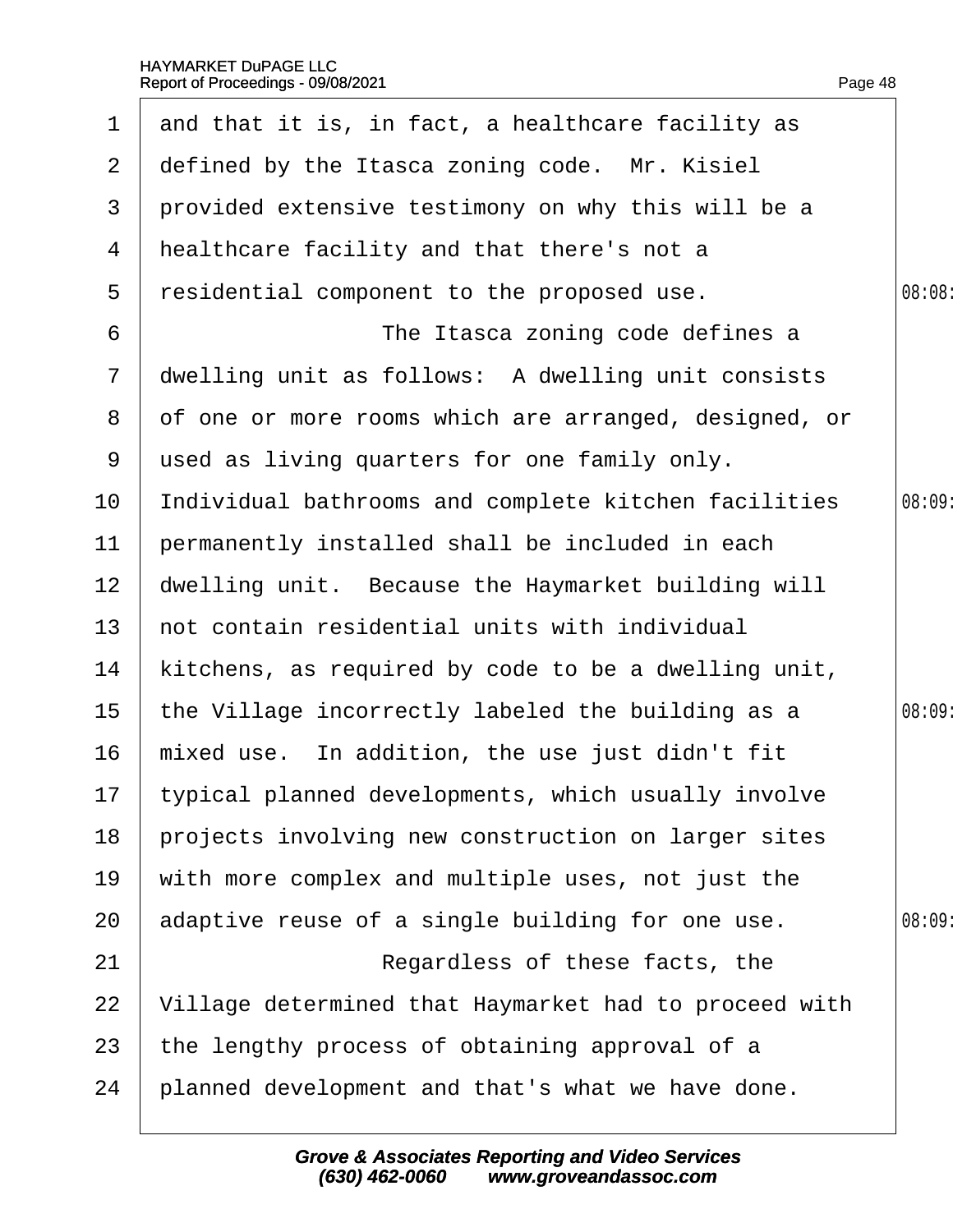| $\mathbf 1$     | and that it is, in fact, a healthcare facility as      |        |
|-----------------|--------------------------------------------------------|--------|
| $\overline{2}$  | defined by the Itasca zoning code. Mr. Kisiel          |        |
| 3               | provided extensive testimony on why this will be a     |        |
| 4               | healthcare facility and that there's not a             |        |
| 5               | residential component to the proposed use.             | 08:08: |
| 6               | The Itasca zoning code defines a                       |        |
| $\overline{7}$  | dwelling unit as follows: A dwelling unit consists     |        |
| 8               | of one or more rooms which are arranged, designed, or  |        |
| 9               | used as living quarters for one family only.           |        |
| 10              | Individual bathrooms and complete kitchen facilities   | 08:09  |
| 11              | permanently installed shall be included in each        |        |
| 12 <sub>2</sub> | dwelling unit. Because the Haymarket building will     |        |
| 13 <sup>°</sup> | not contain residential units with individual          |        |
| 14              | kitchens, as required by code to be a dwelling unit,   |        |
| 15 <sub>1</sub> | the Village incorrectly labeled the building as a      | 08:09  |
| 16              | mixed use. In addition, the use just didn't fit        |        |
|                 | 17 typical planned developments, which usually involve |        |
| 18              | projects involving new construction on larger sites    |        |
| 19              | with more complex and multiple uses, not just the      |        |
| 20              | adaptive reuse of a single building for one use.       | 08:09  |
| 21              | Regardless of these facts, the                         |        |
| 22              | Village determined that Haymarket had to proceed with  |        |
| 23              | the lengthy process of obtaining approval of a         |        |
| 24              | planned development and that's what we have done.      |        |
|                 |                                                        |        |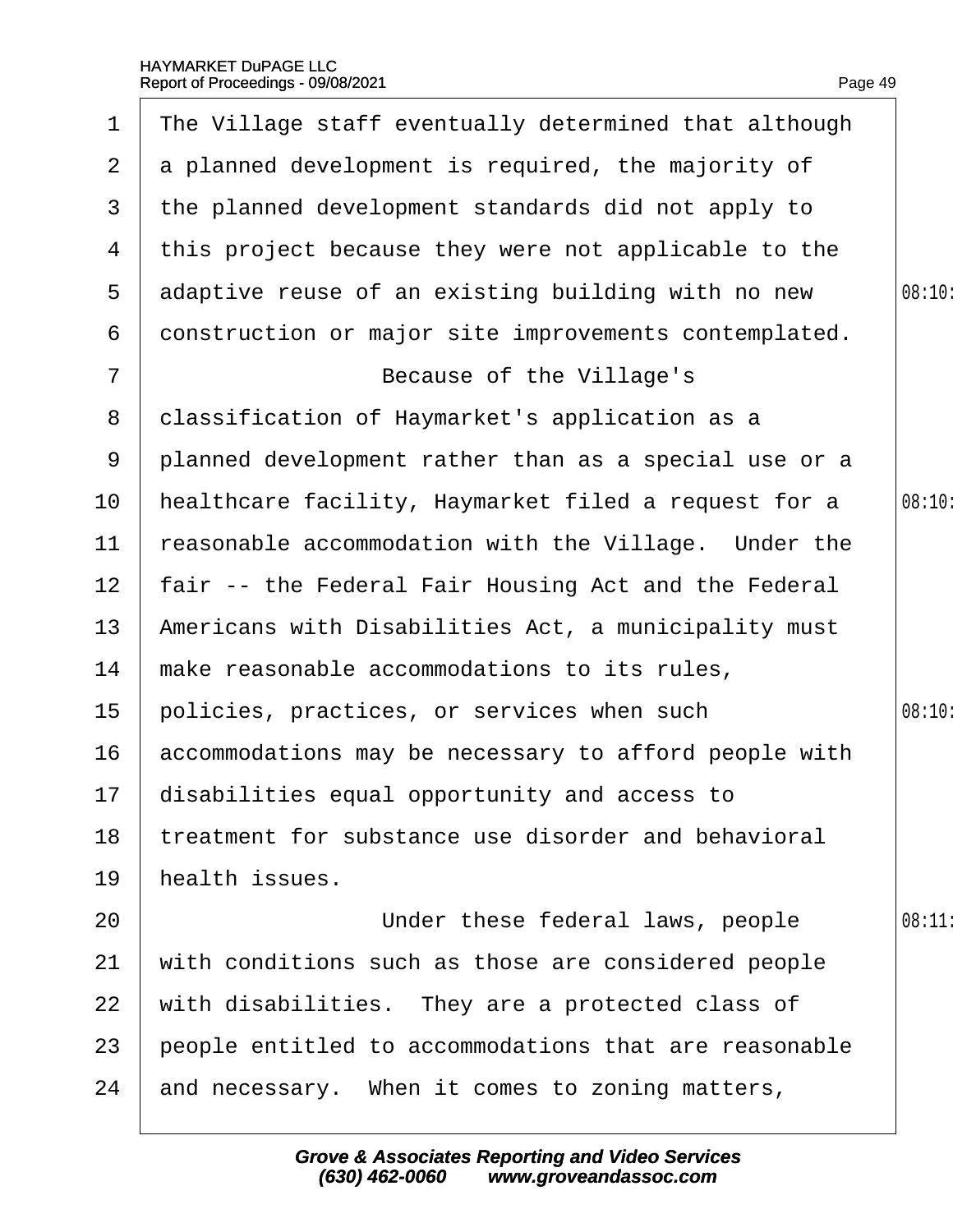| 1               | The Village staff eventually determined that although |        |
|-----------------|-------------------------------------------------------|--------|
| $\overline{2}$  | a planned development is required, the majority of    |        |
| 3               | the planned development standards did not apply to    |        |
| 4               | this project because they were not applicable to the  |        |
| 5               | adaptive reuse of an existing building with no new    | 08:10: |
| 6               | donstruction or major site improvements contemplated. |        |
| $\overline{7}$  | Because of the Village's                              |        |
| 8               | dassification of Haymarket's application as a         |        |
| 9               | planned development rather than as a special use or a |        |
| 10              | healthcare facility, Haymarket filed a request for a  | 08:10: |
| 11              | reasonable accommodation with the Village. Under the  |        |
| 12 <sub>2</sub> | fair -- the Federal Fair Housing Act and the Federal  |        |
| 13              | Americans with Disabilities Act, a municipality must  |        |
| 14              | make reasonable accommodations to its rules,          |        |
| 15              | policies, practices, or services when such            | 08:10: |
| 16              | accommodations may be necessary to afford people with |        |
|                 | 17 disabilities equal opportunity and access to       |        |
| 18              | treatment for substance use disorder and behavioral   |        |
| 19              | health issues.                                        |        |
| 20              | Under these federal laws, people                      | 08:11  |
| 21              | with conditions such as those are considered people   |        |
| 22              | with disabilities. They are a protected class of      |        |
| 23              | people entitled to accommodations that are reasonable |        |
| 24              | and necessary. When it comes to zoning matters,       |        |
|                 |                                                       |        |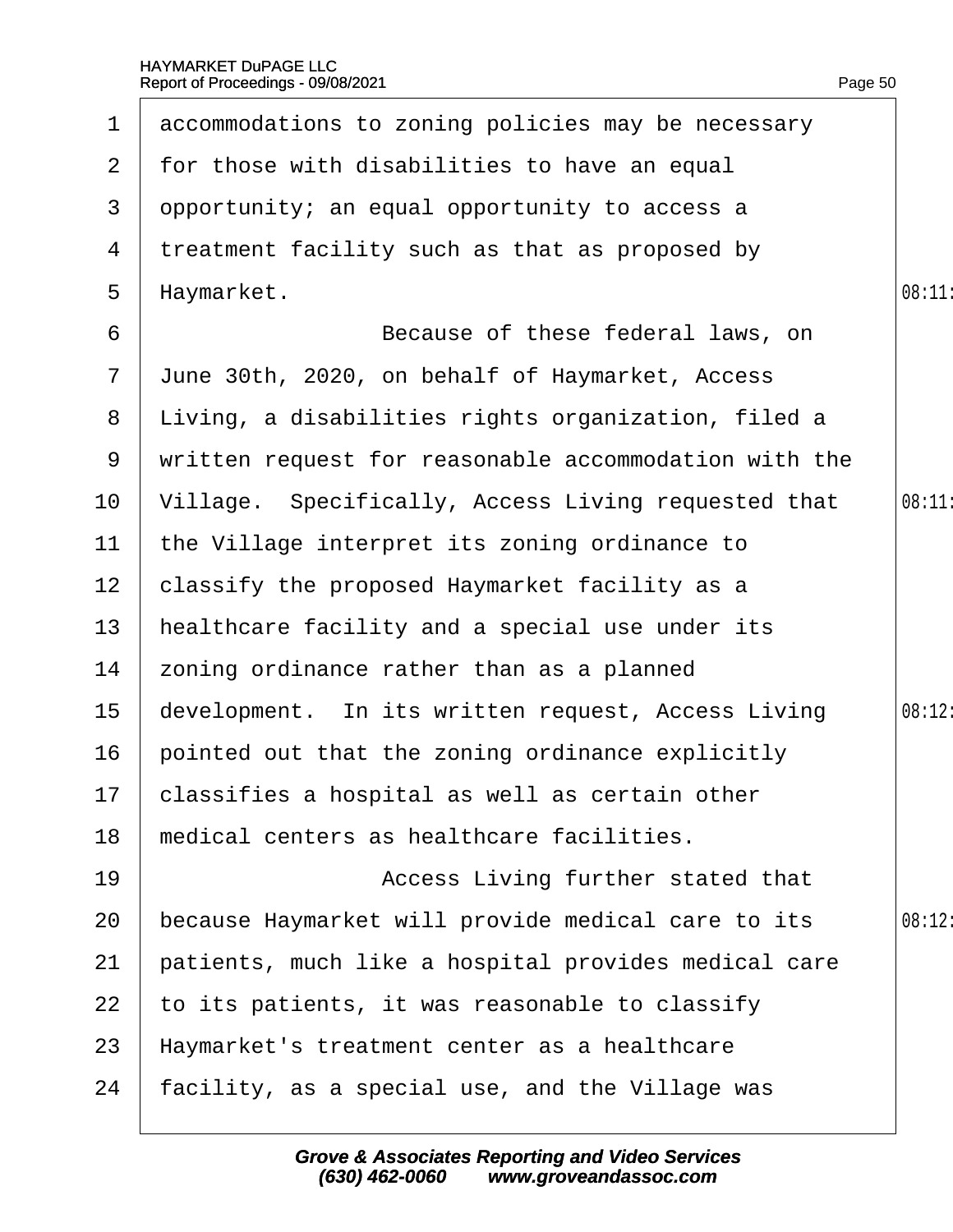| $\mathbf 1$     | accommodations to zoning policies may be necessary    |        |
|-----------------|-------------------------------------------------------|--------|
| $\mathbf{2}$    | for those with disabilities to have an equal          |        |
| 3               | opportunity; an equal opportunity to access a         |        |
| 4               | treatment facility such as that as proposed by        |        |
| 5               | Haymarket.                                            | 08:11  |
| 6               | Because of these federal laws, on                     |        |
| $\mathbf{7}$    | June 30th, 2020, on behalf of Haymarket, Access       |        |
| 8               | Living, a disabilities rights organization, filed a   |        |
| 9               | written request for reasonable accommodation with the |        |
| 10 <sup>°</sup> | Village. Specifically, Access Living requested that   | 08:11  |
| 11              | the Village interpret its zoning ordinance to         |        |
| 12 <sub>2</sub> | classify the proposed Haymarket facility as a         |        |
| 13              | healthcare facility and a special use under its       |        |
| 14              | zoning ordinance rather than as a planned             |        |
| 15              | development. In its written request, Access Living    | 08:12: |
| 16              | pointed out that the zoning ordinance explicitly      |        |
|                 | 17 classifies a hospital as well as certain other     |        |
| 18              | medical centers as healthcare facilities.             |        |
| 19              | Access Living further stated that                     |        |
| 20              | because Haymarket will provide medical care to its    | 08:12  |
| 21              | patients, much like a hospital provides medical care  |        |
| 22              | to its patients, it was reasonable to classify        |        |
| 23              | Haymarket's treatment center as a healthcare          |        |
| 24              | facility, as a special use, and the Village was       |        |
|                 |                                                       |        |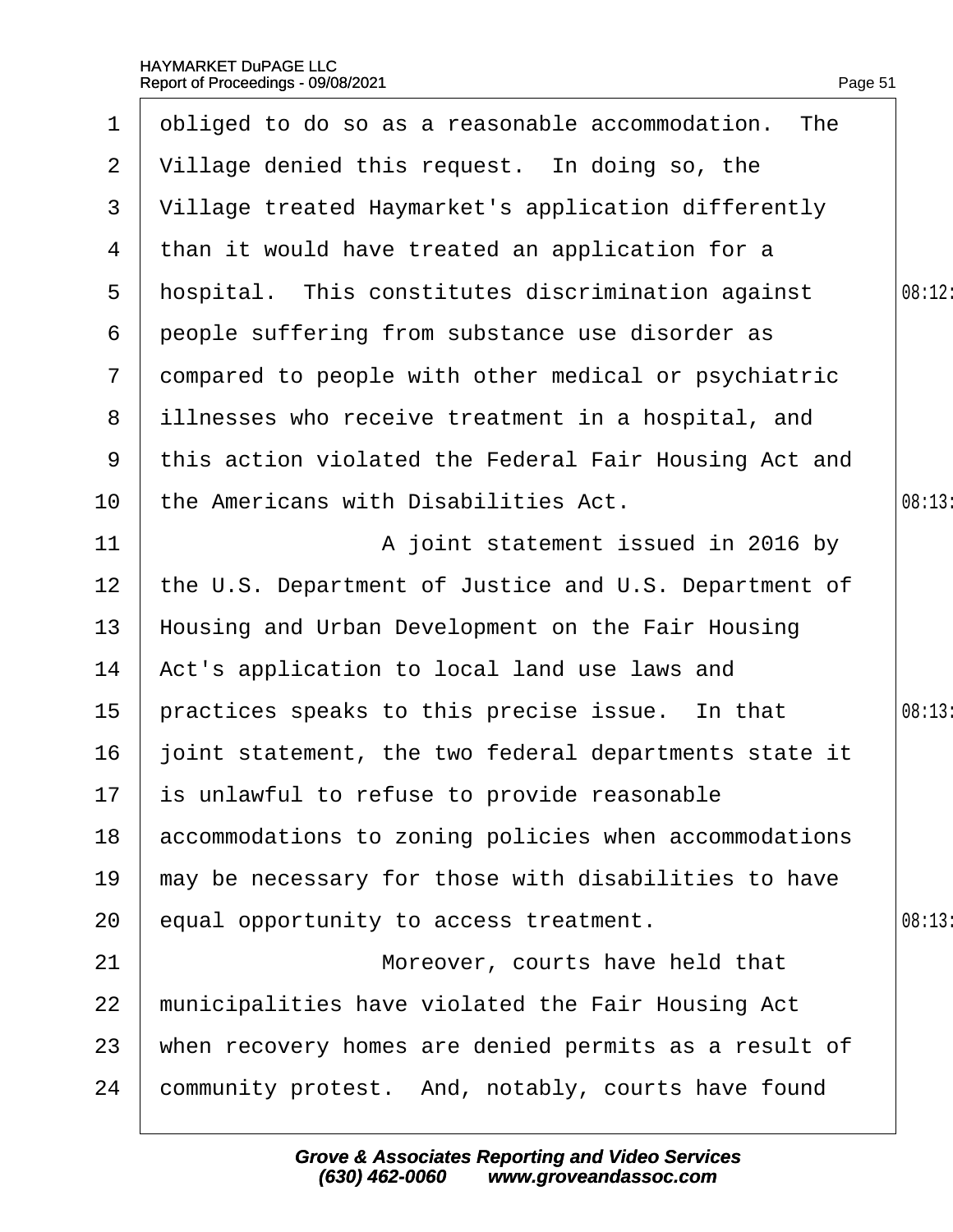1 obliged to do so as a reasonable accommodation. The

2  $\sqrt{ }$  illage denied this request. In doing so, the

| 3              | Village treated Haymarket's application differently   |       |
|----------------|-------------------------------------------------------|-------|
| 4              | than it would have treated an application for a       |       |
| 5              | hospital. This constitutes discrimination against     | 08:12 |
| 6              | people suffering from substance use disorder as       |       |
| $\overline{7}$ | dompared to people with other medical or psychiatric  |       |
| 8              | illnesses who receive treatment in a hospital, and    |       |
| 9              | this action violated the Federal Fair Housing Act and |       |
| 10             | the Americans with Disabilities Act.                  | 08:13 |
| 11             | A joint statement issued in 2016 by                   |       |
| 12             | the U.S. Department of Justice and U.S. Department of |       |
| 13             | Housing and Urban Development on the Fair Housing     |       |
| 14             | Act's application to local land use laws and          |       |
| 15             | practices speaks to this precise issue. In that       | 08:13 |
| 16             | joint statement, the two federal departments state it |       |
| 17             | is unlawful to refuse to provide reasonable           |       |
| 18             | accommodations to zoning policies when accommodations |       |
| 19             | may be necessary for those with disabilities to have  |       |
| 20             | equal opportunity to access treatment.                | 08:13 |
| 21             | Moreover, courts have held that                       |       |
| 22             | municipalities have violated the Fair Housing Act     |       |
| 23             | when recovery homes are denied permits as a result of |       |
| 24             | community protest. And, notably, courts have found    |       |
|                |                                                       |       |

Page 51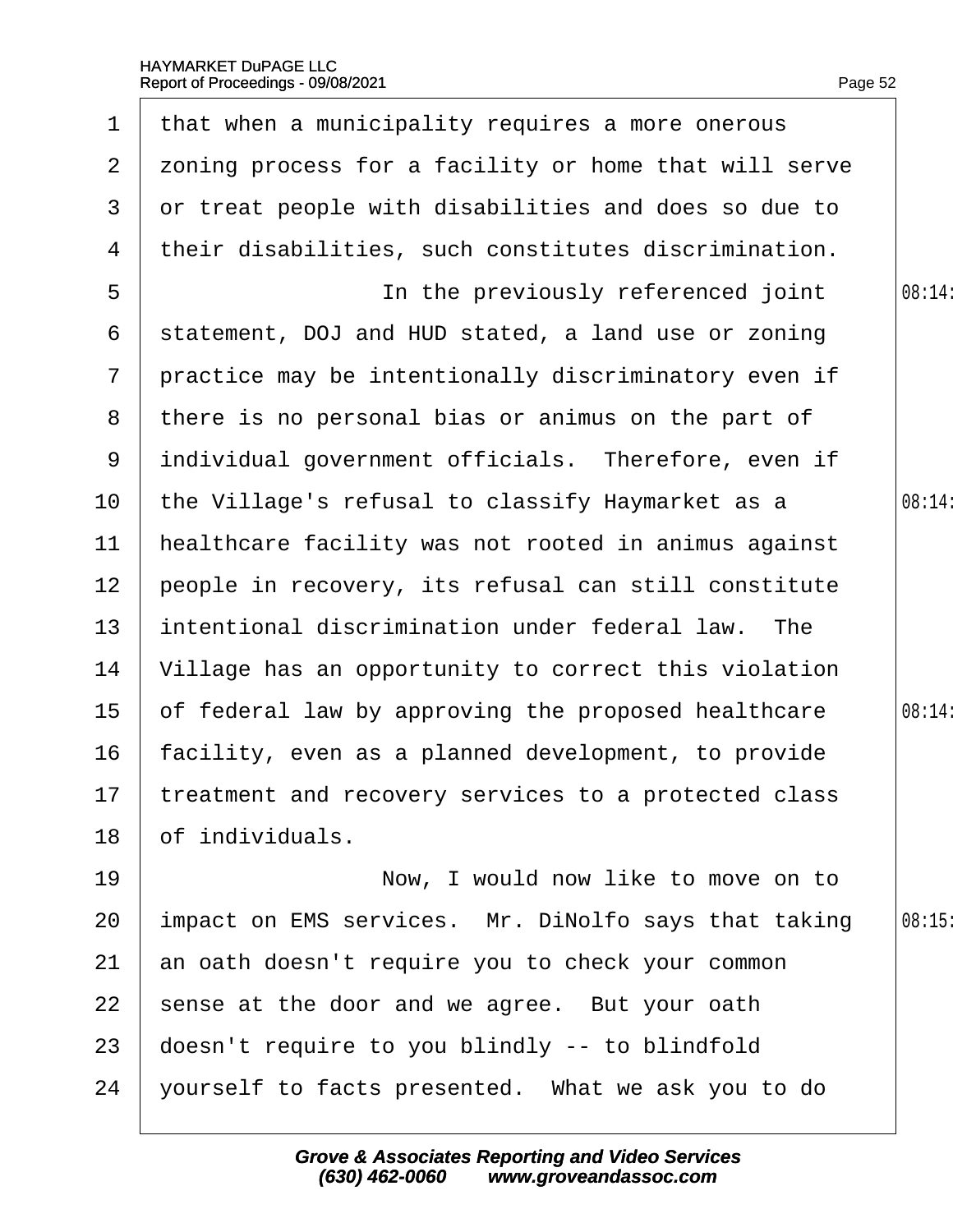| 1              | that when a municipality requires a more onerous        |        |
|----------------|---------------------------------------------------------|--------|
| $\mathbf{2}$   | zoning process for a facility or home that will serve   |        |
| 3              | or treat people with disabilities and does so due to    |        |
| 4              | their disabilities, such constitutes discrimination.    |        |
| 5              | In the previously referenced joint                      | 08:14: |
| 6              | statement, DOJ and HUD stated, a land use or zoning     |        |
| $\overline{7}$ | practice may be intentionally discriminatory even if    |        |
| 8              | there is no personal bias or animus on the part of      |        |
| 9              | individual government officials. Therefore, even if     |        |
| 10             | the Village's refusal to classify Haymarket as a        | 08:14: |
| 11             | healthcare facility was not rooted in animus against    |        |
| 12             | people in recovery, its refusal can still constitute    |        |
| 13             | intentional discrimination under federal law. The       |        |
| 14             | Village has an opportunity to correct this violation    |        |
| 15             | of federal law by approving the proposed healthcare     | 08:14: |
| 16             | facility, even as a planned development, to provide     |        |
|                | 17 treatment and recovery services to a protected class |        |
| 18             | of individuals.                                         |        |
| 19             | Now, I would now like to move on to                     |        |
| 20             | impact on EMS services. Mr. DiNolfo says that taking    | 08:15  |
| 21             | an oath doesn't require you to check your common        |        |
| 22             | sense at the door and we agree. But your oath           |        |
| 23             | doesn't require to you blindly -- to blindfold          |        |
| 24             | yourself to facts presented. What we ask you to do      |        |
|                |                                                         |        |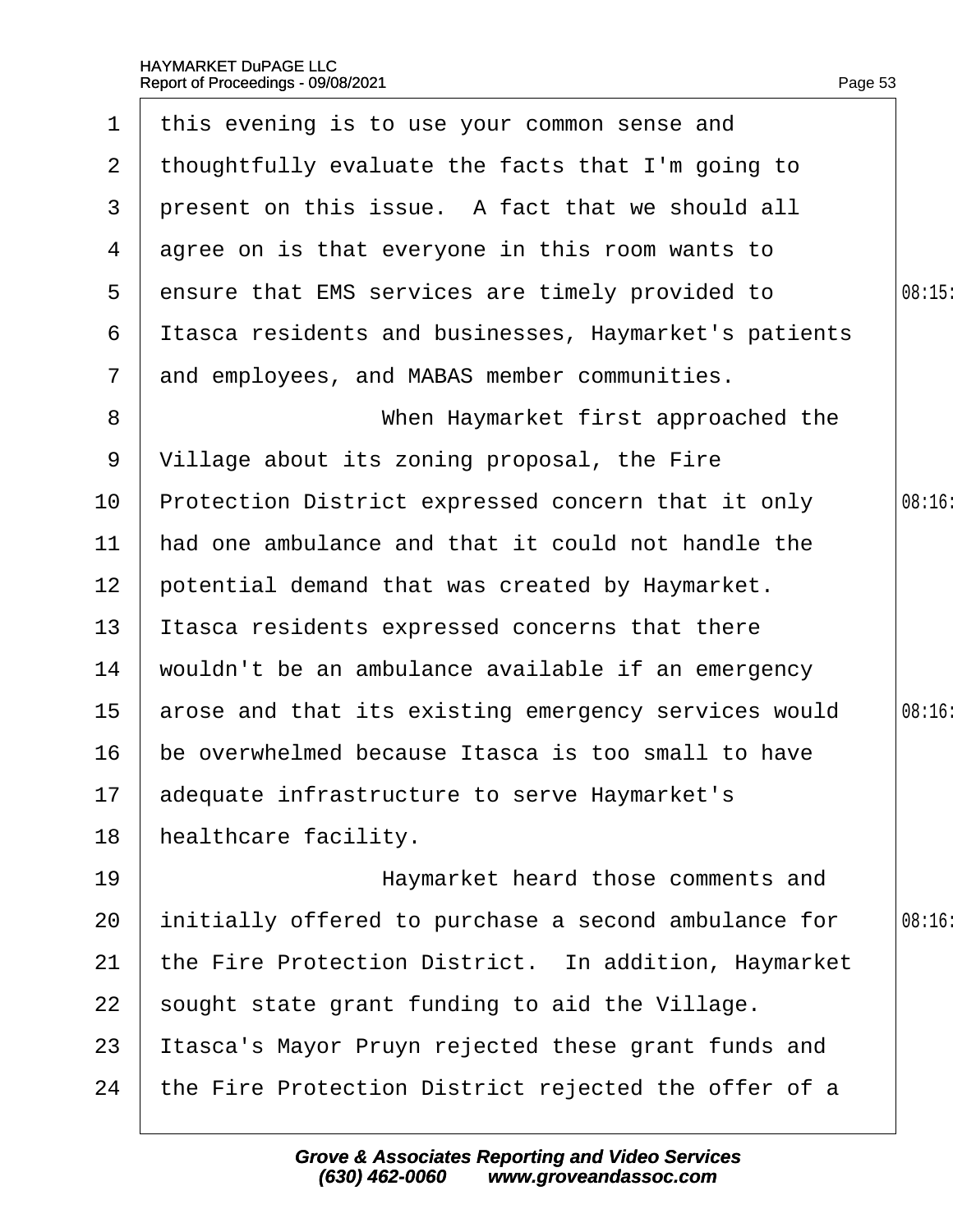$\overline{\phantom{a}}$ 

| $\mathbf 1$    | this evening is to use your common sense and          |        |
|----------------|-------------------------------------------------------|--------|
| $\mathbf{2}$   | thoughtfully evaluate the facts that I'm going to     |        |
| 3              | present on this issue. A fact that we should all      |        |
| 4              | agree on is that everyone in this room wants to       |        |
| 5              | ensure that EMS services are timely provided to       | 08:15  |
| 6              | Itasca residents and businesses, Haymarket's patients |        |
| $\overline{7}$ | and employees, and MABAS member communities.          |        |
| 8              | When Haymarket first approached the                   |        |
| 9              | Village about its zoning proposal, the Fire           |        |
| 10             | Protection District expressed concern that it only    | 08:16: |
| 11             | had one ambulance and that it could not handle the    |        |
| 12             | potential demand that was created by Haymarket.       |        |
| 13             | Itasca residents expressed concerns that there        |        |
| 14             | wouldn't be an ambulance available if an emergency    |        |
| 15             | arose and that its existing emergency services would  | 08:16: |
| 16             | be overwhelmed because Itasca is too small to have    |        |
|                | 17 adequate infrastructure to serve Haymarket's       |        |
| 18             | healthcare facility.                                  |        |
| 19             | Haymarket heard those comments and                    |        |
| 20             | initially offered to purchase a second ambulance for  | 08:16  |
| 21             | the Fire Protection District. In addition, Haymarket  |        |
| 22             | sought state grant funding to aid the Village.        |        |
| 23             | Itasca's Mayor Pruyn rejected these grant funds and   |        |
| 24             | the Fire Protection District rejected the offer of a  |        |
|                |                                                       |        |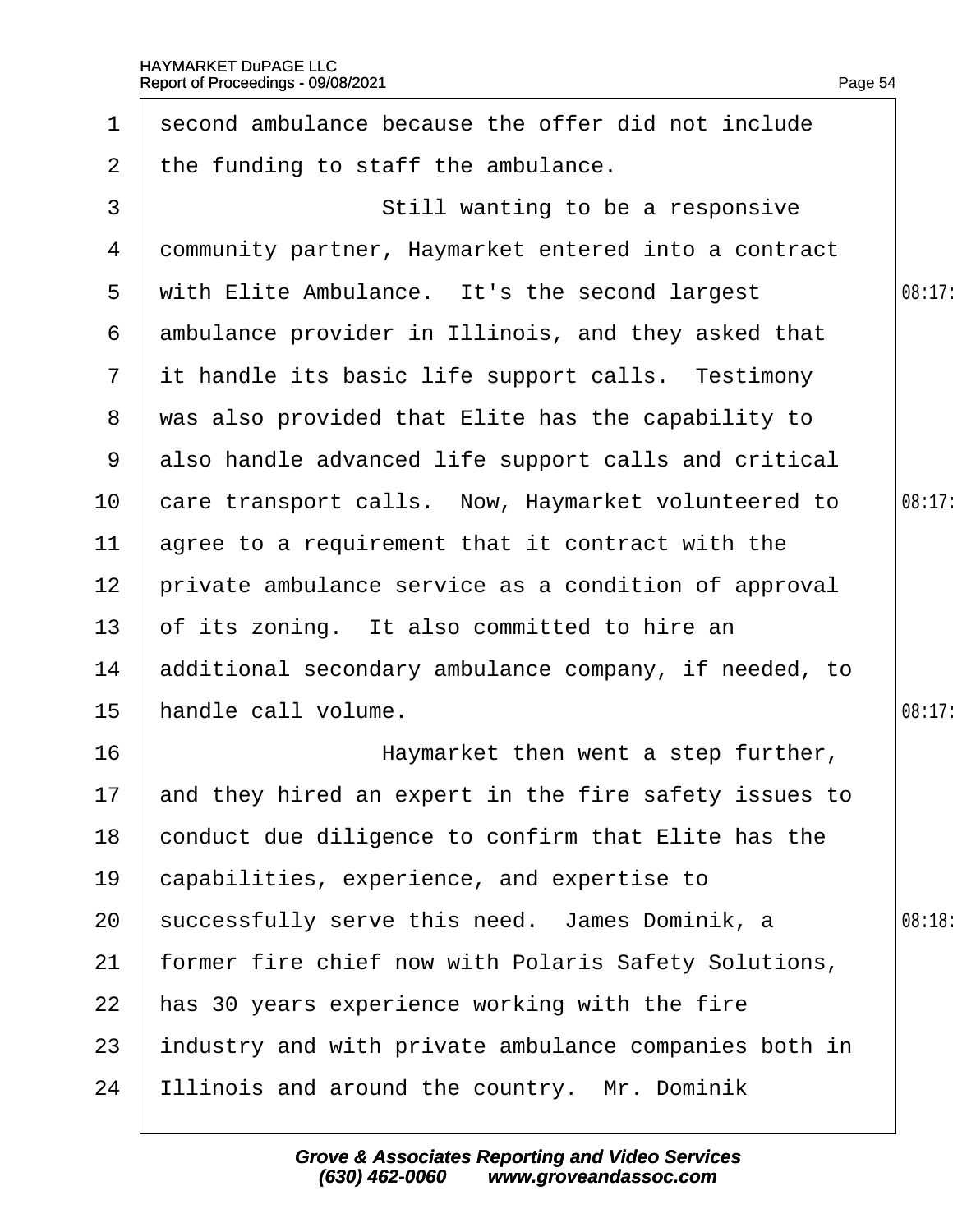| $\mathbf 1$     | second ambulance because the offer did not include     |        |
|-----------------|--------------------------------------------------------|--------|
| $\overline{2}$  | the funding to staff the ambulance.                    |        |
| 3               | Still wanting to be a responsive                       |        |
| 4               | dommunity partner, Haymarket entered into a contract   |        |
| 5               | with Elite Ambulance. It's the second largest          | 08:17: |
|                 | 6 ambulance provider in Illinois, and they asked that  |        |
|                 | 7 it handle its basic life support calls. Testimony    |        |
|                 | 8 was also provided that Elite has the capability to   |        |
|                 | 9 also handle advanced life support calls and critical |        |
|                 | 10 care transport calls. Now, Haymarket volunteered to | 08:17  |
| 11              | agree to a requirement that it contract with the       |        |
| 12 <sub>2</sub> | private ambulance service as a condition of approval   |        |
| 13 <sup>°</sup> | of its zoning. It also committed to hire an            |        |
| 14              | additional secondary ambulance company, if needed, to  |        |
| $15\,$          | handle call volume.                                    | 08:17: |
| 16              | Haymarket then went a step further,                    |        |
| 17 <sup>7</sup> | and they hired an expert in the fire safety issues to  |        |
| 18              | conduct due diligence to confirm that Elite has the    |        |
| 19              | capabilities, experience, and expertise to             |        |
| 20              | successfully serve this need. James Dominik, a         | 08:18: |
| 21              | former fire chief now with Polaris Safety Solutions,   |        |
| 22              | has 30 years experience working with the fire          |        |
| 23              | industry and with private ambulance companies both in  |        |
| 24              | Illinois and around the country. Mr. Dominik           |        |
|                 |                                                        |        |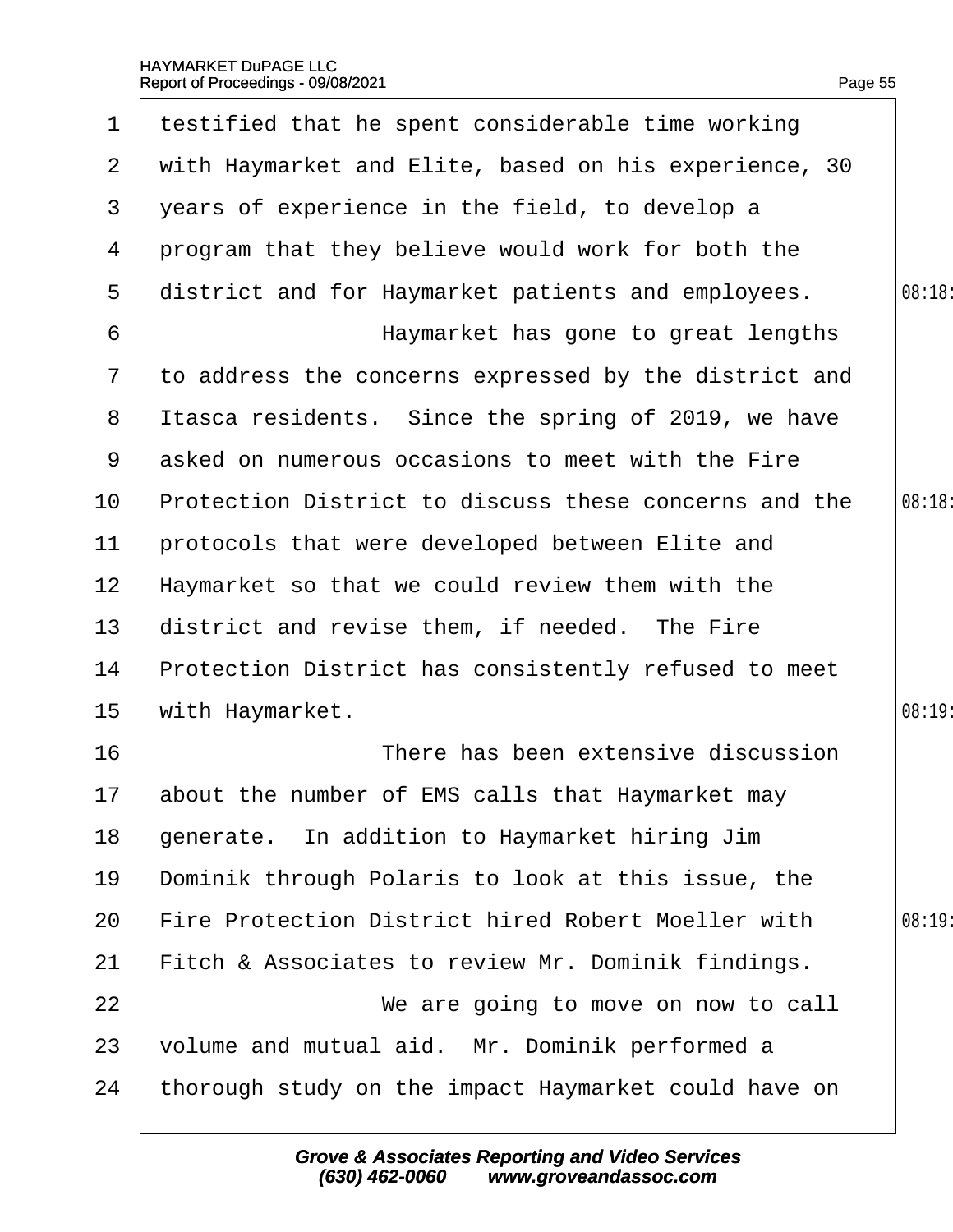| $\mathbf 1$    | testified that he spent considerable time working     |       |
|----------------|-------------------------------------------------------|-------|
| $\overline{2}$ | with Haymarket and Elite, based on his experience, 30 |       |
| 3              | years of experience in the field, to develop a        |       |
| 4              | program that they believe would work for both the     |       |
| 5              | district and for Haymarket patients and employees.    | 08:18 |
| 6              | Haymarket has gone to great lengths                   |       |
| $\mathbf{7}$   | to address the concerns expressed by the district and |       |
| 8              | Itasca residents. Since the spring of 2019, we have   |       |
| 9              | asked on numerous occasions to meet with the Fire     |       |
| 10             | Protection District to discuss these concerns and the | 08:18 |
| 11             | protocols that were developed between Elite and       |       |
| 12             | Haymarket so that we could review them with the       |       |
| 13             | district and revise them, if needed. The Fire         |       |
| 14             | Protection District has consistently refused to meet  |       |
| 15             | with Haymarket.                                       | 08:19 |
| 16             | There has been extensive discussion                   |       |
| 17             | about the number of EMS calls that Haymarket may      |       |
| 18             | generate. In addition to Haymarket hiring Jim         |       |
| 19             | Dominik through Polaris to look at this issue, the    |       |
| 20             | Fire Protection District hired Robert Moeller with    | 08:19 |
| 21             | Fitch & Associates to review Mr. Dominik findings.    |       |
| 22             | We are going to move on now to call                   |       |
| 23             | volume and mutual aid. Mr. Dominik performed a        |       |
| 24             | thorough study on the impact Haymarket could have on  |       |
|                |                                                       |       |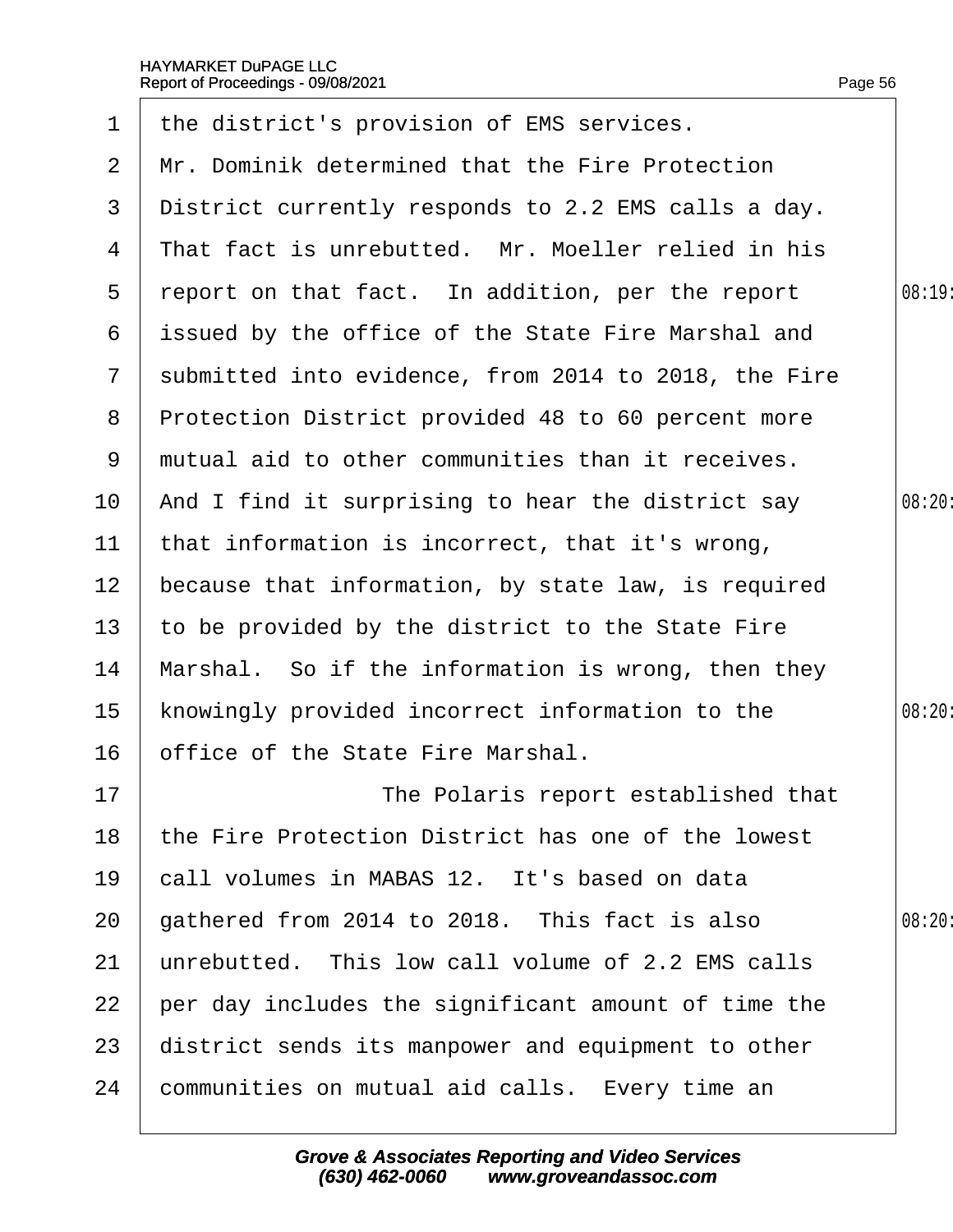|                 | Report of Proceedings - 09/08/2021                   | Page 56 |
|-----------------|------------------------------------------------------|---------|
| $\mathbf 1$     | the district's provision of EMS services.            |         |
| $\overline{2}$  | Mr. Dominik determined that the Fire Protection      |         |
| 3               | District currently responds to 2.2 EMS calls a day.  |         |
| 4               | That fact is unrebutted. Mr. Moeller relied in his   |         |
| 5               | report on that fact. In addition, per the report     | 08:19:  |
| 6               | issued by the office of the State Fire Marshal and   |         |
| $7\phantom{.}$  | submitted into evidence, from 2014 to 2018, the Fire |         |
| 8               | Protection District provided 48 to 60 percent more   |         |
| 9               | mutual aid to other communities than it receives.    |         |
| 10              | And I find it surprising to hear the district say    | 08:20:  |
| 11              | that information is incorrect, that it's wrong,      |         |
| 12 <sub>2</sub> | because that information, by state law, is required  |         |
| 13 <sup>2</sup> | to be provided by the district to the State Fire     |         |
| 14              | Marshal. So if the information is wrong, then they   |         |
| 15              | knowingly provided incorrect information to the      | 08:20:  |
| 16              | office of the State Fire Marshal.                    |         |
| 17              | The Polaris report established that                  |         |
| 18              | the Fire Protection District has one of the lowest   |         |
| 19              | call volumes in MABAS 12. It's based on data         |         |
| 20              | gathered from 2014 to 2018. This fact is also        | 08:20:  |
| 21              | unrebutted. This low call volume of 2.2 EMS calls    |         |
| 22              | per day includes the significant amount of time the  |         |
| 23              | district sends its manpower and equipment to other   |         |
| 24              | communities on mutual aid calls. Every time an       |         |
|                 |                                                      |         |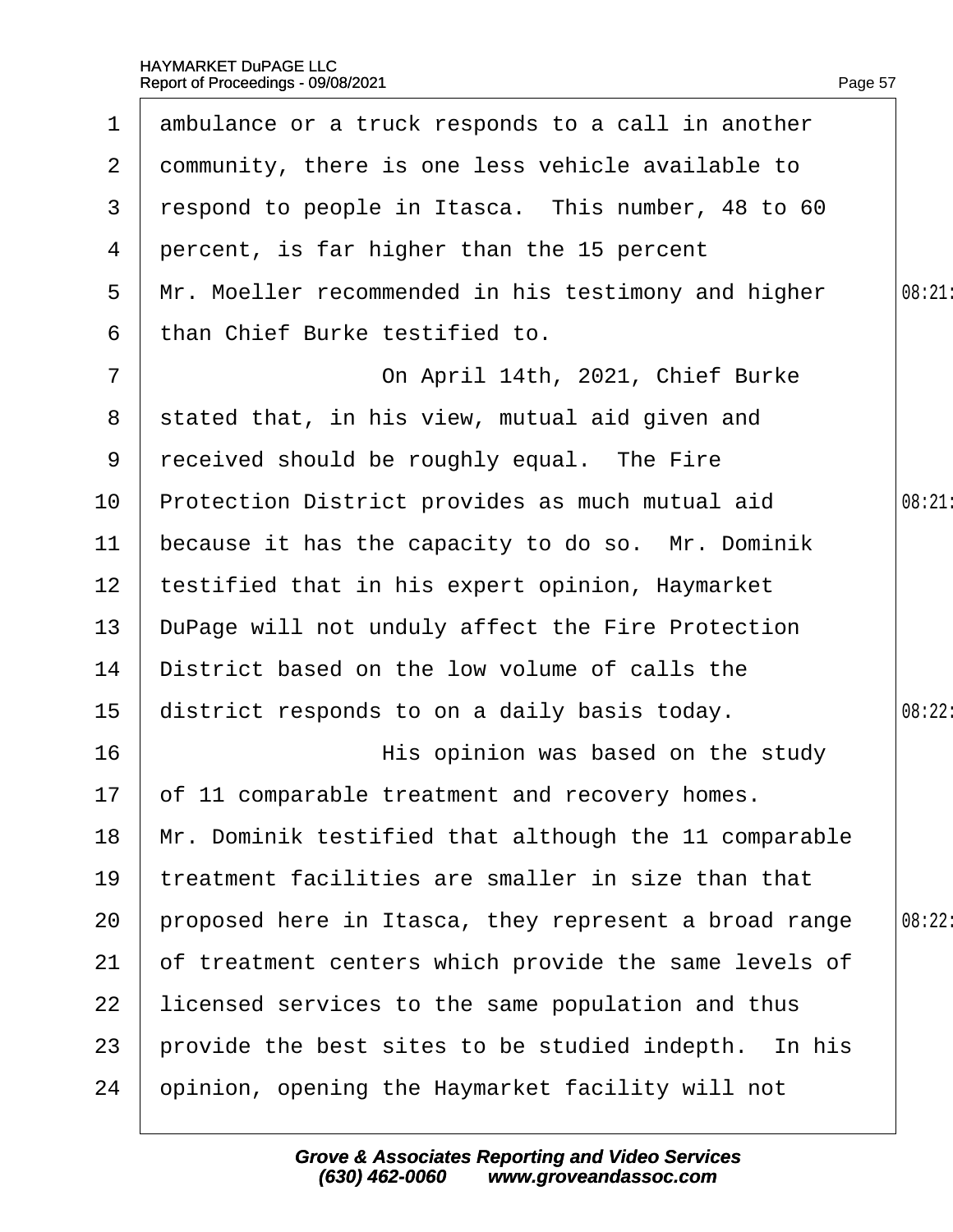|                 | 1 ambulance or a truck responds to a call in another  |        |
|-----------------|-------------------------------------------------------|--------|
|                 | 2 dommunity, there is one less vehicle available to   |        |
| 3               | respond to people in Itasca. This number, 48 to 60    |        |
|                 | 4 percent, is far higher than the 15 percent          |        |
| 5               | Mr. Moeller recommended in his testimony and higher   | 08:21: |
| 6               | than Chief Burke testified to.                        |        |
| $\overline{7}$  | On April 14th, 2021, Chief Burke                      |        |
|                 | 8 stated that, in his view, mutual aid given and      |        |
| 9               | received should be roughly equal. The Fire            |        |
| 10 <sup>°</sup> | Protection District provides as much mutual aid       | 08:21  |
| 11              | because it has the capacity to do so. Mr. Dominik     |        |
| 12 <sub>2</sub> | testified that in his expert opinion, Haymarket       |        |
| 13 <sup>°</sup> | DuPage will not unduly affect the Fire Protection     |        |
| 14              | District based on the low volume of calls the         |        |
| 15              | district responds to on a daily basis today.          | 08:22: |
| 16              | His opinion was based on the study                    |        |
|                 | 17 of 11 comparable treatment and recovery homes.     |        |
| 18              | Mr. Dominik testified that although the 11 comparable |        |
| 19              | treatment facilities are smaller in size than that    |        |
| 20              | proposed here in Itasca, they represent a broad range | 08:22: |
| 21              | of treatment centers which provide the same levels of |        |
| 22              | licensed services to the same population and thus     |        |
| 23              | provide the best sites to be studied indepth. In his  |        |
| 24              | opinion, opening the Haymarket facility will not      |        |
|                 |                                                       |        |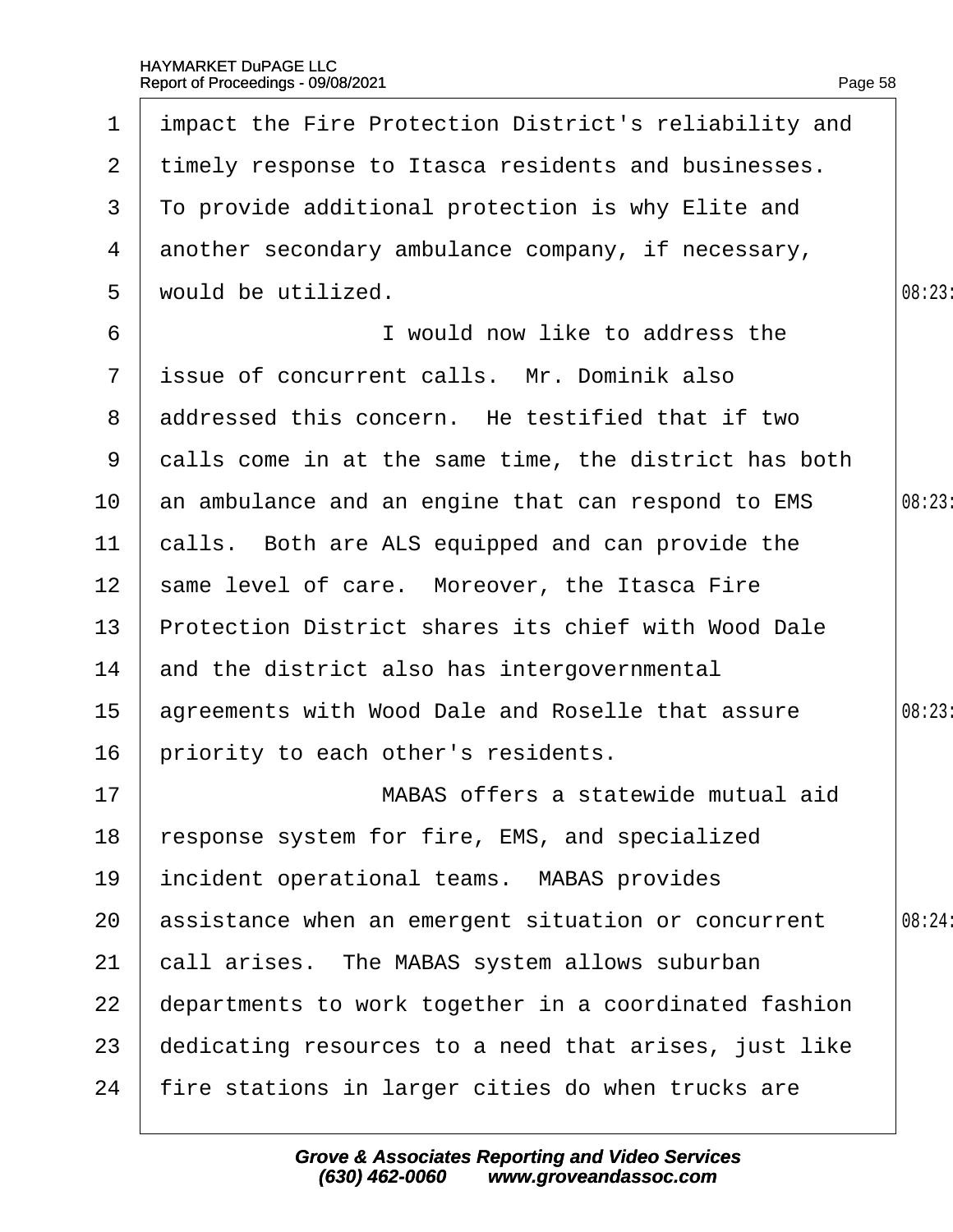| $\mathbf{1}$    | impact the Fire Protection District's reliability and |        |
|-----------------|-------------------------------------------------------|--------|
| $\mathbf{2}$    | timely response to Itasca residents and businesses.   |        |
| 3               | To provide additional protection is why Elite and     |        |
|                 | 4 another secondary ambulance company, if necessary,  |        |
| 5               | would be utilized.                                    | 08:23: |
| 6               | I would now like to address the                       |        |
|                 | 7 issue of concurrent calls. Mr. Dominik also         |        |
|                 | 8 addressed this concern. He testified that if two    |        |
| 9               | dalls come in at the same time, the district has both |        |
| 10 <sup>°</sup> | an ambulance and an engine that can respond to EMS    | 08:23  |
| 11              | calls. Both are ALS equipped and can provide the      |        |
| 12 <sup>7</sup> | same level of care. Moreover, the Itasca Fire         |        |
| 13 <sup>°</sup> | Protection District shares its chief with Wood Dale   |        |
| 14              | and the district also has intergovernmental           |        |
| 15 <sup>1</sup> | agreements with Wood Dale and Roselle that assure     | 08:23: |
| 16              | priority to each other's residents.                   |        |
| 17              | MABAS offers a statewide mutual aid                   |        |
| 18              | esponse system for fire, EMS, and specialized         |        |
| 19              | incident operational teams. MABAS provides            |        |
| 20              | assistance when an emergent situation or concurrent   | 08:24: |
| 21              | call arises. The MABAS system allows suburban         |        |
| 22              | departments to work together in a coordinated fashion |        |
| 23              | dedicating resources to a need that arises, just like |        |
| 24              | fire stations in larger cities do when trucks are     |        |
|                 |                                                       |        |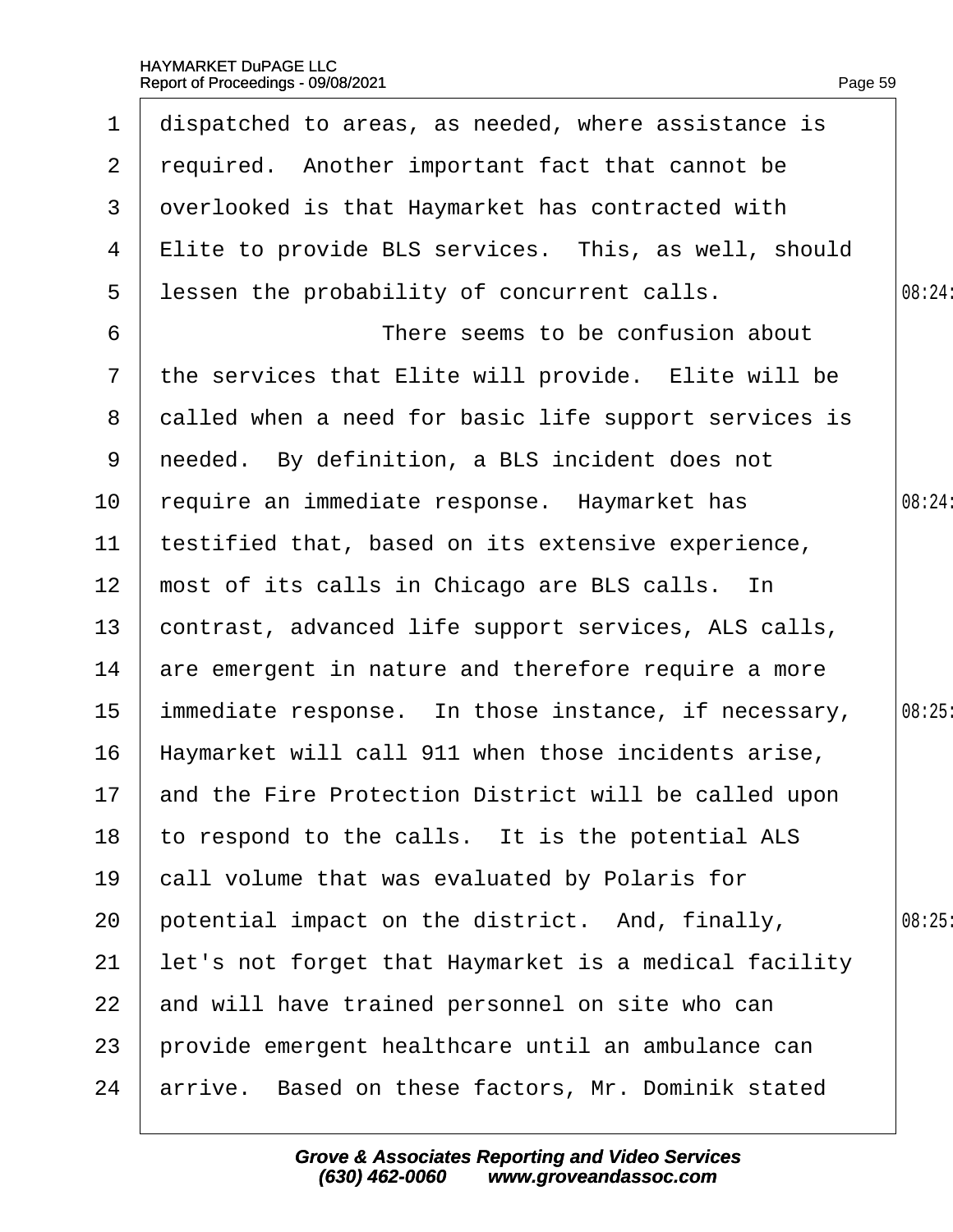| 1               | dispatched to areas, as needed, where assistance is     |        |
|-----------------|---------------------------------------------------------|--------|
| 2 <sup>1</sup>  | required. Another important fact that cannot be         |        |
| 3               | dverlooked is that Haymarket has contracted with        |        |
| 4               | Elite to provide BLS services. This, as well, should    |        |
| 5               | lessen the probability of concurrent calls.             | 08:24: |
| 6               | There seems to be confusion about                       |        |
| $\mathbf{7}$    | the services that Elite will provide. Elite will be     |        |
| 8               | dalled when a need for basic life support services is   |        |
| 9               | needed. By definition, a BLS incident does not          |        |
| 10 <sup>°</sup> | require an immediate response. Haymarket has            | 08:24: |
| 11              | testified that, based on its extensive experience,      |        |
| 12              | most of its calls in Chicago are BLS calls. In          |        |
| 13              | contrast, advanced life support services, ALS calls,    |        |
| 14              | are emergent in nature and therefore require a more     |        |
| 15              | immediate response. In those instance, if necessary,    | 08:25  |
| 16              | Haymarket will call 911 when those incidents arise,     |        |
|                 | 17 and the Fire Protection District will be called upon |        |
| 18              | to respond to the calls. It is the potential ALS        |        |
| 19              | call volume that was evaluated by Polaris for           |        |
| 20              | potential impact on the district. And, finally,         | 08:25  |
| 21              | let's not forget that Haymarket is a medical facility   |        |
| 22              | and will have trained personnel on site who can         |        |
| 23              | provide emergent healthcare until an ambulance can      |        |
| 24              | arrive. Based on these factors, Mr. Dominik stated      |        |
|                 |                                                         |        |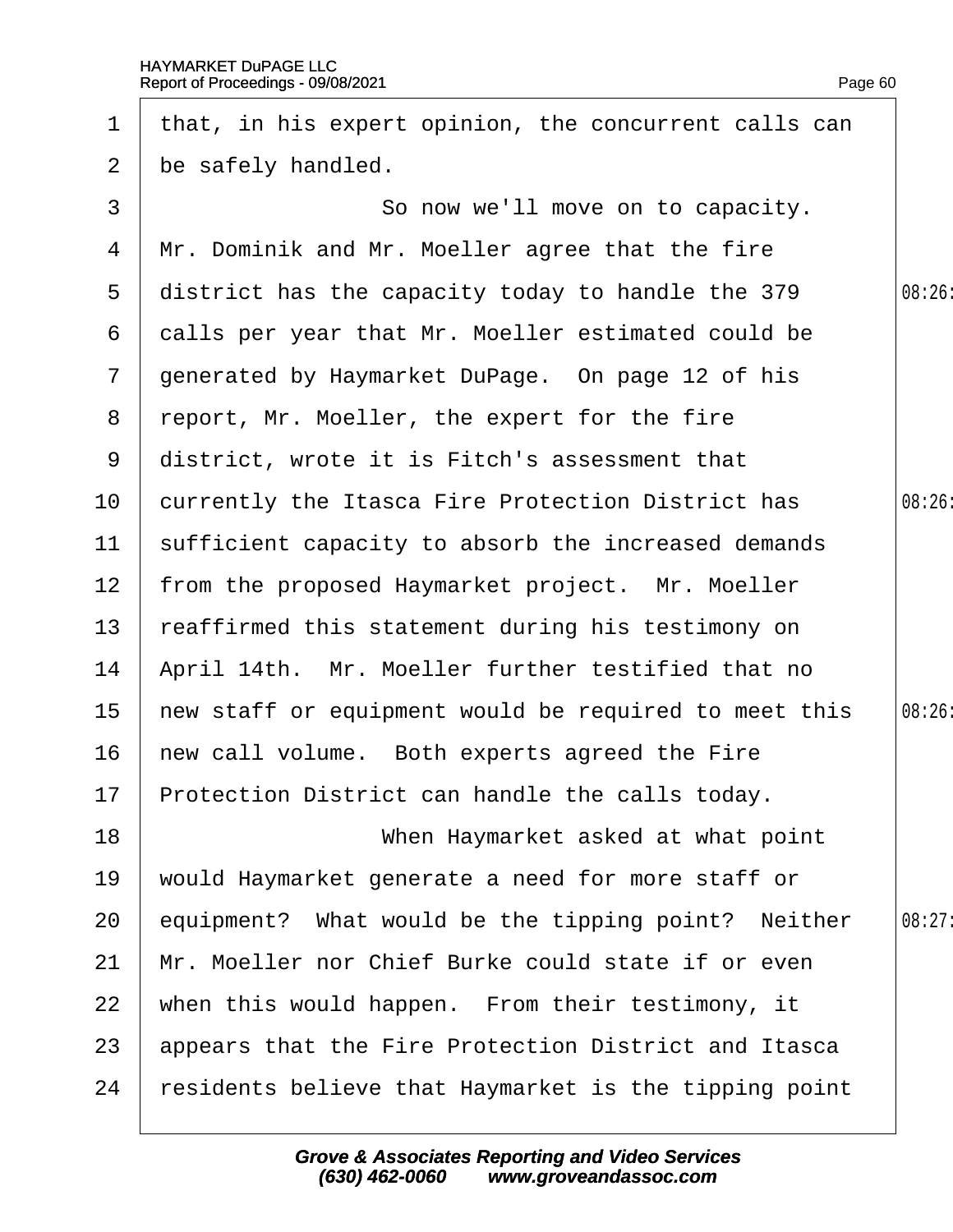| $\mathbf 1$     | that, in his expert opinion, the concurrent calls can |        |
|-----------------|-------------------------------------------------------|--------|
| $\overline{2}$  | be safely handled.                                    |        |
| 3               | So now we'll move on to capacity.                     |        |
| 4               | Mr. Dominik and Mr. Moeller agree that the fire       |        |
| 5               | district has the capacity today to handle the 379     | 08:26  |
| 6               | dalls per year that Mr. Moeller estimated could be    |        |
| $\overline{7}$  | generated by Haymarket DuPage. On page 12 of his      |        |
| 8               | report, Mr. Moeller, the expert for the fire          |        |
| 9               | district, wrote it is Fitch's assessment that         |        |
| 10              | currently the Itasca Fire Protection District has     | 08:26  |
| 11              | sufficient capacity to absorb the increased demands   |        |
| 12 <sub>2</sub> | from the proposed Haymarket project. Mr. Moeller      |        |
| 13              | reaffirmed this statement during his testimony on     |        |
| 14              | April 14th. Mr. Moeller further testified that no     |        |
| 15 <sub>2</sub> | hew staff or equipment would be required to meet this | 08:26  |
| 16              | hew call volume. Both experts agreed the Fire         |        |
|                 | 17 Protection District can handle the calls today.    |        |
| 18              | When Haymarket asked at what point                    |        |
| 19              | would Haymarket generate a need for more staff or     |        |
| 20              | equipment? What would be the tipping point? Neither   | 08:27: |
| 21              | Mr. Moeller nor Chief Burke could state if or even    |        |
| 22              | when this would happen. From their testimony, it      |        |
| 23              | appears that the Fire Protection District and Itasca  |        |
| 24              | residents believe that Haymarket is the tipping point |        |
|                 |                                                       |        |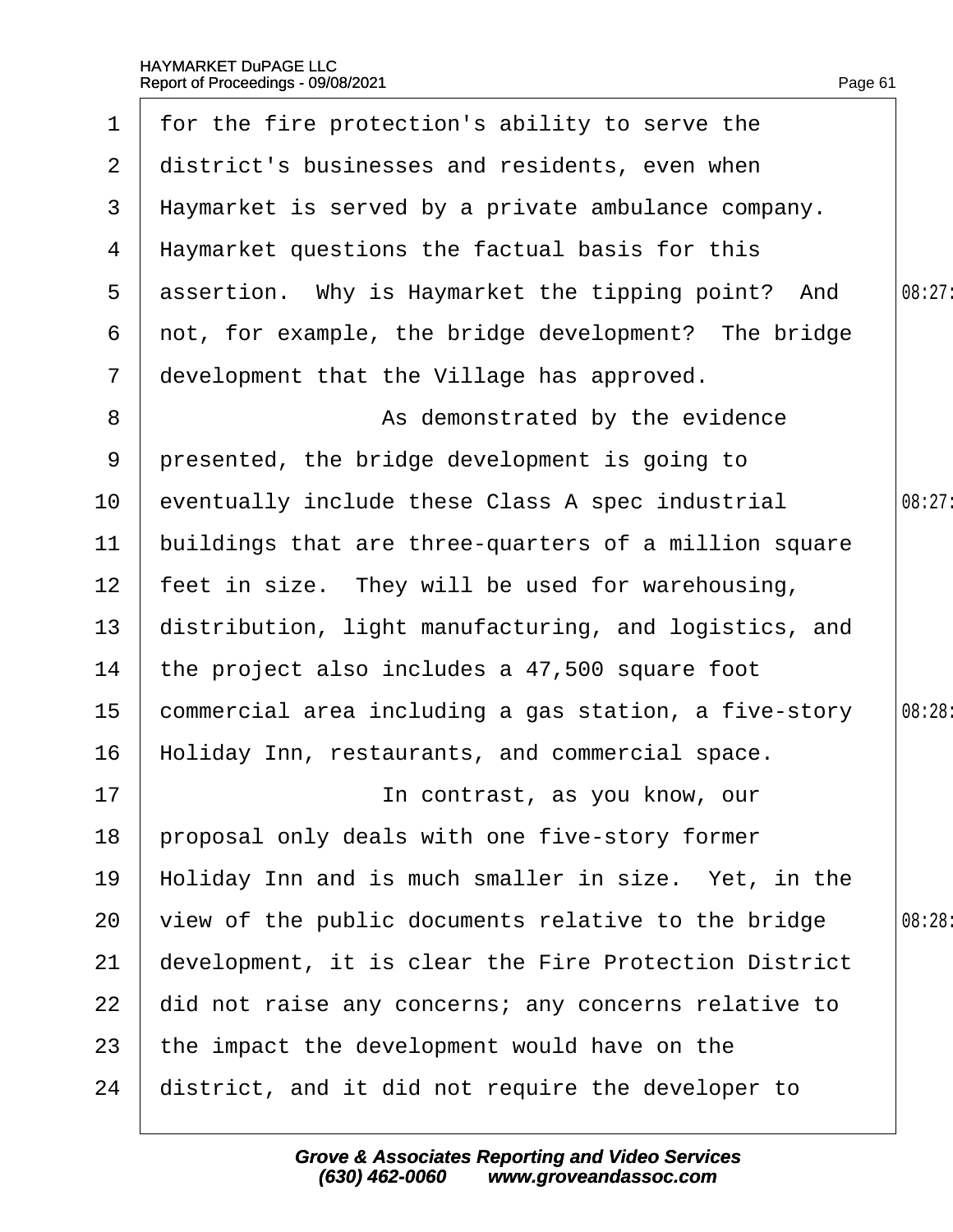| $\mathbf 1$     | for the fire protection's ability to serve the        |        |
|-----------------|-------------------------------------------------------|--------|
| 2 <sup>1</sup>  | district's businesses and residents, even when        |        |
| 3               | Haymarket is served by a private ambulance company.   |        |
| 4               | Haymarket questions the factual basis for this        |        |
| $5\overline{)}$ | assertion. Why is Haymarket the tipping point? And    | 08:27: |
| 6               | not, for example, the bridge development? The bridge  |        |
| $\overline{7}$  | development that the Village has approved.            |        |
| 8               | As demonstrated by the evidence                       |        |
| 9               | presented, the bridge development is going to         |        |
| 10              | eventually include these Class A spec industrial      | 08:27: |
| 11              | buildings that are three-quarters of a million square |        |
| 12 <sub>2</sub> | feet in size. They will be used for warehousing,      |        |
| 13              | distribution, light manufacturing, and logistics, and |        |
| 14              | the project also includes a 47,500 square foot        |        |
| 15              | commercial area including a gas station, a five-story | 08:28: |
| 16              | Holiday Inn, restaurants, and commercial space.       |        |
| 17              | In contrast, as you know, our                         |        |
| 18              | proposal only deals with one five-story former        |        |
| 19              | Holiday Inn and is much smaller in size. Yet, in the  |        |
| 20              | view of the public documents relative to the bridge   | 08:28: |
| 21              | development, it is clear the Fire Protection District |        |
| 22              | did not raise any concerns; any concerns relative to  |        |
| 23              | the impact the development would have on the          |        |
| 24              | district, and it did not require the developer to     |        |
|                 |                                                       |        |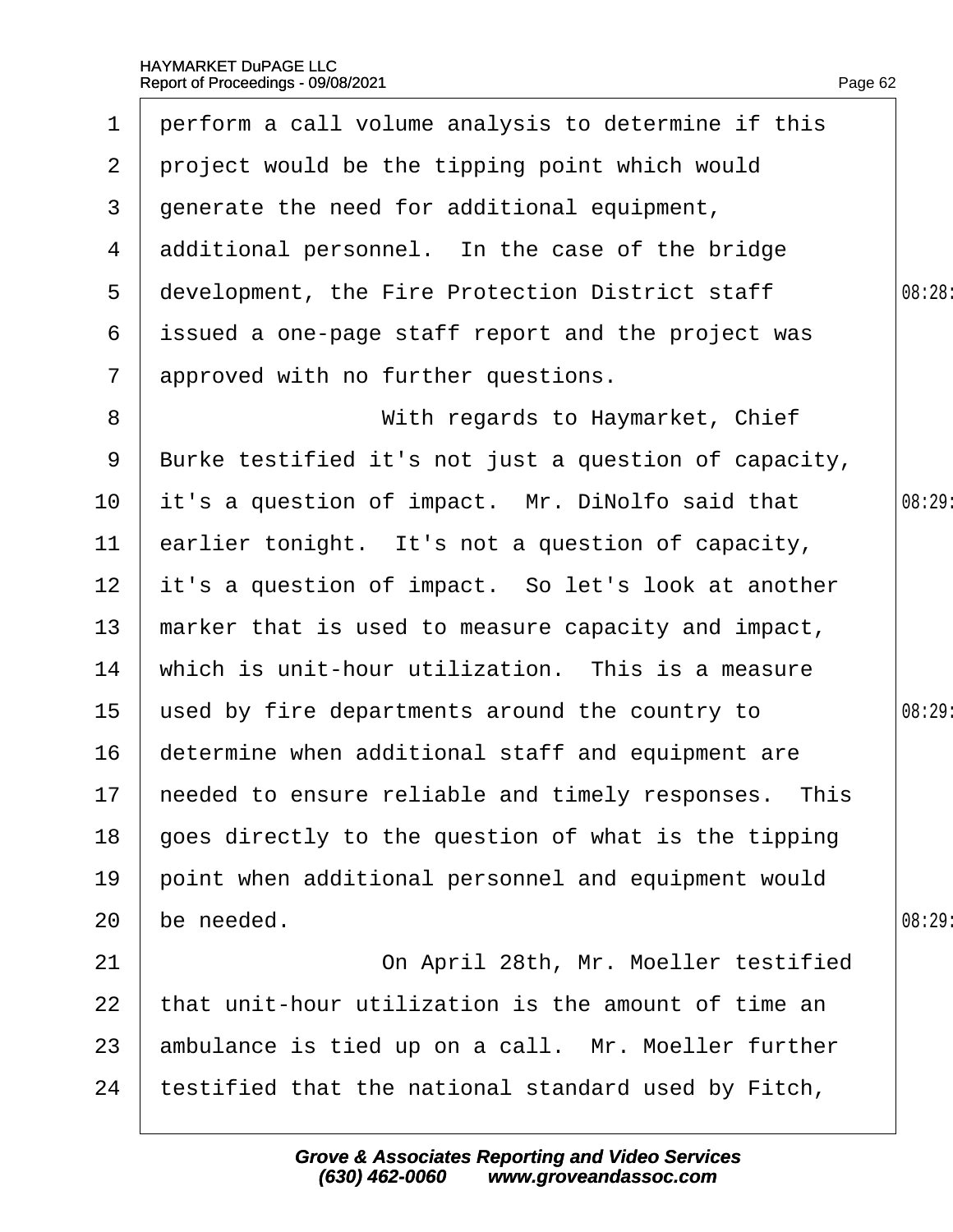| $\mathbf 1$     | perform a call volume analysis to determine if this     |        |
|-----------------|---------------------------------------------------------|--------|
| $\overline{2}$  | project would be the tipping point which would          |        |
| 3               | generate the need for additional equipment,             |        |
| 4               | additional personnel. In the case of the bridge         |        |
| $5\overline{)}$ | development, the Fire Protection District staff         | 08:28: |
| 6               | issued a one-page staff report and the project was      |        |
| $\overline{7}$  | approved with no further questions.                     |        |
| 8               | With regards to Haymarket, Chief                        |        |
| 9               | Burke testified it's not just a question of capacity,   |        |
| 10              | it's a question of impact. Mr. DiNolfo said that        | 08:29  |
| 11              | earlier tonight. It's not a question of capacity,       |        |
| 12 <sub>2</sub> | it's a question of impact. So let's look at another     |        |
| 13              | marker that is used to measure capacity and impact,     |        |
| 14              | which is unit-hour utilization. This is a measure       |        |
| 15              | used by fire departments around the country to          | 08:29: |
| 16              | determine when additional staff and equipment are       |        |
|                 | 17 heeded to ensure reliable and timely responses. This |        |
| 18              | goes directly to the question of what is the tipping    |        |
| 19              | point when additional personnel and equipment would     |        |
| 20              | be needed.                                              | 08:29  |
| 21              | On April 28th, Mr. Moeller testified                    |        |
| 22              | that unit-hour utilization is the amount of time an     |        |
| 23              | ambulance is tied up on a call. Mr. Moeller further     |        |
| 24              | testified that the national standard used by Fitch,     |        |
|                 |                                                         |        |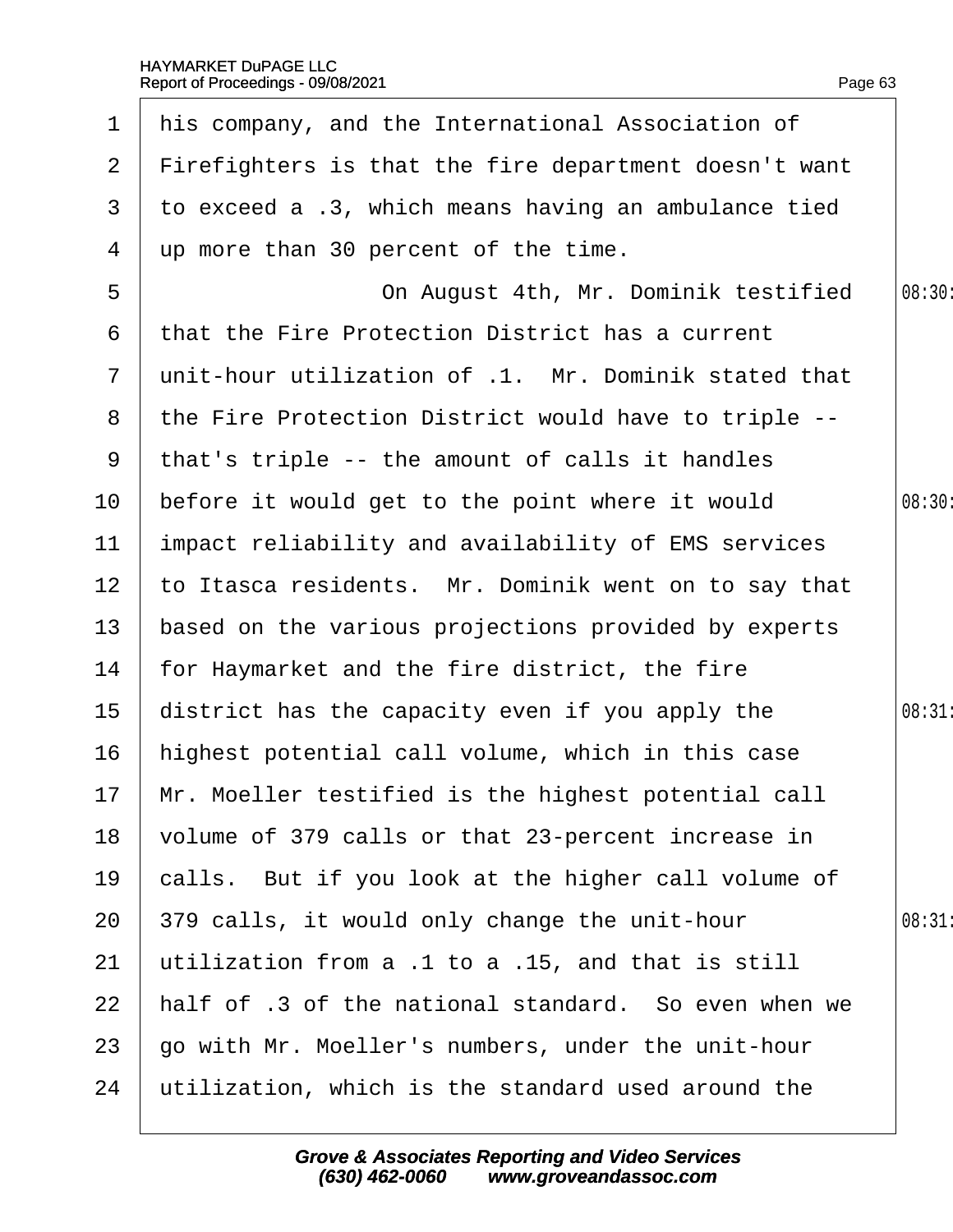| 1              | his company, and the International Association of      |        |
|----------------|--------------------------------------------------------|--------|
| $\mathbf{2}$   | Firefighters is that the fire department doesn't want  |        |
| 3              | to exceed a .3, which means having an ambulance tied   |        |
| 4              | up more than 30 percent of the time.                   |        |
| 5              | On August 4th, Mr. Dominik testified                   | 08:30: |
| 6              | that the Fire Protection District has a current        |        |
| $\overline{7}$ | unit-hour utilization of .1. Mr. Dominik stated that   |        |
|                | 8 the Fire Protection District would have to triple -- |        |
| 9              | that's triple -- the amount of calls it handles        |        |
| 10             | before it would get to the point where it would        | 08:30: |
| 11             | impact reliability and availability of EMS services    |        |
| 12             | to Itasca residents. Mr. Dominik went on to say that   |        |
| 13             | based on the various projections provided by experts   |        |
| 14             | for Haymarket and the fire district, the fire          |        |
| 15             | district has the capacity even if you apply the        | 08:31  |
| 16             | highest potential call volume, which in this case      |        |
|                | 17 Mr. Moeller testified is the highest potential call |        |
| 18             | volume of 379 calls or that 23-percent increase in     |        |
| 19             | calls. But if you look at the higher call volume of    |        |
| 20             | 379 calls, it would only change the unit-hour          | 08:31  |
| 21             | utilization from a .1 to a .15, and that is still      |        |
| 22             | half of .3 of the national standard. So even when we   |        |
| 23             | go with Mr. Moeller's numbers, under the unit-hour     |        |
| 24             | utilization, which is the standard used around the     |        |
|                |                                                        |        |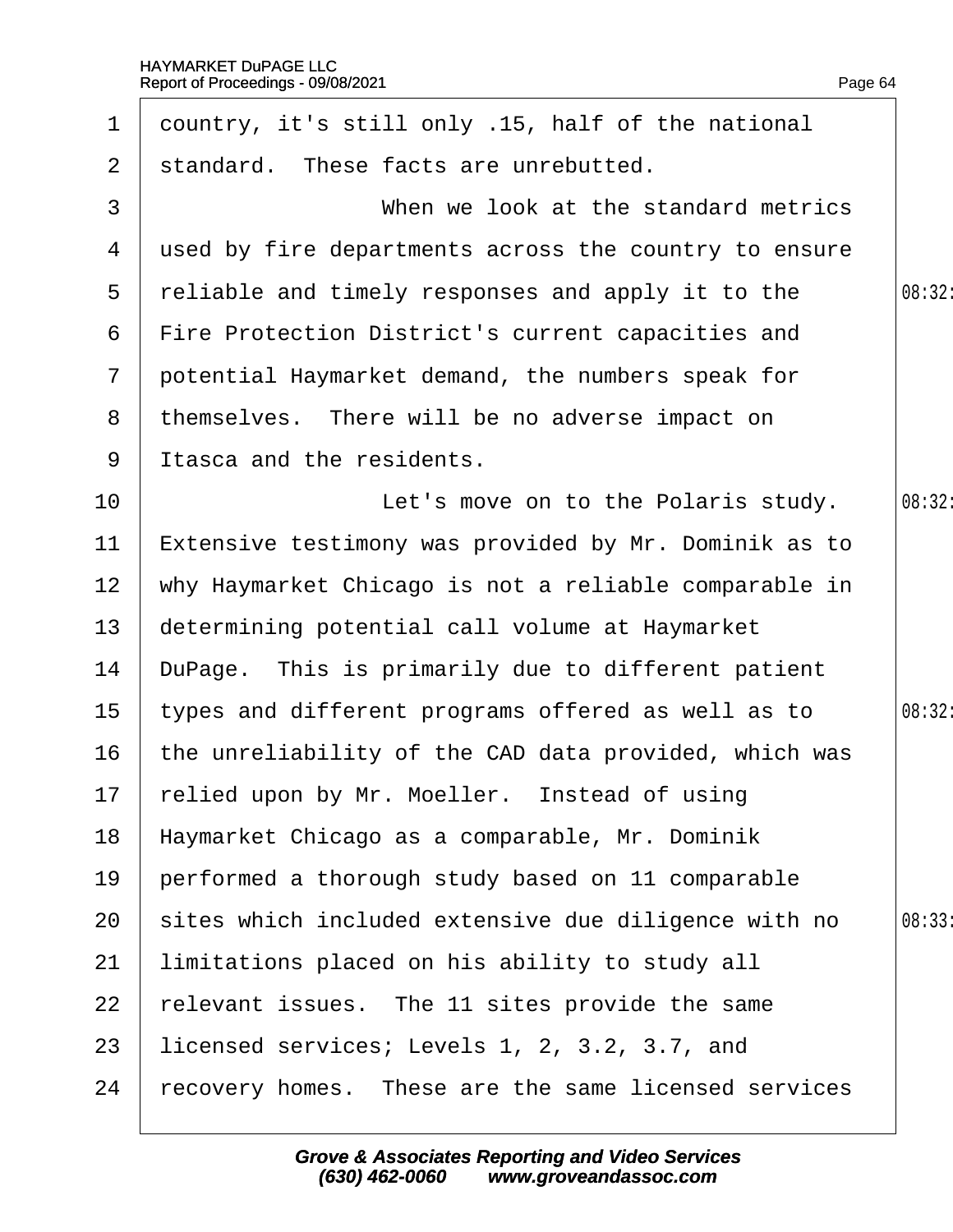| $\mathbf 1$     | dountry, it's still only .15, half of the national    |        |
|-----------------|-------------------------------------------------------|--------|
| $\overline{2}$  | standard. These facts are unrebutted.                 |        |
| 3               | When we look at the standard metrics                  |        |
| 4               | used by fire departments across the country to ensure |        |
| 5               | reliable and timely responses and apply it to the     | 08:32: |
| 6               | Fire Protection District's current capacities and     |        |
| $7\overline{ }$ | potential Haymarket demand, the numbers speak for     |        |
| 8               | themselves. There will be no adverse impact on        |        |
| 9               | Itasca and the residents.                             |        |
| 10              | Let's move on to the Polaris study.                   | 08:32: |
| 11              | Extensive testimony was provided by Mr. Dominik as to |        |
| 12 <sub>2</sub> | why Haymarket Chicago is not a reliable comparable in |        |
| 13 <sup>°</sup> | determining potential call volume at Haymarket        |        |
| 14              | DuPage. This is primarily due to different patient    |        |
| 15 <sub>1</sub> | types and different programs offered as well as to    | 08:32: |
| 16              | the unreliability of the CAD data provided, which was |        |
|                 | 17 relied upon by Mr. Moeller. Instead of using       |        |
| 18              | Haymarket Chicago as a comparable, Mr. Dominik        |        |
| 19              | performed a thorough study based on 11 comparable     |        |
| 20              | sites which included extensive due diligence with no  | 08:33  |
| 21              | limitations placed on his ability to study all        |        |
| 22              | elevant issues. The 11 sites provide the same         |        |
| 23              | licensed services; Levels 1, 2, 3.2, 3.7, and         |        |
| 24              | recovery homes. These are the same licensed services  |        |
|                 |                                                       |        |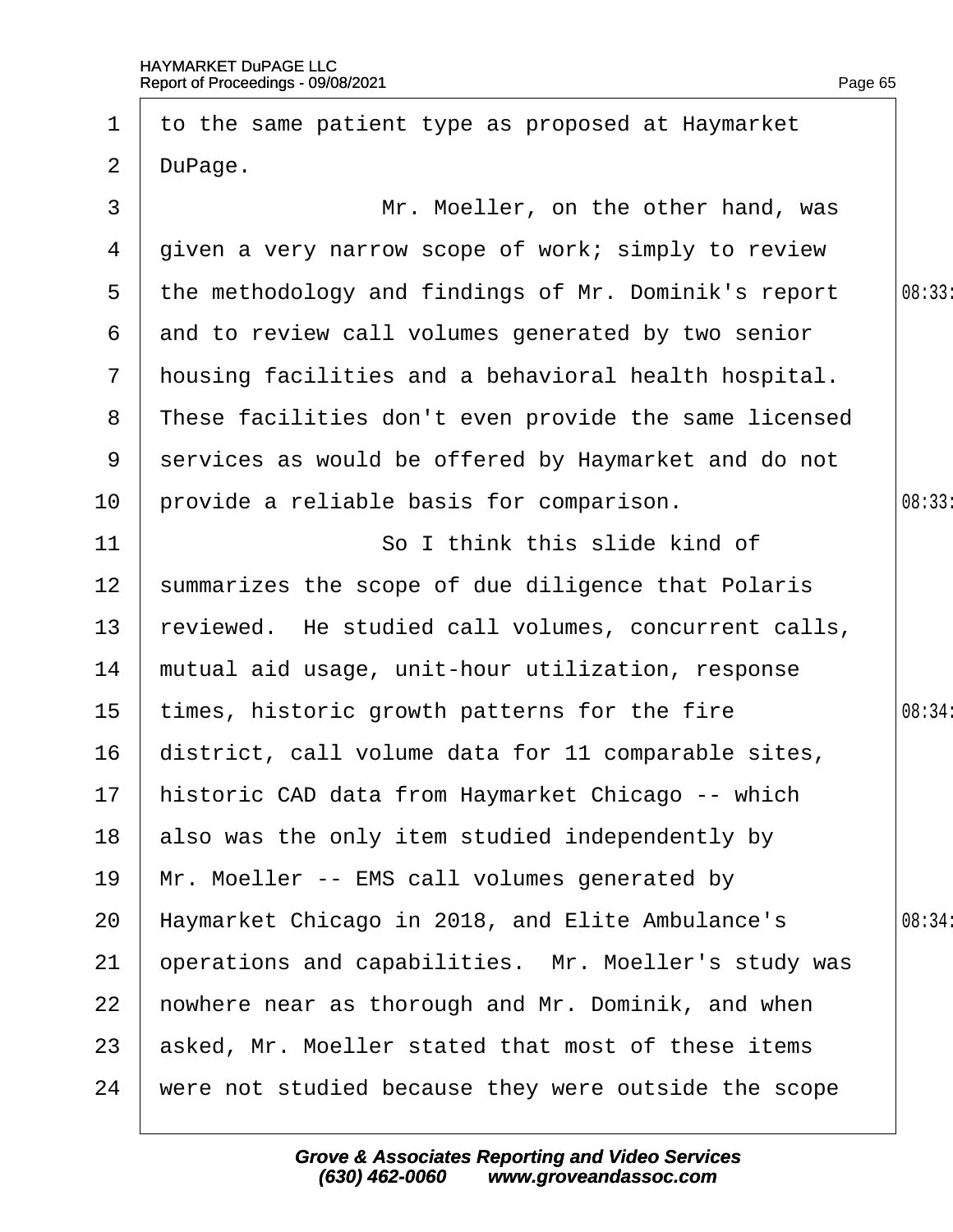| $\mathbf 1$    | to the same patient type as proposed at Haymarket     |        |
|----------------|-------------------------------------------------------|--------|
| $\overline{2}$ | DuPage.                                               |        |
| 3              | Mr. Moeller, on the other hand, was                   |        |
| 4              | given a very narrow scope of work; simply to review   |        |
| $5^{\circ}$    | the methodology and findings of Mr. Dominik's report  | 08:33  |
|                | 6 and to review call volumes generated by two senior  |        |
| $7\phantom{.}$ | housing facilities and a behavioral health hospital.  |        |
| 8              | These facilities don't even provide the same licensed |        |
| 9              | services as would be offered by Haymarket and do not  |        |
| 10             | provide a reliable basis for comparison.              | 08:33  |
| 11             | So I think this slide kind of                         |        |
| 12             | summarizes the scope of due diligence that Polaris    |        |
| 13             | reviewed. He studied call volumes, concurrent calls,  |        |
| 14             | mutual aid usage, unit-hour utilization, response     |        |
| 15             | times, historic growth patterns for the fire          | 08:34: |
| 16             | district, call volume data for 11 comparable sites,   |        |
| 17             | historic CAD data from Haymarket Chicago -- which     |        |
| 18             | also was the only item studied independently by       |        |
| 19             | Mr. Moeller -- EMS call volumes generated by          |        |
| 20             | Haymarket Chicago in 2018, and Elite Ambulance's      | 08:34: |
| 21             | operations and capabilities. Mr. Moeller's study was  |        |
| 22             | howhere near as thorough and Mr. Dominik, and when    |        |
| 23             | asked, Mr. Moeller stated that most of these items    |        |
| 24             | were not studied because they were outside the scope  |        |
|                |                                                       |        |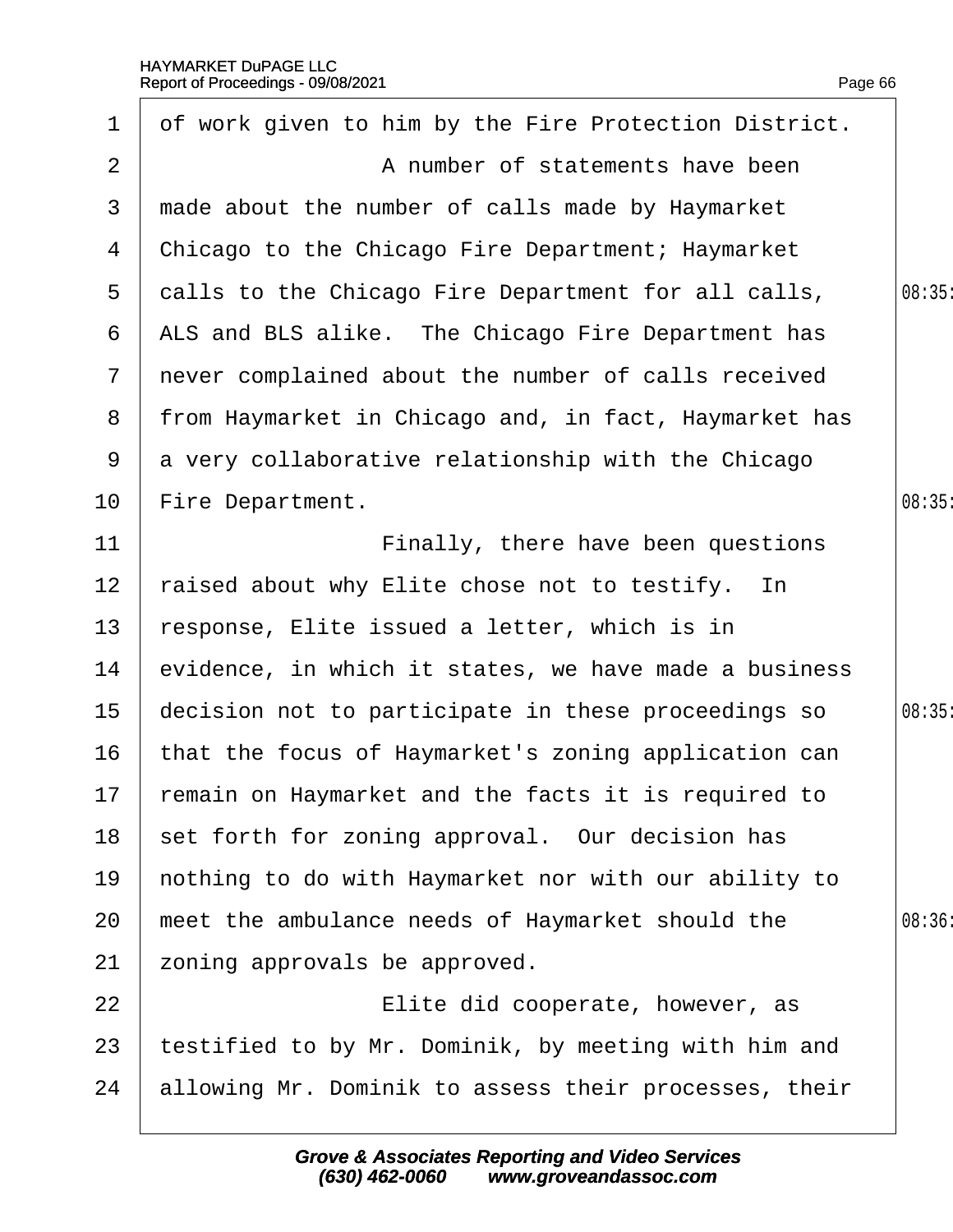| $\mathbf 1$      | of work given to him by the Fire Protection District.  |       |
|------------------|--------------------------------------------------------|-------|
| 2                | A number of statements have been                       |       |
| 3                | made about the number of calls made by Haymarket       |       |
| 4                | Chicago to the Chicago Fire Department; Haymarket      |       |
| 5                | dalls to the Chicago Fire Department for all calls,    | 08:35 |
| 6                | ALS and BLS alike. The Chicago Fire Department has     |       |
|                  | 7 never complained about the number of calls received  |       |
| 8                | from Haymarket in Chicago and, in fact, Haymarket has  |       |
|                  | 9 a very collaborative relationship with the Chicago   |       |
| 10               | Fire Department.                                       | 08:35 |
| 11               | Finally, there have been questions                     |       |
| 12               | raised about why Elite chose not to testify. In        |       |
| 13               | response, Elite issued a letter, which is in           |       |
| 14               | evidence, in which it states, we have made a business  |       |
| 15 <sub>15</sub> | decision not to participate in these proceedings so    | 08:35 |
| 16               | that the focus of Haymarket's zoning application can   |       |
|                  | 17 remain on Haymarket and the facts it is required to |       |
| 18               | set forth for zoning approval. Our decision has        |       |
| 19               | hothing to do with Haymarket nor with our ability to   |       |
| 20               | meet the ambulance needs of Haymarket should the       | 08:36 |
| 21               | zoning approvals be approved.                          |       |
| 22               | Elite did cooperate, however, as                       |       |
| 23               | testified to by Mr. Dominik, by meeting with him and   |       |
| 24               | allowing Mr. Dominik to assess their processes, their  |       |
|                  |                                                        |       |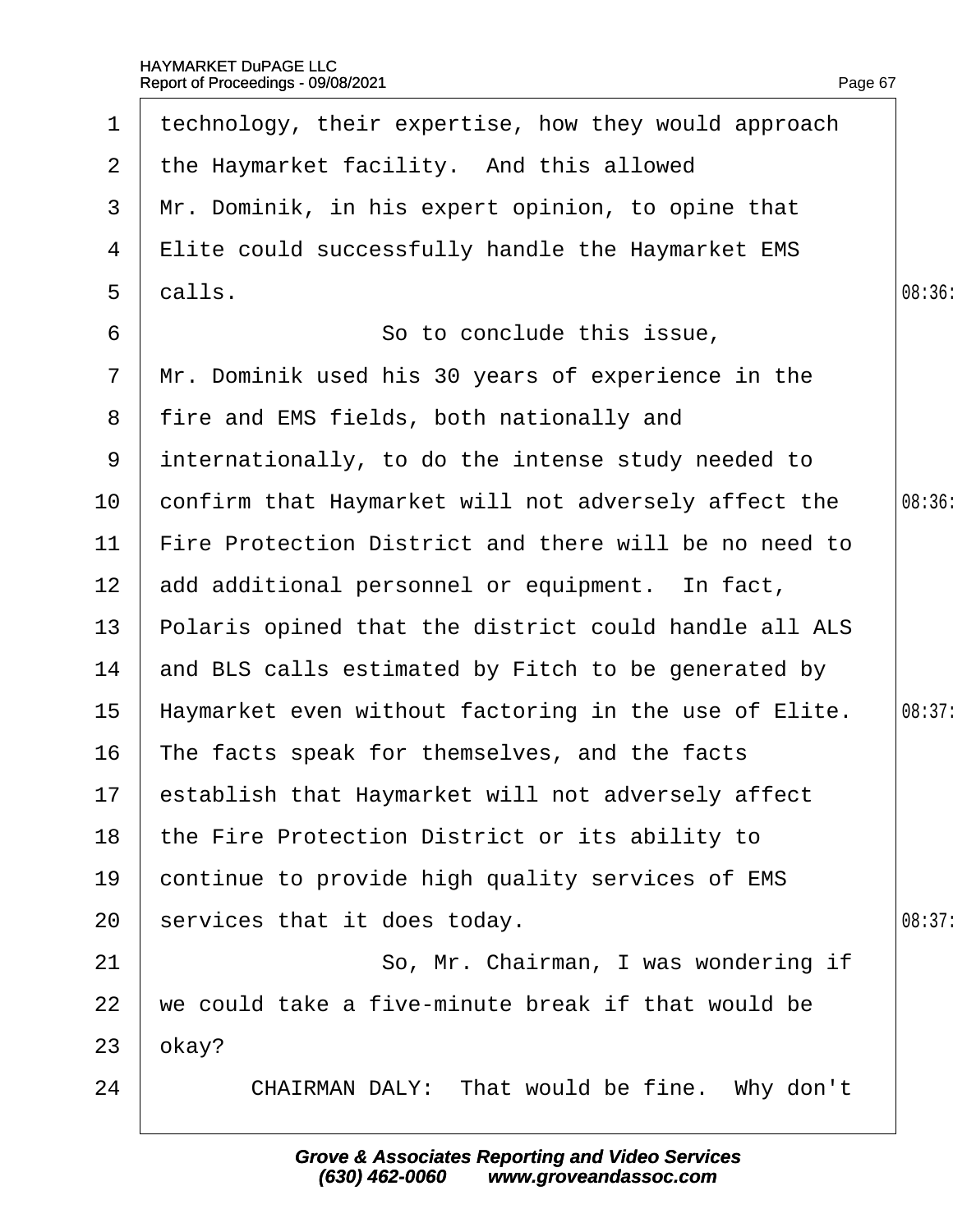| $\mathbf 1$           | technology, their expertise, how they would approach  |        |
|-----------------------|-------------------------------------------------------|--------|
| $\mathbf{2}^{\prime}$ | the Haymarket facility. And this allowed              |        |
| 3                     | Mr. Dominik, in his expert opinion, to opine that     |        |
| 4                     | Elite could successfully handle the Haymarket EMS     |        |
| $5\overline{)}$       | dalls.                                                | 08:36  |
| 6                     | So to conclude this issue,                            |        |
| $\overline{7}$        | Mr. Dominik used his 30 years of experience in the    |        |
| 8                     | fire and EMS fields, both nationally and              |        |
| 9                     | internationally, to do the intense study needed to    |        |
| 10                    | confirm that Haymarket will not adversely affect the  | 08:36  |
| 11                    | Fire Protection District and there will be no need to |        |
| 12 <sub>2</sub>       | add additional personnel or equipment. In fact,       |        |
| 13 <sup>°</sup>       | Polaris opined that the district could handle all ALS |        |
| 14                    | and BLS calls estimated by Fitch to be generated by   |        |
| 15                    | Haymarket even without factoring in the use of Elite. | 08:37: |
| 16                    | The facts speak for themselves, and the facts         |        |
|                       | 17 establish that Haymarket will not adversely affect |        |
| 18                    | the Fire Protection District or its ability to        |        |
| 19                    | continue to provide high quality services of EMS      |        |
| 20                    | services that it does today.                          | 08:37: |
| 21                    | So, Mr. Chairman, I was wondering if                  |        |
| 22                    | we could take a five-minute break if that would be    |        |
| 23                    | okay?                                                 |        |
| 24                    | CHAIRMAN DALY: That would be fine. Why don't          |        |
|                       |                                                       |        |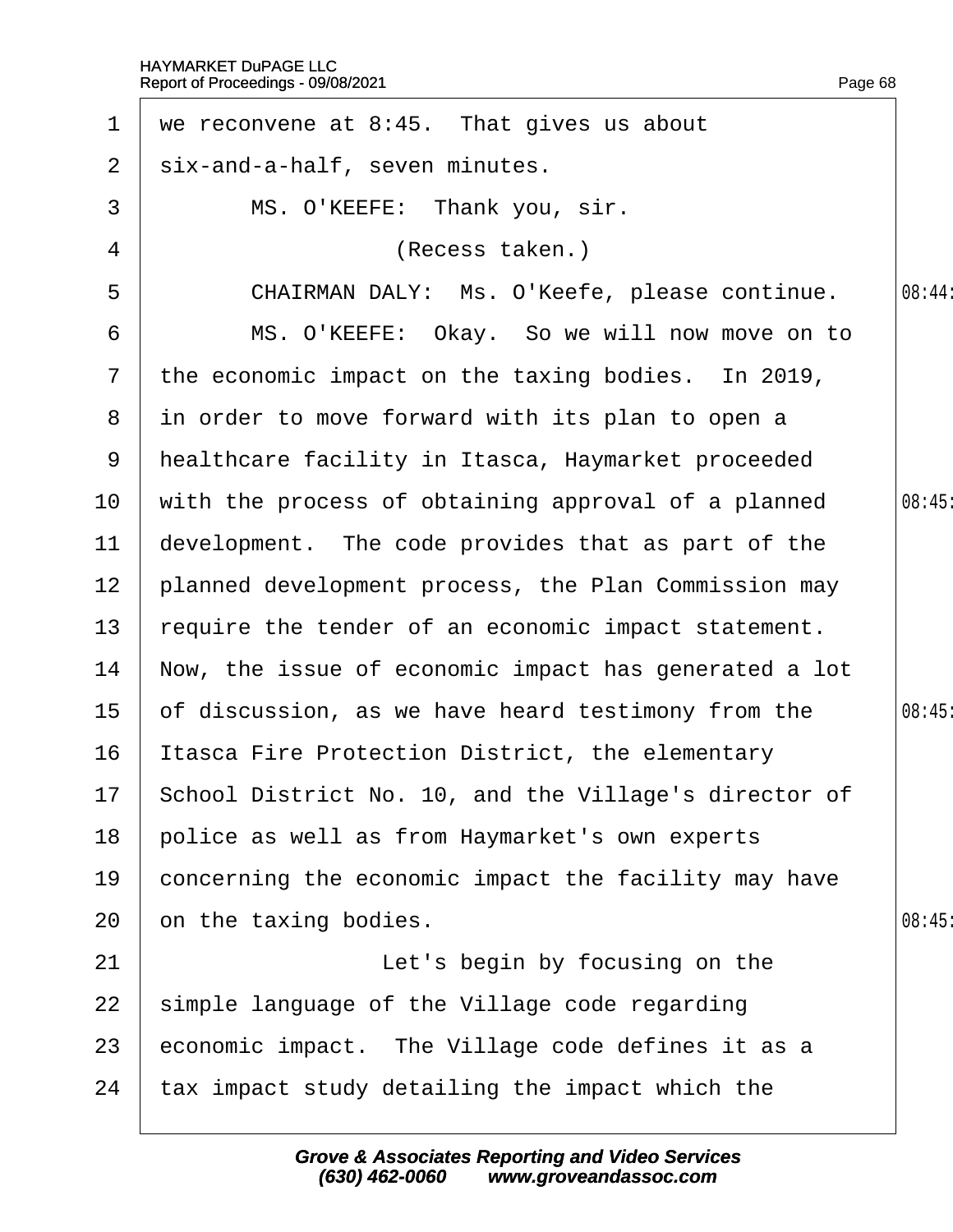| $\mathbf 1$     | we reconvene at 8:45. That gives us about                |        |
|-----------------|----------------------------------------------------------|--------|
| $\overline{2}$  | six-and-a-half, seven minutes.                           |        |
| 3               | MS. O'KEEFE: Thank you, sir.                             |        |
| 4               | (Recess taken.)                                          |        |
| 5               | CHAIRMAN DALY: Ms. O'Keefe, please continue.             | 08:44: |
| 6               | MS. O'KEEFE: Okay. So we will now move on to             |        |
| $7\phantom{.}$  | the economic impact on the taxing bodies. In 2019,       |        |
| 8               | in order to move forward with its plan to open a         |        |
| 9               | healthcare facility in Itasca, Haymarket proceeded       |        |
| 10 <sup>°</sup> | with the process of obtaining approval of a planned      | 08:45  |
| 11              | development. The code provides that as part of the       |        |
| 12 <sub>2</sub> | planned development process, the Plan Commission may     |        |
| 13              | require the tender of an economic impact statement.      |        |
| 14              | Now, the issue of economic impact has generated a lot    |        |
| 15 <sub>1</sub> | of discussion, as we have heard testimony from the       | 08:45  |
| 16              | Itasca Fire Protection District, the elementary          |        |
|                 | 17 School District No. 10, and the Village's director of |        |
| 18              | police as well as from Haymarket's own experts           |        |
| 19              | concerning the economic impact the facility may have     |        |
| 20              | on the taxing bodies.                                    | 08:45  |
| 21              | Let's begin by focusing on the                           |        |
| 22              | simple language of the Village code regarding            |        |
| 23              | economic impact. The Village code defines it as a        |        |
| 24              | tax impact study detailing the impact which the          |        |
|                 |                                                          |        |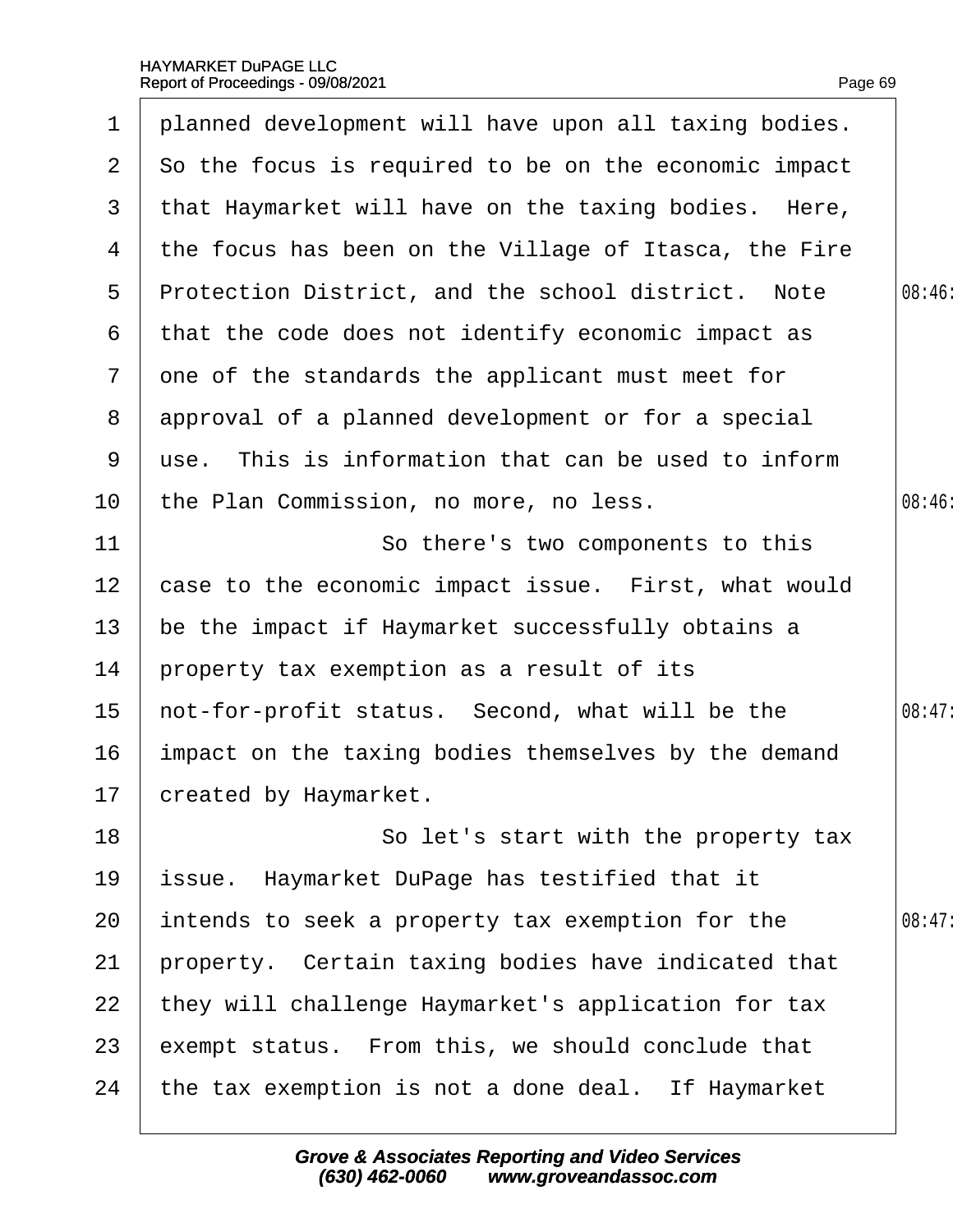| $\mathbf 1$     | planned development will have upon all taxing bodies. |        |
|-----------------|-------------------------------------------------------|--------|
| 2 <sup>1</sup>  | So the focus is required to be on the economic impact |        |
| 3               | that Haymarket will have on the taxing bodies. Here,  |        |
| 4               | the focus has been on the Village of Itasca, the Fire |        |
| 5               | Protection District, and the school district. Note    | 08:46  |
| 6               | that the code does not identify economic impact as    |        |
| $\mathbf{7}$    | one of the standards the applicant must meet for      |        |
| 8               | approval of a planned development or for a special    |        |
| 9               | use. This is information that can be used to inform   |        |
| 10              | the Plan Commission, no more, no less.                | 08:46: |
| 11              | So there's two components to this                     |        |
| 12 <sub>2</sub> | case to the economic impact issue. First, what would  |        |
| 13              | be the impact if Haymarket successfully obtains a     |        |
| 14              | property tax exemption as a result of its             |        |
| 15              | not-for-profit status. Second, what will be the       | 08:47: |
| 16              | impact on the taxing bodies themselves by the demand  |        |
|                 | 17 created by Haymarket.                              |        |
| 18              | So let's start with the property tax                  |        |
| 19              | ssue. Haymarket DuPage has testified that it          |        |
| 20              | intends to seek a property tax exemption for the      | 08:47: |
| 21              | property. Certain taxing bodies have indicated that   |        |
| 22              | they will challenge Haymarket's application for tax   |        |
| 23              | exempt status. From this, we should conclude that     |        |
| 24              | the tax exemption is not a done deal. If Haymarket    |        |
|                 |                                                       |        |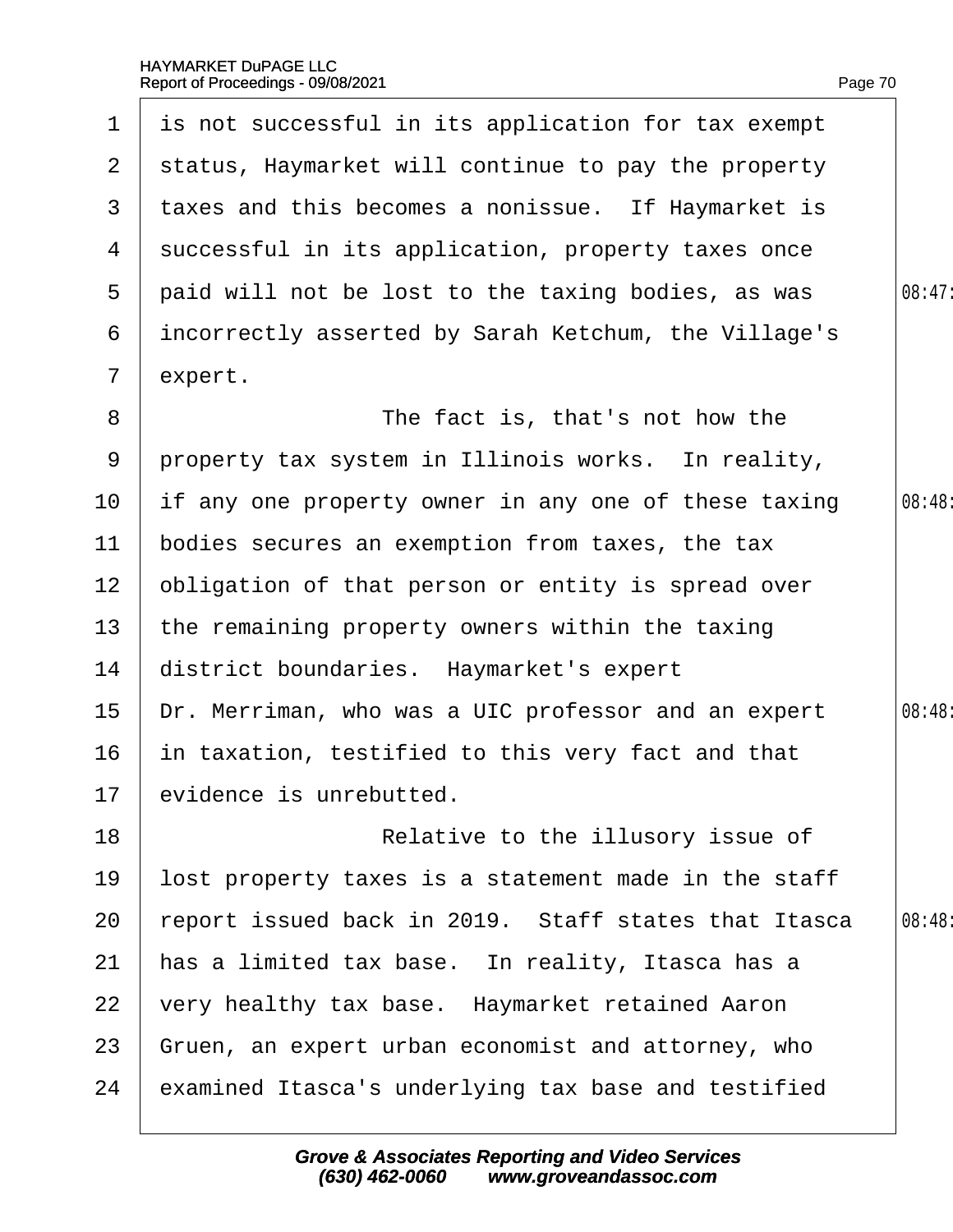| $\mathbf 1$     | is not successful in its application for tax exempt  |        |
|-----------------|------------------------------------------------------|--------|
| $\mathbf{2}$    | status, Haymarket will continue to pay the property  |        |
| 3               | taxes and this becomes a nonissue. If Haymarket is   |        |
| 4               | successful in its application, property taxes once   |        |
| 5               | paid will not be lost to the taxing bodies, as was   | 08:47  |
| 6               | incorrectly asserted by Sarah Ketchum, the Village's |        |
| $\overline{7}$  | expert.                                              |        |
| 8               | The fact is, that's not how the                      |        |
| 9               | property tax system in Illinois works. In reality,   |        |
| 10 <sub>1</sub> | If any one property owner in any one of these taxing | 08:48: |
| 11              | bodies secures an exemption from taxes, the tax      |        |
| 12 <sub>2</sub> | obligation of that person or entity is spread over   |        |
| 13 <sup>°</sup> | the remaining property owners within the taxing      |        |
| 14              | district boundaries. Haymarket's expert              |        |
| 15              | Dr. Merriman, who was a UIC professor and an expert  | 08:48  |
| 16              | in taxation, testified to this very fact and that    |        |
|                 | 17 evidence is unrebutted.                           |        |
| 18              | Relative to the illusory issue of                    |        |
| 19              | lost property taxes is a statement made in the staff |        |
| 20              | report issued back in 2019. Staff states that Itasca | 08:48: |
| 21              | has a limited tax base. In reality, Itasca has a     |        |
| 22              | very healthy tax base. Haymarket retained Aaron      |        |
| 23              | Gruen, an expert urban economist and attorney, who   |        |
| 24              | examined Itasca's underlying tax base and testified  |        |
|                 |                                                      |        |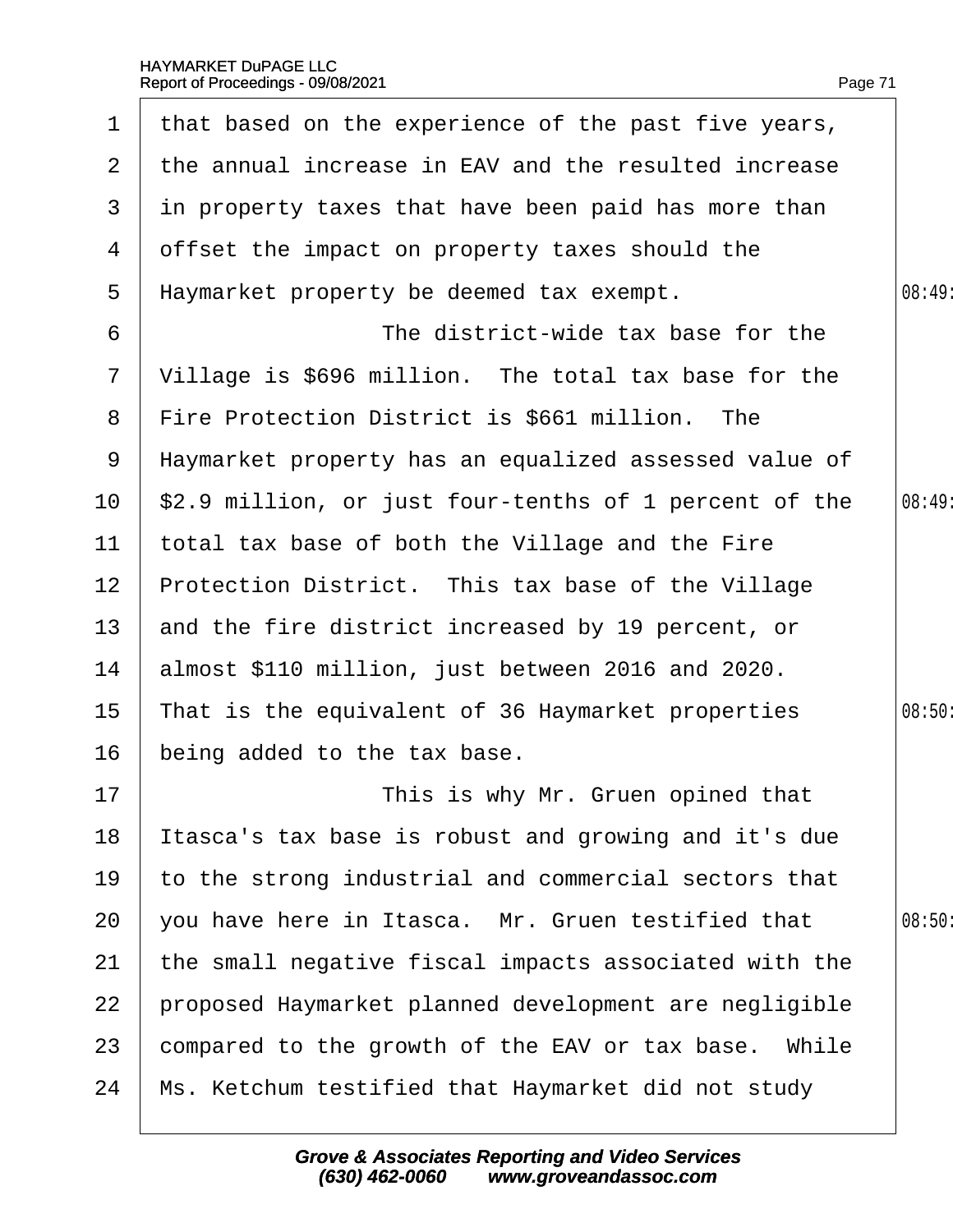|                       | 1 that based on the experience of the past five years, |        |
|-----------------------|--------------------------------------------------------|--------|
| $\mathbf{2}^{\prime}$ | the annual increase in EAV and the resulted increase   |        |
| 3                     | in property taxes that have been paid has more than    |        |
| 4                     | offset the impact on property taxes should the         |        |
| 5                     | Haymarket property be deemed tax exempt.               | 08:49  |
| 6                     | The district-wide tax base for the                     |        |
| $\mathbf{7}$          | Village is \$696 million. The total tax base for the   |        |
| 8                     | Fire Protection District is \$661 million. The         |        |
| 9                     | Haymarket property has an equalized assessed value of  |        |
| 10 <sup>°</sup>       | \$2.9 million, or just four-tenths of 1 percent of the | 08:49  |
| 11                    | total tax base of both the Village and the Fire        |        |
| 12 <sub>2</sub>       | Protection District. This tax base of the Village      |        |
| 13 <sup>°</sup>       | and the fire district increased by 19 percent, or      |        |
| 14                    | almost \$110 million, just between 2016 and 2020.      |        |
| 15                    | That is the equivalent of 36 Haymarket properties      | 08:50: |
| 16                    | being added to the tax base.                           |        |
| 17                    | This is why Mr. Gruen opined that                      |        |
| 18                    | Itasca's tax base is robust and growing and it's due   |        |
| 19                    | to the strong industrial and commercial sectors that   |        |
| 20                    | you have here in Itasca. Mr. Gruen testified that      | 08:50: |
| 21                    | the small negative fiscal impacts associated with the  |        |
| 22                    | proposed Haymarket planned development are negligible  |        |
| 23                    | compared to the growth of the EAV or tax base. While   |        |
| 24                    | Ms. Ketchum testified that Haymarket did not study     |        |
|                       |                                                        |        |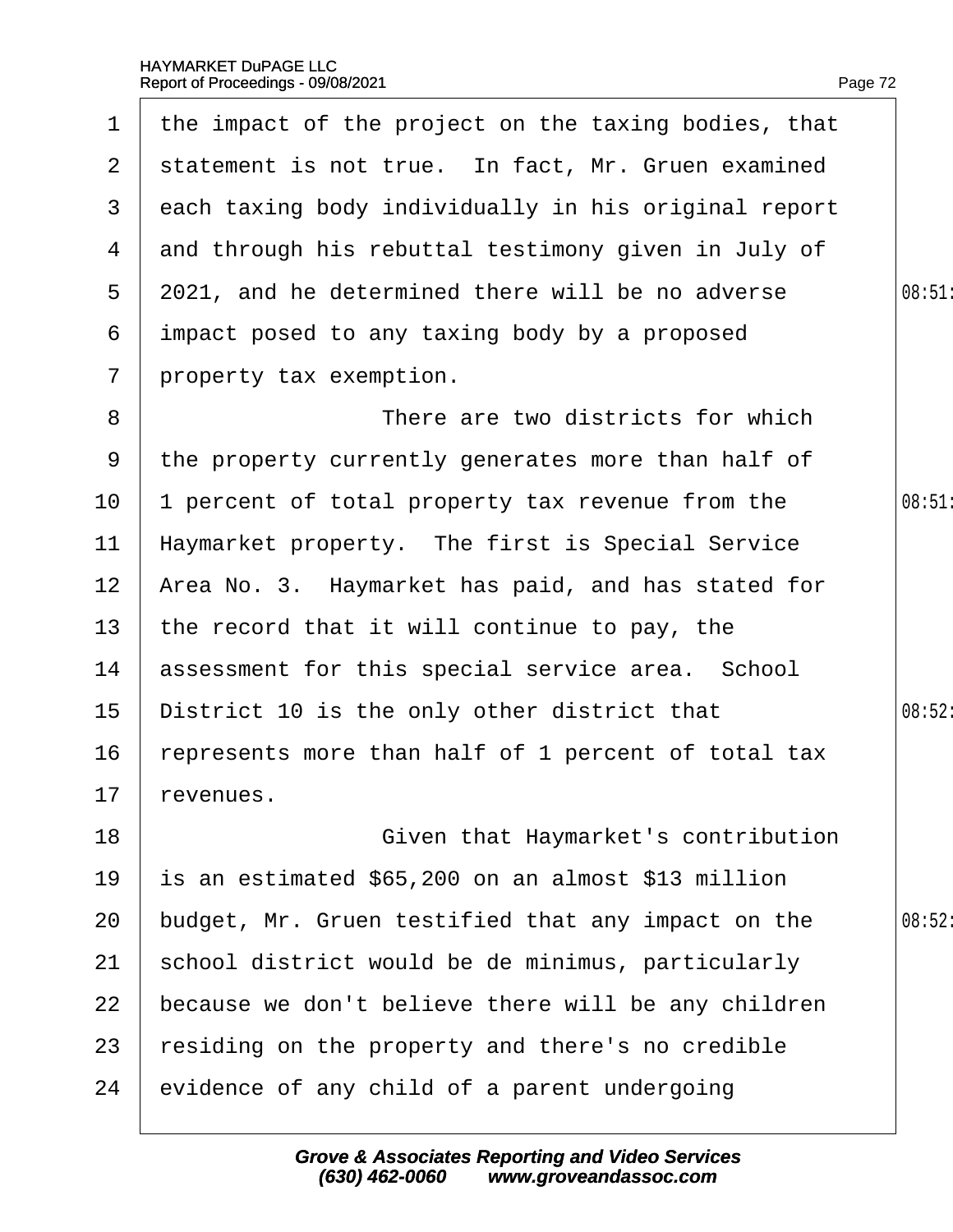|                  | 1 the impact of the project on the taxing bodies, that |        |
|------------------|--------------------------------------------------------|--------|
| $\mathbf{2}$     | statement is not true. In fact, Mr. Gruen examined     |        |
| 3                | each taxing body individually in his original report   |        |
| 4                | and through his rebuttal testimony given in July of    |        |
| 5                | 2021, and he determined there will be no adverse       | 08:51  |
| 6                | impact posed to any taxing body by a proposed          |        |
| $7\phantom{.}$   | property tax exemption.                                |        |
| 8                | There are two districts for which                      |        |
| 9                | the property currently generates more than half of     |        |
| 10               | percent of total property tax revenue from the         | 08:51  |
| 11               | Haymarket property. The first is Special Service       |        |
| 12 <sub>2</sub>  | Area No. 3. Haymarket has paid, and has stated for     |        |
| 13               | the record that it will continue to pay, the           |        |
| 14               | assessment for this special service area. School       |        |
| 15 <sub>15</sub> | District 10 is the only other district that            | 08:52: |
| 16               | represents more than half of 1 percent of total tax    |        |
| 17               | revenues.                                              |        |
| 18               | Given that Haymarket's contribution                    |        |
| 19               | is an estimated \$65,200 on an almost \$13 million     |        |
| 20               | budget, Mr. Gruen testified that any impact on the     | 08:52  |
| 21               | school district would be de minimus, particularly      |        |
| 22               | because we don't believe there will be any children    |        |
| 23               | residing on the property and there's no credible       |        |
| 24               | evidence of any child of a parent undergoing           |        |
|                  |                                                        |        |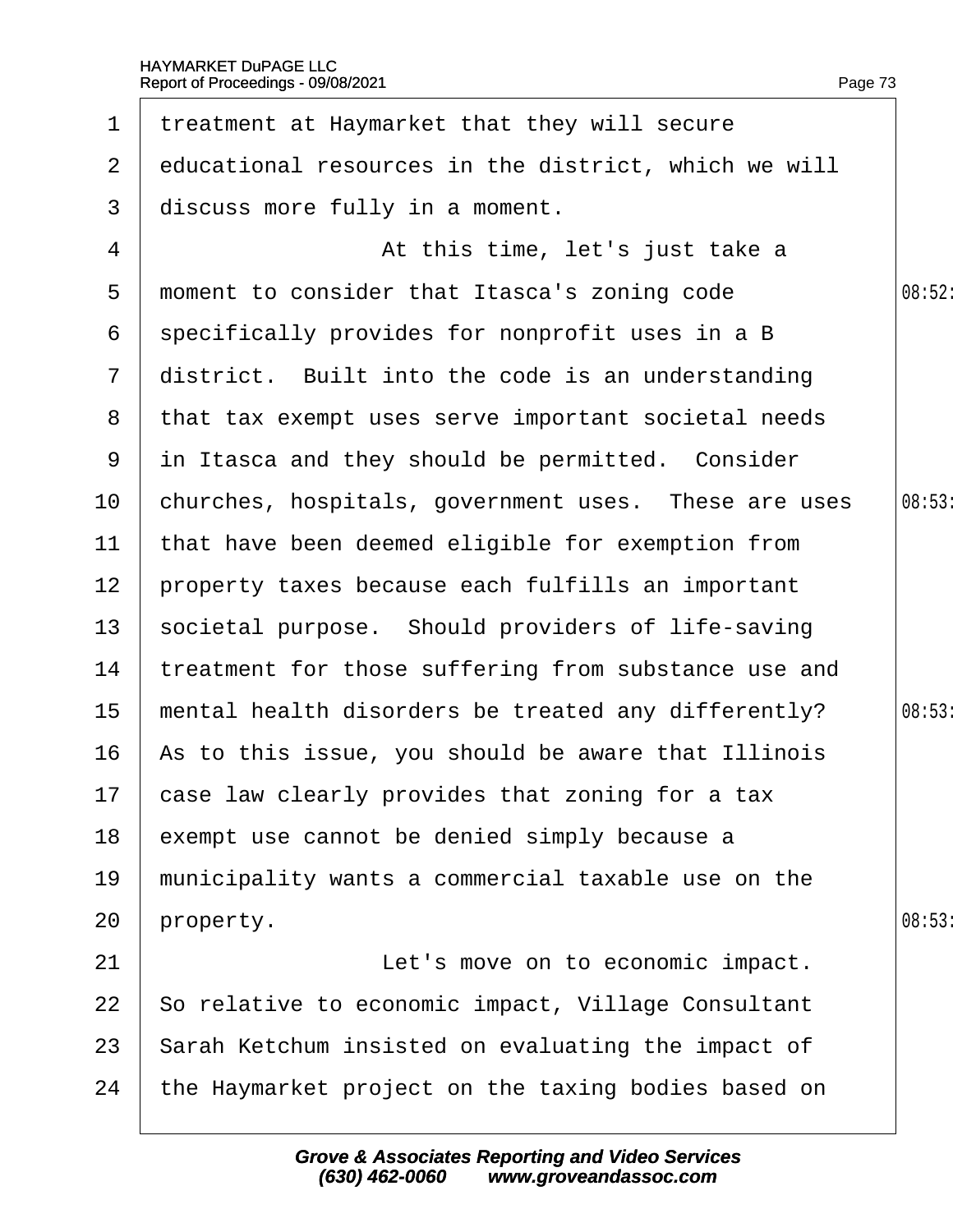| $\mathbf 1$     | treatment at Haymarket that they will secure          |        |
|-----------------|-------------------------------------------------------|--------|
| $\overline{2}$  | educational resources in the district, which we will  |        |
| 3               | discuss more fully in a moment.                       |        |
| 4               | At this time, let's just take a                       |        |
| 5               | moment to consider that Itasca's zoning code          | 08:52: |
| 6               | specifically provides for nonprofit uses in a B       |        |
| $\overline{7}$  | district. Built into the code is an understanding     |        |
|                 | 8 that tax exempt uses serve important societal needs |        |
| 9               | in Itasca and they should be permitted. Consider      |        |
| 10              | churches, hospitals, government uses. These are uses  | 08:53  |
| $11$            | that have been deemed eligible for exemption from     |        |
| 12 <sub>2</sub> | property taxes because each fulfills an important     |        |
| 13              | societal purpose. Should providers of life-saving     |        |
| 14              | treatment for those suffering from substance use and  |        |
| 15              | mental health disorders be treated any differently?   | 08:53  |
| 16              | As to this issue, you should be aware that Illinois   |        |
|                 | 17 case law clearly provides that zoning for a tax    |        |
| 18              | exempt use cannot be denied simply because a          |        |
| 19              | municipality wants a commercial taxable use on the    |        |
| 20              | property.                                             | 08:53  |
| 21              | Let's move on to economic impact.                     |        |
| 22              | So relative to economic impact, Village Consultant    |        |
| 23              | Sarah Ketchum insisted on evaluating the impact of    |        |
| 24              | the Haymarket project on the taxing bodies based on   |        |
|                 |                                                       |        |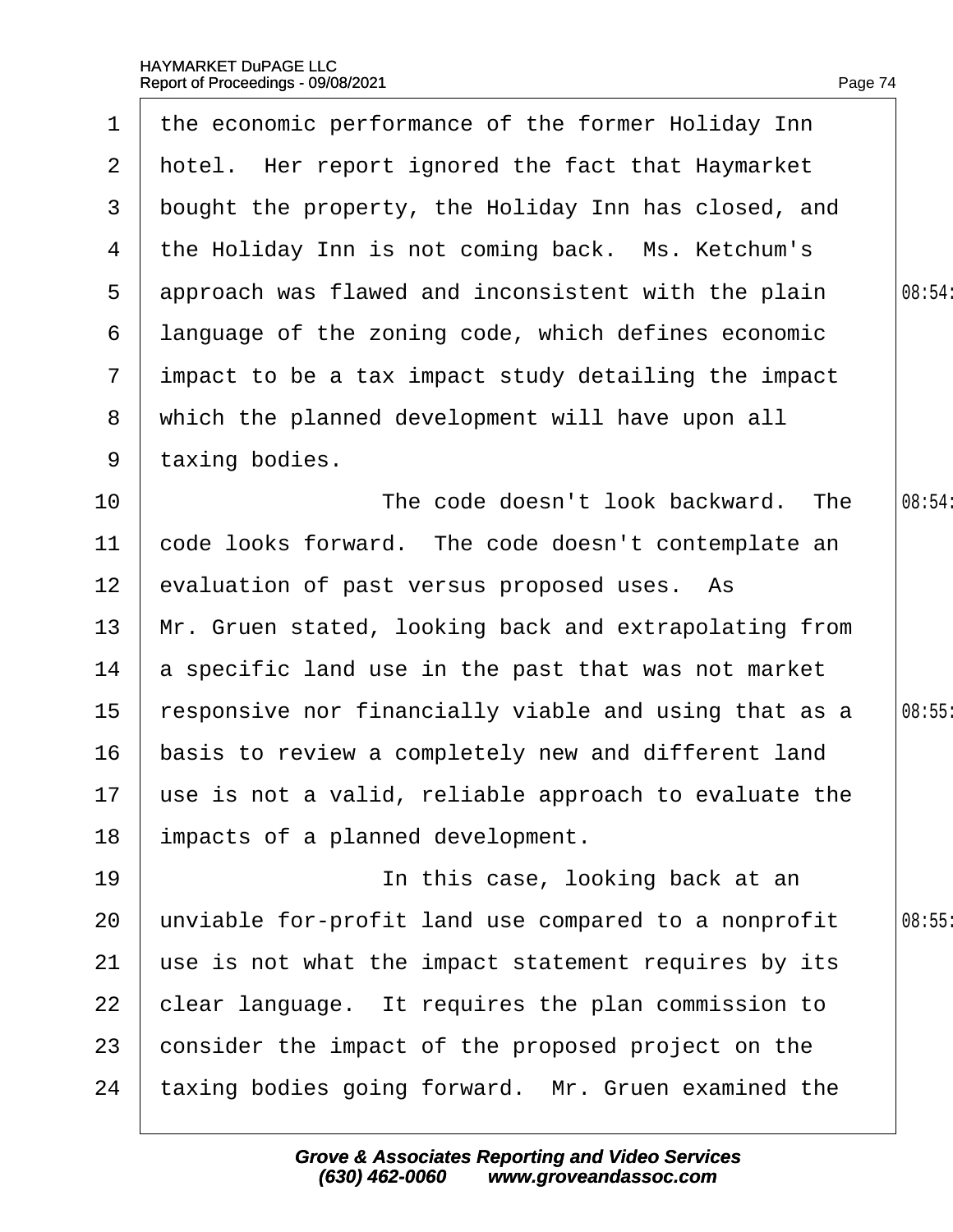$\Gamma$ 

 $\overline{\phantom{a}}$ 

| $\mathbf 1$     | the economic performance of the former Holiday Inn       |        |
|-----------------|----------------------------------------------------------|--------|
|                 | 2 hotel. Her report ignored the fact that Haymarket      |        |
| 3               | bought the property, the Holiday Inn has closed, and     |        |
| 4               | the Holiday Inn is not coming back. Ms. Ketchum's        |        |
| 5               | approach was flawed and inconsistent with the plain      | 08:54: |
| 6               | language of the zoning code, which defines economic      |        |
| 7 <sup>1</sup>  | impact to be a tax impact study detailing the impact     |        |
| 8               | which the planned development will have upon all         |        |
| 9               | taxing bodies.                                           |        |
| 10              | The code doesn't look backward. The                      | 08:54: |
| 11              | code looks forward. The code doesn't contemplate an      |        |
| 12 <sub>2</sub> | evaluation of past versus proposed uses. As              |        |
| 13 <sup>°</sup> | Mr. Gruen stated, looking back and extrapolating from    |        |
| 14              | a specific land use in the past that was not market      |        |
| 15              | responsive nor financially viable and using that as a    | 08:55  |
| 16              | basis to review a completely new and different land      |        |
|                 | 17 use is not a valid, reliable approach to evaluate the |        |
| 18              | impacts of a planned development.                        |        |
| 19              | In this case, looking back at an                         |        |
| 20              | unviable for-profit land use compared to a nonprofit     | 08:55  |
| 21              | use is not what the impact statement requires by its     |        |
| 22              | clear language. It requires the plan commission to       |        |
| 23              | consider the impact of the proposed project on the       |        |
| 24              | taxing bodies going forward. Mr. Gruen examined the      |        |
|                 |                                                          |        |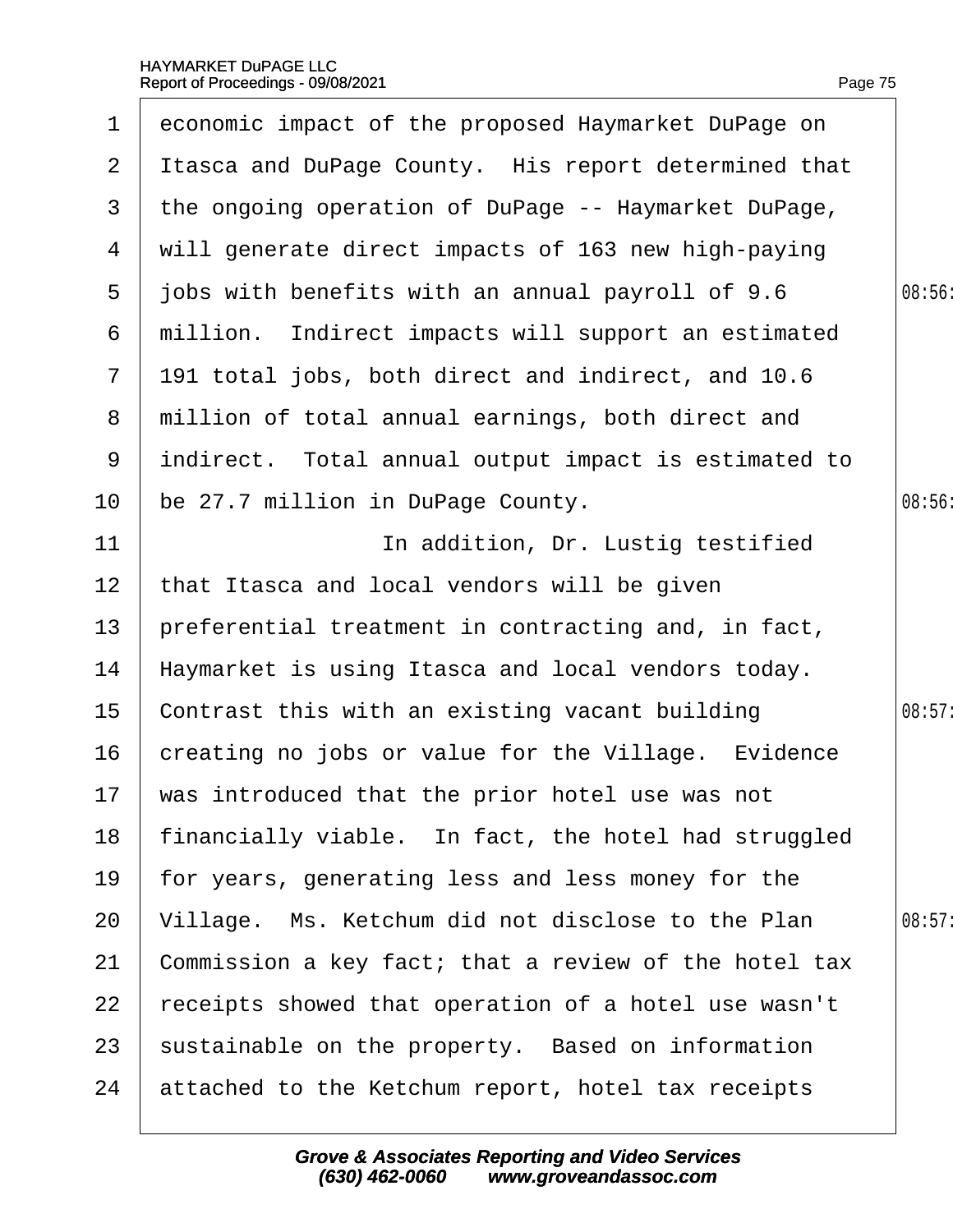| $\mathbf 1$           | economic impact of the proposed Haymarket DuPage on   |        |
|-----------------------|-------------------------------------------------------|--------|
| $\mathbf{2}^{\prime}$ | Itasca and DuPage County. His report determined that  |        |
| 3                     | the ongoing operation of DuPage -- Haymarket DuPage,  |        |
| 4                     | will generate direct impacts of 163 new high-paying   |        |
| 5                     | jobs with benefits with an annual payroll of 9.6      | 08:56  |
| 6                     | million. Indirect impacts will support an estimated   |        |
| $\overline{7}$        | 191 total jobs, both direct and indirect, and 10.6    |        |
| 8                     | million of total annual earnings, both direct and     |        |
| 9                     | indirect. Total annual output impact is estimated to  |        |
| 10                    | be 27.7 million in DuPage County.                     | 08:56  |
| 11                    | In addition, Dr. Lustig testified                     |        |
| 12 <sub>2</sub>       | that Itasca and local vendors will be given           |        |
| 13                    | preferential treatment in contracting and, in fact,   |        |
| 14                    | Haymarket is using Itasca and local vendors today.    |        |
| 15                    | Contrast this with an existing vacant building        | 08:57: |
| 16                    | creating no jobs or value for the Village. Evidence   |        |
|                       | 17 was introduced that the prior hotel use was not    |        |
| 18                    | financially viable. In fact, the hotel had struggled  |        |
| 19                    | for years, generating less and less money for the     |        |
| 20                    | Village. Ms. Ketchum did not disclose to the Plan     | 08:57: |
| 21                    | Commission a key fact; that a review of the hotel tax |        |
| 22                    | receipts showed that operation of a hotel use wasn't  |        |
| 23                    | sustainable on the property. Based on information     |        |
| 24                    | attached to the Ketchum report, hotel tax receipts    |        |
|                       |                                                       |        |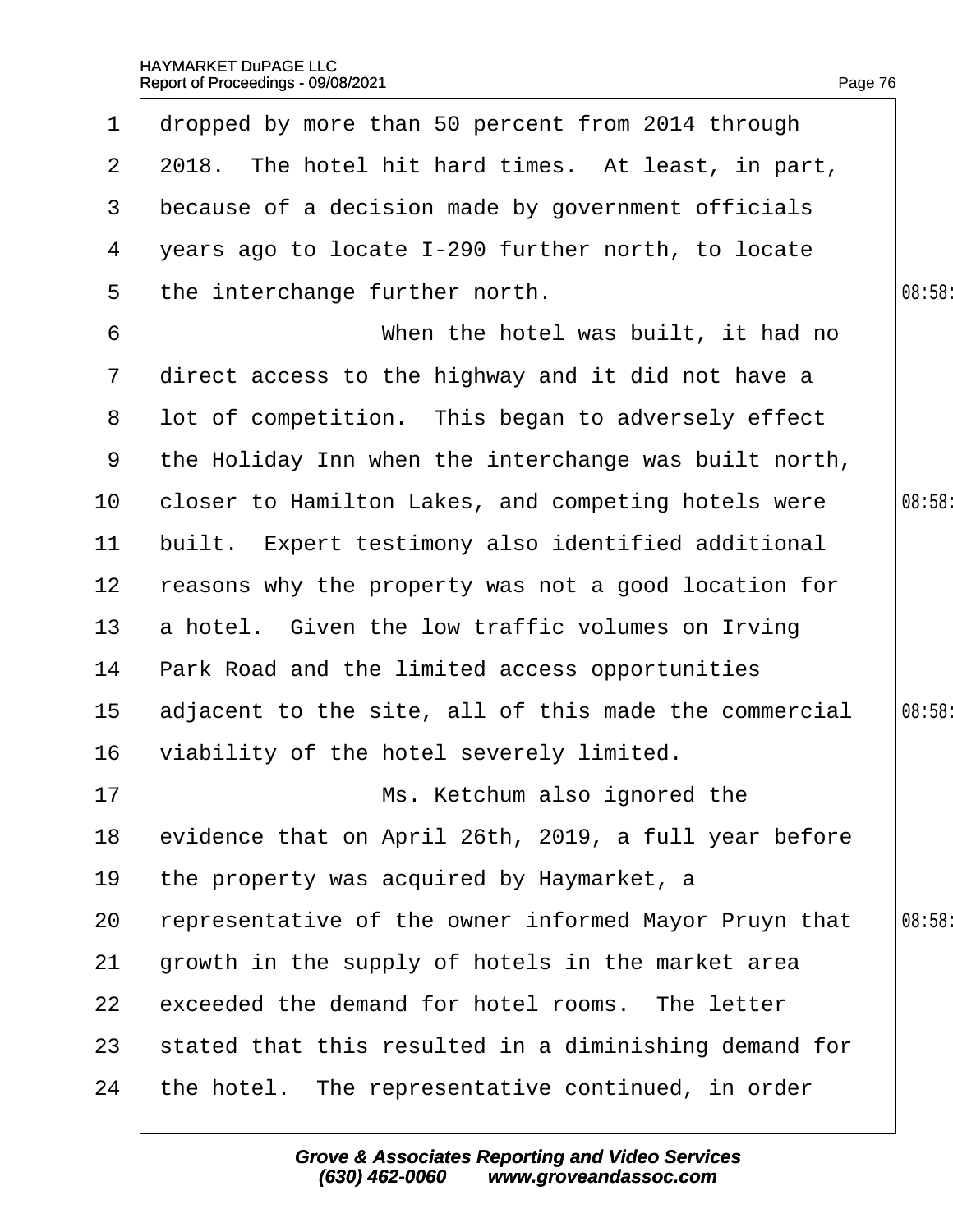| $\mathbf 1$     | dropped by more than 50 percent from 2014 through     |        |
|-----------------|-------------------------------------------------------|--------|
| 2 <sup>1</sup>  | 2018. The hotel hit hard times. At least, in part,    |        |
| 3               | because of a decision made by government officials    |        |
| 4               | years ago to locate I-290 further north, to locate    |        |
| 5               | the interchange further north.                        | 08:58: |
| 6               | When the hotel was built, it had no                   |        |
| $\overline{7}$  | direct access to the highway and it did not have a    |        |
| 8               | lot of competition. This began to adversely effect    |        |
| 9               | the Holiday Inn when the interchange was built north, |        |
| 10              | closer to Hamilton Lakes, and competing hotels were   | 08:58: |
| 11              | built. Expert testimony also identified additional    |        |
| 12 <sub>2</sub> | reasons why the property was not a good location for  |        |
| 13              | a hotel. Given the low traffic volumes on Irving      |        |
| 14              | Park Road and the limited access opportunities        |        |
| 15              | adjacent to the site, all of this made the commercial | 08:58: |
| 16              | viability of the hotel severely limited.              |        |
| 17              | Ms. Ketchum also ignored the                          |        |
| 18              | evidence that on April 26th, 2019, a full year before |        |
| 19              | the property was acquired by Haymarket, a             |        |
| 20              | representative of the owner informed Mayor Pruyn that | 08:58: |
| 21              | growth in the supply of hotels in the market area     |        |
| 22              | exceeded the demand for hotel rooms. The letter       |        |
| 23              | stated that this resulted in a diminishing demand for |        |
| 24              | the hotel. The representative continued, in order     |        |
|                 |                                                       |        |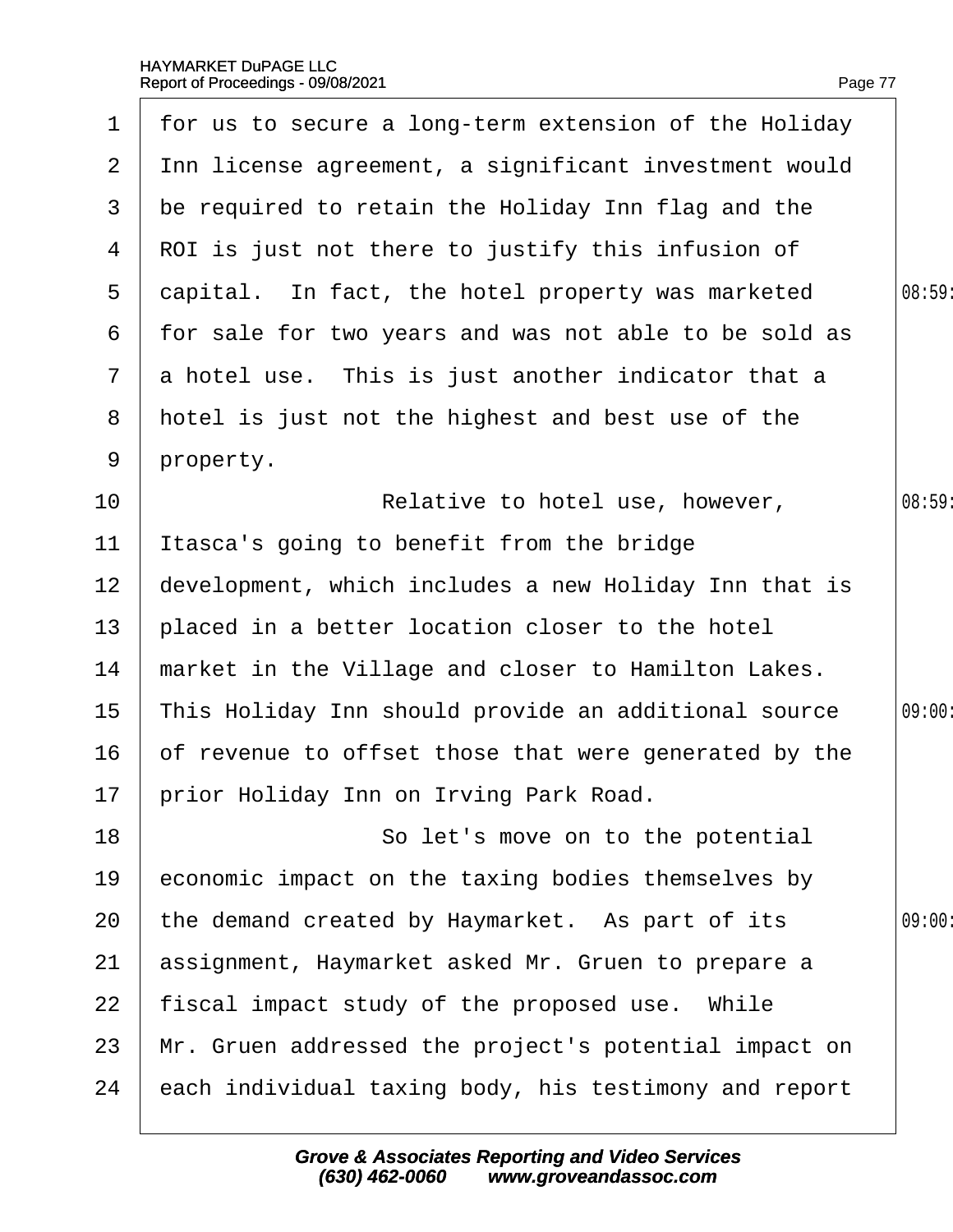|                 | 1 for us to secure a long-term extension of the Holiday |        |
|-----------------|---------------------------------------------------------|--------|
| $\overline{2}$  | Inn license agreement, a significant investment would   |        |
| 3               | be required to retain the Holiday Inn flag and the      |        |
| 4               | ROI is just not there to justify this infusion of       |        |
| $5^{\circ}$     | dapital. In fact, the hotel property was marketed       | 08:59  |
| 6               | for sale for two years and was not able to be sold as   |        |
| $7\overline{ }$ | a hotel use. This is just another indicator that a      |        |
| 8               | hotel is just not the highest and best use of the       |        |
| 9               | property.                                               |        |
| 10              | Relative to hotel use, however,                         | 08:59: |
| 11              | Itasca's going to benefit from the bridge               |        |
| 12 <sub>2</sub> | development, which includes a new Holiday Inn that is   |        |
| 13              | placed in a better location closer to the hotel         |        |
| 14              | market in the Village and closer to Hamilton Lakes.     |        |
| 15              | This Holiday Inn should provide an additional source    | 09:00: |
| 16              | of revenue to offset those that were generated by the   |        |
|                 | 17 prior Holiday Inn on Irving Park Road.               |        |
| 18              | So let's move on to the potential                       |        |
| 19              | economic impact on the taxing bodies themselves by      |        |
| 20              | the demand created by Haymarket. As part of its         | 09:00  |
| 21              | assignment, Haymarket asked Mr. Gruen to prepare a      |        |
| 22              | fiscal impact study of the proposed use. While          |        |
| 23              | Mr. Gruen addressed the project's potential impact on   |        |
| 24              | each individual taxing body, his testimony and report   |        |
|                 |                                                         |        |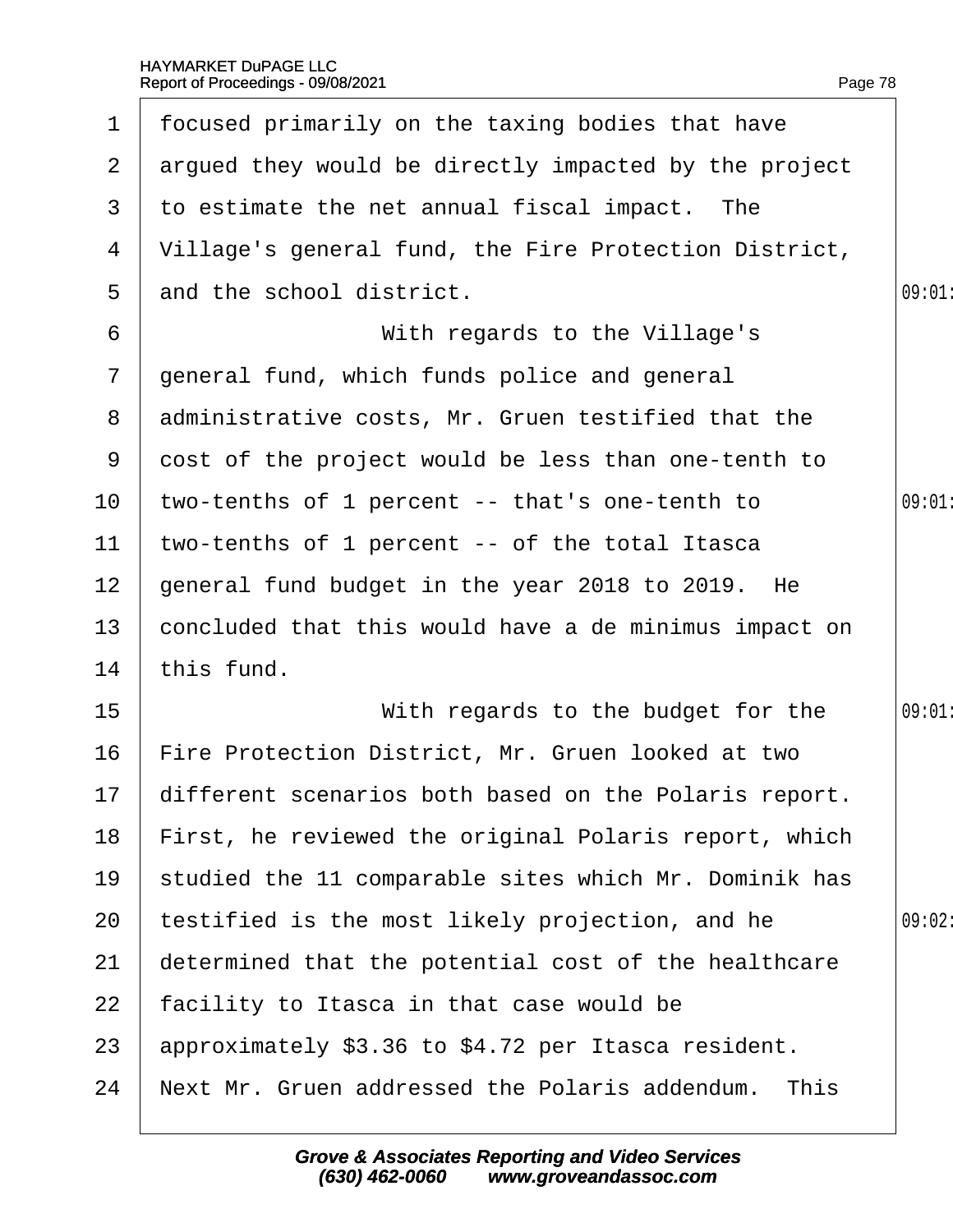| $\mathbf 1$     | focused primarily on the taxing bodies that have         |        |
|-----------------|----------------------------------------------------------|--------|
| $\mathbf{2}$    | argued they would be directly impacted by the project    |        |
| 3               | to estimate the net annual fiscal impact. The            |        |
| 4               | Village's general fund, the Fire Protection District,    |        |
| 5               | and the school district.                                 | 09:01  |
| 6               | With regards to the Village's                            |        |
| $\overline{7}$  | general fund, which funds police and general             |        |
| 8               | administrative costs, Mr. Gruen testified that the       |        |
| 9               | dost of the project would be less than one-tenth to      |        |
| 10              | two-tenths of 1 percent -- that's one-tenth to           | 09:01  |
| $11$            | two-tenths of 1 percent -- of the total Itasca           |        |
| 12 <sub>2</sub> | general fund budget in the year 2018 to 2019. He         |        |
| 13              | concluded that this would have a de minimus impact on    |        |
| 14              | this fund.                                               |        |
| 15              | With regards to the budget for the                       | 09:01  |
| 16              | Fire Protection District, Mr. Gruen looked at two        |        |
|                 | 17 different scenarios both based on the Polaris report. |        |
| 18              | First, he reviewed the original Polaris report, which    |        |
| 19              | studied the 11 comparable sites which Mr. Dominik has    |        |
| 20              | testified is the most likely projection, and he          | 09:02: |
| 21              | determined that the potential cost of the healthcare     |        |
| 22              | facility to Itasca in that case would be                 |        |
| 23              | approximately \$3.36 to \$4.72 per Itasca resident.      |        |
| 24              | Next Mr. Gruen addressed the Polaris addendum. This      |        |
|                 |                                                          |        |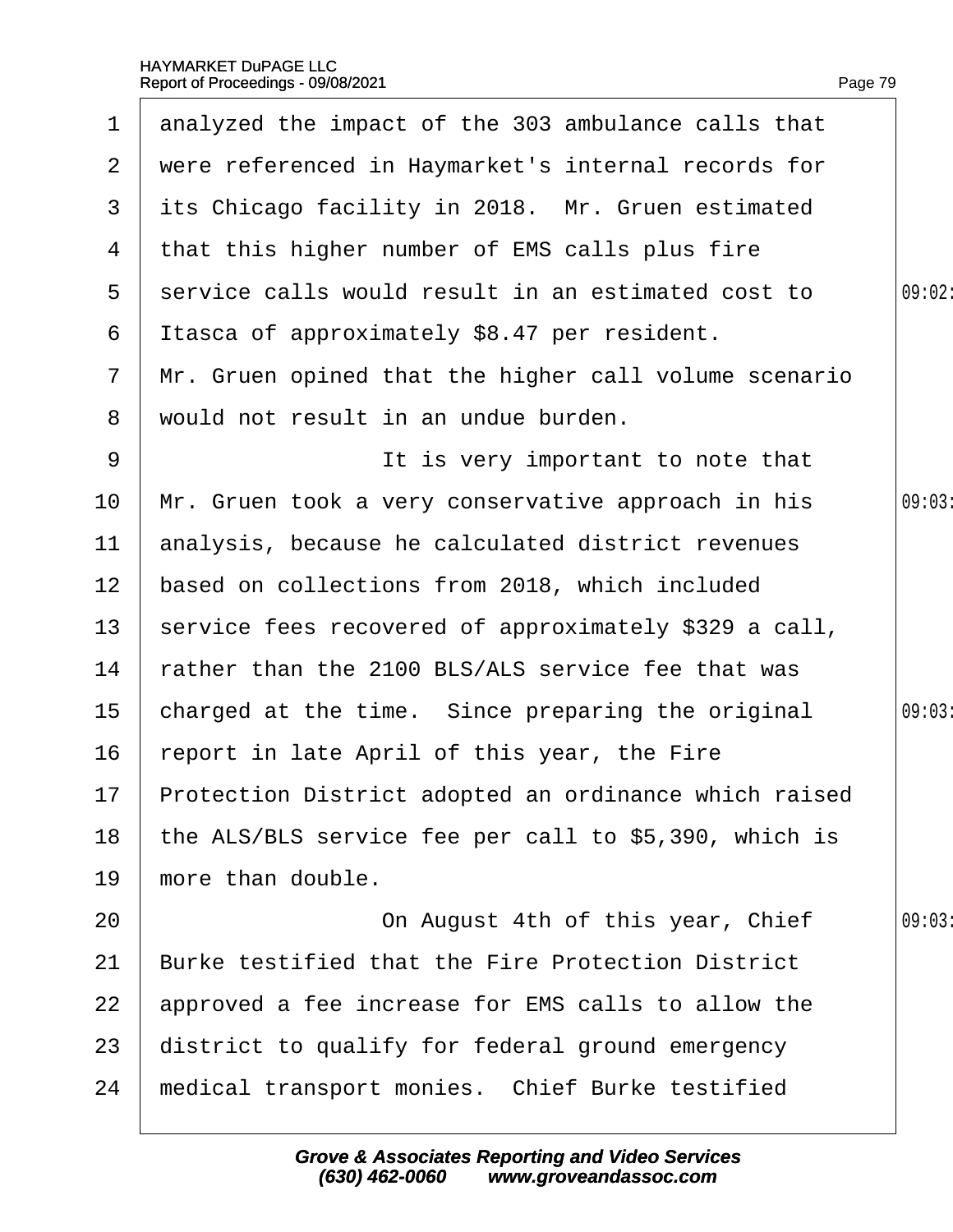| $\mathbf 1$     | analyzed the impact of the 303 ambulance calls that      |        |
|-----------------|----------------------------------------------------------|--------|
| 2 <sup>1</sup>  | were referenced in Haymarket's internal records for      |        |
| 3               | its Chicago facility in 2018. Mr. Gruen estimated        |        |
| 4               | that this higher number of EMS calls plus fire           |        |
| $5^{\circ}$     | service calls would result in an estimated cost to       | 09:02: |
| 6               | Itasca of approximately \$8.47 per resident.             |        |
| $\mathbf{7}$    | Mr. Gruen opined that the higher call volume scenario    |        |
| 8               | would not result in an undue burden.                     |        |
| 9               | It is very important to note that                        |        |
| 10              |                                                          | 09:03  |
|                 | Mr. Gruen took a very conservative approach in his       |        |
| 11              | analysis, because he calculated district revenues        |        |
| 12 <sub>2</sub> | based on collections from 2018, which included           |        |
| 13 <sup>°</sup> | service fees recovered of approximately \$329 a call,    |        |
| 14              | rather than the 2100 BLS/ALS service fee that was        |        |
| 15              | charged at the time. Since preparing the original        | 09:03  |
| 16              | report in late April of this year, the Fire              |        |
|                 | 17 Protection District adopted an ordinance which raised |        |
| 18              | the ALS/BLS service fee per call to \$5,390, which is    |        |
| 19              | more than double.                                        |        |
| 20              | On August 4th of this year, Chief                        | 09:03  |
| 21              | <b>Burke testified that the Fire Protection District</b> |        |
| 22              | approved a fee increase for EMS calls to allow the       |        |
| 23              | district to qualify for federal ground emergency         |        |
| 24              | medical transport monies. Chief Burke testified          |        |
|                 |                                                          |        |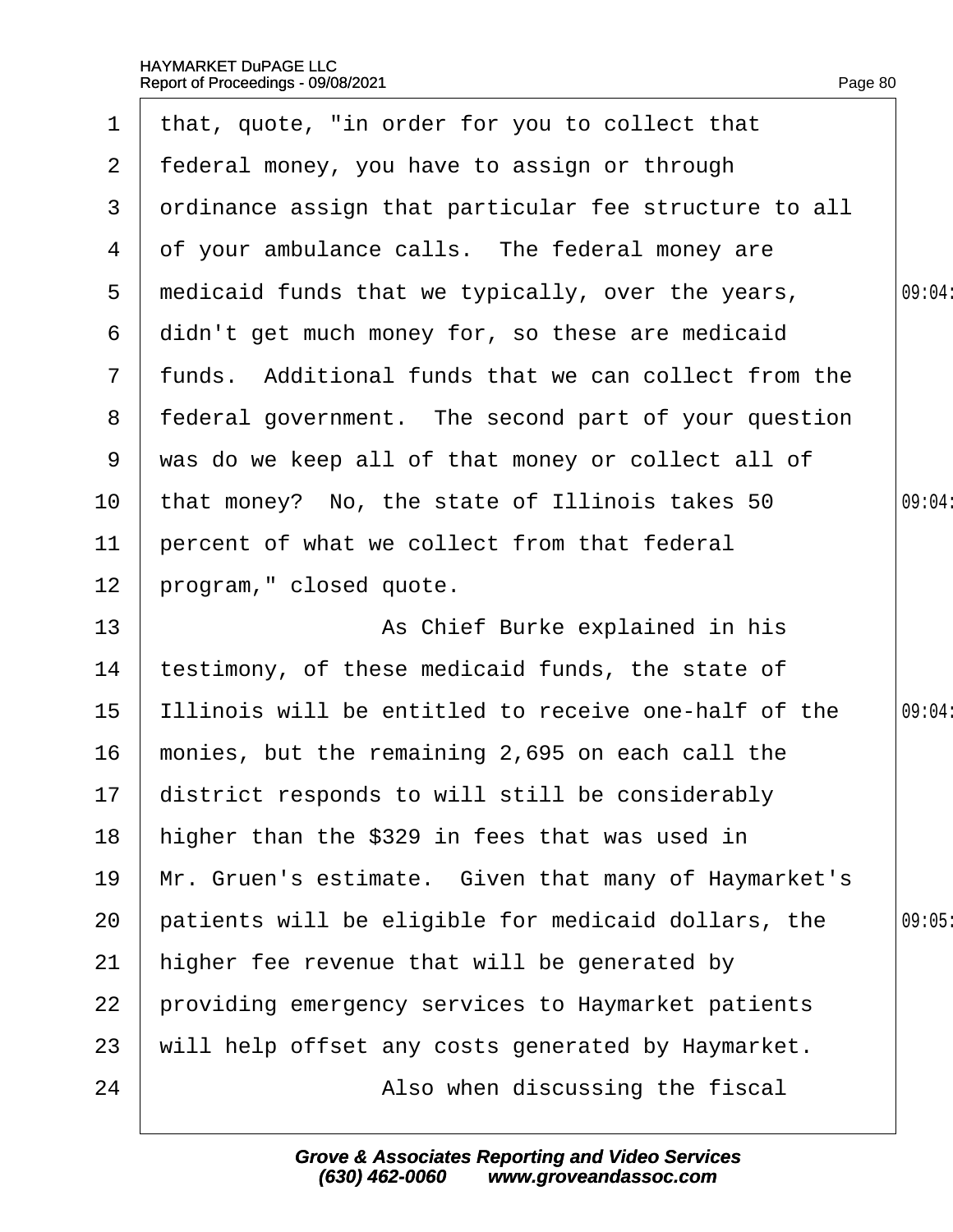|                | 1 that, quote, "in order for you to collect that      |        |
|----------------|-------------------------------------------------------|--------|
| $\mathbf{2}$   | federal money, you have to assign or through          |        |
| 3              | drdinance assign that particular fee structure to all |        |
| 4              | of your ambulance calls. The federal money are        |        |
| 5              | medicaid funds that we typically, over the years,     | 09:04: |
| 6              | didn't get much money for, so these are medicaid      |        |
| $7\phantom{.}$ | funds. Additional funds that we can collect from the  |        |
| 8              | federal government. The second part of your question  |        |
| 9              | was do we keep all of that money or collect all of    |        |
| 10             | that money? No, the state of Illinois takes 50        | 09:04: |
| 11             | percent of what we collect from that federal          |        |
| 12             | program," closed quote.                               |        |
| 13             | As Chief Burke explained in his                       |        |
| 14             | testimony, of these medicaid funds, the state of      |        |
| 15             | Illinois will be entitled to receive one-half of the  | 09:04: |
| 16             | monies, but the remaining 2,695 on each call the      |        |
| 17             | district responds to will still be considerably       |        |
| 18             | higher than the \$329 in fees that was used in        |        |
| 19             | Mr. Gruen's estimate. Given that many of Haymarket's  |        |
| 20             | patients will be eligible for medicaid dollars, the   | 09:05  |
| 21             | higher fee revenue that will be generated by          |        |
| 22             | providing emergency services to Haymarket patients    |        |
| 23             | will help offset any costs generated by Haymarket.    |        |
| 24             | Also when discussing the fiscal                       |        |
|                |                                                       |        |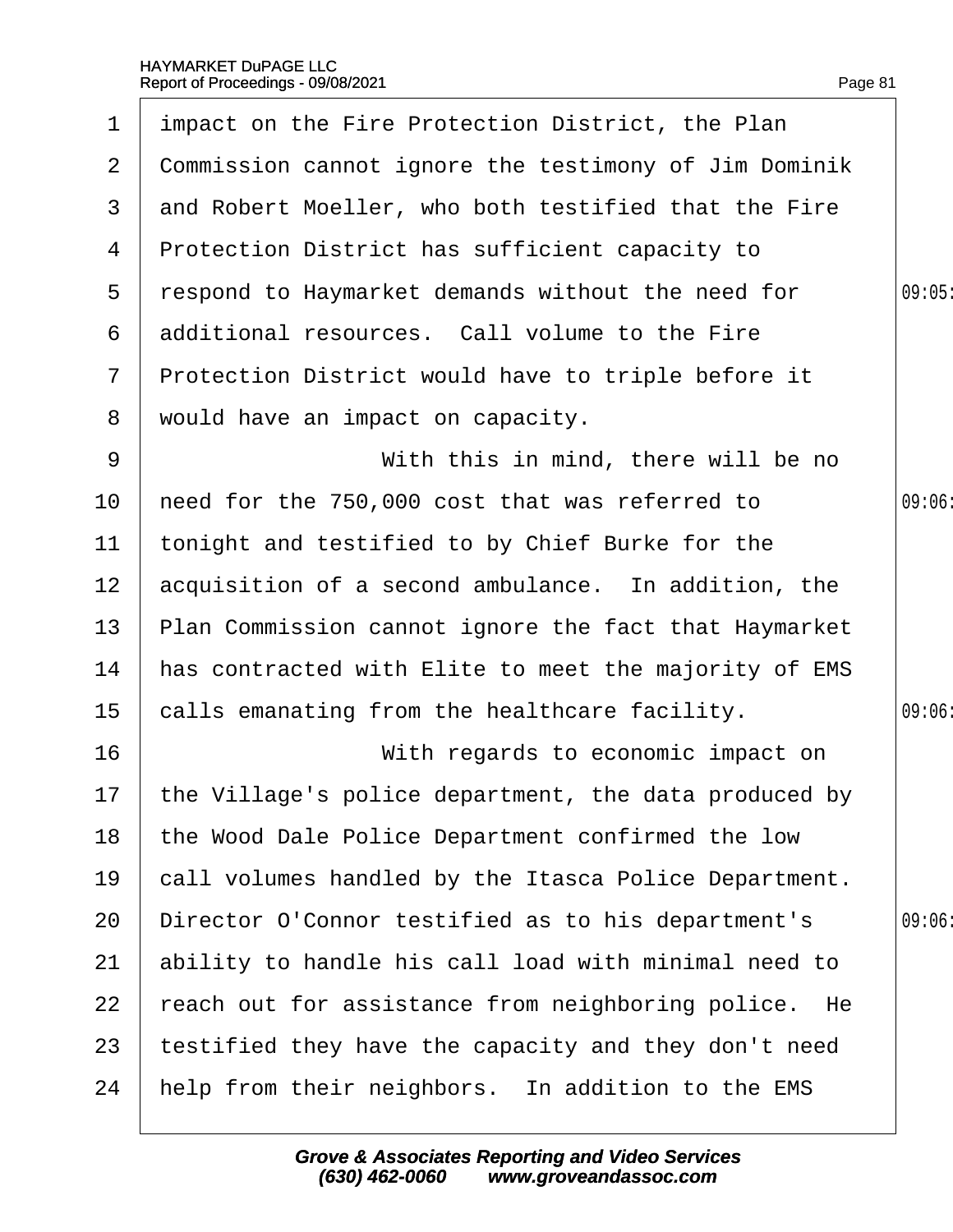| $\mathbf 1$     | impact on the Fire Protection District, the Plan         |       |
|-----------------|----------------------------------------------------------|-------|
| $\overline{2}$  | Commission cannot ignore the testimony of Jim Dominik    |       |
| 3               | and Robert Moeller, who both testified that the Fire     |       |
| 4               | Protection District has sufficient capacity to           |       |
| 5               | respond to Haymarket demands without the need for        | 09:05 |
| 6               | additional resources. Call volume to the Fire            |       |
| $\mathbf{7}$    | Protection District would have to triple before it       |       |
| 8               | would have an impact on capacity.                        |       |
| 9               | With this in mind, there will be no                      |       |
| 10 <sup>°</sup> | heed for the 750,000 cost that was referred to           | 09:06 |
| 11              | tonight and testified to by Chief Burke for the          |       |
| 12 <sub>2</sub> | acquisition of a second ambulance. In addition, the      |       |
| 13              | Plan Commission cannot ignore the fact that Haymarket    |       |
| 14              | has contracted with Elite to meet the majority of EMS    |       |
| 15              | calls emanating from the healthcare facility.            | 09:06 |
| 16              | With regards to economic impact on                       |       |
|                 | 17 the Village's police department, the data produced by |       |
| 18              | the Wood Dale Police Department confirmed the low        |       |
| 19              | call volumes handled by the Itasca Police Department.    |       |
| 20              | Director O'Connor testified as to his department's       | 09:06 |
| 21              | ability to handle his call load with minimal need to     |       |
| 22              | feach out for assistance from neighboring police. He     |       |
| 23              | testified they have the capacity and they don't need     |       |
| 24              | help from their neighbors. In addition to the EMS        |       |
|                 |                                                          |       |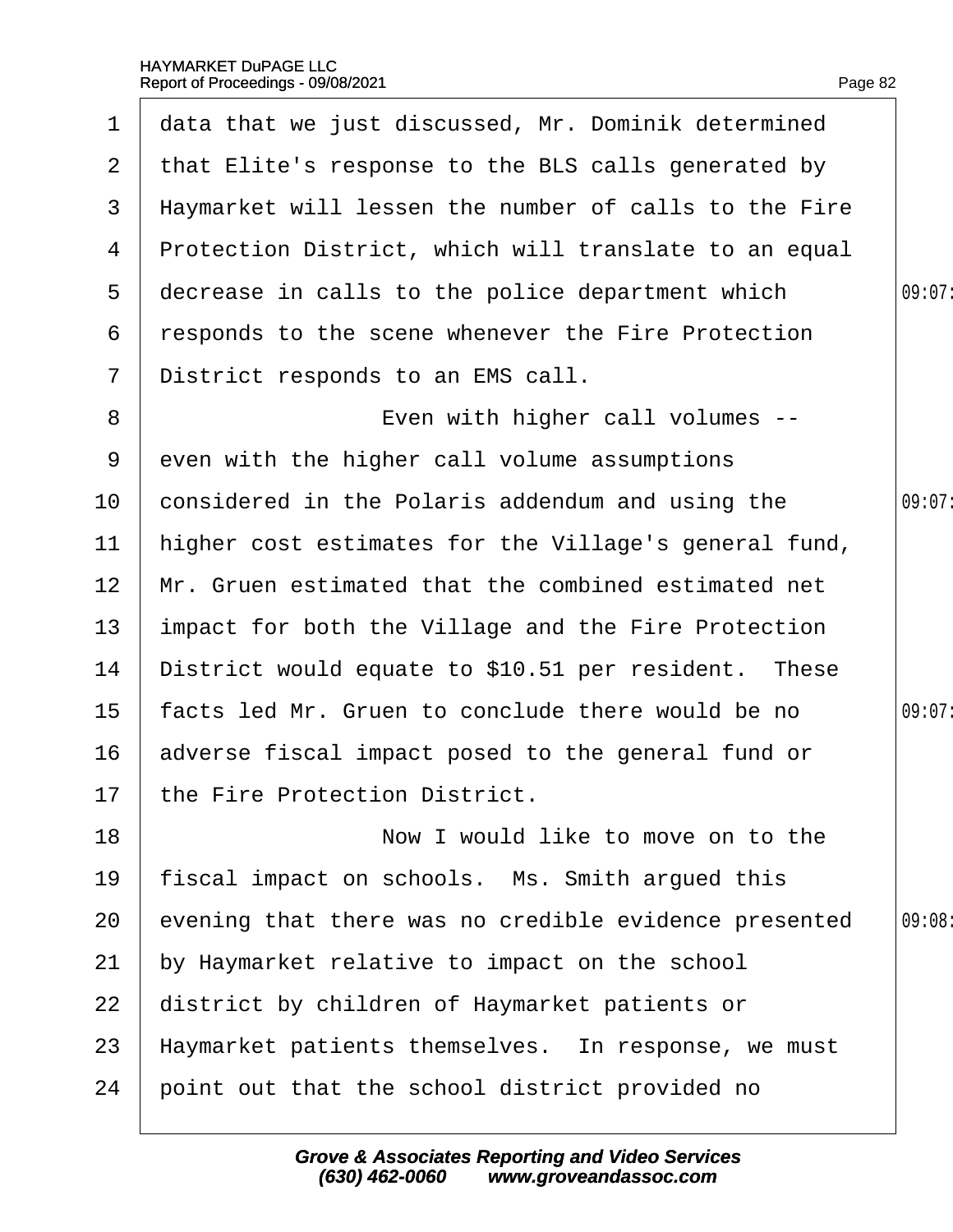| $\mathbf 1$     | data that we just discussed, Mr. Dominik determined   |        |
|-----------------|-------------------------------------------------------|--------|
| $\mathbf{2}$    | that Elite's response to the BLS calls generated by   |        |
| 3               | Haymarket will lessen the number of calls to the Fire |        |
| 4               | Protection District, which will translate to an equal |        |
| 5               | decrease in calls to the police department which      | 09:07: |
| 6               | responds to the scene whenever the Fire Protection    |        |
| $\overline{7}$  | District responds to an EMS call.                     |        |
| 8               | Even with higher call volumes --                      |        |
| 9               | even with the higher call volume assumptions          |        |
| 10              | considered in the Polaris addendum and using the      | 09:07: |
| 11              | higher cost estimates for the Village's general fund, |        |
| 12 <sup>2</sup> | Mr. Gruen estimated that the combined estimated net   |        |
| 13              | impact for both the Village and the Fire Protection   |        |
| 14              | District would equate to \$10.51 per resident. These  |        |
| 15 <sub>1</sub> | facts led Mr. Gruen to conclude there would be no     | 09:07: |
| 16              | adverse fiscal impact posed to the general fund or    |        |
|                 | 17 the Fire Protection District.                      |        |
| 18              | Now I would like to move on to the                    |        |
| 19              | fiscal impact on schools. Ms. Smith argued this       |        |
| 20              | evening that there was no credible evidence presented | 09:08  |
| 21              | by Haymarket relative to impact on the school         |        |
| 22              | district by children of Haymarket patients or         |        |
| 23              | Haymarket patients themselves. In response, we must   |        |
| 24              | point out that the school district provided no        |        |
|                 |                                                       |        |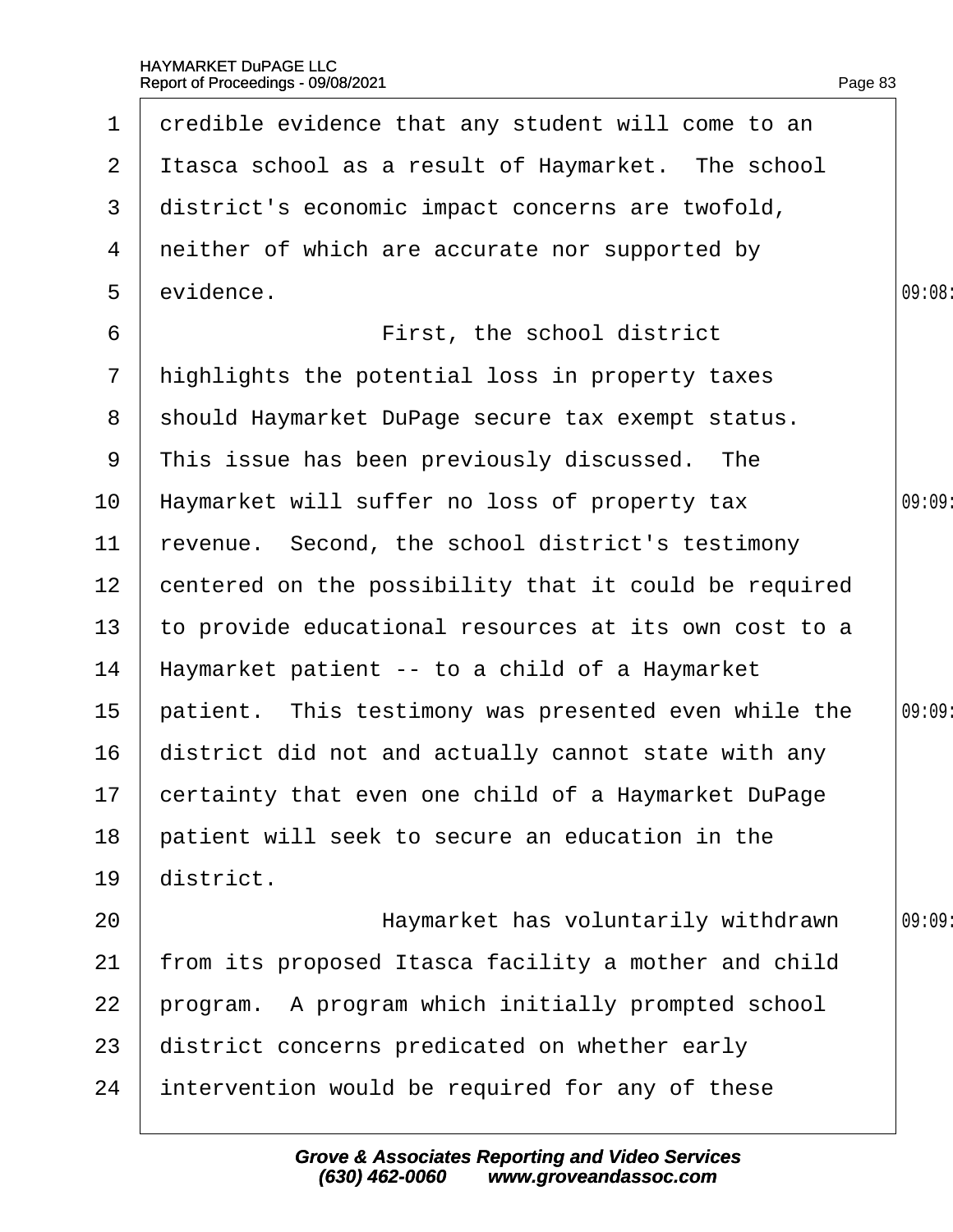|                 | 1 dredible evidence that any student will come to an   |        |
|-----------------|--------------------------------------------------------|--------|
|                 | 2 Itasca school as a result of Haymarket. The school   |        |
| 3               | district's economic impact concerns are twofold,       |        |
|                 | 4 neither of which are accurate nor supported by       |        |
| 5               | evidence.                                              | 09:08: |
| 6               | First, the school district                             |        |
| $7\overline{ }$ | highlights the potential loss in property taxes        |        |
|                 | 8 should Haymarket DuPage secure tax exempt status.    |        |
| 9               | This issue has been previously discussed. The          |        |
| 10 <sub>1</sub> | Haymarket will suffer no loss of property tax          | 09:09  |
| 11              | revenue. Second, the school district's testimony       |        |
| 12 <sub>2</sub> | centered on the possibility that it could be required  |        |
| 13 <sup>°</sup> | to provide educational resources at its own cost to a  |        |
| 14              | Haymarket patient -- to a child of a Haymarket         |        |
| 15 <sub>1</sub> | patient. This testimony was presented even while the   | 09:09  |
| 16              | district did not and actually cannot state with any    |        |
|                 | 17 certainty that even one child of a Haymarket DuPage |        |
| 18              | patient will seek to secure an education in the        |        |
| 19              | district.                                              |        |
| 20              | Haymarket has voluntarily withdrawn                    | 09:09  |
| 21              | from its proposed Itasca facility a mother and child   |        |
| 22              | program. A program which initially prompted school     |        |
| 23              | district concerns predicated on whether early          |        |
| 24              | intervention would be required for any of these        |        |
|                 |                                                        |        |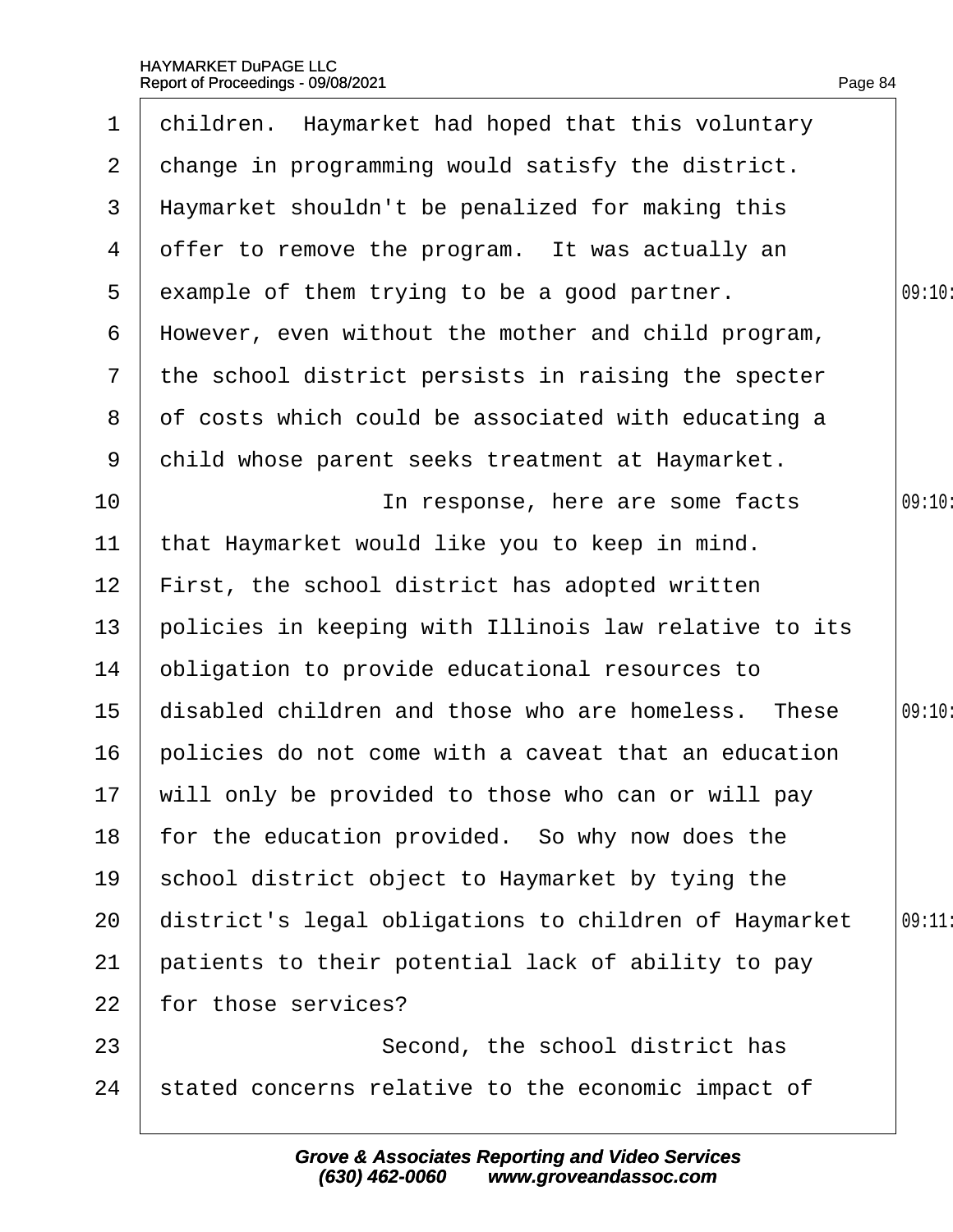| $\mathbf 1$    | children. Haymarket had hoped that this voluntary     |        |
|----------------|-------------------------------------------------------|--------|
| $\overline{2}$ | change in programming would satisfy the district.     |        |
| 3              | Haymarket shouldn't be penalized for making this      |        |
| 4              | offer to remove the program. It was actually an       |        |
| 5              | example of them trying to be a good partner.          | 09:10: |
| 6              | However, even without the mother and child program,   |        |
| $\overline{7}$ | the school district persists in raising the specter   |        |
| 8              | of costs which could be associated with educating a   |        |
| 9              | child whose parent seeks treatment at Haymarket.      |        |
| 10             | In response, here are some facts                      | 09:10: |
| 11             | that Haymarket would like you to keep in mind.        |        |
| 12             | First, the school district has adopted written        |        |
| 13             | policies in keeping with Illinois law relative to its |        |
| 14             | obligation to provide educational resources to        |        |
| 15             | disabled children and those who are homeless. These   | 09:10: |
| 16             | policies do not come with a caveat that an education  |        |
|                | 17 will only be provided to those who can or will pay |        |
| 18             | for the education provided. So why now does the       |        |
| 19             | school district object to Haymarket by tying the      |        |
| 20             | district's legal obligations to children of Haymarket | 09:11  |
| 21             | patients to their potential lack of ability to pay    |        |
| 22             | for those services?                                   |        |
| 23             | Second, the school district has                       |        |
| 24             | stated concerns relative to the economic impact of    |        |
|                |                                                       |        |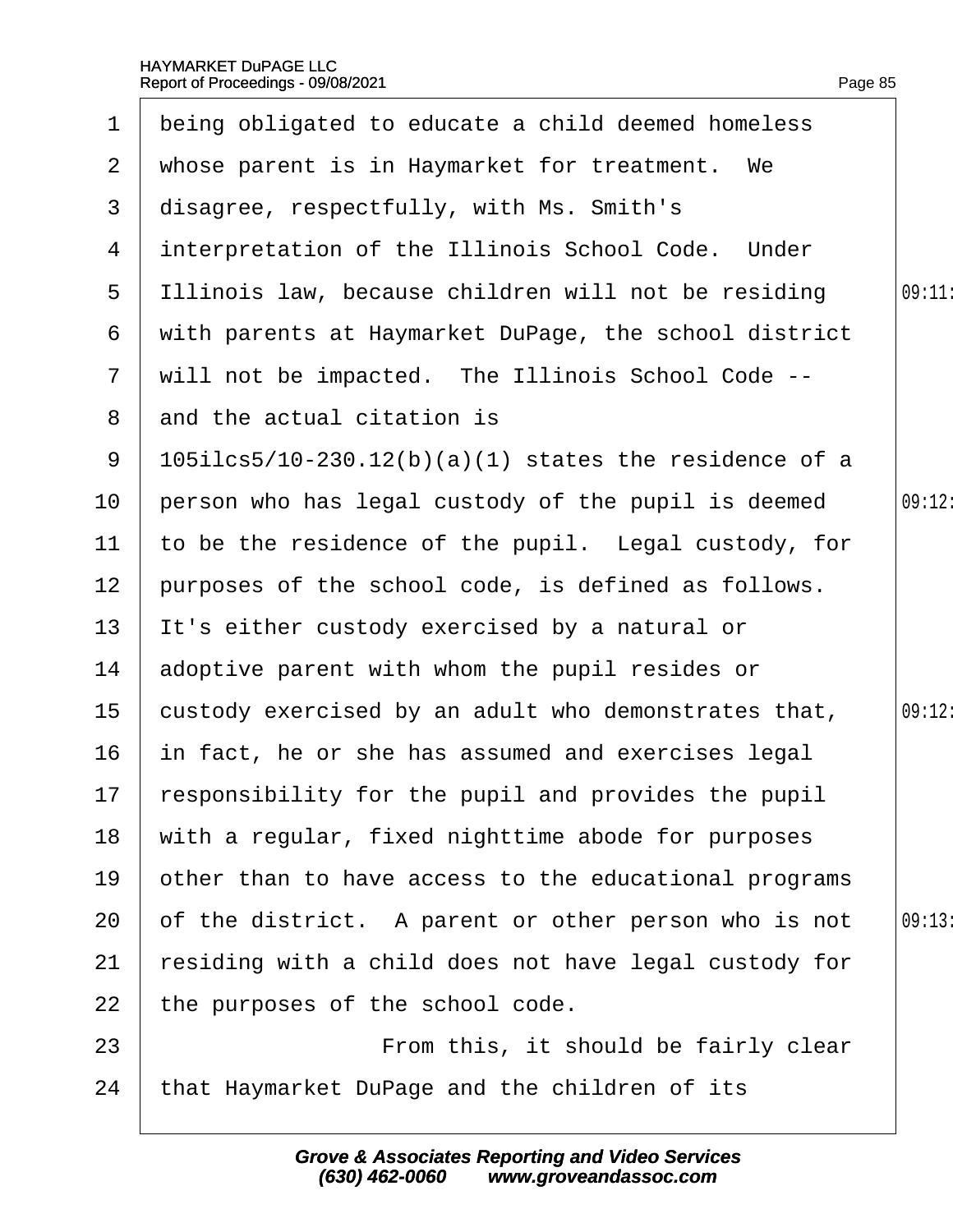| $\mathbf 1$     | being obligated to educate a child deemed homeless       |        |
|-----------------|----------------------------------------------------------|--------|
| 2 <sup>1</sup>  | whose parent is in Haymarket for treatment. We           |        |
| 3               | disagree, respectfully, with Ms. Smith's                 |        |
|                 | 4 interpretation of the Illinois School Code. Under      |        |
| 5               | Illinois law, because children will not be residing      | 09:11: |
| 6               | with parents at Haymarket DuPage, the school district    |        |
| $7\phantom{.}$  | will not be impacted. The Illinois School Code --        |        |
| 8               | and the actual citation is                               |        |
| 9               | $105$ ilcs5/10-230.12(b)(a)(1) states the residence of a |        |
| 10              | person who has legal custody of the pupil is deemed      | 09:12: |
| 11              | to be the residence of the pupil. Legal custody, for     |        |
| 12 <sub>2</sub> | purposes of the school code, is defined as follows.      |        |
| 13              | It's either custody exercised by a natural or            |        |
| 14              | adoptive parent with whom the pupil resides or           |        |
| 15 <sub>1</sub> | custody exercised by an adult who demonstrates that,     | 09:12: |
| 16              | in fact, he or she has assumed and exercises legal       |        |
|                 | 17 responsibility for the pupil and provides the pupil   |        |
| 18              | with a regular, fixed nighttime abode for purposes       |        |
| 19              | other than to have access to the educational programs    |        |
| 20              | of the district. A parent or other person who is not     | 09:13  |
| 21              | residing with a child does not have legal custody for    |        |
| 22              | the purposes of the school code.                         |        |
| 23              | From this, it should be fairly clear                     |        |
| 24              | that Haymarket DuPage and the children of its            |        |
|                 |                                                          |        |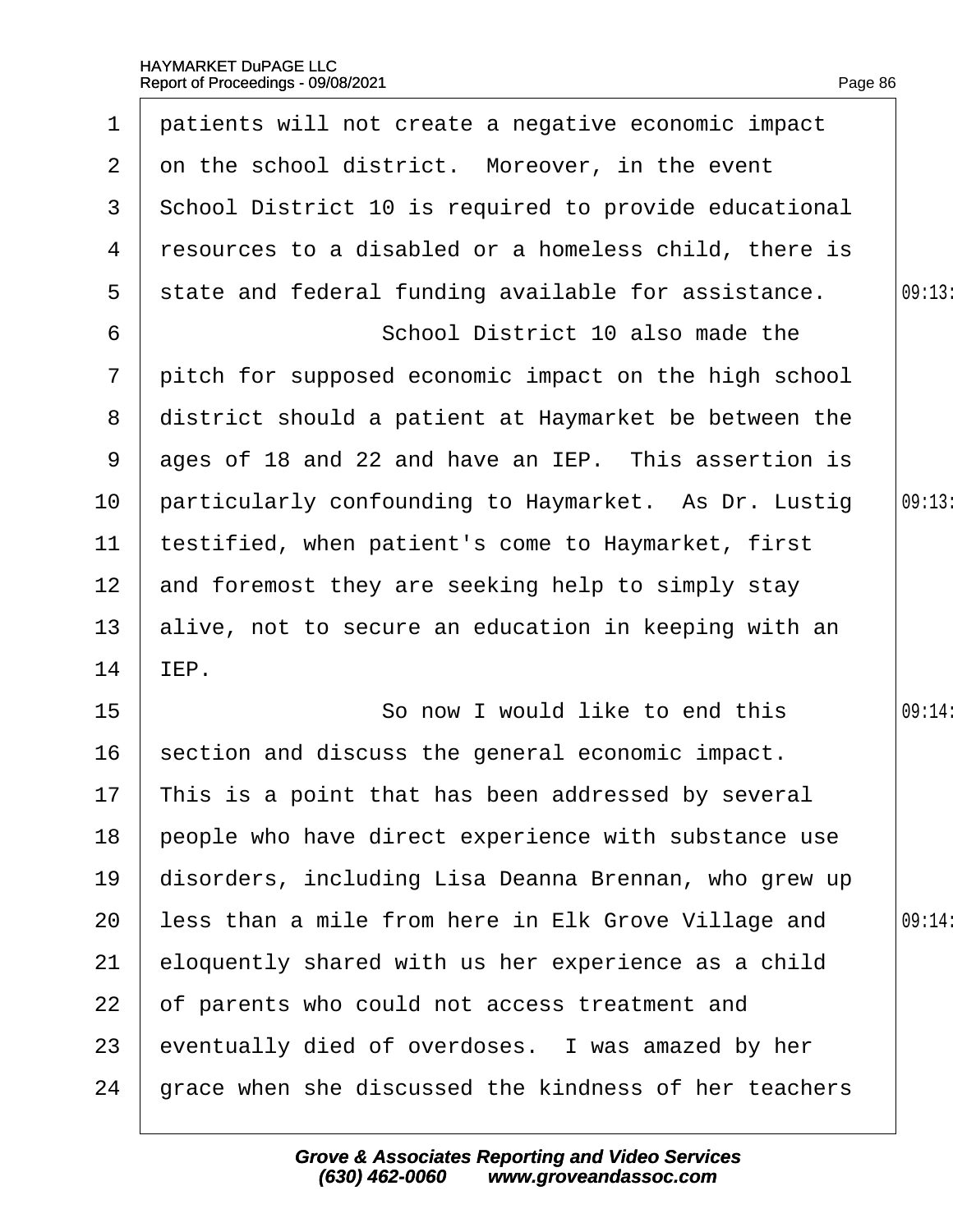| $\mathbf 1$     | patients will not create a negative economic impact   |        |
|-----------------|-------------------------------------------------------|--------|
| $\overline{2}$  | on the school district. Moreover, in the event        |        |
| 3               | School District 10 is required to provide educational |        |
| 4               | resources to a disabled or a homeless child, there is |        |
| 5               | state and federal funding available for assistance.   | 09:13: |
| 6               | School District 10 also made the                      |        |
| $\overline{7}$  | pitch for supposed economic impact on the high school |        |
| 8               | district should a patient at Haymarket be between the |        |
| 9               | ages of 18 and 22 and have an IEP. This assertion is  |        |
| 10              | particularly confounding to Haymarket. As Dr. Lustig  | 09:13  |
| 11              | testified, when patient's come to Haymarket, first    |        |
| 12 <sub>2</sub> | and foremost they are seeking help to simply stay     |        |
| 13              | alive, not to secure an education in keeping with an  |        |
| 14              | IEP.                                                  |        |
| 15              | So now I would like to end this                       | 09:14: |
| 16              | section and discuss the general economic impact.      |        |
|                 | 17 This is a point that has been addressed by several |        |
| 18              | people who have direct experience with substance use  |        |
| 19              | disorders, including Lisa Deanna Brennan, who grew up |        |
| 20              | less than a mile from here in Elk Grove Village and   | 09:14: |
| 21              | eloquently shared with us her experience as a child   |        |
| 22              | of parents who could not access treatment and         |        |
| 23              | eventually died of overdoses. I was amazed by her     |        |
| 24              | grace when she discussed the kindness of her teachers |        |
|                 |                                                       |        |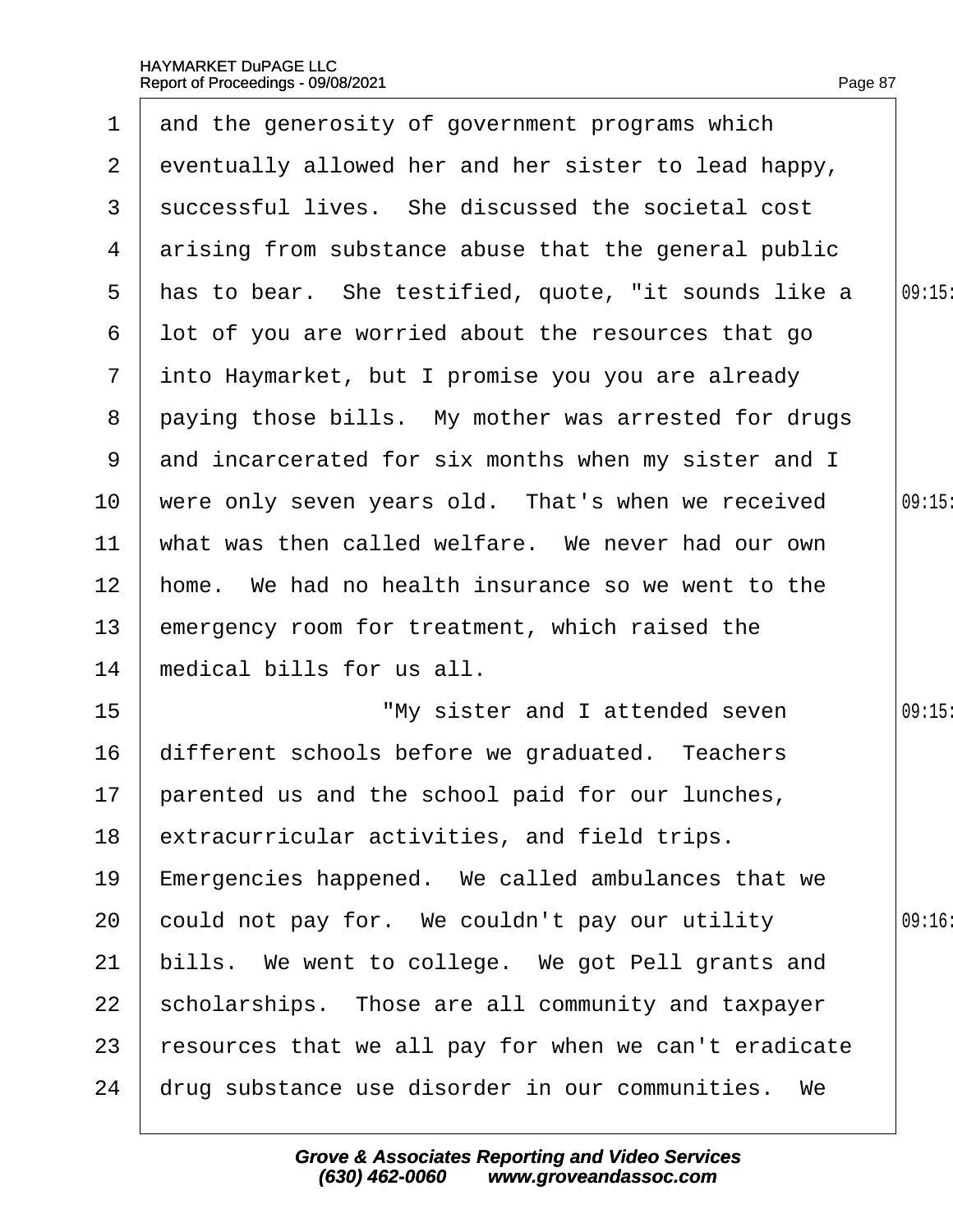|                       | 1 and the generosity of government programs which      |       |
|-----------------------|--------------------------------------------------------|-------|
| $\mathbf{2}^{\prime}$ | eventually allowed her and her sister to lead happy,   |       |
| 3                     | successful lives. She discussed the societal cost      |       |
| 4                     | arising from substance abuse that the general public   |       |
|                       | 5 Has to bear. She testified, quote, "it sounds like a | 09:15 |
| 6                     | lot of you are worried about the resources that go     |       |
| $7\phantom{.}$        | into Haymarket, but I promise you you are already      |       |
| 8                     | paying those bills. My mother was arrested for drugs   |       |
| 9                     | and incarcerated for six months when my sister and I   |       |
| 10                    | were only seven years old. That's when we received     | 09:15 |
| 11                    | what was then called welfare. We never had our own     |       |
| 12 <sub>2</sub>       | home. We had no health insurance so we went to the     |       |
| 13                    | emergency room for treatment, which raised the         |       |
| 14                    | medical bills for us all.                              |       |
| 15                    | "My sister and I attended seven                        | 09:15 |
| 16                    | different schools before we graduated. Teachers        |       |
|                       | 17 parented us and the school paid for our lunches,    |       |
| 18                    | extracurricular activities, and field trips.           |       |
| 19                    | Emergencies happened. We called ambulances that we     |       |
| 20                    | could not pay for. We couldn't pay our utility         | 09:16 |
| 21                    | bills. We went to college. We got Pell grants and      |       |
| 22                    | scholarships. Those are all community and taxpayer     |       |
| 23                    | resources that we all pay for when we can't eradicate  |       |
| 24                    | drug substance use disorder in our communities. We     |       |
|                       |                                                        |       |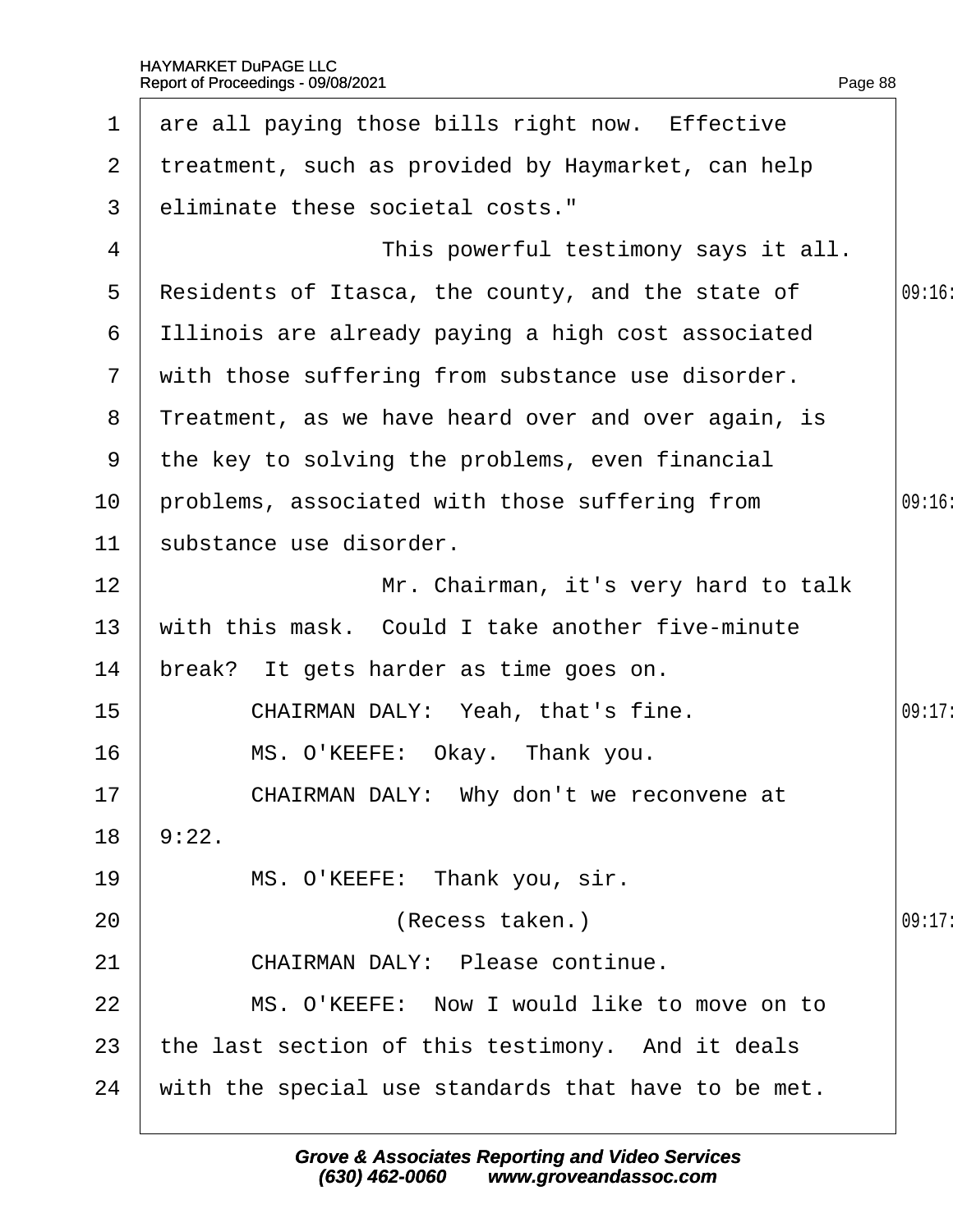| $\mathbf 1$  | are all paying those bills right now. Effective     |        |
|--------------|-----------------------------------------------------|--------|
| $\mathbf{2}$ | treatment, such as provided by Haymarket, can help  |        |
| 3            | eliminate these societal costs."                    |        |
| 4            | This powerful testimony says it all.                |        |
| $5^{\circ}$  | Residents of Itasca, the county, and the state of   | 09:16  |
| 6            | Illinois are already paying a high cost associated  |        |
| $\mathbf{7}$ | with those suffering from substance use disorder.   |        |
| 8            | Treatment, as we have heard over and over again, is |        |
| 9            | the key to solving the problems, even financial     |        |
| 10           | problems, associated with those suffering from      | 09:16  |
| 11           | substance use disorder.                             |        |
| 12           | Mr. Chairman, it's very hard to talk                |        |
| 13           | with this mask. Could I take another five-minute    |        |
| 14           | break? It gets harder as time goes on.              |        |
| 15           | CHAIRMAN DALY: Yeah, that's fine.                   | 09:17: |
| 16           | MS. O'KEEFE: Okay. Thank you.                       |        |
| 17           | CHAIRMAN DALY: Why don't we reconvene at            |        |
| 18           | 9:22.                                               |        |
| 19           | MS. O'KEEFE: Thank you, sir.                        |        |
| 20           | (Recess taken.)                                     | 09:17: |
| 21           | <b>CHAIRMAN DALY: Please continue.</b>              |        |
| 22           | MS. O'KEEFE: Now I would like to move on to         |        |
| 23           | the last section of this testimony. And it deals    |        |
| 24           | with the special use standards that have to be met. |        |
|              |                                                     |        |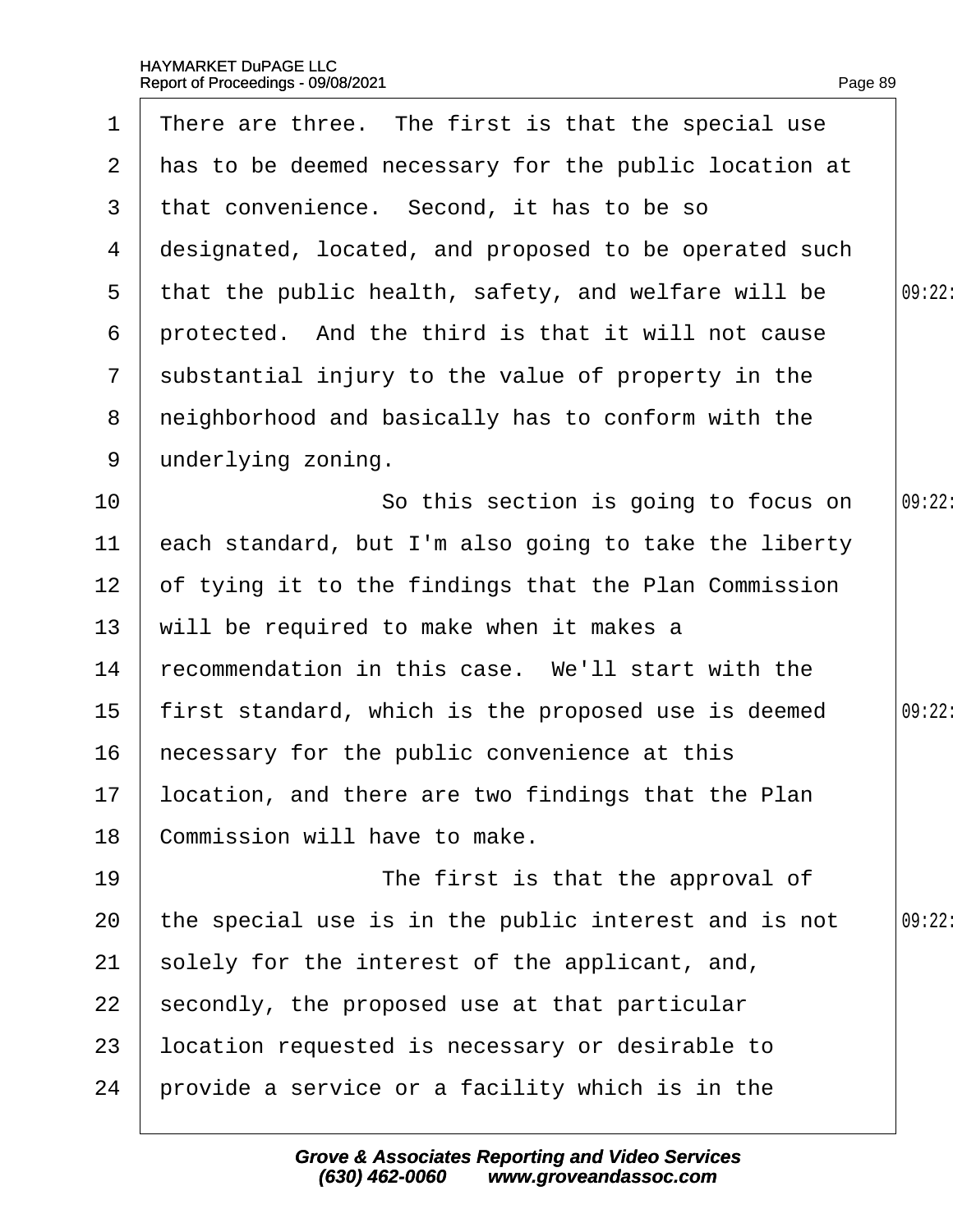| $\mathbf 1$     | There are three. The first is that the special use    |        |
|-----------------|-------------------------------------------------------|--------|
| $\overline{2}$  | has to be deemed necessary for the public location at |        |
| 3               | that convenience. Second, it has to be so             |        |
| 4               | designated, located, and proposed to be operated such |        |
| 5               | that the public health, safety, and welfare will be   | 09:22: |
| 6               | protected. And the third is that it will not cause    |        |
| $7\phantom{.}$  | substantial injury to the value of property in the    |        |
| 8               | neighborhood and basically has to conform with the    |        |
| 9               | underlying zoning.                                    |        |
| 10              | So this section is going to focus on                  | 09:22  |
| 11              | each standard, but I'm also going to take the liberty |        |
| 12 <sub>2</sub> | of tying it to the findings that the Plan Commission  |        |
| 13              | will be required to make when it makes a              |        |
| 14              | recommendation in this case. We'll start with the     |        |
| 15              | first standard, which is the proposed use is deemed   | 09:22: |
| 16              | hecessary for the public convenience at this          |        |
|                 | 17 location, and there are two findings that the Plan |        |
| 18              | Commission will have to make.                         |        |
| 19              | The first is that the approval of                     |        |
| 20              | the special use is in the public interest and is not  | 09:22  |
| 21              | solely for the interest of the applicant, and,        |        |
| 22              | secondly, the proposed use at that particular         |        |
| 23              | location requested is necessary or desirable to       |        |
| 24              | provide a service or a facility which is in the       |        |
|                 |                                                       |        |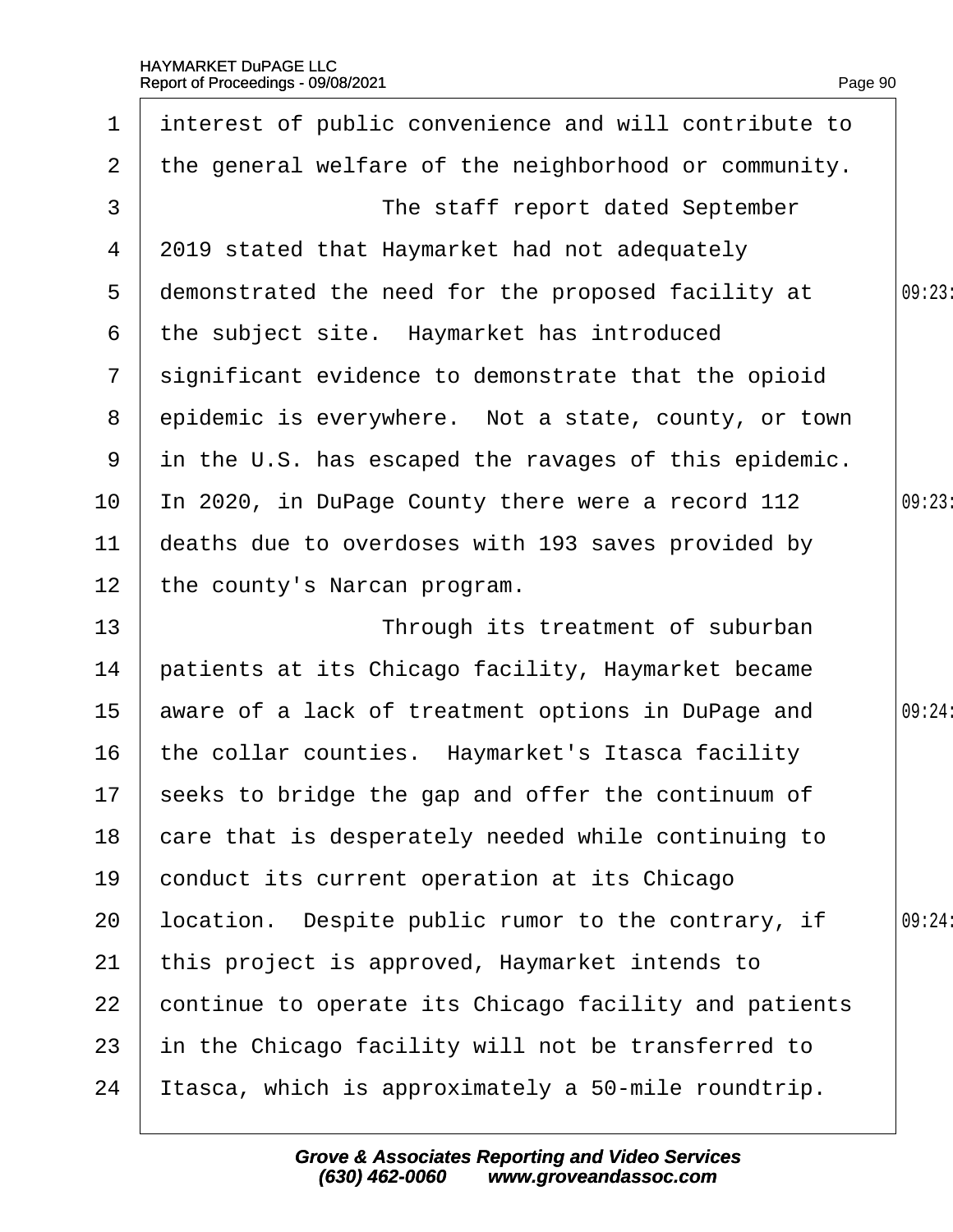| 1              | interest of public convenience and will contribute to |        |
|----------------|-------------------------------------------------------|--------|
| $\overline{2}$ | the general welfare of the neighborhood or community. |        |
| 3              | The staff report dated September                      |        |
| 4              | 2019 stated that Haymarket had not adequately         |        |
| 5              | demonstrated the need for the proposed facility at    | 09:23  |
| 6              | the subject site. Haymarket has introduced            |        |
| $\mathcal{I}$  | significant evidence to demonstrate that the opioid   |        |
| 8              | epidemic is everywhere. Not a state, county, or town  |        |
| 9              | in the U.S. has escaped the ravages of this epidemic. |        |
| 10             | In 2020, in DuPage County there were a record 112     | 09:23  |
| 11             | deaths due to overdoses with 193 saves provided by    |        |
| 12             | the county's Narcan program.                          |        |
| 13             | Through its treatment of suburban                     |        |
| 14             | patients at its Chicago facility, Haymarket became    |        |
| 15             | aware of a lack of treatment options in DuPage and    | 09:24: |
| 16             | the collar counties. Haymarket's Itasca facility      |        |
|                | 17 seeks to bridge the gap and offer the continuum of |        |
| 18             | care that is desperately needed while continuing to   |        |
| 19             | conduct its current operation at its Chicago          |        |
| 20             | location. Despite public rumor to the contrary, if    | 09:24: |
| 21             | this project is approved, Haymarket intends to        |        |
| 22             | continue to operate its Chicago facility and patients |        |
| 23             | in the Chicago facility will not be transferred to    |        |
| 24             | Itasca, which is approximately a 50-mile roundtrip.   |        |
|                |                                                       |        |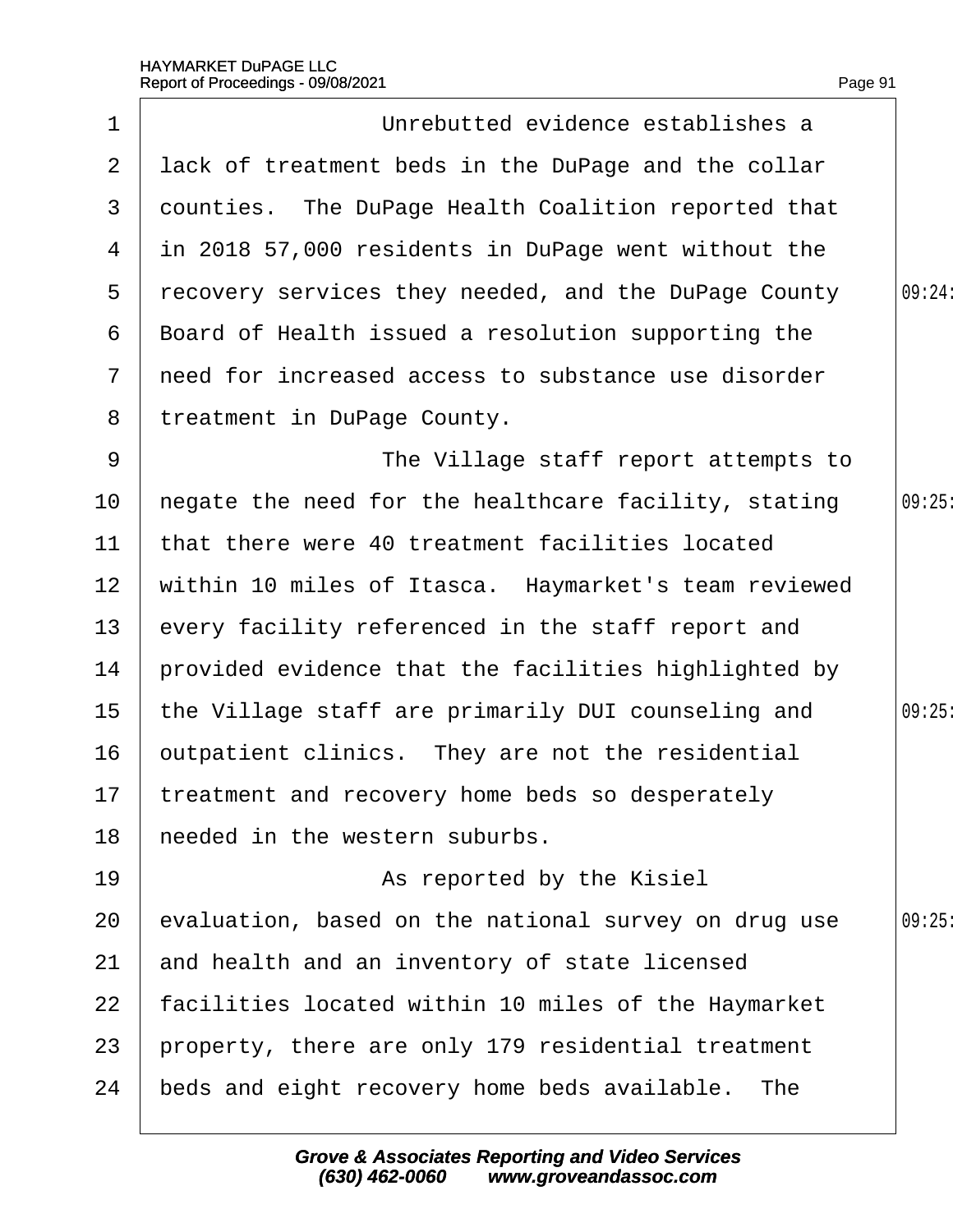|                 | Report of Proceedings - 09/08/2021                   | Page 91 |
|-----------------|------------------------------------------------------|---------|
| $\mathbf 1$     | Unrebutted evidence establishes a                    |         |
| $\overline{2}$  | lack of treatment beds in the DuPage and the collar  |         |
| 3               | dounties. The DuPage Health Coalition reported that  |         |
| 4               | in 2018 57,000 residents in DuPage went without the  |         |
| 5               | recovery services they needed, and the DuPage County | 09:24:  |
| 6               | Board of Health issued a resolution supporting the   |         |
| $7\overline{ }$ | reed for increased access to substance use disorder  |         |
| 8               | treatment in DuPage County.                          |         |
| 9               | The Village staff report attempts to                 |         |
| 10              | hegate the need for the healthcare facility, stating | 09:25   |
| 11              | that there were 40 treatment facilities located      |         |
| 12 <sub>2</sub> | within 10 miles of Itasca. Haymarket's team reviewed |         |
| 13              | every facility referenced in the staff report and    |         |
| 14              | provided evidence that the facilities highlighted by |         |
| 15              | the Village staff are primarily DUI counseling and   | 09:25   |
| 16              | putpatient clinics. They are not the residential     |         |
| 17              | treatment and recovery home beds so desperately      |         |
| 18              | heeded in the western suburbs.                       |         |
| 19              | As reported by the Kisiel                            |         |
| 20              | evaluation, based on the national survey on drug use | 09:25   |
| 21              | and health and an inventory of state licensed        |         |
| 22              | facilities located within 10 miles of the Haymarket  |         |
| 23              | property, there are only 179 residential treatment   |         |
| 24              | beds and eight recovery home beds available. The     |         |
|                 |                                                      |         |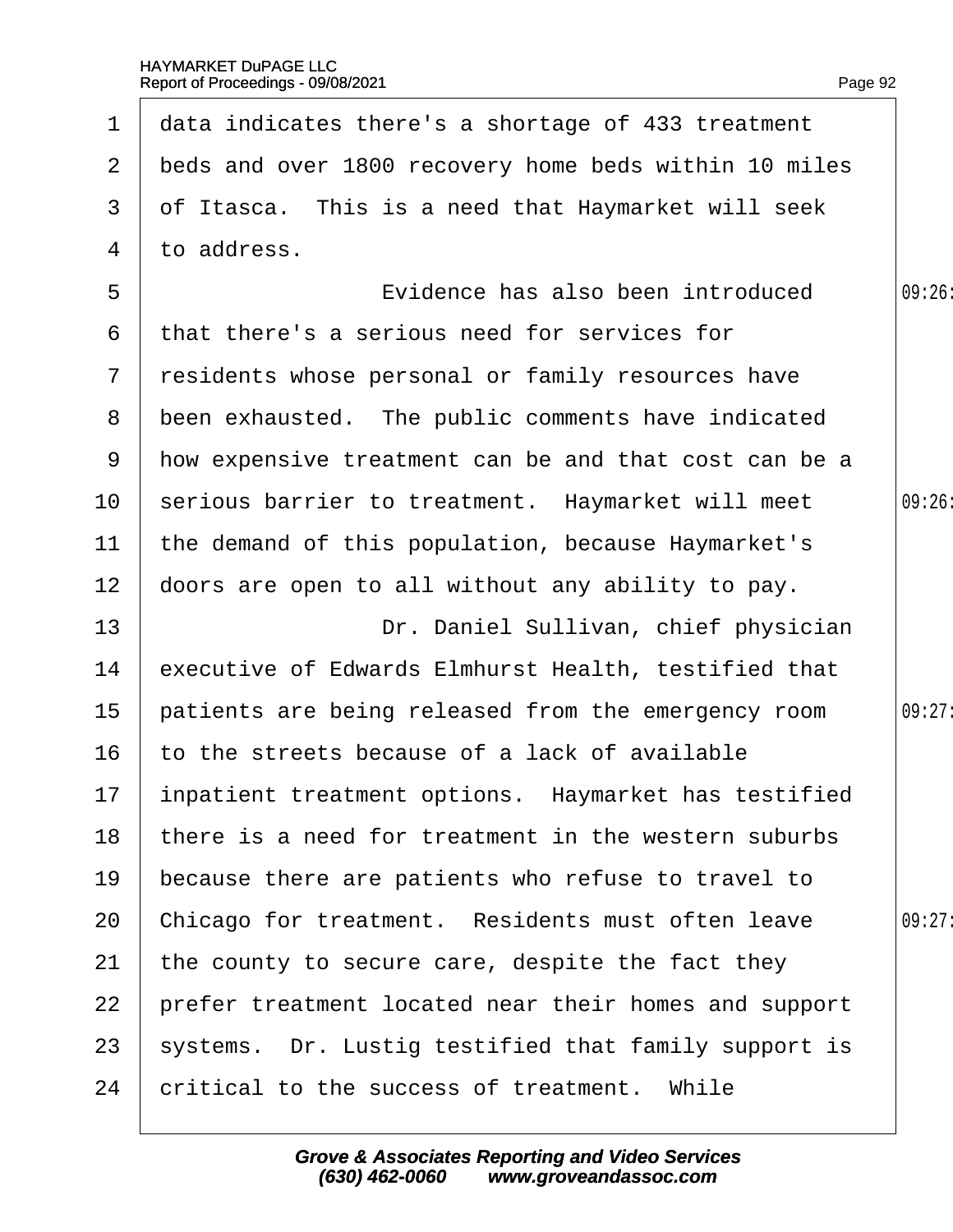| 1              | data indicates there's a shortage of 433 treatment      |        |
|----------------|---------------------------------------------------------|--------|
| $\mathbf{2}$   | beds and over 1800 recovery home beds within 10 miles   |        |
| 3              | of Itasca. This is a need that Haymarket will seek      |        |
| 4              | to address.                                             |        |
| 5              | Evidence has also been introduced                       | 09:26  |
| 6              | that there's a serious need for services for            |        |
| $7\phantom{.}$ | residents whose personal or family resources have       |        |
| 8              | been exhausted. The public comments have indicated      |        |
|                | 9 How expensive treatment can be and that cost can be a |        |
| 10             | serious barrier to treatment. Haymarket will meet       | 09:26: |
| 11             | the demand of this population, because Haymarket's      |        |
| 12             | doors are open to all without any ability to pay.       |        |
| 13             | Dr. Daniel Sullivan, chief physician                    |        |
| 14             | executive of Edwards Elmhurst Health, testified that    |        |
| 15             | patients are being released from the emergency room     | 09:27: |
| 16             | to the streets because of a lack of available           |        |
| 17             | inpatient treatment options. Haymarket has testified    |        |
| 18             | there is a need for treatment in the western suburbs    |        |
| 19             | because there are patients who refuse to travel to      |        |
| 20             | Chicago for treatment. Residents must often leave       | 09:27: |
| 21             | the county to secure care, despite the fact they        |        |
| 22             | prefer treatment located near their homes and support   |        |
| 23             | systems. Dr. Lustig testified that family support is    |        |
| 24             | critical to the success of treatment. While             |        |
|                |                                                         |        |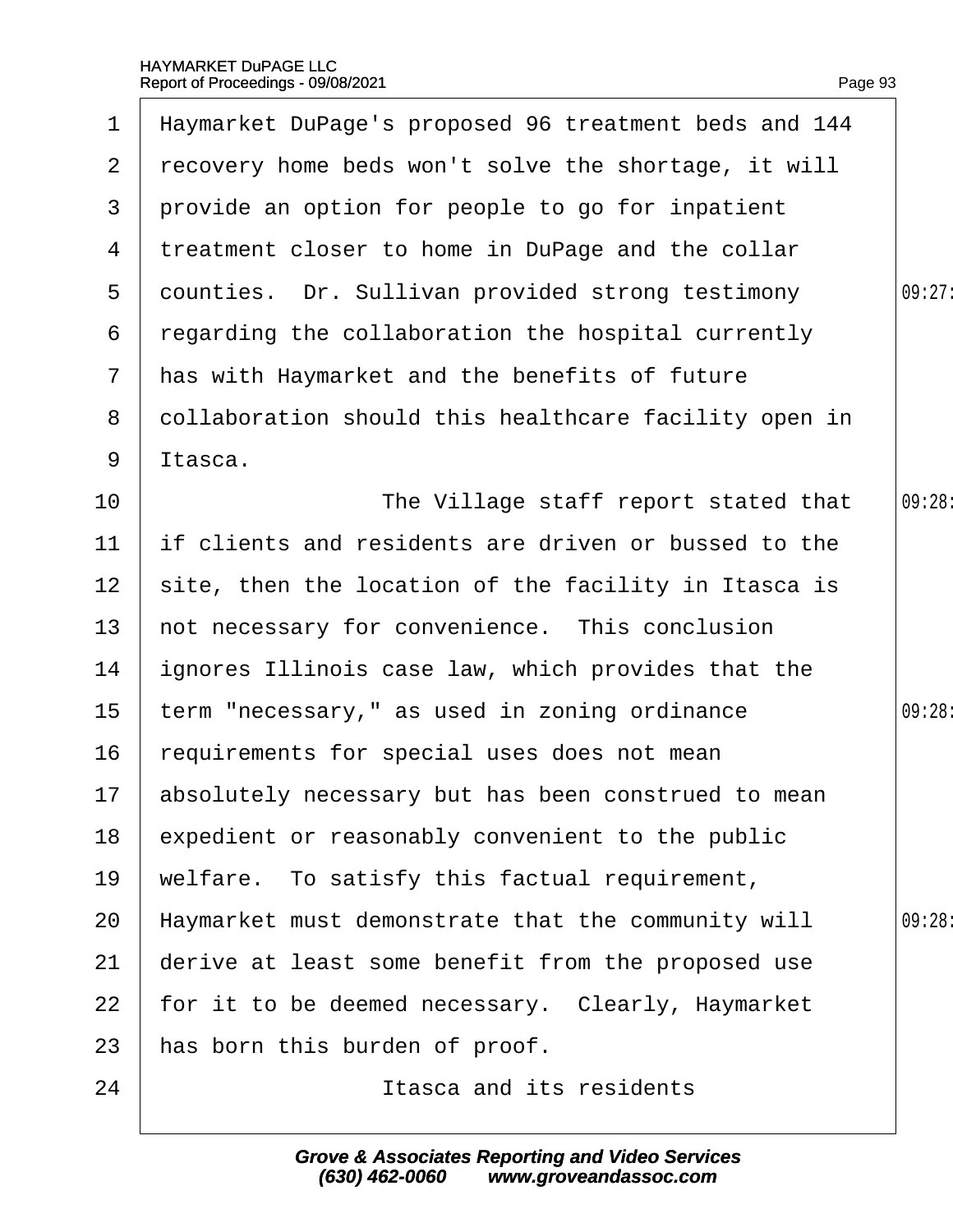| 1               | Haymarket DuPage's proposed 96 treatment beds and 144  |        |
|-----------------|--------------------------------------------------------|--------|
| $\mathbf{2}$    | recovery home beds won't solve the shortage, it will   |        |
| 3               | provide an option for people to go for inpatient       |        |
| 4               | treatment closer to home in DuPage and the collar      |        |
| 5               | dounties. Dr. Sullivan provided strong testimony       | 09:27: |
| 6               | regarding the collaboration the hospital currently     |        |
| $\overline{7}$  | has with Haymarket and the benefits of future          |        |
| 8               | dollaboration should this healthcare facility open in  |        |
| 9               | Itasca.                                                |        |
| 10              | The Village staff report stated that                   | 09:28: |
| 11              | If clients and residents are driven or bussed to the   |        |
| 12 <sub>2</sub> | site, then the location of the facility in Itasca is   |        |
| 13              | not necessary for convenience. This conclusion         |        |
| 14              | ignores Illinois case law, which provides that the     |        |
| 15              | term "necessary," as used in zoning ordinance          | 09:28: |
| 16              | requirements for special uses does not mean            |        |
|                 | 17 absolutely necessary but has been construed to mean |        |
| 18              | expedient or reasonably convenient to the public       |        |
| 19              | welfare. To satisfy this factual requirement,          |        |
| 20              | Haymarket must demonstrate that the community will     | 09:28  |
| 21              | derive at least some benefit from the proposed use     |        |
| 22              | for it to be deemed necessary. Clearly, Haymarket      |        |
| 23              | has born this burden of proof.                         |        |
| 24              | Itasca and its residents                               |        |
|                 |                                                        |        |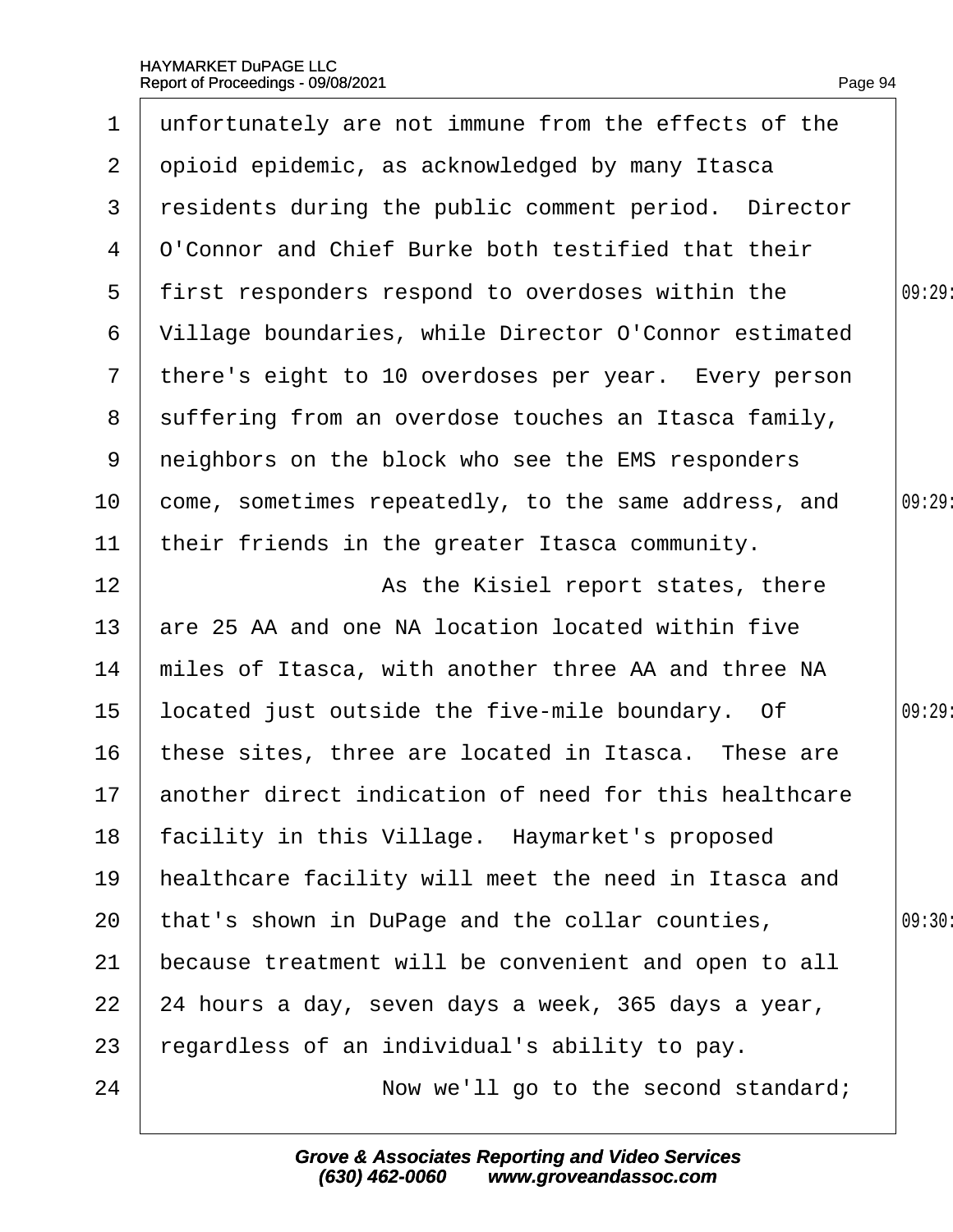|                 | 1 unfortunately are not immune from the effects of the    |        |
|-----------------|-----------------------------------------------------------|--------|
| $\overline{2}$  | opioid epidemic, as acknowledged by many Itasca           |        |
| 3               | residents during the public comment period. Director      |        |
| 4               | <b>Q'Connor and Chief Burke both testified that their</b> |        |
| $5^{\circ}$     | first responders respond to overdoses within the          | 09:29  |
| 6               | Village boundaries, while Director O'Connor estimated     |        |
|                 | 7 there's eight to 10 overdoses per year. Every person    |        |
| 8               | suffering from an overdose touches an Itasca family,      |        |
| 9               | neighbors on the block who see the EMS responders         |        |
| 10              | come, sometimes repeatedly, to the same address, and      | 09:29: |
| 11              | their friends in the greater Itasca community.            |        |
| 12 <sub>2</sub> | As the Kisiel report states, there                        |        |
| 13              | are 25 AA and one NA location located within five         |        |
| 14              | miles of Itasca, with another three AA and three NA       |        |
| 15              | located just outside the five-mile boundary. Of           | 09:29: |
| 16              | these sites, three are located in Itasca. These are       |        |
|                 | 17 another direct indication of need for this healthcare  |        |
| 18              | facility in this Village. Haymarket's proposed            |        |
| 19              | healthcare facility will meet the need in Itasca and      |        |
| 20              | that's shown in DuPage and the collar counties,           | 09:30: |
| 21              | because treatment will be convenient and open to all      |        |
| 22              | 24 hours a day, seven days a week, 365 days a year,       |        |
| 23              | regardless of an individual's ability to pay.             |        |
| 24              | Now we'll go to the second standard;                      |        |
|                 |                                                           |        |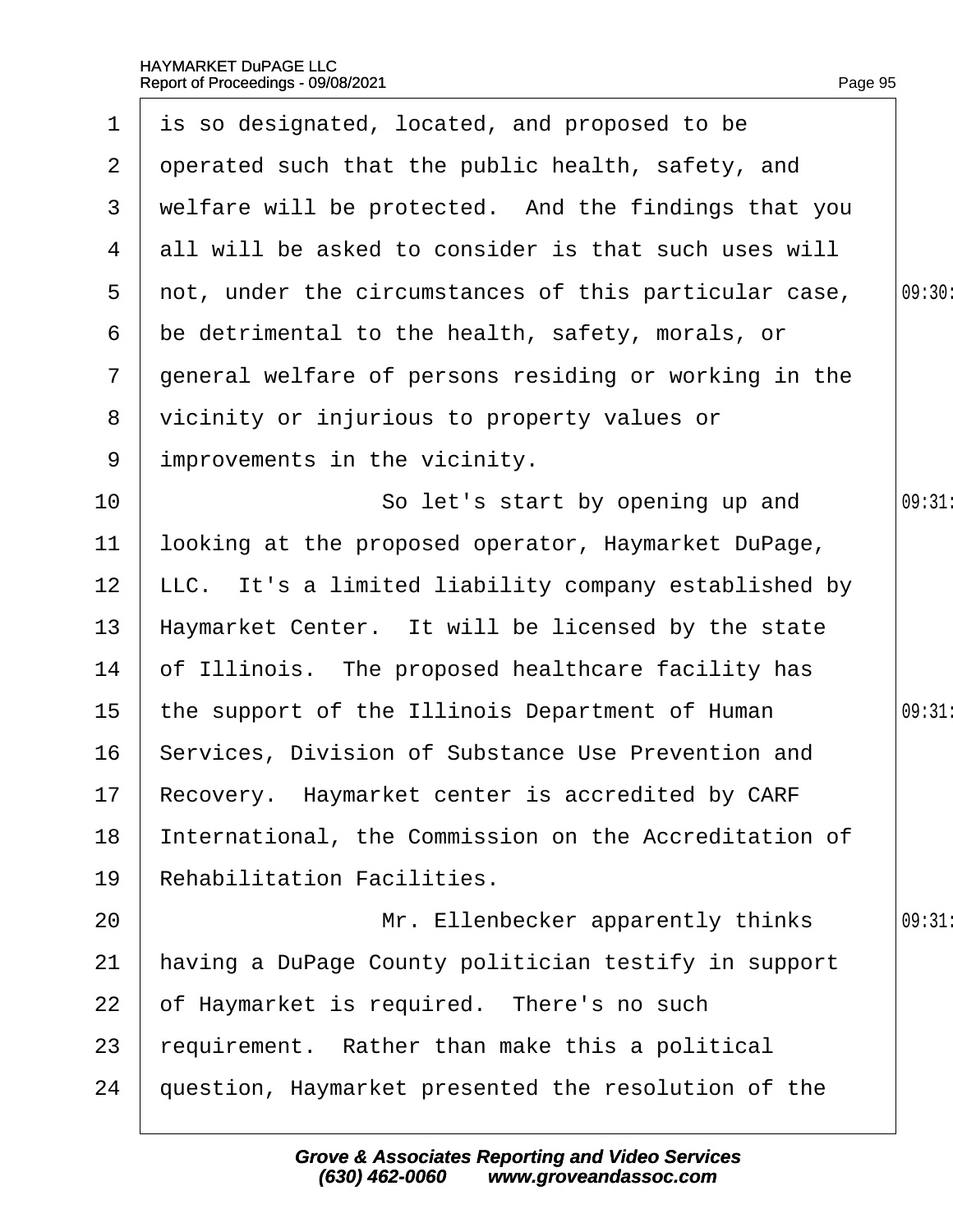| $\mathbf 1$     | is so designated, located, and proposed to be         |        |
|-----------------|-------------------------------------------------------|--------|
| $\overline{2}$  | operated such that the public health, safety, and     |        |
| 3               | welfare will be protected. And the findings that you  |        |
| 4               | all will be asked to consider is that such uses will  |        |
| 5               | not, under the circumstances of this particular case, | 09:30: |
| 6               | be detrimental to the health, safety, morals, or      |        |
| $\overline{7}$  | general welfare of persons residing or working in the |        |
| 8               | vicinity or injurious to property values or           |        |
| 9               | improvements in the vicinity.                         |        |
| 10 <sup>°</sup> | So let's start by opening up and                      | 09:31  |
| 11              | looking at the proposed operator, Haymarket DuPage,   |        |
| 12 <sub>2</sub> | LLC. It's a limited liability company established by  |        |
| 13              | Haymarket Center. It will be licensed by the state    |        |
| 14              | of Illinois. The proposed healthcare facility has     |        |
| 15              | the support of the Illinois Department of Human       | 09:31  |
| 16              | Services, Division of Substance Use Prevention and    |        |
|                 | 17 Recovery. Haymarket center is accredited by CARF   |        |
| 18              | International, the Commission on the Accreditation of |        |
| 19              | <b>Rehabilitation Facilities.</b>                     |        |
| 20              | Mr. Ellenbecker apparently thinks                     | 09:31  |
| 21              | having a DuPage County politician testify in support  |        |
| 22              | of Haymarket is required. There's no such             |        |
| 23              | requirement. Rather than make this a political        |        |
| 24              | question, Haymarket presented the resolution of the   |        |
|                 |                                                       |        |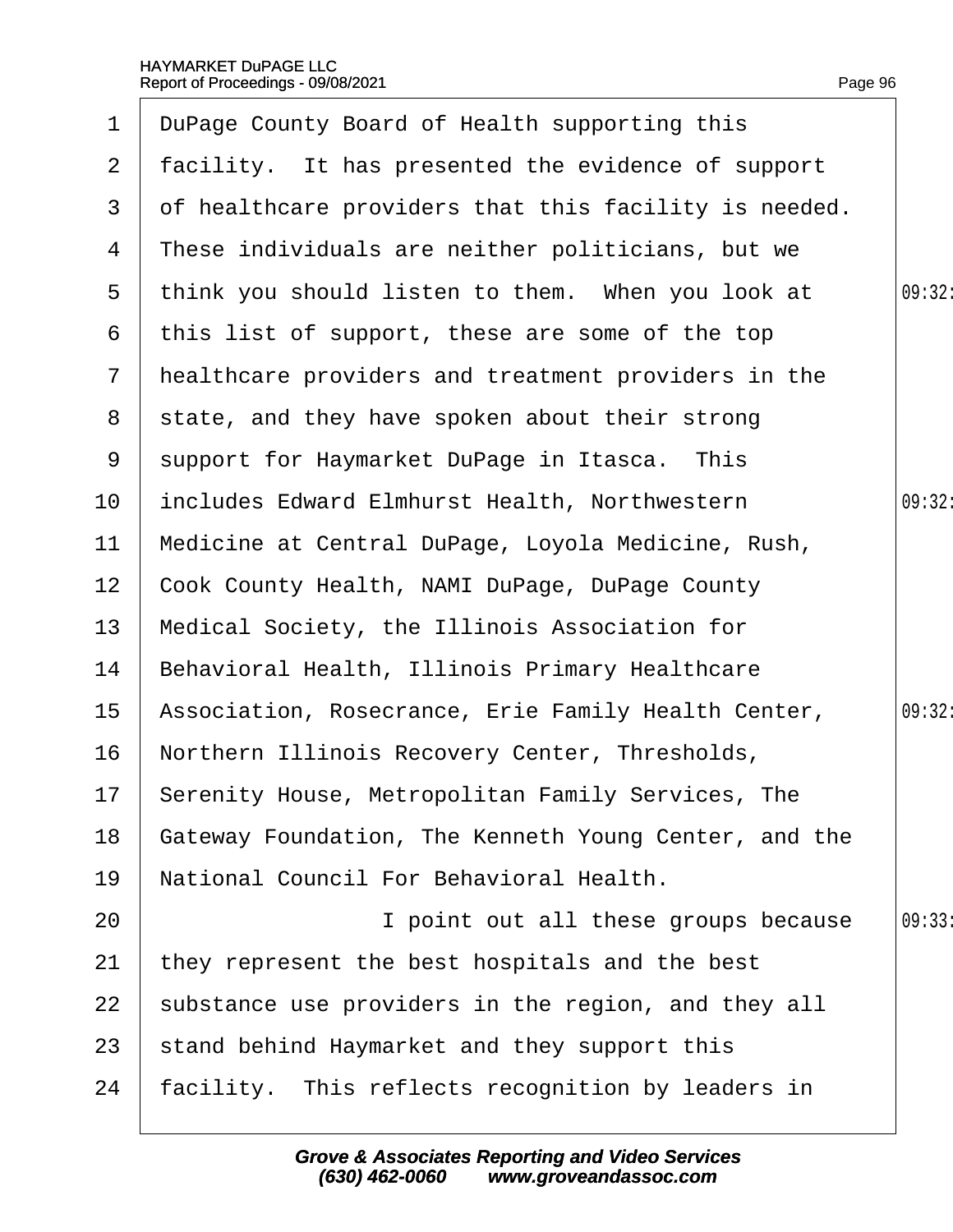| $\mathbf 1$     | DuPage County Board of Health supporting this         |        |
|-----------------|-------------------------------------------------------|--------|
| $\mathbf{2}$    | facility. It has presented the evidence of support    |        |
| 3               | of healthcare providers that this facility is needed. |        |
| 4               | These individuals are neither politicians, but we     |        |
| 5               | think you should listen to them. When you look at     | 09:32: |
| 6               | this list of support, these are some of the top       |        |
| $\mathbf{7}$    | healthcare providers and treatment providers in the   |        |
| 8               | state, and they have spoken about their strong        |        |
| 9               | support for Haymarket DuPage in Itasca. This          |        |
| 10              | includes Edward Elmhurst Health, Northwestern         | 09:32: |
| 11              | Medicine at Central DuPage, Loyola Medicine, Rush,    |        |
| 12 <sub>2</sub> | Cook County Health, NAMI DuPage, DuPage County        |        |
| 13              | Medical Society, the Illinois Association for         |        |
| 14              | Behavioral Health, Illinois Primary Healthcare        |        |
| 15              | Association, Rosecrance, Erie Family Health Center,   | 09:32: |
| 16              | Northern Illinois Recovery Center, Thresholds,        |        |
|                 | 17 Serenity House, Metropolitan Family Services, The  |        |
| 18              | Gateway Foundation, The Kenneth Young Center, and the |        |
| 19              | National Council For Behavioral Health.               |        |
| 20              | I point out all these groups because                  | 09:33  |
| 21              | they represent the best hospitals and the best        |        |
| 22              | substance use providers in the region, and they all   |        |
| 23              | stand behind Haymarket and they support this          |        |
| 24              | facility. This reflects recognition by leaders in     |        |
|                 |                                                       |        |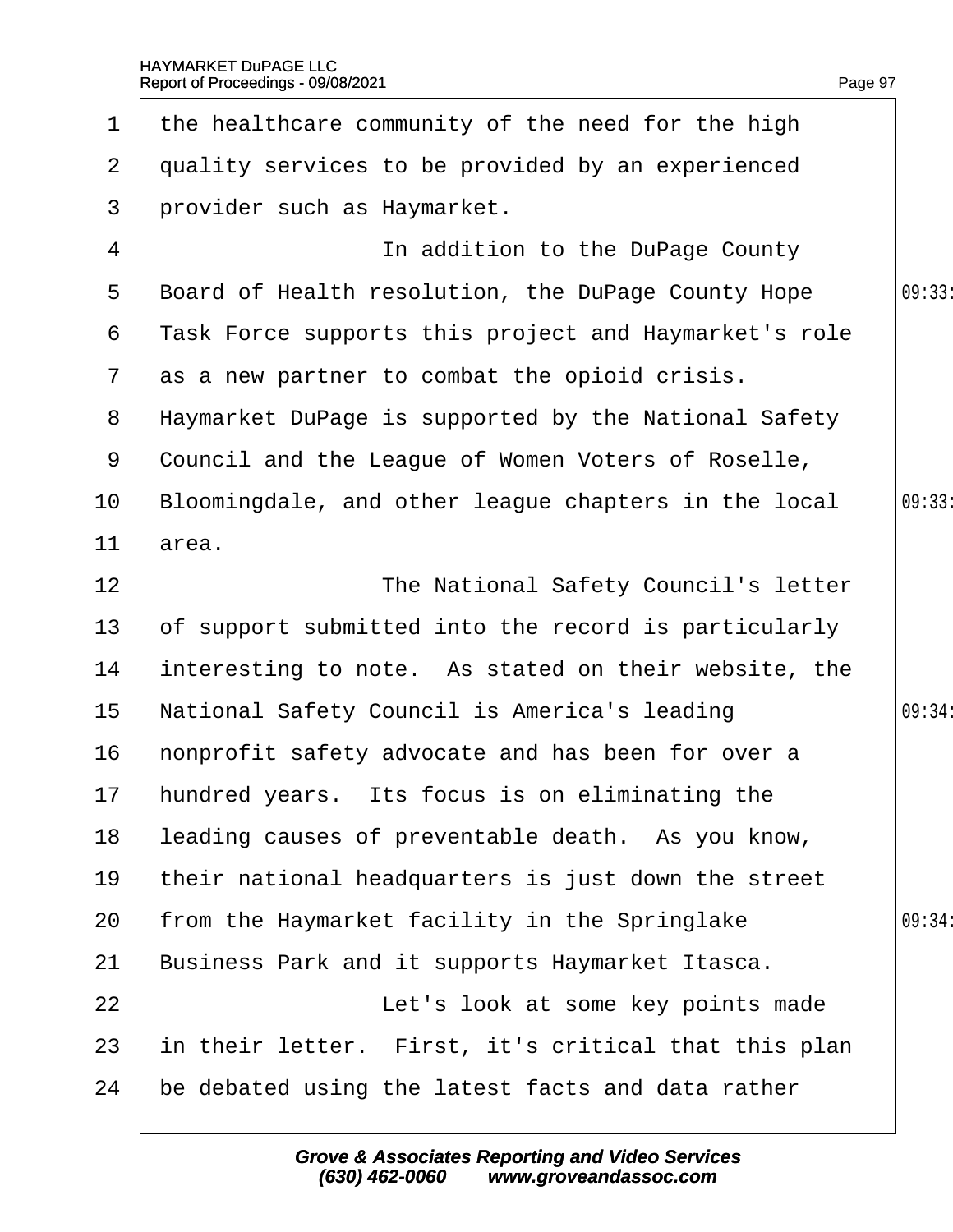| $\mathbf 1$    | the healthcare community of the need for the high     |        |
|----------------|-------------------------------------------------------|--------|
| $\overline{2}$ | quality services to be provided by an experienced     |        |
| 3              | provider such as Haymarket.                           |        |
| 4              | In addition to the DuPage County                      |        |
| 5              | Board of Health resolution, the DuPage County Hope    | 09:33  |
| 6              | ¶ask Force supports this project and Haymarket's role |        |
| $\overline{7}$ | as a new partner to combat the opioid crisis.         |        |
| 8              | Haymarket DuPage is supported by the National Safety  |        |
| 9              | Council and the League of Women Voters of Roselle,    |        |
| 10             | Bloomingdale, and other league chapters in the local  | 09:33  |
| 11             | area.                                                 |        |
| 12             | The National Safety Council's letter                  |        |
| 13             | of support submitted into the record is particularly  |        |
| 14             | interesting to note. As stated on their website, the  |        |
| 15             | National Safety Council is America's leading          | 09:34: |
| 16             | honprofit safety advocate and has been for over a     |        |
|                | 17 hundred years. Its focus is on eliminating the     |        |
| 18             | leading causes of preventable death. As you know,     |        |
| 19             | their national headquarters is just down the street   |        |
| 20             | from the Haymarket facility in the Springlake         | 09:34: |
| 21             | Business Park and it supports Haymarket Itasca.       |        |
| 22             | Let's look at some key points made                    |        |
| 23             | in their letter. First, it's critical that this plan  |        |
| 24             | be debated using the latest facts and data rather     |        |
|                |                                                       |        |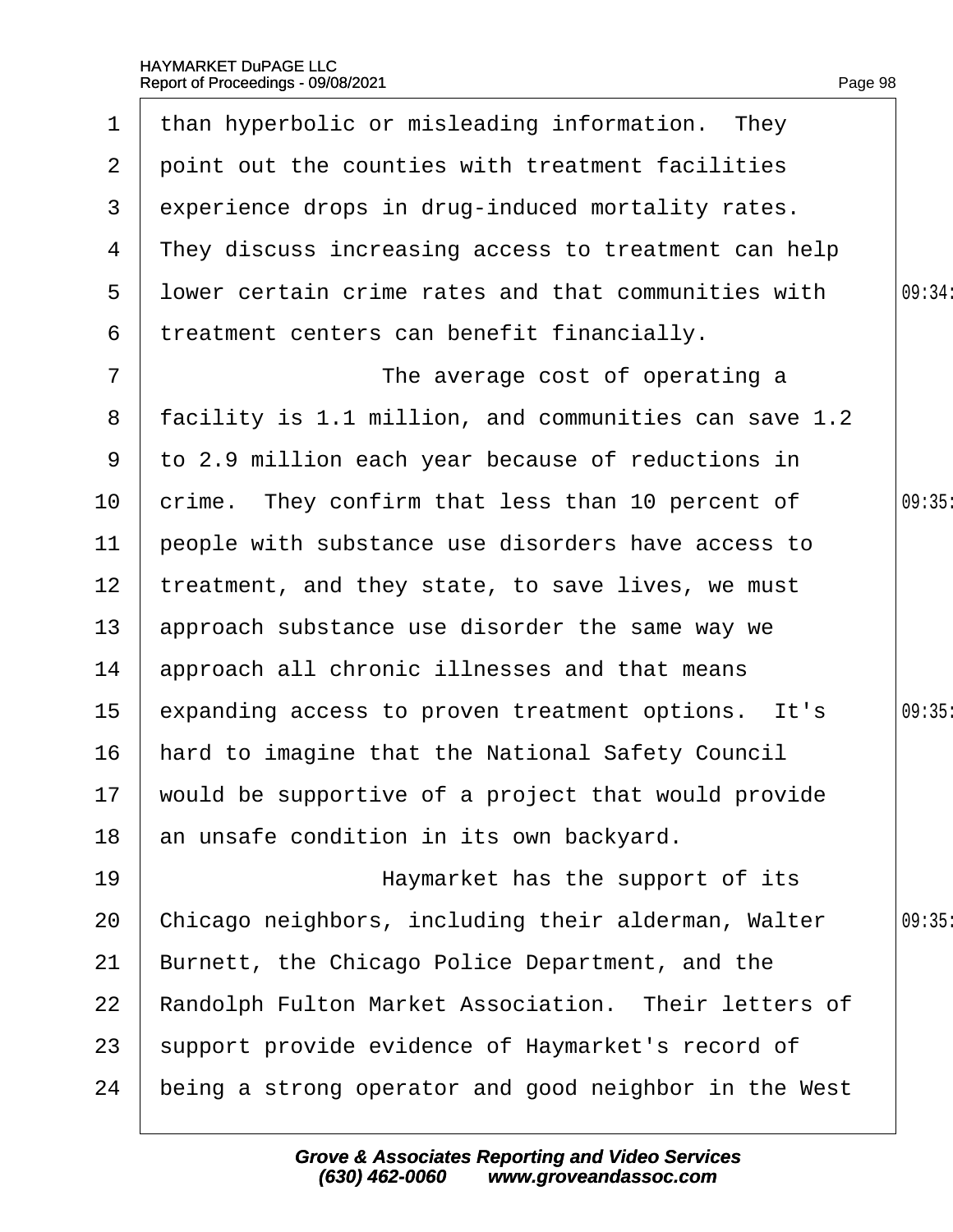| 1                | than hyperbolic or misleading information. They        |        |
|------------------|--------------------------------------------------------|--------|
| $\overline{2}$   | point out the counties with treatment facilities       |        |
| 3                | experience drops in drug-induced mortality rates.      |        |
| 4                | They discuss increasing access to treatment can help   |        |
| 5                | I bwer certain crime rates and that communities with   | 09:34: |
| 6                | treatment centers can benefit financially.             |        |
| $\overline{7}$   | The average cost of operating a                        |        |
| 8                | facility is 1.1 million, and communities can save 1.2  |        |
| 9                | to 2.9 million each year because of reductions in      |        |
| 10               | crime. They confirm that less than 10 percent of       | 09:35  |
| 11               | people with substance use disorders have access to     |        |
| 12 <sup>2</sup>  | treatment, and they state, to save lives, we must      |        |
| 13               | approach substance use disorder the same way we        |        |
| 14               | approach all chronic illnesses and that means          |        |
| 15 <sub>15</sub> | expanding access to proven treatment options. It's     | 09:35  |
| 16               | hard to imagine that the National Safety Council       |        |
|                  | 17 would be supportive of a project that would provide |        |
| 18               | an unsafe condition in its own backyard.               |        |
| 19               | Haymarket has the support of its                       |        |
| 20               | Chicago neighbors, including their alderman, Walter    | 09:35  |
| 21               | Burnett, the Chicago Police Department, and the        |        |
| 22               | Randolph Fulton Market Association. Their letters of   |        |
| 23               | support provide evidence of Haymarket's record of      |        |
| 24               | being a strong operator and good neighbor in the West  |        |
|                  |                                                        |        |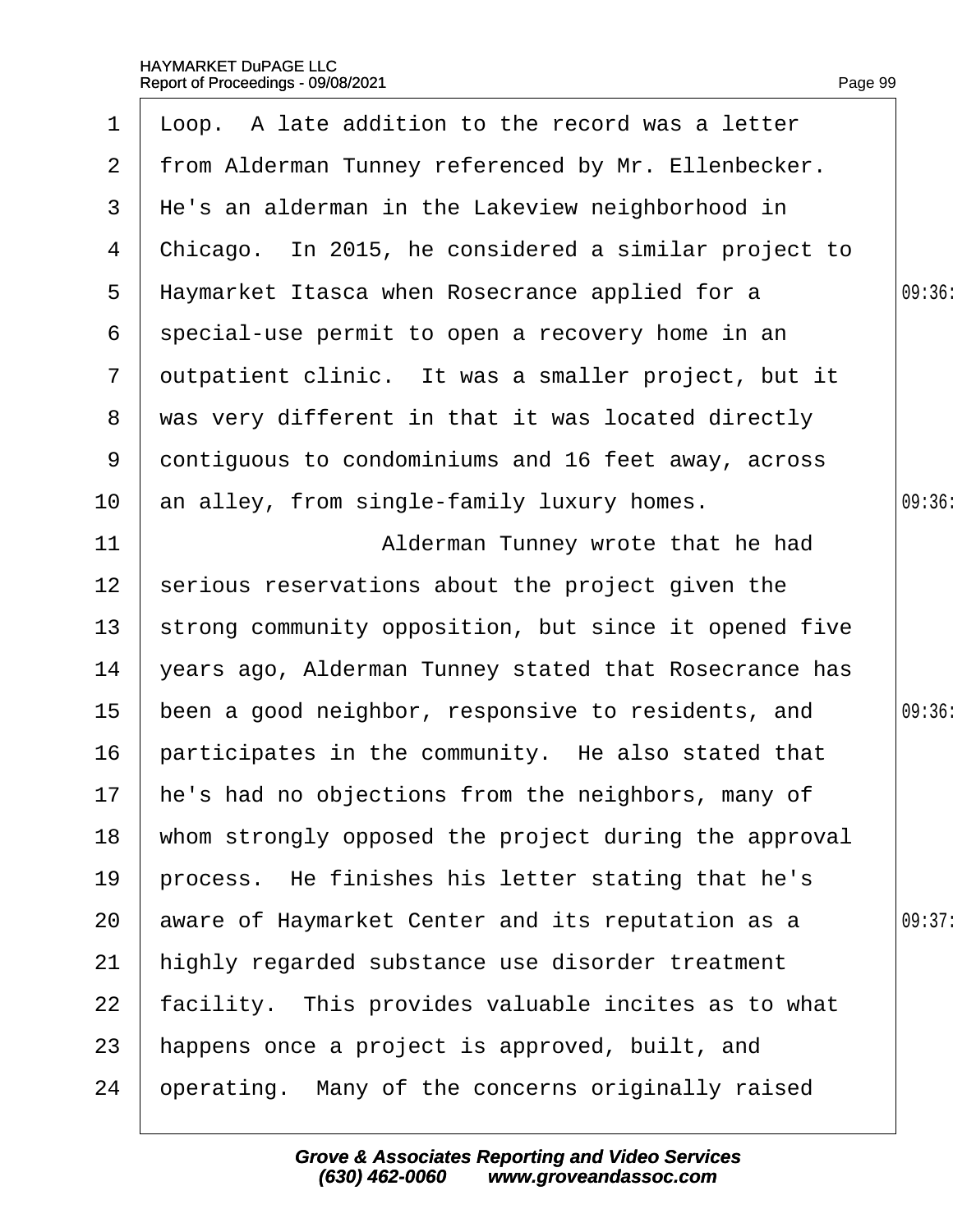| 1               | Lloop. A late addition to the record was a letter     |        |
|-----------------|-------------------------------------------------------|--------|
| 2 <sup>1</sup>  | from Alderman Tunney referenced by Mr. Ellenbecker.   |        |
| 3               | He's an alderman in the Lakeview neighborhood in      |        |
| 4               | Chicago. In 2015, he considered a similar project to  |        |
| 5               | Haymarket Itasca when Rosecrance applied for a        | 09:36: |
| 6               | special-use permit to open a recovery home in an      |        |
| $\overline{7}$  | dutpatient clinic. It was a smaller project, but it   |        |
| 8               | was very different in that it was located directly    |        |
| 9               | dontiguous to condominiums and 16 feet away, across   |        |
| 10              | an alley, from single-family luxury homes.            | 09:36: |
| 11              | Alderman Tunney wrote that he had                     |        |
| 12 <sup>2</sup> | serious reservations about the project given the      |        |
| 13              | strong community opposition, but since it opened five |        |
| 14              | years ago, Alderman Tunney stated that Rosecrance has |        |
| 15              | been a good neighbor, responsive to residents, and    | 09:36  |
| 16              | participates in the community. He also stated that    |        |
|                 | 17 he's had no objections from the neighbors, many of |        |
| 18              | whom strongly opposed the project during the approval |        |
| 19              | process. He finishes his letter stating that he's     |        |
| 20              | aware of Haymarket Center and its reputation as a     | 09:37: |
| 21              | highly regarded substance use disorder treatment      |        |
| 22              | facility. This provides valuable incites as to what   |        |
| 23              | happens once a project is approved, built, and        |        |
| 24              | operating. Many of the concerns originally raised     |        |
|                 |                                                       |        |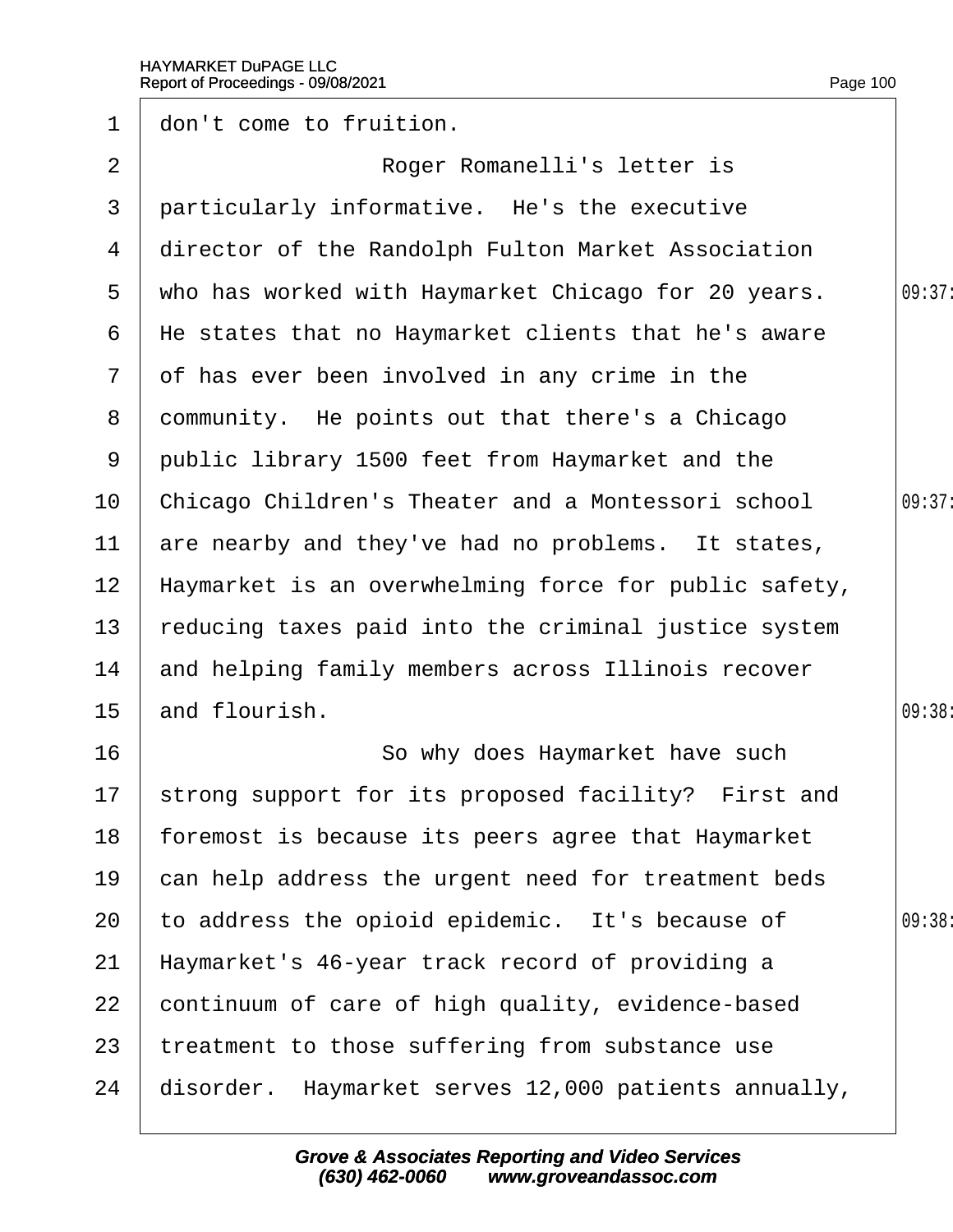| $\mathbf 1$     | don't come to fruition.                                |        |
|-----------------|--------------------------------------------------------|--------|
| 2               | Roger Romanelli's letter is                            |        |
| 3               | particularly informative. He's the executive           |        |
| 4               | director of the Randolph Fulton Market Association     |        |
| $5^{\circ}$     | who has worked with Haymarket Chicago for 20 years.    | 09:37: |
| 6               | He states that no Haymarket clients that he's aware    |        |
| $\overline{7}$  | of has ever been involved in any crime in the          |        |
| 8               | dommunity. He points out that there's a Chicago        |        |
| 9               | public library 1500 feet from Haymarket and the        |        |
| 10              | Chicago Children's Theater and a Montessori school     | 09:37: |
| 11              | are nearby and they've had no problems. It states,     |        |
| 12 <sub>2</sub> | Haymarket is an overwhelming force for public safety,  |        |
| 13              | reducing taxes paid into the criminal justice system   |        |
| 14              | and helping family members across Illinois recover     |        |
| 15              | and flourish.                                          | 09:38  |
| 16              | So why does Haymarket have such                        |        |
|                 | 17 strong support for its proposed facility? First and |        |
| 18              | foremost is because its peers agree that Haymarket     |        |
| 19              | can help address the urgent need for treatment beds    |        |
| 20              | to address the opioid epidemic. It's because of        | 09:38: |
| 21              | Haymarket's 46-year track record of providing a        |        |
| 22              | continuum of care of high quality, evidence-based      |        |
| 23              | treatment to those suffering from substance use        |        |
| 24              | disorder. Haymarket serves 12,000 patients annually,   |        |
|                 |                                                        |        |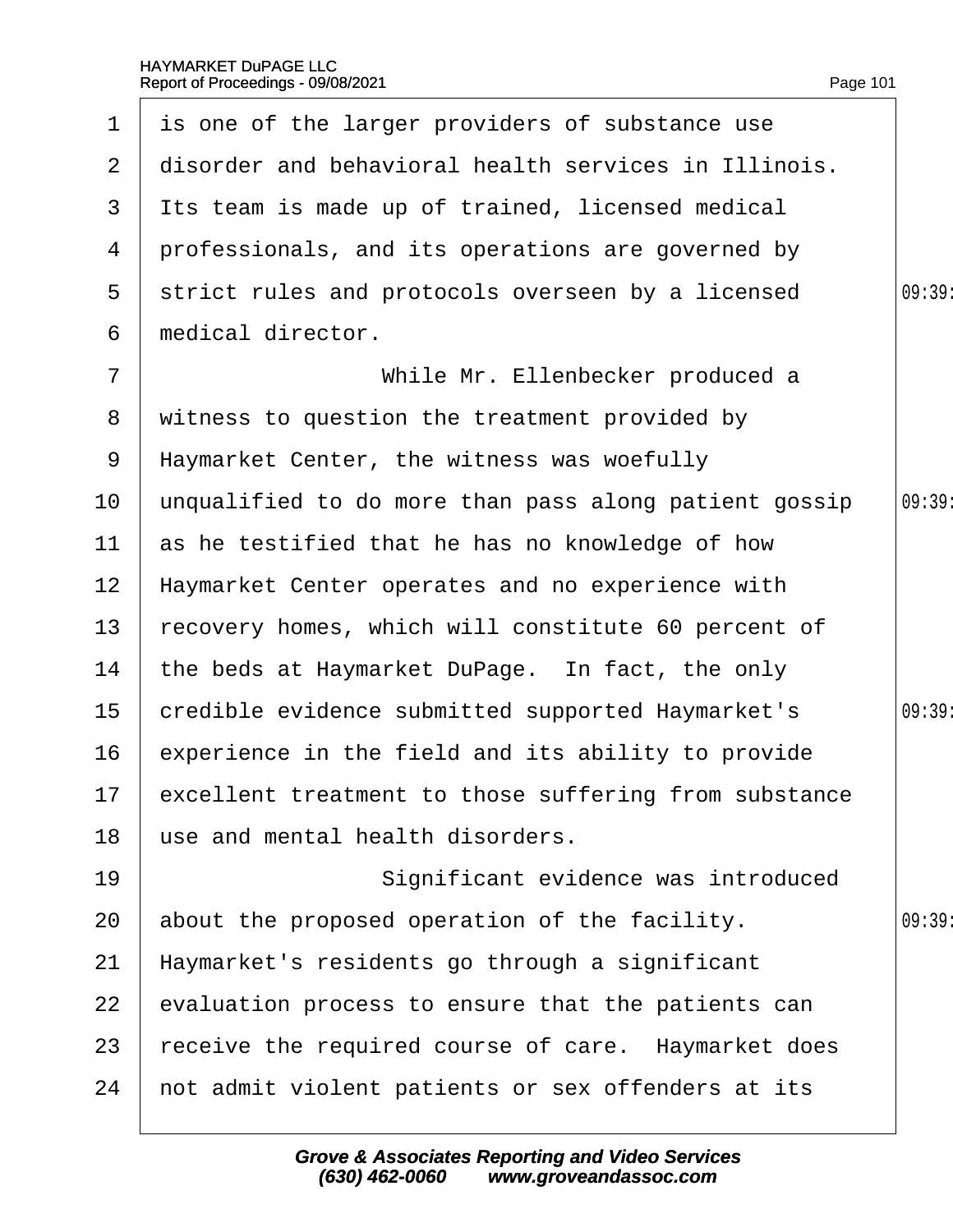|                 | 1 is one of the larger providers of substance use        |        |
|-----------------|----------------------------------------------------------|--------|
| 2 <sup>7</sup>  | disorder and behavioral health services in Illinois.     |        |
| 3               | Its team is made up of trained, licensed medical         |        |
| 4               | professionals, and its operations are governed by        |        |
| 5               | strict rules and protocols overseen by a licensed        | 09:39  |
| 6               | medical director.                                        |        |
| $\overline{7}$  | While Mr. Ellenbecker produced a                         |        |
|                 | 8 witness to question the treatment provided by          |        |
|                 | 9 Haymarket Center, the witness was woefully             |        |
| 10 <sub>1</sub> | unqualified to do more than pass along patient gossip    | 09:39: |
| 11              | as he testified that he has no knowledge of how          |        |
| 12 <sub>2</sub> | Haymarket Center operates and no experience with         |        |
| 13 <sup>°</sup> | recovery homes, which will constitute 60 percent of      |        |
| 14              | the beds at Haymarket DuPage. In fact, the only          |        |
| 15 <sub>1</sub> | credible evidence submitted supported Haymarket's        | 09:39: |
| 16              | experience in the field and its ability to provide       |        |
|                 | 17 excellent treatment to those suffering from substance |        |
| 18              | use and mental health disorders.                         |        |
| 19              | Significant evidence was introduced                      |        |
| 20              | about the proposed operation of the facility.            | 09:39  |
| 21              | Haymarket's residents go through a significant           |        |
| 22              | evaluation process to ensure that the patients can       |        |
| 23              | receive the required course of care. Haymarket does      |        |
| 24              | not admit violent patients or sex offenders at its       |        |
|                 |                                                          |        |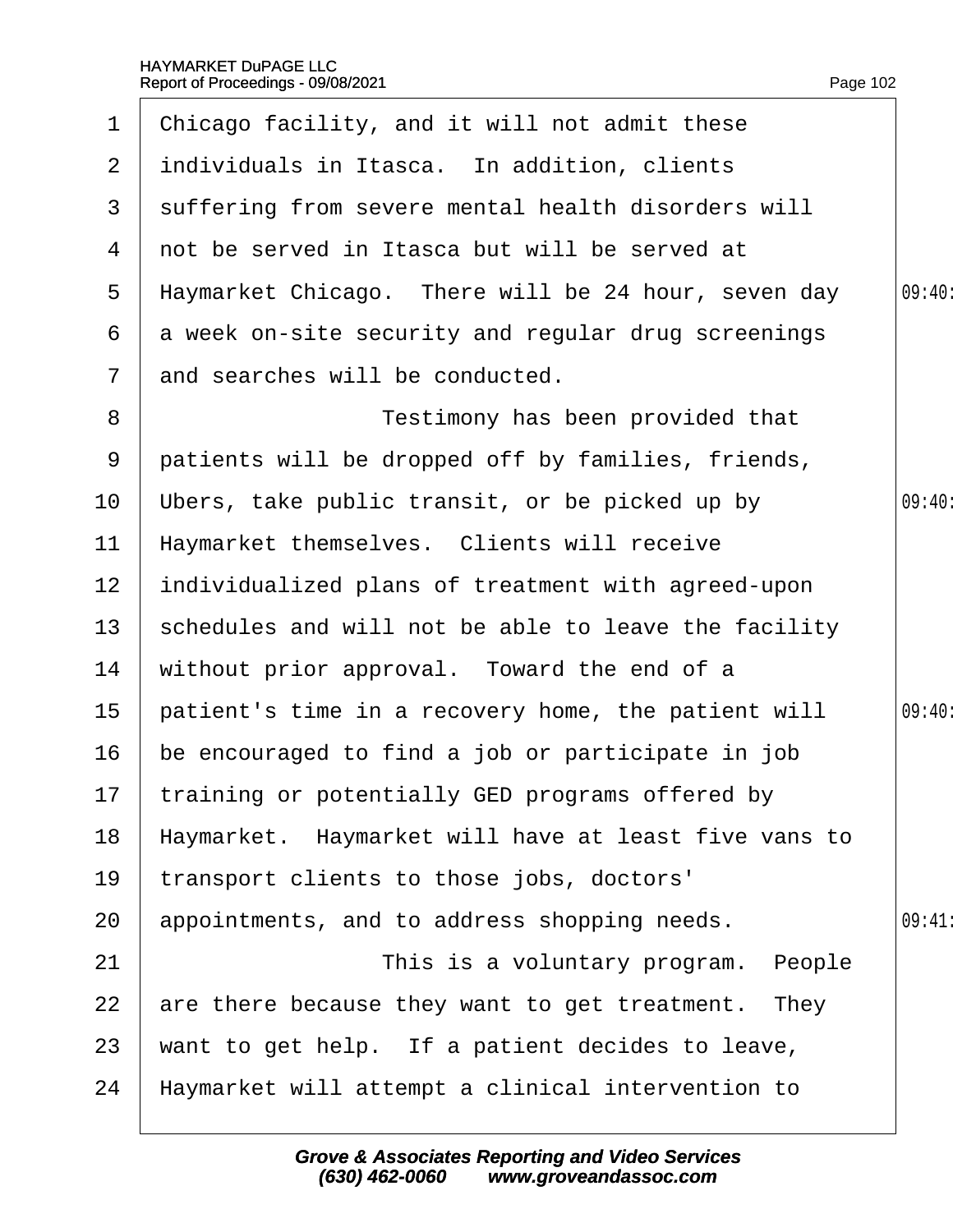| $\mathbf 1$     | Chicago facility, and it will not admit these        |        |
|-----------------|------------------------------------------------------|--------|
| $\overline{2}$  | individuals in Itasca. In addition, clients          |        |
| 3               | suffering from severe mental health disorders will   |        |
| 4               | not be served in Itasca but will be served at        |        |
| 5               | Haymarket Chicago. There will be 24 hour, seven day  | 09:40: |
| 6               | a week on-site security and regular drug screenings  |        |
| $\mathbf{7}$    | and searches will be conducted.                      |        |
| 8               | Testimony has been provided that                     |        |
| 9               | patients will be dropped off by families, friends,   |        |
| 10              | Ubers, take public transit, or be picked up by       | 09:40  |
| 11              | Haymarket themselves. Clients will receive           |        |
| 12 <sub>2</sub> | individualized plans of treatment with agreed-upon   |        |
| 13              | schedules and will not be able to leave the facility |        |
| 14              | without prior approval. Toward the end of a          |        |
| 15              | patient's time in a recovery home, the patient will  | 09:40: |
| 16              | be encouraged to find a job or participate in job    |        |
|                 | 17 training or potentially GED programs offered by   |        |
| 18              | Haymarket. Haymarket will have at least five vans to |        |
| 19              | transport clients to those jobs, doctors'            |        |
| 20              | appointments, and to address shopping needs.         | 09:41  |
| 21              | This is a voluntary program. People                  |        |
| 22              | are there because they want to get treatment. They   |        |
| 23              | want to get help. If a patient decides to leave,     |        |
| 24              | Haymarket will attempt a clinical intervention to    |        |
|                 |                                                      |        |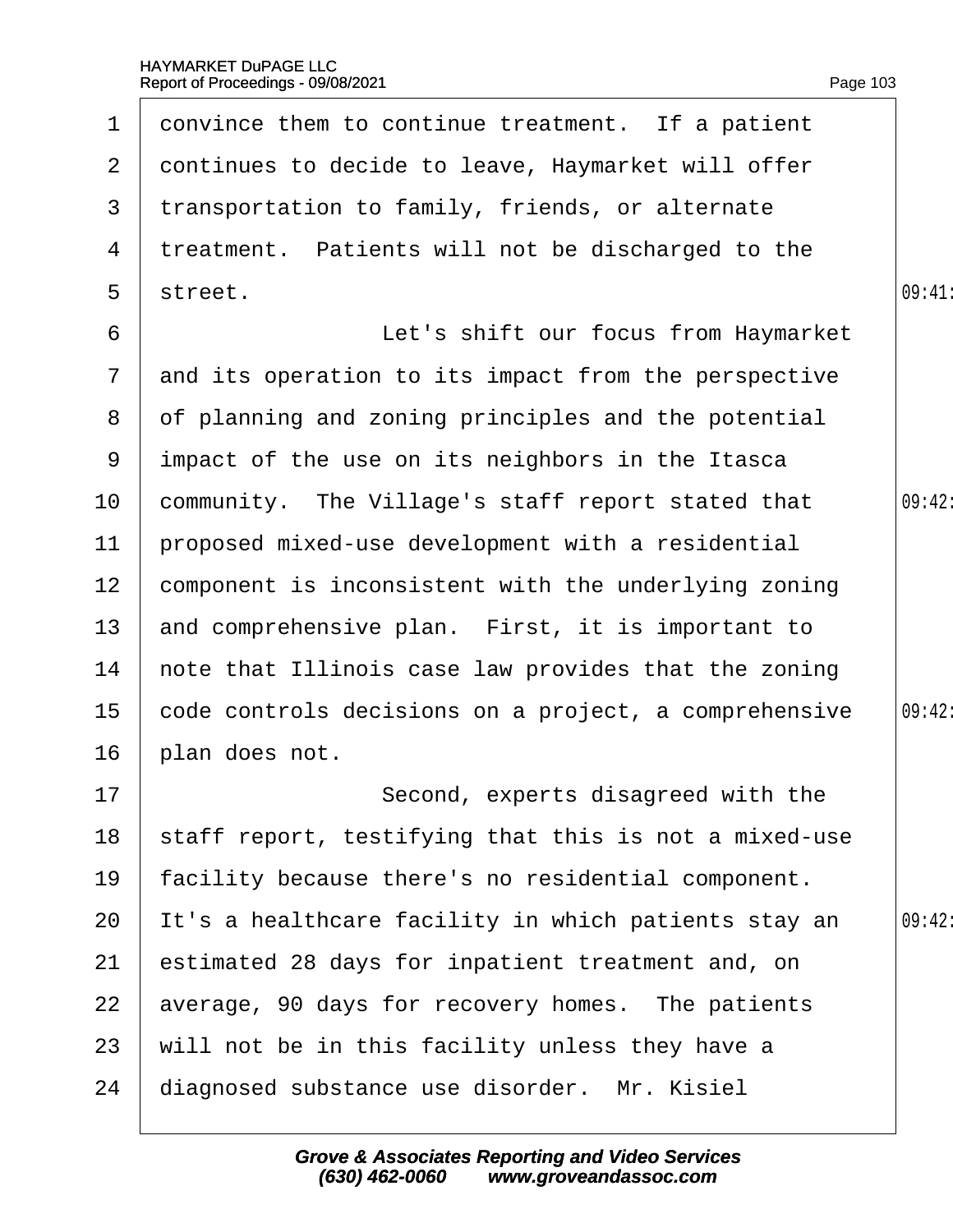| $\mathbf 1$     | donvince them to continue treatment. If a patient     |        |
|-----------------|-------------------------------------------------------|--------|
| 2 <sup>1</sup>  | dontinues to decide to leave, Haymarket will offer    |        |
| 3               | transportation to family, friends, or alternate       |        |
| 4               | treatment. Patients will not be discharged to the     |        |
| 5               | street.                                               | 09:41  |
| 6               | Let's shift our focus from Haymarket                  |        |
| $7\overline{ }$ | and its operation to its impact from the perspective  |        |
| 8               | of planning and zoning principles and the potential   |        |
| 9               | impact of the use on its neighbors in the Itasca      |        |
| 10 <sup>1</sup> | community. The Village's staff report stated that     | 09:42: |
| 11              | proposed mixed-use development with a residential     |        |
| 12 <sub>2</sub> | component is inconsistent with the underlying zoning  |        |
| 13 <sup>°</sup> | and comprehensive plan. First, it is important to     |        |
| 14              | hote that Illinois case law provides that the zoning  |        |
| 15 <sub>1</sub> | code controls decisions on a project, a comprehensive | 09:42: |
| 16              | plan does not.                                        |        |
| 17              | Second, experts disagreed with the                    |        |
| 18              | staff report, testifying that this is not a mixed-use |        |
| 19              | facility because there's no residential component.    |        |
| 20              | It's a healthcare facility in which patients stay an  | 09:42: |
| 21              | estimated 28 days for inpatient treatment and, on     |        |
| 22              | average, 90 days for recovery homes. The patients     |        |
| 23              | will not be in this facility unless they have a       |        |
| 24              | diagnosed substance use disorder. Mr. Kisiel          |        |
|                 |                                                       |        |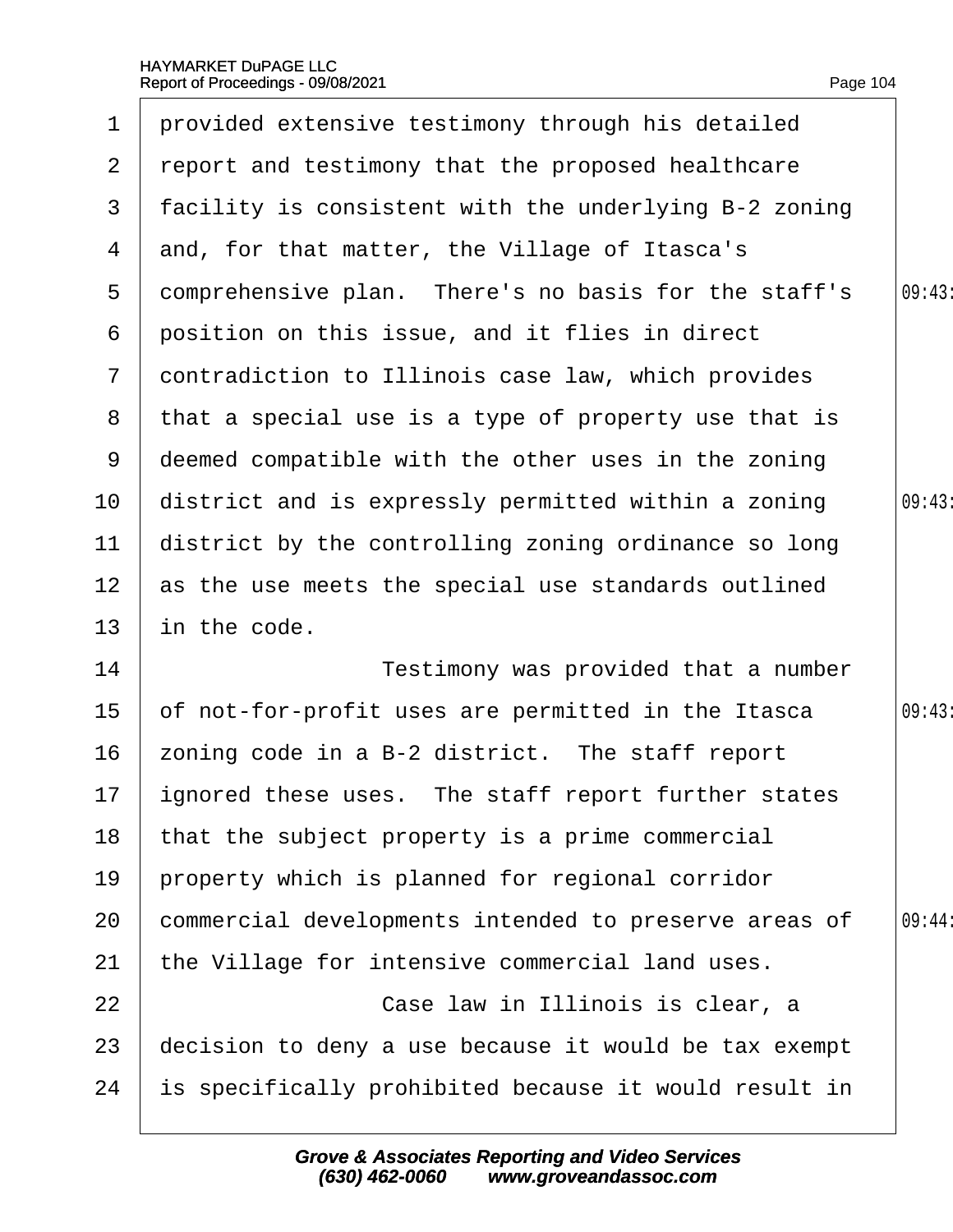| 1               | provided extensive testimony through his detailed     |        |
|-----------------|-------------------------------------------------------|--------|
| $\mathbf{2}$    | report and testimony that the proposed healthcare     |        |
| 3               | facility is consistent with the underlying B-2 zoning |        |
| 4               | and, for that matter, the Village of Itasca's         |        |
| 5               | domprehensive plan. There's no basis for the staff's  | 09:43  |
| 6               | position on this issue, and it flies in direct        |        |
| $\overline{7}$  | dontradiction to Illinois case law, which provides    |        |
| 8               | that a special use is a type of property use that is  |        |
| 9               | deemed compatible with the other uses in the zoning   |        |
| 10 <sup>°</sup> | district and is expressly permitted within a zoning   | 09:43  |
| 11              | district by the controlling zoning ordinance so long  |        |
| 12 <sub>2</sub> | as the use meets the special use standards outlined   |        |
| 13              | in the code.                                          |        |
| 14              | Testimony was provided that a number                  |        |
| 15              | of not-for-profit uses are permitted in the Itasca    | 09:43  |
| 16              | zoning code in a B-2 district. The staff report       |        |
| 17              | ignored these uses. The staff report further states   |        |
| 18              | that the subject property is a prime commercial       |        |
| 19              | property which is planned for regional corridor       |        |
| 20              | commercial developments intended to preserve areas of | 09:44: |
| 21              | the Village for intensive commercial land uses.       |        |
| 22              | Case law in Illinois is clear, a                      |        |
| 23              | decision to deny a use because it would be tax exempt |        |
| 24              | is specifically prohibited because it would result in |        |
|                 |                                                       |        |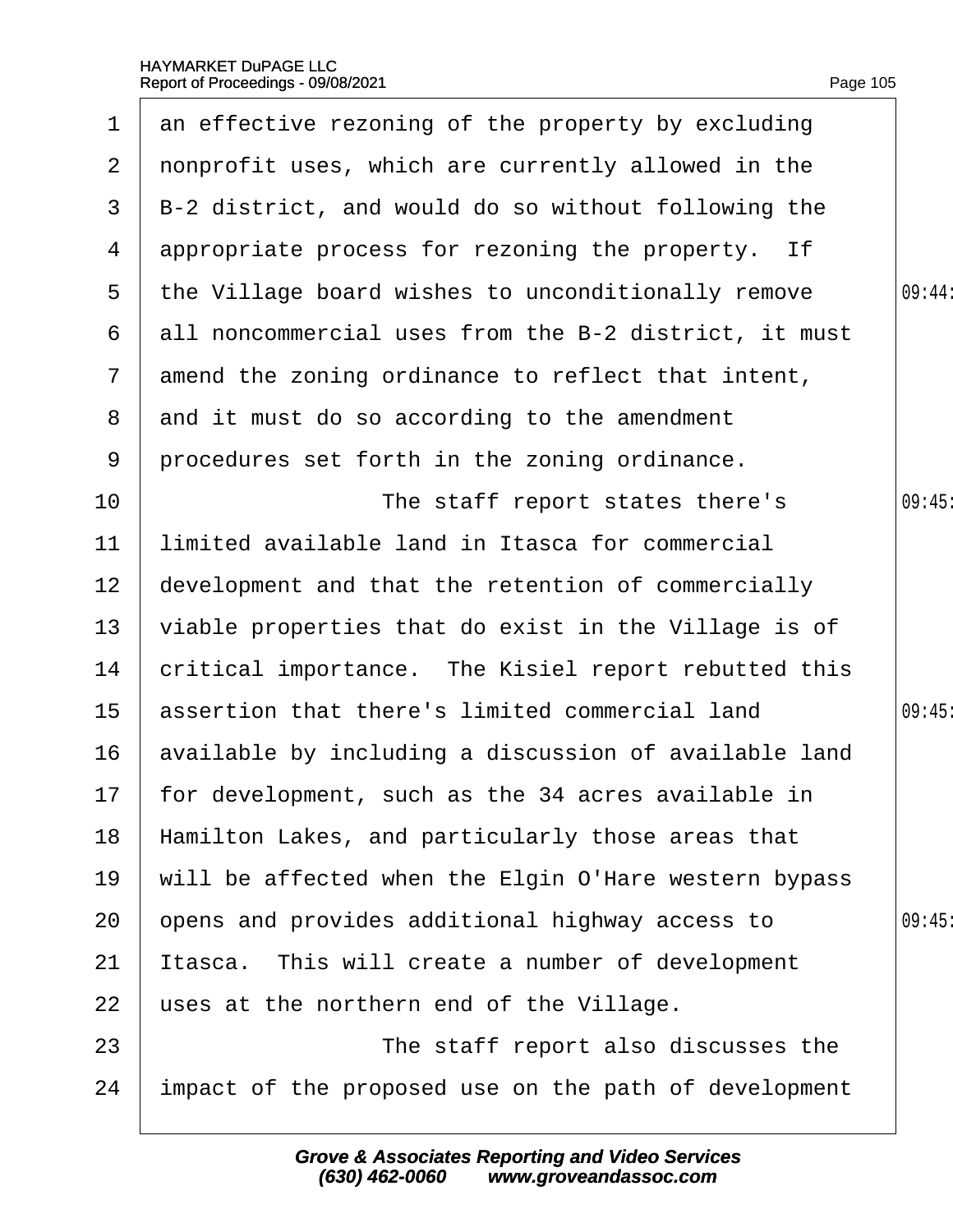$\overline{\phantom{a}}$ 

| $\mathbf 1$     | an effective rezoning of the property by excluding    |        |
|-----------------|-------------------------------------------------------|--------|
| $\mathbf{2}$    | nonprofit uses, which are currently allowed in the    |        |
| 3               | B-2 district, and would do so without following the   |        |
| 4               | appropriate process for rezoning the property. If     |        |
| 5               | the Village board wishes to unconditionally remove    | 09:44: |
| 6               | all noncommercial uses from the B-2 district, it must |        |
| $\mathbf{7}$    | amend the zoning ordinance to reflect that intent,    |        |
| 8               | and it must do so according to the amendment          |        |
| 9               | procedures set forth in the zoning ordinance.         |        |
| 10              | The staff report states there's                       | 09:45  |
| 11              | limited available land in Itasca for commercial       |        |
| 12 <sub>2</sub> | development and that the retention of commercially    |        |
| 13              | viable properties that do exist in the Village is of  |        |
| 14              | critical importance. The Kisiel report rebutted this  |        |
| 15              | assertion that there's limited commercial land        | 09:45  |
| 16              | available by including a discussion of available land |        |
| 17 <sub>2</sub> | for development, such as the 34 acres available in    |        |
| 18              | Hamilton Lakes, and particularly those areas that     |        |
| 19              | will be affected when the Elgin O'Hare western bypass |        |
| 20              | opens and provides additional highway access to       | 09:45  |
| 21              | tasca. This will create a number of development       |        |
| 22              | uses at the northern end of the Village.              |        |
| 23              | The staff report also discusses the                   |        |
| 24              | impact of the proposed use on the path of development |        |
|                 |                                                       |        |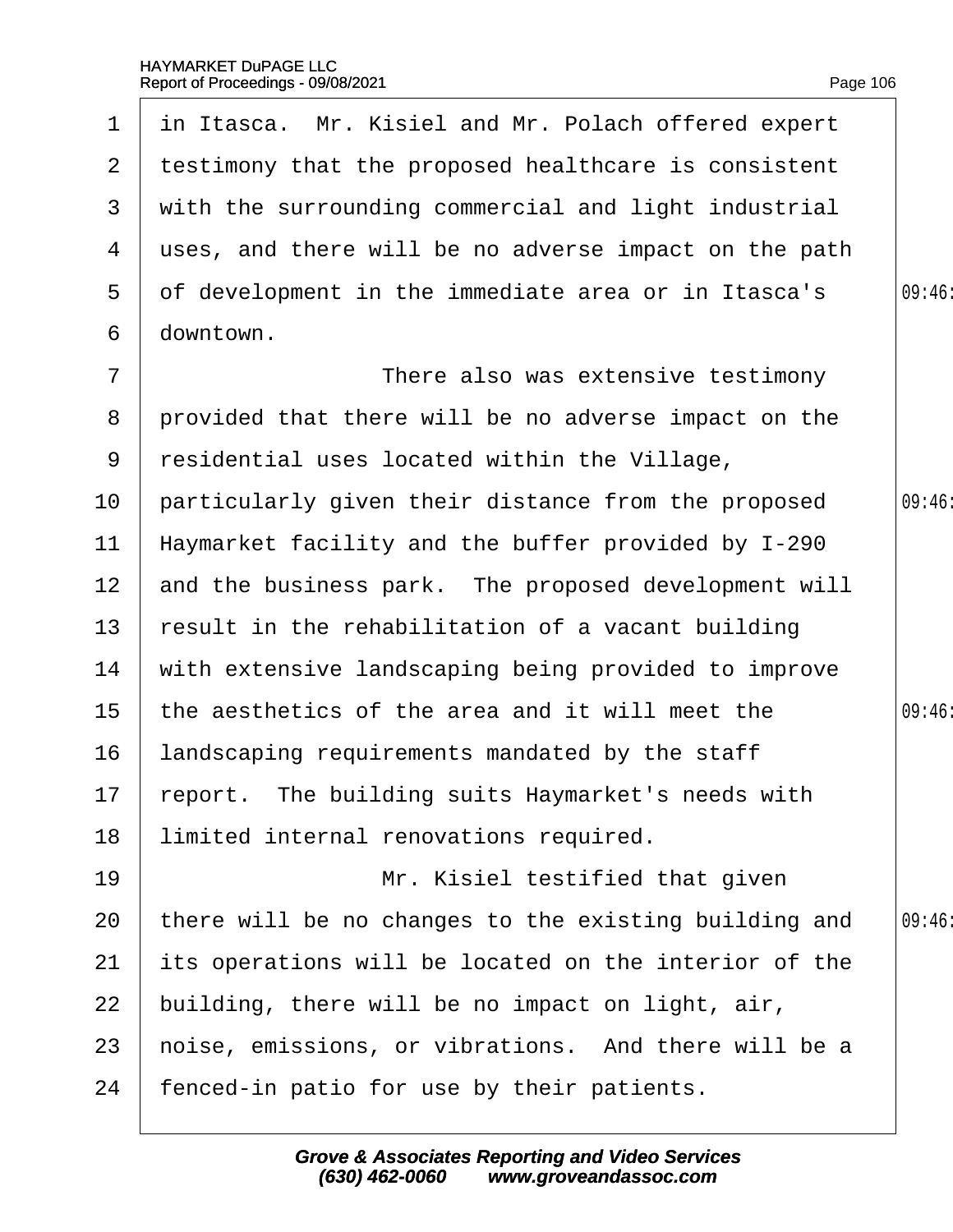|                       | 1 in Itasca. Mr. Kisiel and Mr. Polach offered expert |       |
|-----------------------|-------------------------------------------------------|-------|
| $\mathbf{2}^{\prime}$ | testimony that the proposed healthcare is consistent  |       |
| 3                     | with the surrounding commercial and light industrial  |       |
| 4                     | uses, and there will be no adverse impact on the path |       |
| 5                     | of development in the immediate area or in Itasca's   | 09:46 |
| 6                     | downtown.                                             |       |
| $\overline{7}$        | There also was extensive testimony                    |       |
| 8                     | provided that there will be no adverse impact on the  |       |
| 9                     | residential uses located within the Village,          |       |
| 10                    | particularly given their distance from the proposed   | 09:46 |
| 11                    | Haymarket facility and the buffer provided by I-290   |       |
| 12 <sub>2</sub>       | and the business park. The proposed development will  |       |
| 13 <sup>°</sup>       | result in the rehabilitation of a vacant building     |       |
| 14                    | with extensive landscaping being provided to improve  |       |
| 15 <sub>1</sub>       | the aesthetics of the area and it will meet the       | 09:46 |
| 16                    | landscaping requirements mandated by the staff        |       |
|                       | 17 report. The building suits Haymarket's needs with  |       |
| 18                    | limited internal renovations required.                |       |
| 19                    | Mr. Kisiel testified that given                       |       |
| 20                    | there will be no changes to the existing building and | 09:46 |
| 21                    | its operations will be located on the interior of the |       |
| 22                    | building, there will be no impact on light, air,      |       |
| 23                    | hoise, emissions, or vibrations. And there will be a  |       |
| 24                    | fenced-in patio for use by their patients.            |       |
|                       |                                                       |       |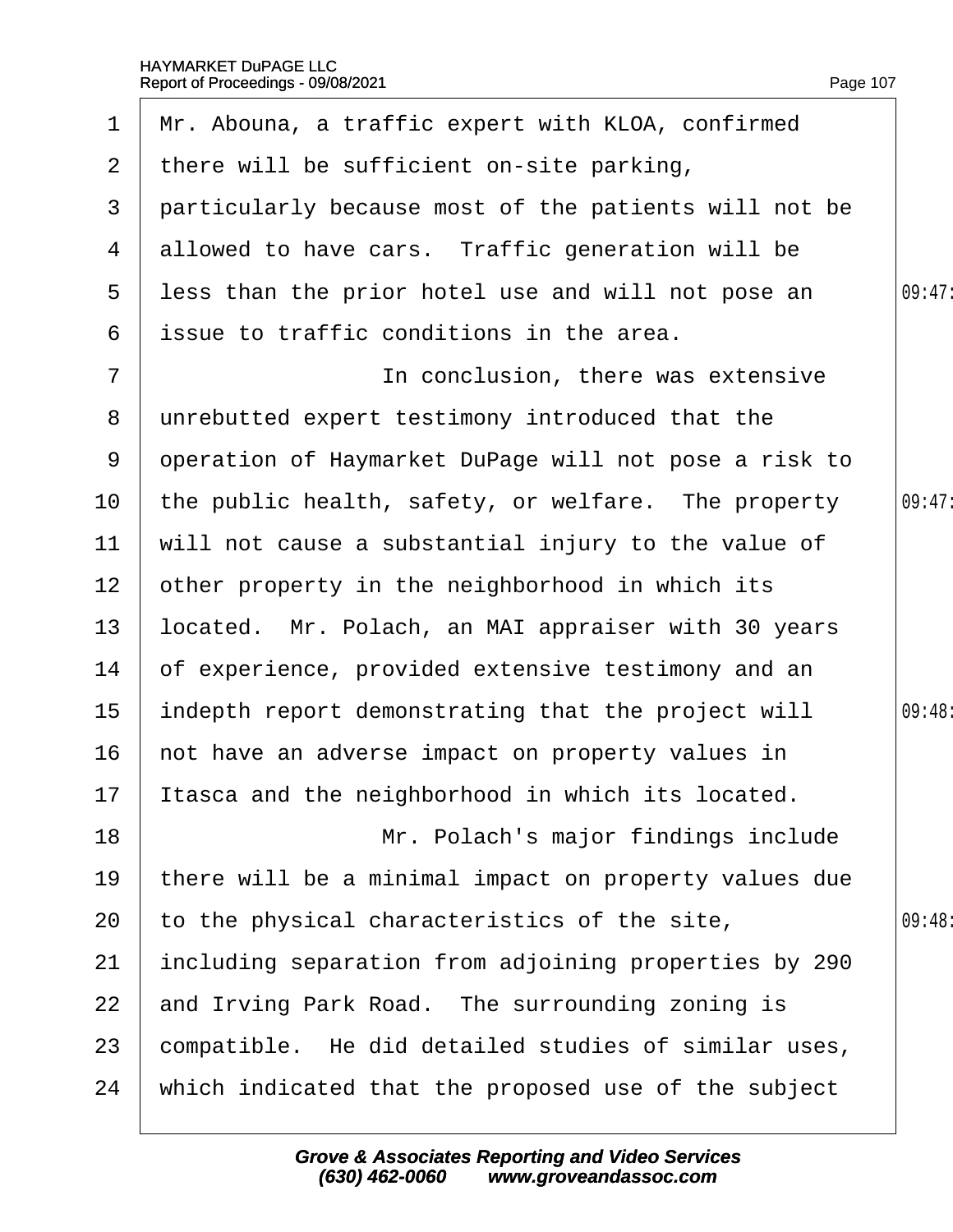| $\mathbf 1$     | Mr. Abouna, a traffic expert with KLOA, confirmed     |        |
|-----------------|-------------------------------------------------------|--------|
| 2 <sup>1</sup>  | there will be sufficient on-site parking,             |        |
| 3               | particularly because most of the patients will not be |        |
| 4               | allowed to have cars. Traffic generation will be      |        |
| 5               | less than the prior hotel use and will not pose an    | 09:47: |
| 6               | issue to traffic conditions in the area.              |        |
| $\overline{7}$  | In conclusion, there was extensive                    |        |
| 8               | unrebutted expert testimony introduced that the       |        |
| 9               | operation of Haymarket DuPage will not pose a risk to |        |
| 10              | the public health, safety, or welfare. The property   | 09:47  |
| 11              | will not cause a substantial injury to the value of   |        |
| 12 <sub>2</sub> | other property in the neighborhood in which its       |        |
| 13              | located. Mr. Polach, an MAI appraiser with 30 years   |        |
| 14              | of experience, provided extensive testimony and an    |        |
| 15              | indepth report demonstrating that the project will    | 09:48: |
| 16              | not have an adverse impact on property values in      |        |
|                 | 17 Itasca and the neighborhood in which its located.  |        |
| 18              | Mr. Polach's major findings include                   |        |
| 19              | there will be a minimal impact on property values due |        |
| 20              | to the physical characteristics of the site,          | 09:48  |
| 21              | including separation from adjoining properties by 290 |        |
| 22              | and Irving Park Road. The surrounding zoning is       |        |
| 23              | compatible. He did detailed studies of similar uses,  |        |
| 24              | which indicated that the proposed use of the subject  |        |
|                 |                                                       |        |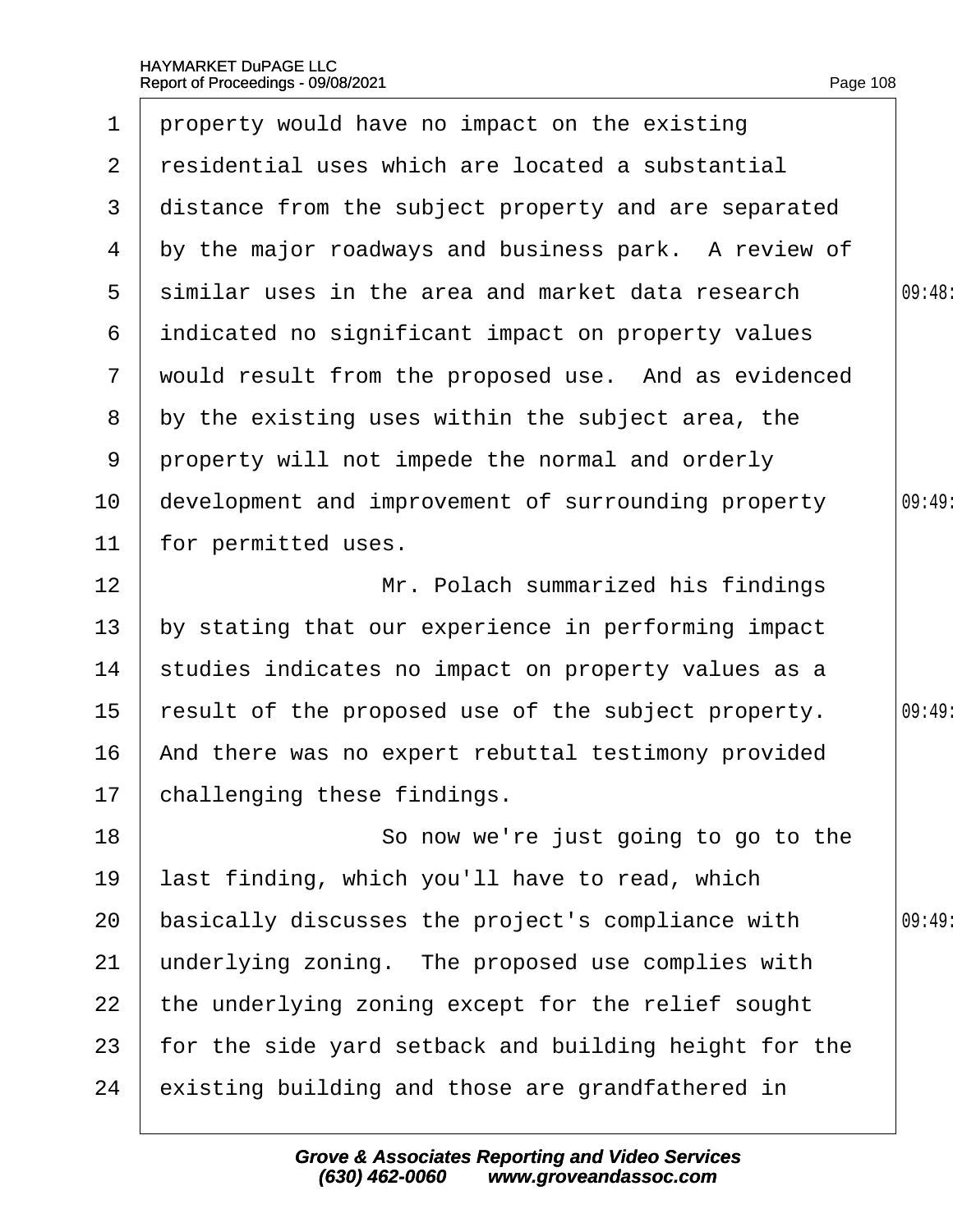<span id="page-108-0"></span>

| 1               | property would have no impact on the existing         |       |
|-----------------|-------------------------------------------------------|-------|
| 2               | residential uses which are located a substantial      |       |
| 3               | distance from the subject property and are separated  |       |
| 4               | by the major roadways and business park. A review of  |       |
| 5               | similar uses in the area and market data research     | 09:48 |
| 6               | indicated no significant impact on property values    |       |
| $7\phantom{.}$  | would result from the proposed use. And as evidenced  |       |
| 8               | by the existing uses within the subject area, the     |       |
| 9               | property will not impede the normal and orderly       |       |
| 10 <sup>°</sup> | development and improvement of surrounding property   | 09:49 |
| 11              | for permitted uses.                                   |       |
| 12              | Mr. Polach summarized his findings                    |       |
| 13              | by stating that our experience in performing impact   |       |
| 14              | studies indicates no impact on property values as a   |       |
| 15              | result of the proposed use of the subject property.   | 09:49 |
| 16              | And there was no expert rebuttal testimony provided   |       |
|                 | 17 challenging these findings.                        |       |
| 18              | So now we're just going to go to the                  |       |
| 19              | last finding, which you'll have to read, which        |       |
| 20              | basically discusses the project's compliance with     | 09:49 |
| 21              | underlying zoning. The proposed use complies with     |       |
| 22              | the underlying zoning except for the relief sought    |       |
| 23              | for the side yard setback and building height for the |       |
| 24              | existing building and those are grandfathered in      |       |
|                 |                                                       |       |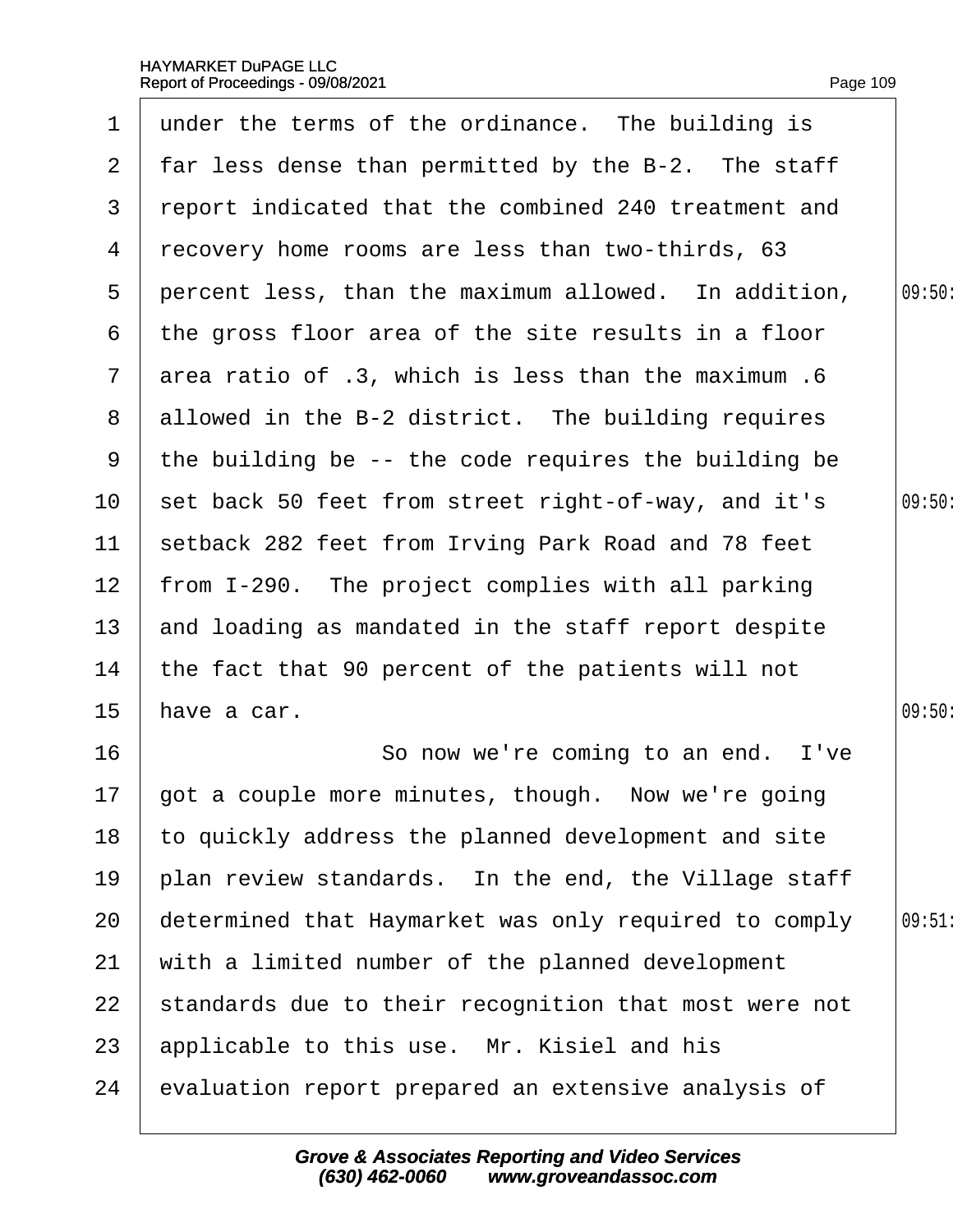<span id="page-109-0"></span>

| $\mathbf 1$     | under the terms of the ordinance. The building is     |        |
|-----------------|-------------------------------------------------------|--------|
| $\mathbf{2}$    | far less dense than permitted by the B-2. The staff   |        |
| 3               | report indicated that the combined 240 treatment and  |        |
| 4               | recovery home rooms are less than two-thirds, 63      |        |
| 5               | percent less, than the maximum allowed. In addition,  | 09:50: |
| 6               | the gross floor area of the site results in a floor   |        |
| $\overline{7}$  | area ratio of .3, which is less than the maximum .6   |        |
| 8               | allowed in the B-2 district. The building requires    |        |
| 9               | the building be -- the code requires the building be  |        |
| 10              | set back 50 feet from street right-of-way, and it's   | 09:50: |
| 11              | setback 282 feet from Irving Park Road and 78 feet    |        |
| 12 <sub>2</sub> | from I-290. The project complies with all parking     |        |
| 13              | and loading as mandated in the staff report despite   |        |
| 14              | the fact that 90 percent of the patients will not     |        |
| 15              | have a car.                                           | 09:50: |
| 16              | So now we're coming to an end. I've                   |        |
| 17 <sub>2</sub> | got a couple more minutes, though. Now we're going    |        |
| 18              | to quickly address the planned development and site   |        |
| 19              | plan review standards. In the end, the Village staff  |        |
| 20              | determined that Haymarket was only required to comply | 09:51  |
| 21              | with a limited number of the planned development      |        |
| 22              | standards due to their recognition that most were not |        |
| 23              | applicable to this use. Mr. Kisiel and his            |        |
| 24              | evaluation report prepared an extensive analysis of   |        |
|                 |                                                       |        |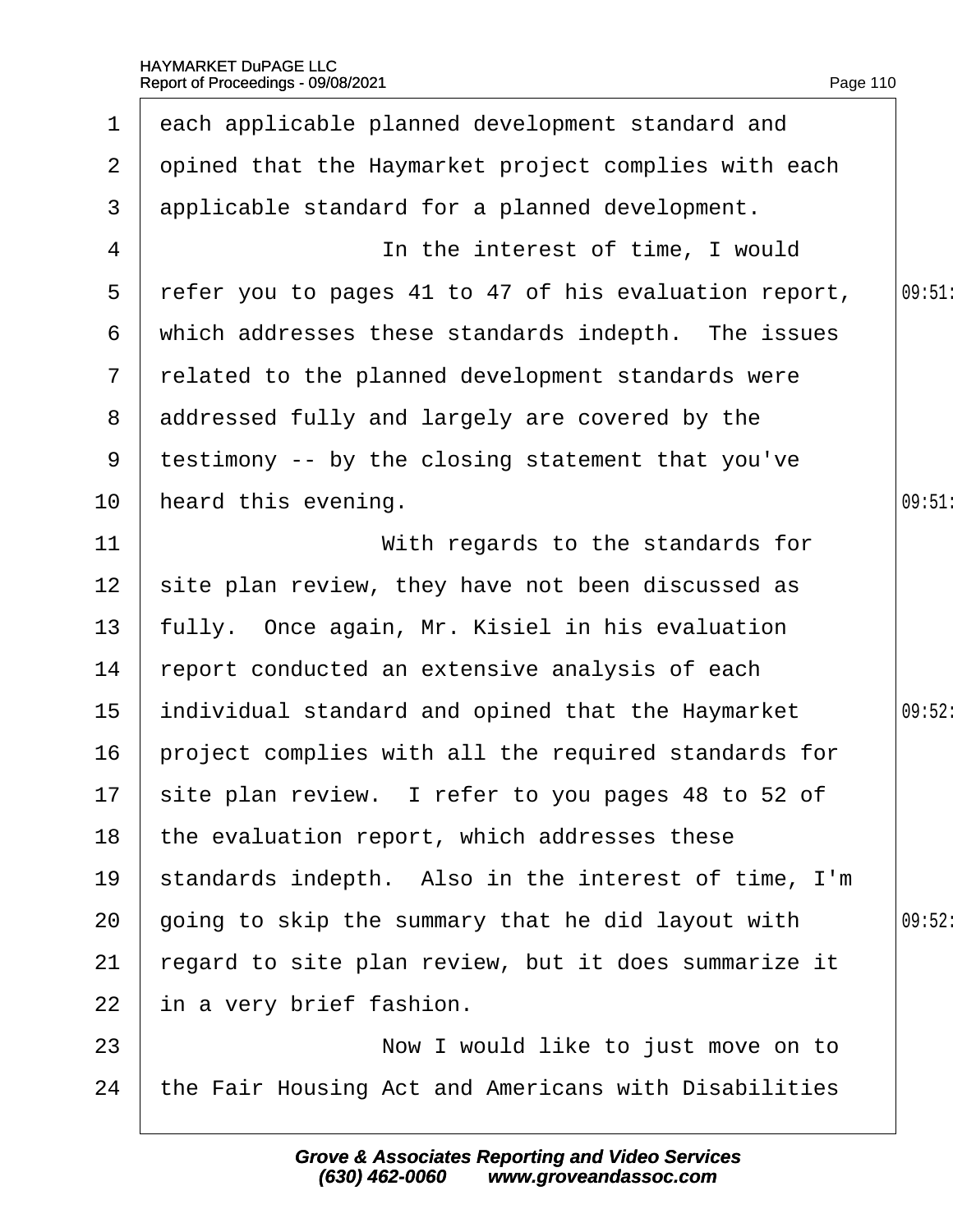<span id="page-110-0"></span>

| $\mathbf 1$    | each applicable planned development standard and      |        |
|----------------|-------------------------------------------------------|--------|
| $\overline{2}$ | opined that the Haymarket project complies with each  |        |
| 3              | applicable standard for a planned development.        |        |
| 4              | In the interest of time, I would                      |        |
| 5              | refer you to pages 41 to 47 of his evaluation report, | 09:51  |
| 6              | which addresses these standards indepth. The issues   |        |
| $\overline{7}$ | related to the planned development standards were     |        |
| 8              | addressed fully and largely are covered by the        |        |
| 9              | testimony -- by the closing statement that you've     |        |
| 10             | heard this evening.                                   | 09:51  |
| 11             | With regards to the standards for                     |        |
| 12             | site plan review, they have not been discussed as     |        |
| 13             | fully. Once again, Mr. Kisiel in his evaluation       |        |
| 14             | report conducted an extensive analysis of each        |        |
| 15             | individual standard and opined that the Haymarket     | 09:52: |
| 16             | project complies with all the required standards for  |        |
|                | 17 site plan review. I refer to you pages 48 to 52 of |        |
| 18             | the evaluation report, which addresses these          |        |
| 19             | standards indepth. Also in the interest of time, I'm  |        |
| 20             | going to skip the summary that he did layout with     | 09:52: |
| 21             | regard to site plan review, but it does summarize it  |        |
| 22             | in a very brief fashion.                              |        |
| 23             | Now I would like to just move on to                   |        |
| 24             | the Fair Housing Act and Americans with Disabilities  |        |
|                |                                                       |        |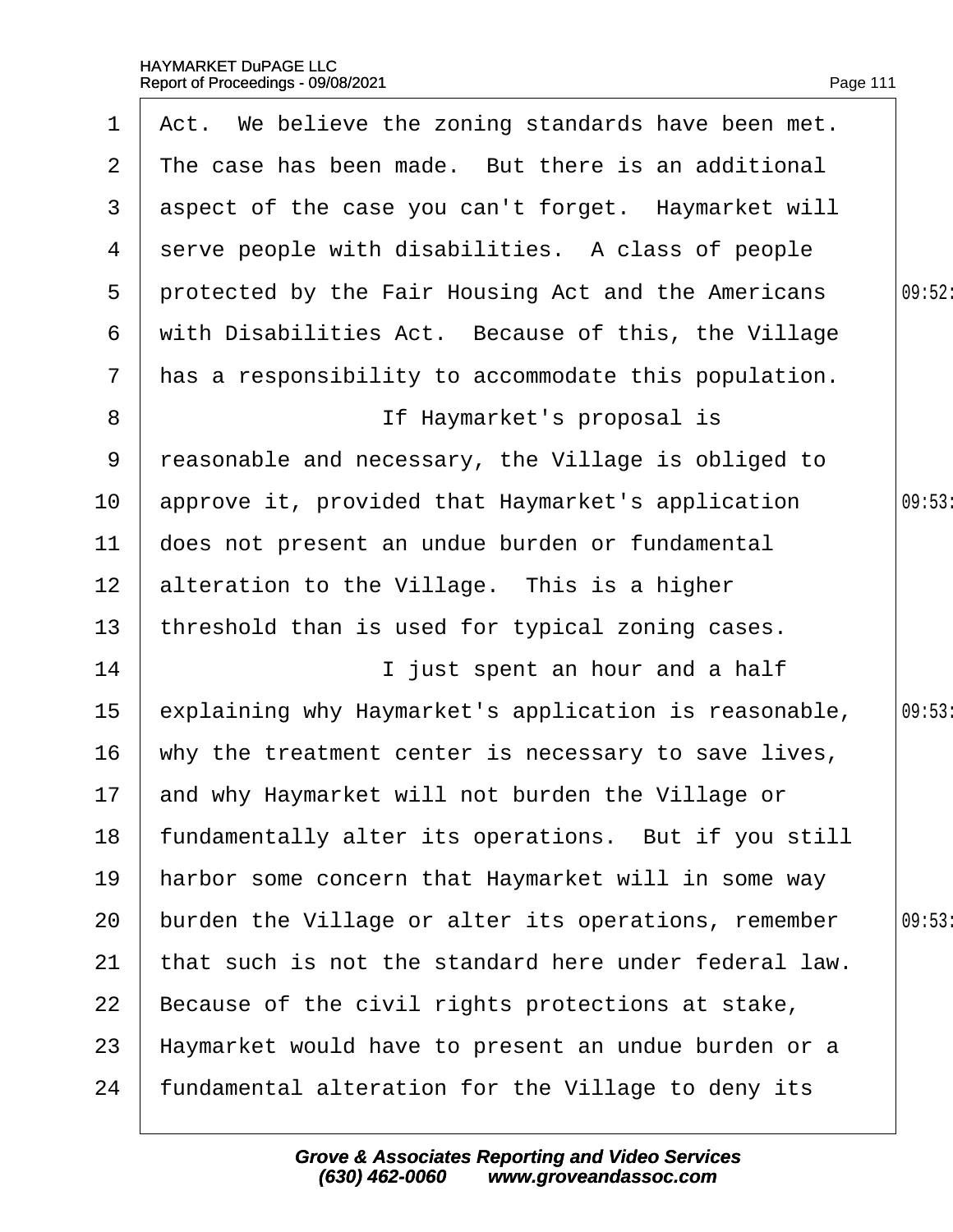<span id="page-111-0"></span>

| 1               | Act. We believe the zoning standards have been met.   |        |
|-----------------|-------------------------------------------------------|--------|
| $\overline{2}$  | The case has been made. But there is an additional    |        |
| 3               | aspect of the case you can't forget. Haymarket will   |        |
| 4               | serve people with disabilities. A class of people     |        |
| 5               | protected by the Fair Housing Act and the Americans   | 09:52: |
| 6               | with Disabilities Act. Because of this, the Village   |        |
| $\overline{7}$  | has a responsibility to accommodate this population.  |        |
| 8               | If Haymarket's proposal is                            |        |
| 9               | reasonable and necessary, the Village is obliged to   |        |
| 10 <sup>°</sup> | approve it, provided that Haymarket's application     | 09:53  |
| 11              | does not present an undue burden or fundamental       |        |
| 12 <sup>2</sup> | alteration to the Village. This is a higher           |        |
| 13              | threshold than is used for typical zoning cases.      |        |
| 14              | I just spent an hour and a half                       |        |
| 15              | explaining why Haymarket's application is reasonable, | 09:53  |
| 16              | why the treatment center is necessary to save lives,  |        |
|                 | 17 and why Haymarket will not burden the Village or   |        |
| 18              | fundamentally alter its operations. But if you still  |        |
| 19              | harbor some concern that Haymarket will in some way   |        |
| 20              | burden the Village or alter its operations, remember  | 09:53  |
| 21              | that such is not the standard here under federal law. |        |
| 22              | Because of the civil rights protections at stake,     |        |
| 23              | Haymarket would have to present an undue burden or a  |        |
| 24              | fundamental alteration for the Village to deny its    |        |
|                 |                                                       |        |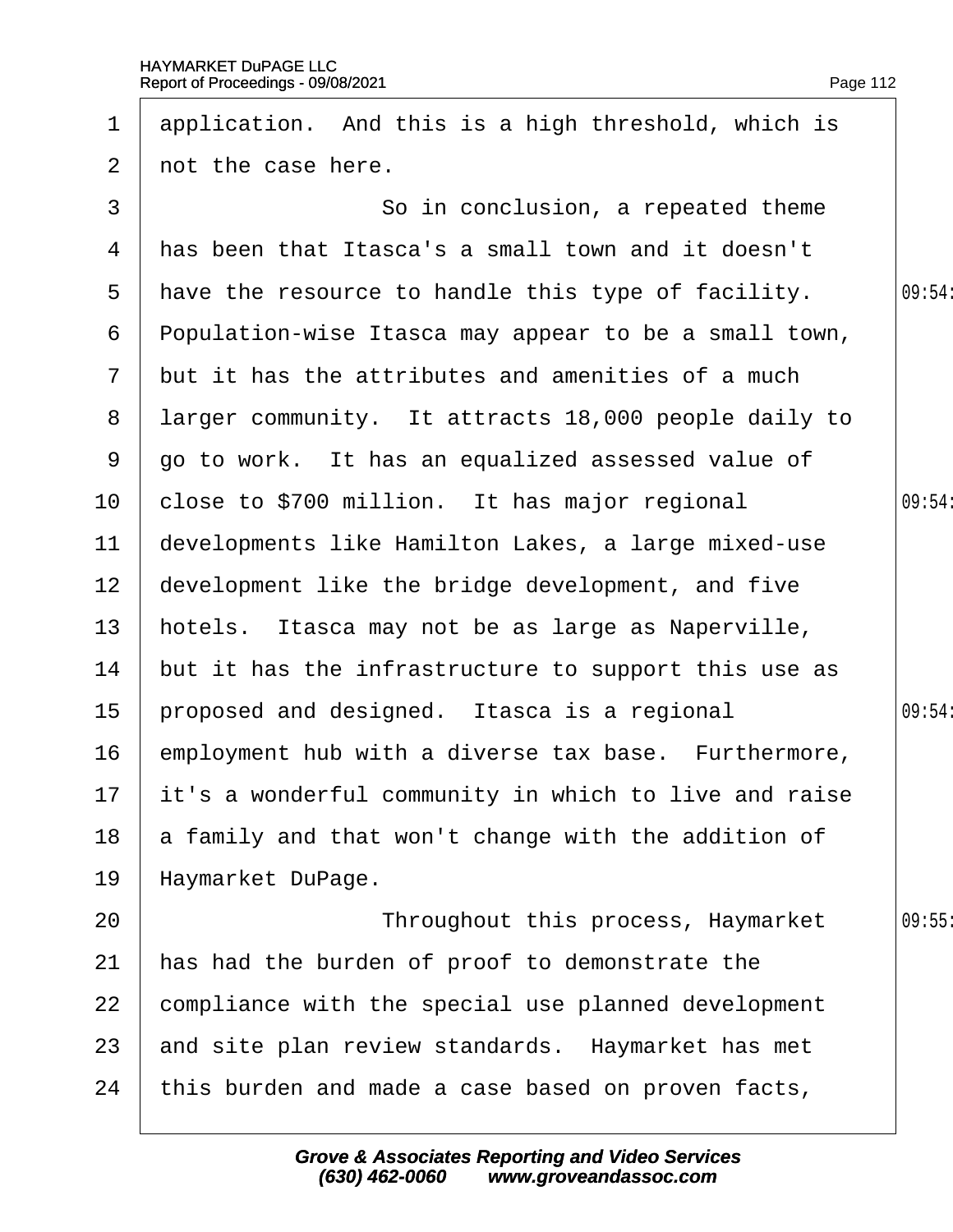<span id="page-112-0"></span>

| 1              | application. And this is a high threshold, which is      |        |
|----------------|----------------------------------------------------------|--------|
| $\overline{2}$ | not the case here.                                       |        |
| 3              | So in conclusion, a repeated theme                       |        |
| 4              | has been that Itasca's a small town and it doesn't       |        |
| 5              | have the resource to handle this type of facility.       | 09:54: |
| 6              | Population-wise Itasca may appear to be a small town,    |        |
| $\mathcal{I}$  | but it has the attributes and amenities of a much        |        |
| 8              | larger community. It attracts 18,000 people daily to     |        |
| 9              | go to work. It has an equalized assessed value of        |        |
| 10             | close to \$700 million. It has major regional            | 09:54: |
| 11             | developments like Hamilton Lakes, a large mixed-use      |        |
| 12             | development like the bridge development, and five        |        |
| 13             | hotels. Itasca may not be as large as Naperville,        |        |
| 14             | but it has the infrastructure to support this use as     |        |
| 15             | proposed and designed. Itasca is a regional              | 09:54: |
| 16             | employment hub with a diverse tax base. Furthermore,     |        |
|                | 17 it's a wonderful community in which to live and raise |        |
| 18             | a family and that won't change with the addition of      |        |
| 19             | Haymarket DuPage.                                        |        |
| 20             | Throughout this process, Haymarket                       | 09:55  |
| 21             | has had the burden of proof to demonstrate the           |        |
| 22             | compliance with the special use planned development      |        |
| 23             | and site plan review standards. Haymarket has met        |        |
| 24             | this burden and made a case based on proven facts,       |        |
|                |                                                          |        |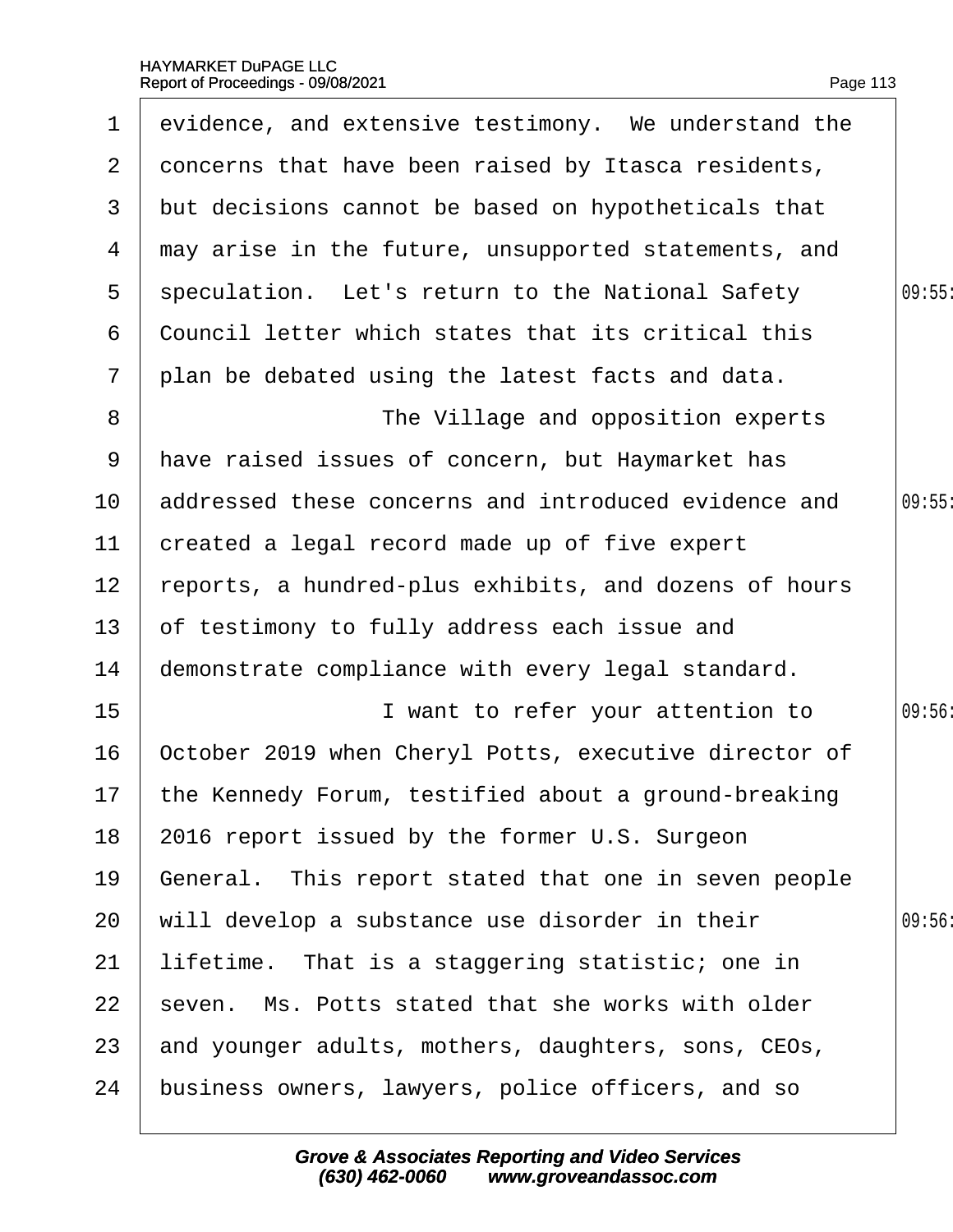<span id="page-113-0"></span>

| 1                 | evidence, and extensive testimony. We understand the    |        |
|-------------------|---------------------------------------------------------|--------|
| $\mathbf{2}$      | doncerns that have been raised by Itasca residents,     |        |
| 3                 | but decisions cannot be based on hypotheticals that     |        |
| 4                 | may arise in the future, unsupported statements, and    |        |
| 5                 | speculation. Let's return to the National Safety        | 09:55  |
| 6                 | Council letter which states that its critical this      |        |
| $\overline{7}$    | plan be debated using the latest facts and data.        |        |
| 8                 | The Village and opposition experts                      |        |
| 9                 | have raised issues of concern, but Haymarket has        |        |
| 10                | addressed these concerns and introduced evidence and    | 09:55  |
| 11                | created a legal record made up of five expert           |        |
| $12 \overline{ }$ | reports, a hundred-plus exhibits, and dozens of hours   |        |
| 13                | of testimony to fully address each issue and            |        |
| 14                | demonstrate compliance with every legal standard.       |        |
| 15                | I want to refer your attention to                       | 09:56: |
| 16                | October 2019 when Cheryl Potts, executive director of   |        |
|                   | 17 the Kennedy Forum, testified about a ground-breaking |        |
| 18                | 2016 report issued by the former U.S. Surgeon           |        |
| 19                | General. This report stated that one in seven people    |        |
| 20                | will develop a substance use disorder in their          | 09:56  |
| 21                | lifetime. That is a staggering statistic; one in        |        |
| 22                | seven. Ms. Potts stated that she works with older       |        |
| 23                | and younger adults, mothers, daughters, sons, CEOs,     |        |
| 24                | business owners, lawyers, police officers, and so       |        |
|                   |                                                         |        |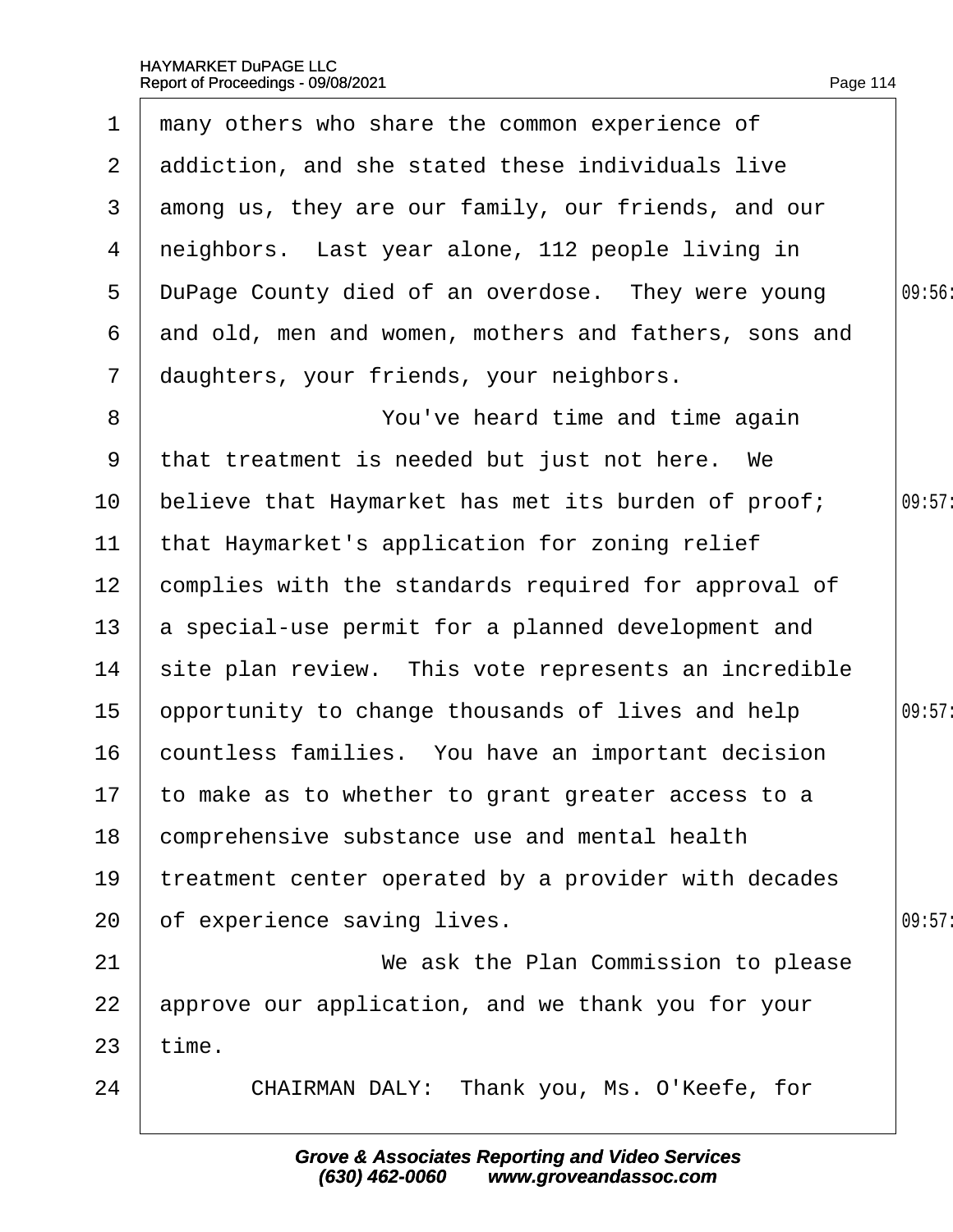<span id="page-114-0"></span>

| 1               | many others who share the common experience of        |        |
|-----------------|-------------------------------------------------------|--------|
| $\overline{2}$  | addiction, and she stated these individuals live      |        |
| 3               | among us, they are our family, our friends, and our   |        |
| 4               | neighbors. Last year alone, 112 people living in      |        |
| 5               | DuPage County died of an overdose. They were young    | 09:56  |
| 6               | and old, men and women, mothers and fathers, sons and |        |
| $\overline{7}$  | daughters, your friends, your neighbors.              |        |
| 8               | You've heard time and time again                      |        |
| 9               | that treatment is needed but just not here. We        |        |
| 10              | believe that Haymarket has met its burden of proof;   | 09:57: |
| 11              | that Haymarket's application for zoning relief        |        |
| 12 <sub>2</sub> | complies with the standards required for approval of  |        |
| 13              | a special-use permit for a planned development and    |        |
| 14              | site plan review. This vote represents an incredible  |        |
| 15              | opportunity to change thousands of lives and help     | 09:57: |
| 16              | countless families. You have an important decision    |        |
|                 | 17 to make as to whether to grant greater access to a |        |
| 18              | comprehensive substance use and mental health         |        |
| 19              | treatment center operated by a provider with decades  |        |
| 20              | of experience saving lives.                           | 09:57: |
| 21              | We ask the Plan Commission to please                  |        |
| 22              | approve our application, and we thank you for your    |        |
| 23              | time.                                                 |        |
| 24              | CHAIRMAN DALY: Thank you, Ms. O'Keefe, for            |        |
|                 |                                                       |        |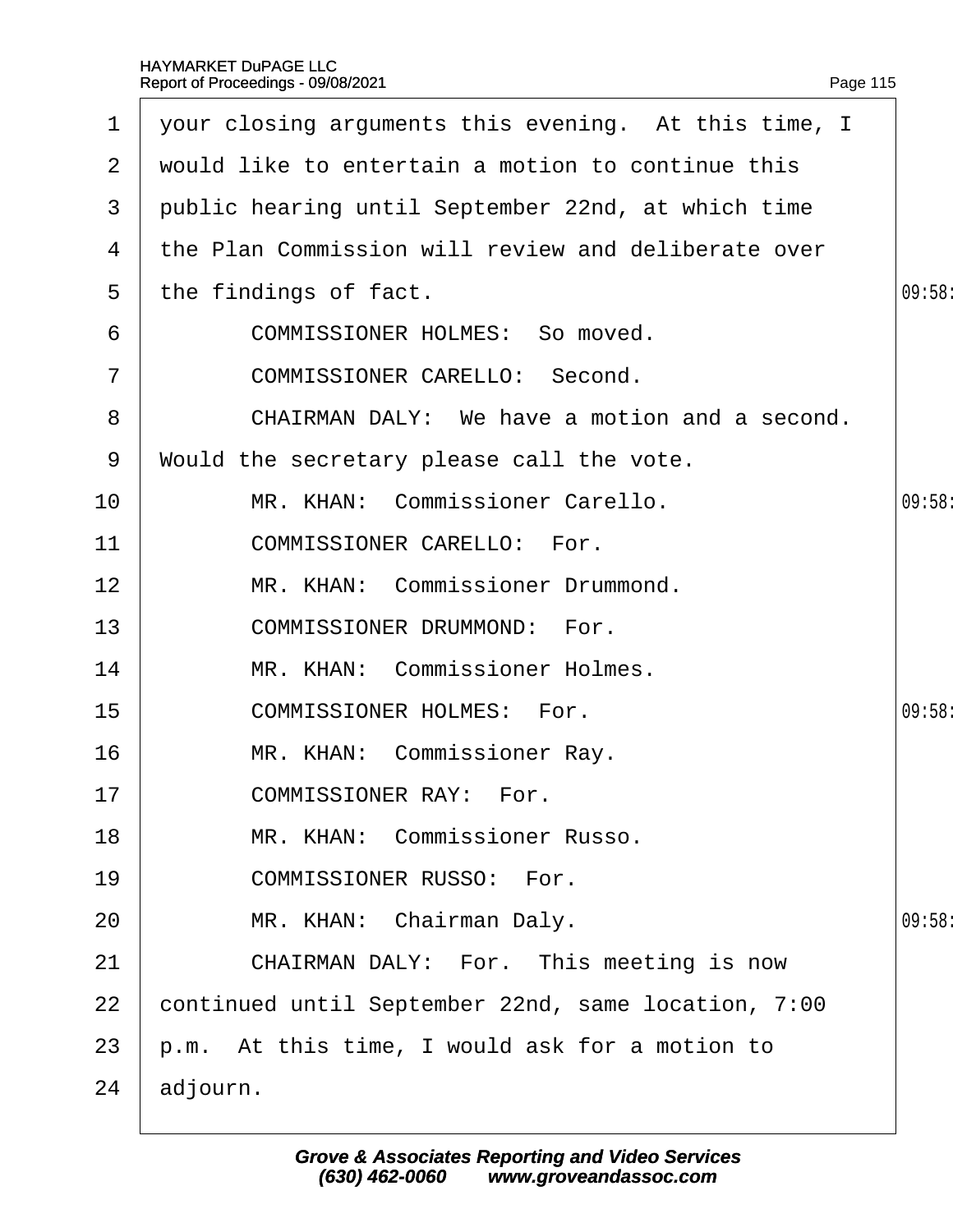<span id="page-115-0"></span>

| 1              | your closing arguments this evening. At this time, I |        |  |  |  |
|----------------|------------------------------------------------------|--------|--|--|--|
| $\overline{2}$ | would like to entertain a motion to continue this    |        |  |  |  |
| 3              | public hearing until September 22nd, at which time   |        |  |  |  |
| 4              | the Plan Commission will review and deliberate over  |        |  |  |  |
| 5              | the findings of fact.                                | 09:58  |  |  |  |
| 6              | <b>COMMISSIONER HOLMES: So moved.</b>                |        |  |  |  |
| $\overline{7}$ | <b>COMMISSIONER CARELLO: Second.</b>                 |        |  |  |  |
| 8              | CHAIRMAN DALY: We have a motion and a second.        |        |  |  |  |
| 9              | Would the secretary please call the vote.            |        |  |  |  |
| 10             | MR. KHAN: Commissioner Carello.                      | 09:58  |  |  |  |
| 11             | <b>COMMISSIONER CARELLO: For.</b>                    |        |  |  |  |
| 12             | MR. KHAN: Commissioner Drummond.                     |        |  |  |  |
| 13             | <b>COMMISSIONER DRUMMOND: For.</b>                   |        |  |  |  |
| 14             | MR. KHAN: Commissioner Holmes.                       |        |  |  |  |
| 15             | <b>COMMISSIONER HOLMES: For.</b>                     | 09:58: |  |  |  |
| 16             | MR. KHAN: Commissioner Ray.                          |        |  |  |  |
| 17             | <b>COMMISSIONER RAY: For.</b>                        |        |  |  |  |
| 18             | MR. KHAN: Commissioner Russo.                        |        |  |  |  |
| 19             | <b>COMMISSIONER RUSSO: For.</b>                      |        |  |  |  |
| 20             | MR. KHAN: Chairman Daly.                             | 09:58  |  |  |  |
| 21             | CHAIRMAN DALY: For. This meeting is now              |        |  |  |  |
| 22             | continued until September 22nd, same location, 7:00  |        |  |  |  |
| 23             | p.m. At this time, I would ask for a motion to       |        |  |  |  |
| 24             | adjourn.                                             |        |  |  |  |
|                |                                                      |        |  |  |  |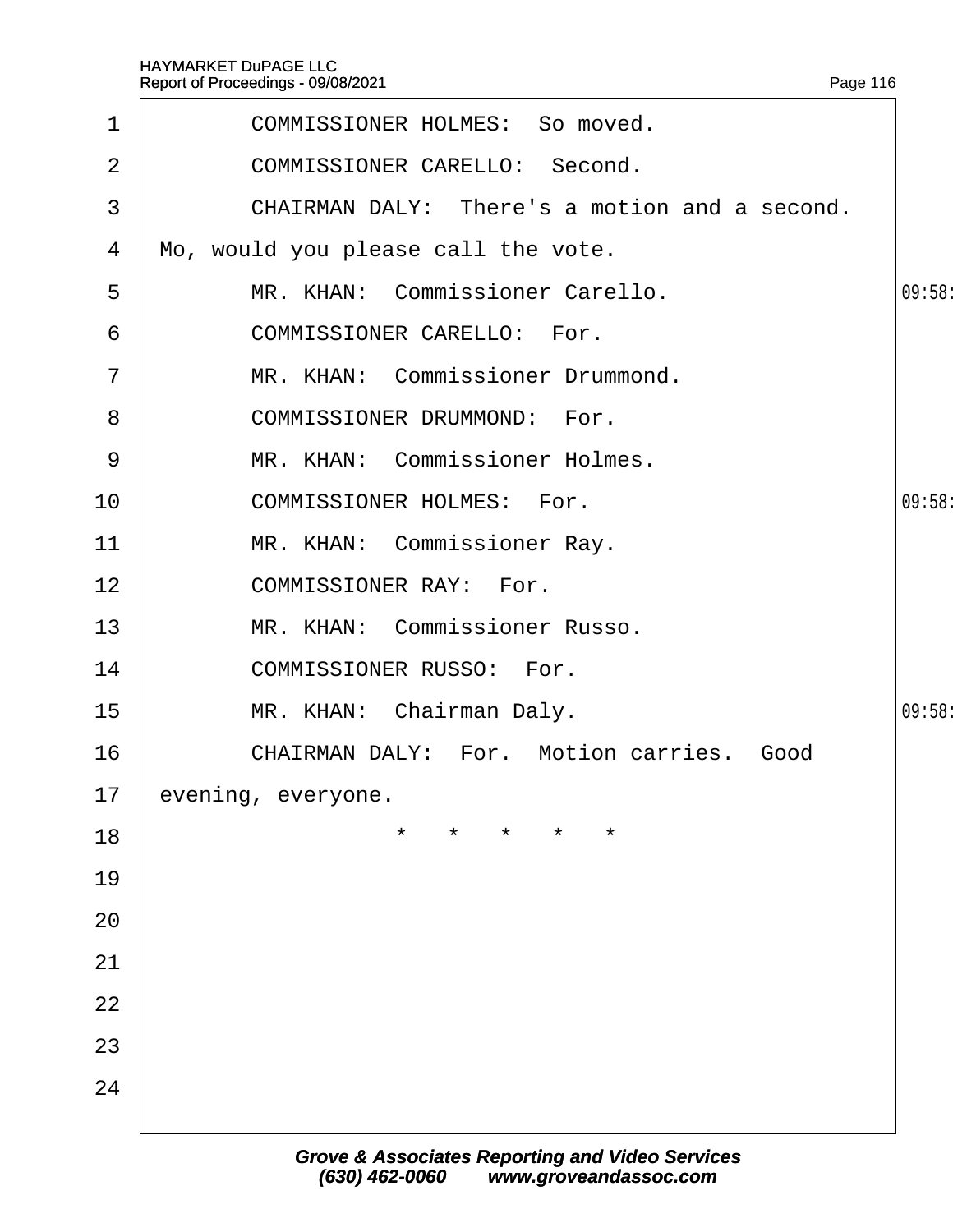<span id="page-116-0"></span>

| $\mathbf{1}$    | <b>COMMISSIONER HOLMES: So moved.</b>           |        |
|-----------------|-------------------------------------------------|--------|
| 2               | <b>COMMISSIONER CARELLO: Second.</b>            |        |
| 3               | CHAIRMAN DALY: There's a motion and a second.   |        |
| 4               | Mo, would you please call the vote.             |        |
| 5               | MR. KHAN: Commissioner Carello.                 | 09:58: |
| 6               | <b>COMMISSIONER CARELLO: For.</b>               |        |
| $\overline{7}$  | MR. KHAN: Commissioner Drummond.                |        |
| 8               | <b>COMMISSIONER DRUMMOND: For.</b>              |        |
| 9               | MR. KHAN: Commissioner Holmes.                  |        |
| 10 <sup>°</sup> | <b>COMMISSIONER HOLMES: For.</b>                | 09:58  |
| 11              | MR. KHAN: Commissioner Ray.                     |        |
| 12              | <b>COMMISSIONER RAY: For.</b>                   |        |
| 13              | MR. KHAN: Commissioner Russo.                   |        |
| 14              | <b>COMMISSIONER RUSSO: For.</b>                 |        |
| 15              | MR. KHAN: Chairman Daly.                        | 09:58: |
| 16              | <b>CHAIRMAN DALY: For. Motion carries. Good</b> |        |
| 17              | evening, everyone.                              |        |
| 18              | *<br>$\star$                                    |        |
| 19              |                                                 |        |
| 20              |                                                 |        |
| 21              |                                                 |        |
| 22              |                                                 |        |
| 23              |                                                 |        |
| 24              |                                                 |        |
|                 |                                                 |        |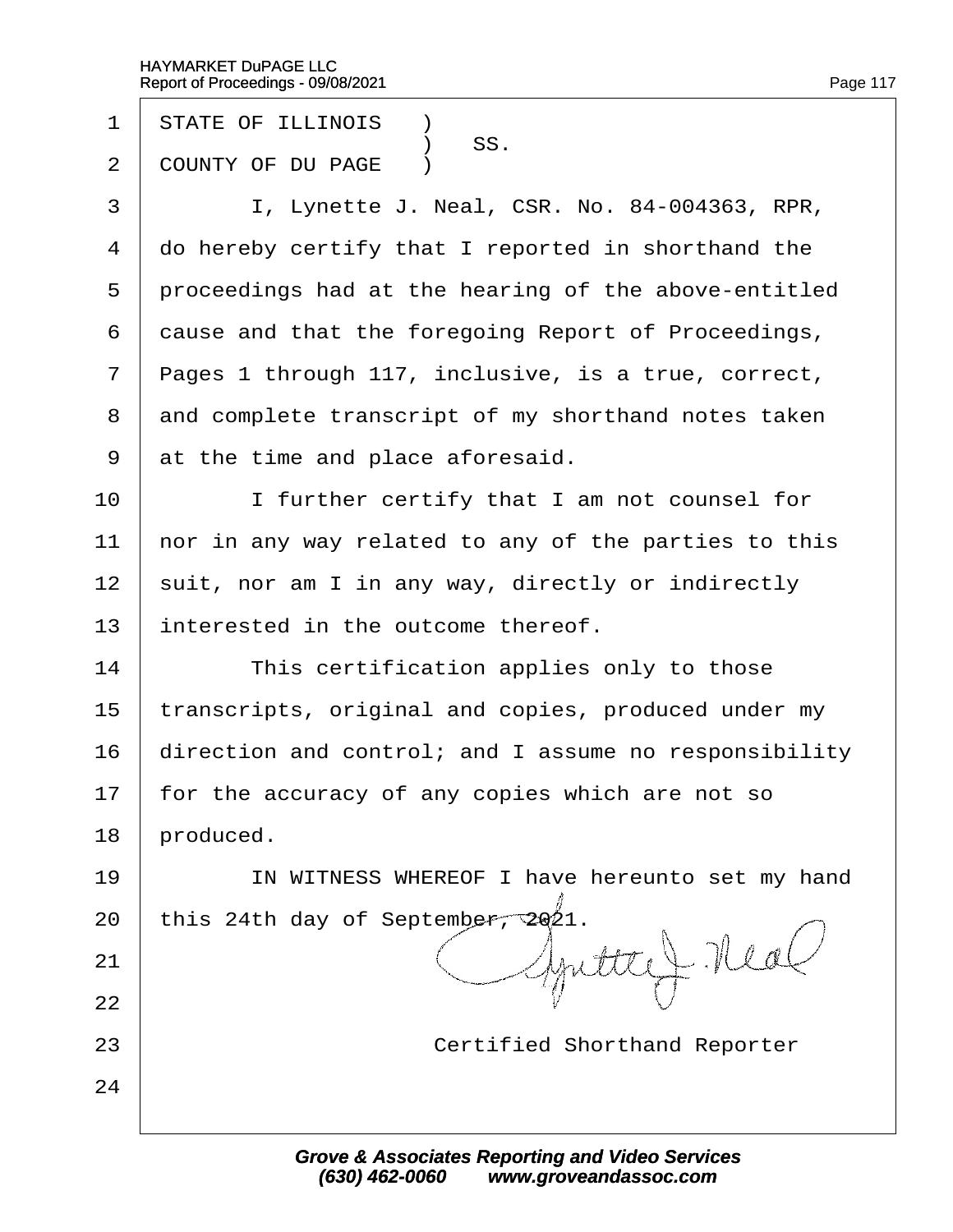- 1 STATE OF ILLINOIS **1**
- SS.<br>2 COUNTY OF DU I COUNTY OF DU PAGE )
- 3 | I, Lynette J. Neal, CSR. No. 84-004363, RPR,
- 4 do hereby certify that I reported in shorthand the
- 5 proceedings had at the hearing of the above-entitled
- 6 dause and that the foregoing Report of Proceedings,
- 7 Pages 1 through 117, inclusive, is a true, correct,
- 8 and complete transcript of my shorthand notes taken
- 9 at the time and place aforesaid.
- 10 **I** I further certify that I am not counsel for
- 11 hor in any way related to any of the parties to this
- 12 suit, nor am I in any way, directly or indirectly
- 13 interested in the outcome thereof.
- $14$  This certification applies only to those
- 15 transcripts, original and copies, produced under my
- 16 direction and control; and I assume no responsibility
- 17 for the accuracy of any copies which are not so
- 18 **produced**.

21

22

24

- 19 | IN WITNESS WHEREOF I have hereunto set my hand
- 20 this 24th day of September, 2021.
- 23 **Certified Shorthand Reporter**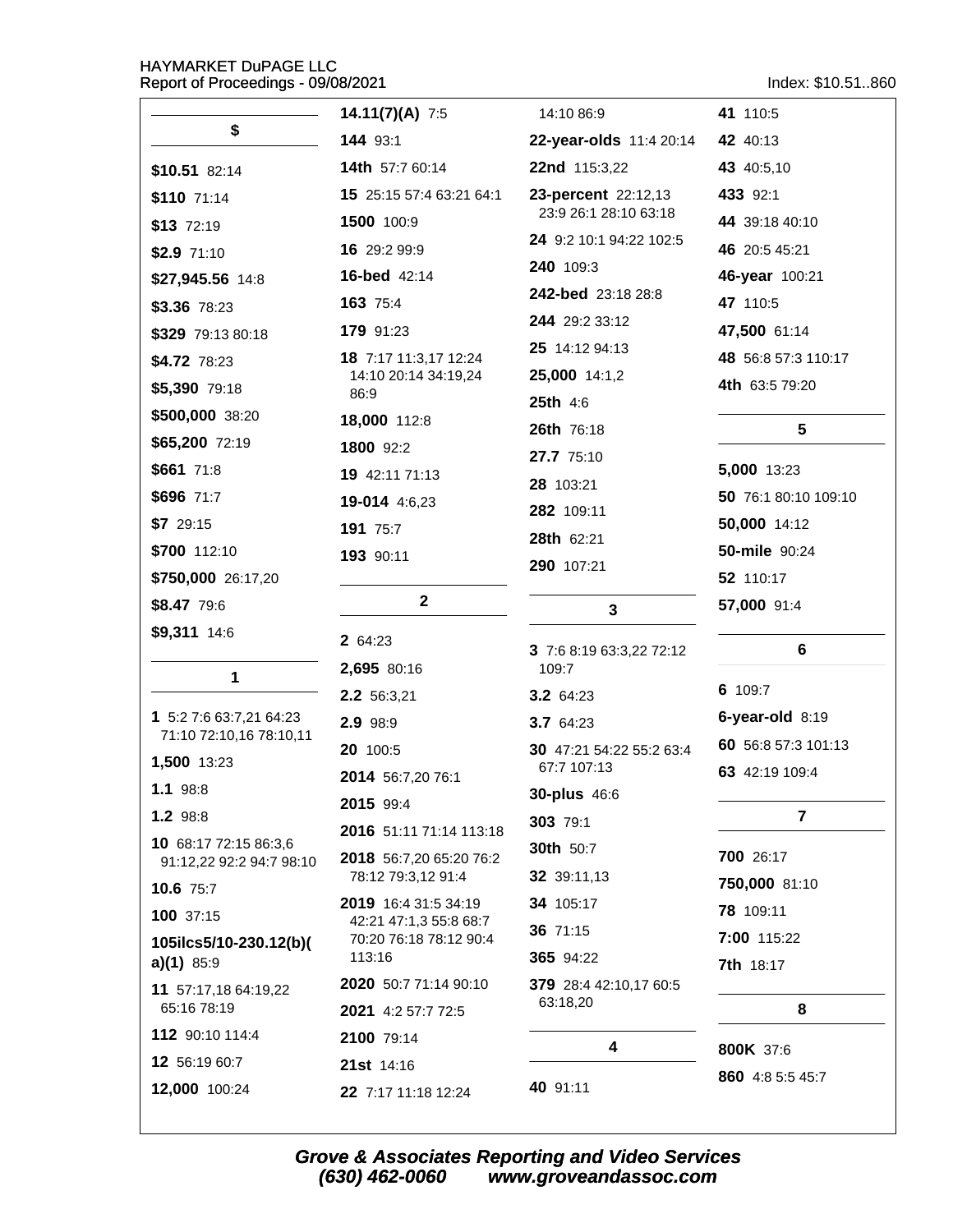Index: \$10.51..860

|                                       | 14.11(7)(A) $7:5$                                | 14:10 86:9                        | 41 110:5             |
|---------------------------------------|--------------------------------------------------|-----------------------------------|----------------------|
| \$                                    | 144 93:1                                         | 22-year-olds 11:4 20:14           | 42 40:13             |
| \$10.51 82:14                         | <b>14th</b> 57:7 60:14                           | 22nd 115:3,22                     | 43 40:5,10           |
| $$110$ 71:14                          | 15 25:15 57:4 63:21 64:1                         | 23-percent 22:12,13               | 433 92:1             |
| \$13 72:19                            | 1500 100:9                                       | 23:9 26:1 28:10 63:18             | 44 39:18 40:10       |
| $$2.9$ 71:10                          | 16 29:2 99:9                                     | 24 9:2 10:1 94:22 102:5           | 46 20:5 45:21        |
| \$27,945.56 14:8                      | <b>16-bed</b> 42:14                              | 240 109:3                         | 46-year 100:21       |
| \$3.36 78:23                          | 163 75:4                                         | 242-bed 23:18 28:8                | 47 110:5             |
| \$329 79:13 80:18                     | 179 91:23                                        | 244 29:2 33:12                    | 47,500 61:14         |
| \$4.72 78:23                          | 18 7:17 11:3,17 12:24                            | 25 14:12 94:13                    | 48 56:8 57:3 110:17  |
| \$5,390 79:18                         | 14:10 20:14 34:19,24<br>86:9                     | 25,000 14:1,2                     | 4th 63:5 79:20       |
| \$500,000 38:20                       | 18,000 112:8                                     | 25th 4:6                          |                      |
| \$65,200 72:19                        | 1800 92:2                                        | 26th 76:18                        | 5                    |
| \$661 71:8                            | 19 42:11 71:13                                   | 27.7 75:10                        | 5,000 13:23          |
| \$696 71:7                            | 19-014 4:6,23                                    | 28 103:21                         | 50 76:1 80:10 109:10 |
| \$729:15                              | 191 75:7                                         | 282 109:11                        | 50,000 14:12         |
| \$700 112:10                          | 193 90:11                                        | 28th 62:21                        | <b>50-mile</b> 90:24 |
| \$750,000 26:17,20                    |                                                  | 290 107:21                        | 52 110:17            |
| \$8.47 79:6                           | $\mathbf 2$                                      | 3                                 | 57,000 91:4          |
| \$9,311 14:6                          | 2 64:23                                          |                                   |                      |
|                                       | 2,695 80:16                                      | 3 7:6 8:19 63:3,22 72:12<br>109:7 | 6                    |
| 1                                     | 2.2 56:3,21                                      | <b>3.2</b> 64:23                  | 6 109:7              |
| 1 5:2 7:6 63:7,21 64:23               | 2.9 98:9                                         | 3.7 64:23                         | 6-year-old 8:19      |
| 71:10 72:10,16 78:10,11               | 20 100:5                                         | 30 47:21 54:22 55:2 63:4          | 60 56:8 57:3 101:13  |
| 1,500 13:23                           | 2014 56:7,20 76:1                                | 67:7 107:13                       | 63 42:19 109:4       |
| 1.1 98:8                              | 2015 99:4                                        | 30-plus 46:6                      |                      |
| 1.2 98:8                              | 2016 51:11 71:14 113:18                          | 303 79:1                          | 7                    |
| 10 68:17 72:15 86:3,6                 | 2018 56:7,20 65:20 76:2                          | 30th 50:7                         | 700 26:17            |
| 91:12,22 92:2 94:7 98:10<br>10.6 75:7 | 78:12 79:3,12 91:4                               | 32 39:11,13                       | 750,000 81:10        |
| 100 37:15                             | 2019 16:4 31:5 34:19                             | 34 105:17                         | 78 109:11            |
| 105ilcs5/10-230.12(b)(                | 42:21 47:1,3 55:8 68:7<br>70:20 76:18 78:12 90:4 | 36 71:15                          | 7:00 115:22          |
| $a)(1)$ 85:9                          | 113:16                                           | 365 94:22                         | <b>7th</b> 18:17     |
| 11 57:17,18 64:19,22                  | 2020 50:7 71:14 90:10                            | 379 28:4 42:10,17 60:5            |                      |
| 65:16 78:19                           | 2021 4:2 57:7 72:5                               | 63:18,20                          | 8                    |
| 112 90:10 114:4                       | 2100 79:14                                       | 4                                 | 800K 37:6            |
| 12 56:19 60:7                         | 21st 14:16                                       |                                   | 860 4:8 5:5 45:7     |
| 12,000 100:24                         | 22 7:17 11:18 12:24                              | 40 91:11                          |                      |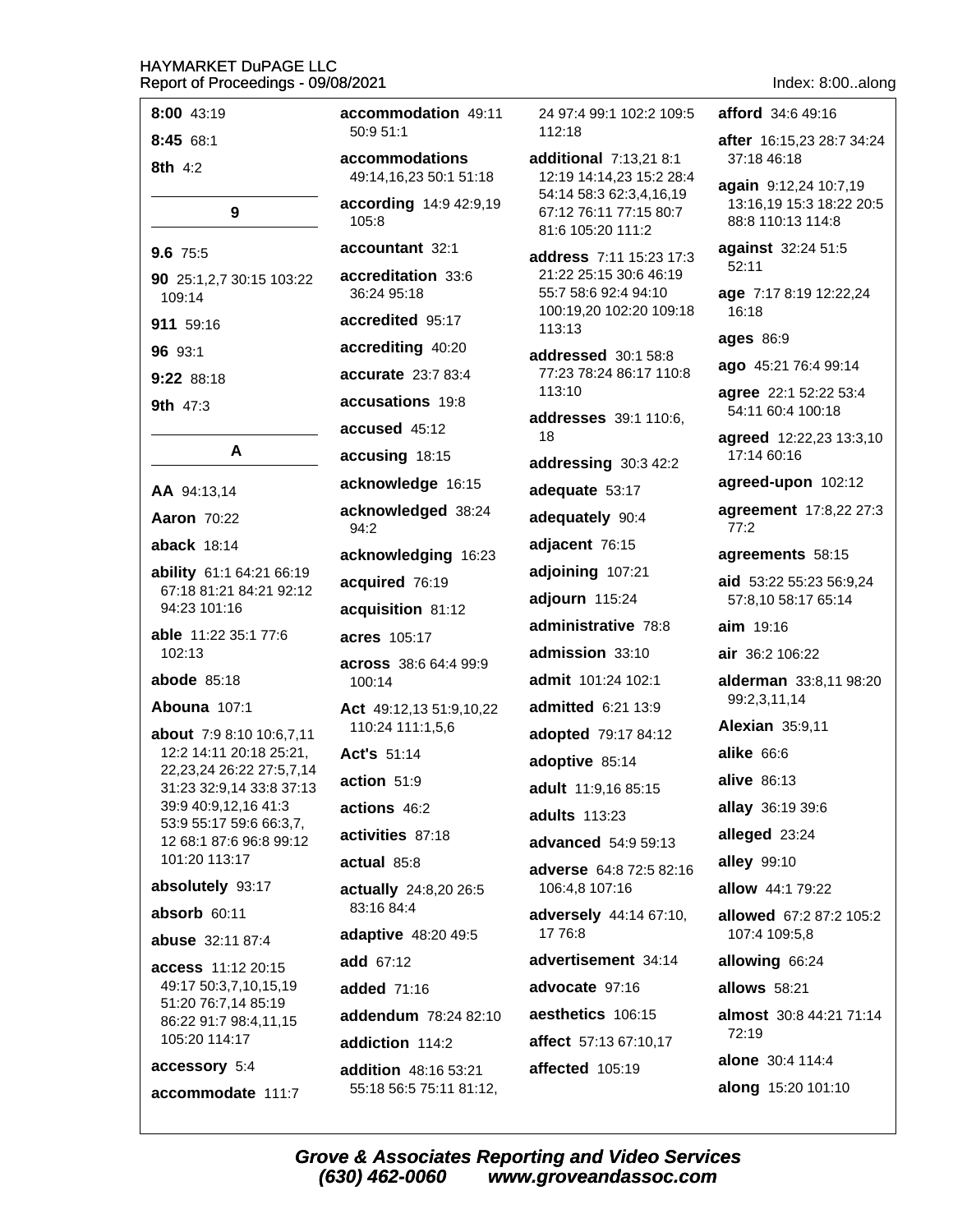| 8:00 43:19                                                | accommodation 49:11                      | 24 97:4 99:1 102:2 109:5                           | <b>afford</b> 34:6 49:16                                               |
|-----------------------------------------------------------|------------------------------------------|----------------------------------------------------|------------------------------------------------------------------------|
| 8:45 68:1                                                 | 50:9 51:1                                | 112:18                                             | after 16:15,23 28:7 34:24                                              |
| 8th 4:2                                                   | accommodations<br>49:14,16,23 50:1 51:18 | additional 7:13,21 8:1<br>12:19 14:14,23 15:2 28:4 | 37:18 46:18                                                            |
| 9                                                         | according 14:9 42:9,19<br>105:8          | 54:14 58:3 62:3,4,16,19<br>67:12 76:11 77:15 80:7  | again 9:12,24 10:7,19<br>13:16,19 15:3 18:22 20:5<br>88:8 110:13 114:8 |
| 9.6 75:5                                                  | accountant 32:1                          | 81:6 105:20 111:2<br>address 7:11 15:23 17:3       | against 32:24 51:5                                                     |
| 90 25:1,2,7 30:15 103:22<br>109:14                        | accreditation 33:6<br>36:24 95:18        | 21:22 25:15 30:6 46:19<br>55:7 58:6 92:4 94:10     | 52:11<br>age 7:17 8:19 12:22,24                                        |
| 911 59:16                                                 | accredited 95:17                         | 100:19,20 102:20 109:18<br>113:13                  | 16:18                                                                  |
| 96 93:1                                                   | accrediting 40:20                        | addressed 30:1 58:8                                | <b>ages 86:9</b>                                                       |
| 9:22 88:18                                                | accurate 23:7 83:4                       | 77:23 78:24 86:17 110:8                            | ago 45:21 76:4 99:14                                                   |
| 9th 47:3                                                  | accusations 19:8                         | 113:10                                             | agree 22:1 52:22 53:4                                                  |
|                                                           | accused 45:12                            | addresses 39:1 110:6,<br>18                        | 54:11 60:4 100:18<br>agreed 12:22,23 13:3,10                           |
| A                                                         | accusing 18:15                           | addressing 30:3 42:2                               | 17:14 60:16                                                            |
| AA 94:13,14                                               | acknowledge 16:15                        | adequate 53:17                                     | agreed-upon 102:12                                                     |
| <b>Aaron 70:22</b>                                        | acknowledged 38:24<br>94:2               | adequately 90:4                                    | <b>agreement</b> 17:8,22 27:3<br>77:2                                  |
| aback $18:14$                                             | acknowledging 16:23                      | adjacent 76:15                                     | agreements 58:15                                                       |
| ability 61:1 64:21 66:19<br>67:18 81:21 84:21 92:12       | acquired 76:19                           | adjoining 107:21                                   | aid 53:22 55:23 56:9,24                                                |
| 94:23 101:16                                              | acquisition 81:12                        | adjourn 115:24                                     | 57:8,10 58:17 65:14                                                    |
| able 11:22 35:1 77:6                                      | <b>acres</b> 105:17                      | administrative 78:8                                | <b>aim</b> 19:16                                                       |
| 102:13                                                    | across 38:6 64:4 99:9                    | admission 33:10                                    | air 36:2 106:22                                                        |
| <b>abode</b> 85:18                                        | 100:14                                   | admit 101:24 102:1                                 | alderman 33:8,11 98:20                                                 |
| Abouna 107:1                                              | <b>Act</b> 49:12,13 51:9,10,22           | admitted 6:21 13:9                                 | 99:2,3,11,14                                                           |
| <b>about</b> 7:9 8:10 10:6,7,11                           | 110:24 111:1,5,6                         | adopted 79:17 84:12                                | <b>Alexian 35:9,11</b>                                                 |
| 12:2 14:11 20:18 25:21,<br>22, 23, 24 26: 22 27: 5, 7, 14 | <b>Act's 51:14</b>                       | adoptive 85:14                                     | alike 66:6                                                             |
| 31:23 32:9,14 33:8 37:13                                  | action 51:9                              | adult 11:9,16 85:15                                | alive 86:13                                                            |
| 39:9 40:9,12,16 41:3<br>53:9 55:17 59:6 66:3,7,           | actions 46:2                             | adults 113:23                                      | allay 36:19 39:6                                                       |
| 12 68:1 87:6 96:8 99:12                                   | activities 87:18                         | advanced 54:9 59:13                                | alleged 23:24                                                          |
| 101:20 113:17                                             | actual 85:8                              | adverse 64:8 72:5 82:16                            | alley 99:10                                                            |
| absolutely 93:17                                          | actually 24:8,20 26:5<br>83:16 84:4      | 106:4,8 107:16                                     | allow 44:1 79:22                                                       |
| absorb 60:11<br>abuse 32:11 87:4                          | adaptive 48:20 49:5                      | adversely 44:14 67:10,<br>17 76:8                  | allowed 67:2 87:2 105:2<br>107:4 109:5,8                               |
| access 11:12 20:15                                        | add 67:12                                | advertisement 34:14                                | allowing 66:24                                                         |
| 49:17 50:3,7,10,15,19                                     | added 71:16                              | advocate 97:16                                     | allows 58:21                                                           |
| 51:20 76:7,14 85:19<br>86:22 91:7 98:4,11,15              | addendum 78:24 82:10                     | aesthetics 106:15                                  | almost 30:8 44:21 71:14                                                |
| 105:20 114:17                                             | addiction 114:2                          | affect 57:13 67:10,17                              | 72:19                                                                  |
| accessory 5:4                                             | <b>addition</b> 48:16 53:21              | affected 105:19                                    | alone 30:4 114:4                                                       |
| accommodate 111:7                                         | 55:18 56:5 75:11 81:12,                  |                                                    | along 15:20 101:10                                                     |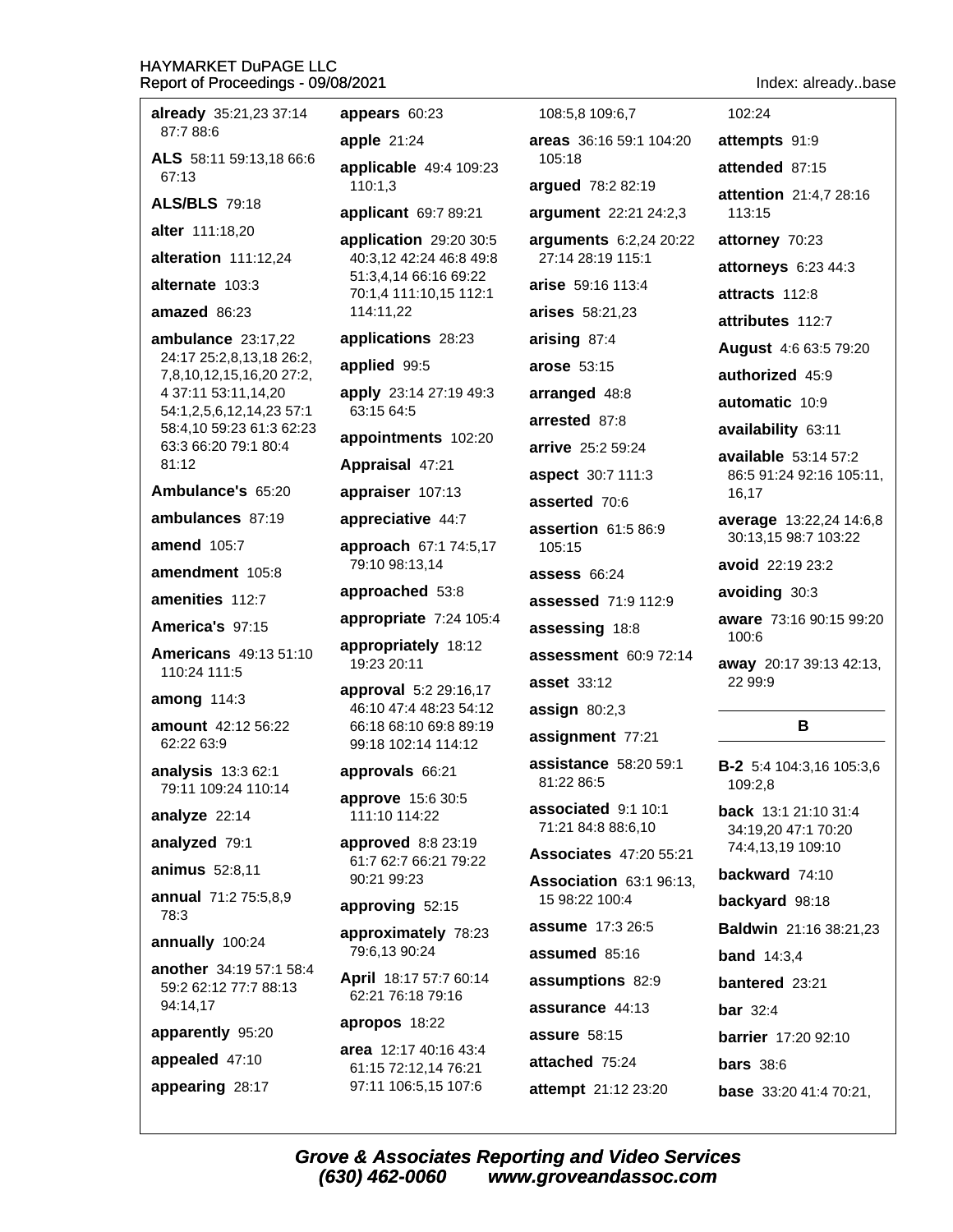| <u>NENNIL NI LINGEAIHING - NAINOITNTI</u>            |                                                 |                                            | THUEX. ALEAUYDAS                                |
|------------------------------------------------------|-------------------------------------------------|--------------------------------------------|-------------------------------------------------|
| already 35:21,23 37:14                               | appears 60:23                                   | 108:5,8 109:6,7                            | 102:24                                          |
| 87:7 88:6                                            | apple $21:24$                                   | areas 36:16 59:1 104:20                    | attempts 91:9                                   |
| ALS 58:11 59:13,18 66:6<br>67:13                     | applicable 49:4 109:23                          | 105:18                                     | attended 87:15                                  |
| <b>ALS/BLS 79:18</b>                                 | 110:1,3<br>applicant 69:7 89:21                 | argued 78:2 82:19<br>argument 22:21 24:2,3 | attention 21:4,7 28:16<br>113:15                |
| alter 111:18,20                                      | application 29:20 30:5                          | arguments 6:2,24 20:22                     | attorney 70:23                                  |
| alteration 111:12,24                                 | 40:3,12 42:24 46:8 49:8                         | 27:14 28:19 115:1                          | attorneys 6:23 44:3                             |
| alternate 103:3                                      | 51:3,4,14 66:16 69:22<br>70:1,4 111:10,15 112:1 | arise 59:16 113:4                          | attracts 112:8                                  |
| amazed 86:23                                         | 114:11,22                                       | arises 58:21,23                            | attributes 112:7                                |
| ambulance 23:17,22                                   | applications 28:23                              | arising 87:4                               | <b>August</b> 4:6 63:5 79:20                    |
| 24:17 25:2,8,13,18 26:2,<br>7,8,10,12,15,16,20 27:2, | applied 99:5                                    | arose 53:15                                | authorized 45:9                                 |
| 4 37:11 53:11,14,20                                  | apply 23:14 27:19 49:3                          | arranged 48:8                              | automatic 10:9                                  |
| 54:1,2,5,6,12,14,23 57:1<br>58:4,10 59:23 61:3 62:23 | 63:15 64:5                                      | arrested 87:8                              | availability 63:11                              |
| 63:3 66:20 79:1 80:4                                 | appointments 102:20                             | arrive 25:2 59:24                          | available 53:14 57:2                            |
| 81:12                                                | Appraisal 47:21                                 | aspect 30:7 111:3                          | 86:5 91:24 92:16 105:11,                        |
| Ambulance's 65:20                                    | appraiser 107:13                                | asserted 70:6                              | 16,17                                           |
| ambulances 87:19<br><b>amend</b> 105:7               | appreciative 44:7<br>approach 67:1 74:5,17      | assertion 61:5 86:9<br>105:15              | average 13:22,24 14:6,8<br>30:13,15 98:7 103:22 |
| amendment 105:8                                      | 79:10 98:13,14                                  | assess $66:24$                             | avoid 22:19 23:2                                |
| amenities 112:7                                      | approached 53:8                                 | assessed 71:9 112:9                        | avoiding 30:3                                   |
| America's 97:15                                      | appropriate 7:24 105:4                          | assessing 18:8                             | aware 73:16 90:15 99:20                         |
| <b>Americans</b> 49:13 51:10                         | appropriately 18:12                             | assessment 60:9 72:14                      | 100:6                                           |
| 110:24 111:5                                         | 19:23 20:11                                     | <b>asset</b> 33:12                         | away 20:17 39:13 42:13,<br>22 99:9              |
| among 114:3                                          | approval 5:2 29:16,17<br>46:10 47:4 48:23 54:12 | assign $80:2,3$                            |                                                 |
| amount 42:12 56:22<br>62:22 63:9                     | 66:18 68:10 69:8 89:19<br>99:18 102:14 114:12   | assignment 77:21                           | B                                               |
| analysis 13:3 62:1                                   | approvals 66:21                                 | assistance 58:20 59:1<br>81:22 86:5        | <b>B-2</b> 5:4 104:3,16 105:3,6<br>109:2,8      |
| 79:11 109:24 110:14                                  | approve 15:6 30:5                               | associated 9:1 10:1                        | <b>back</b> 13:1 21:10 31:4                     |
| analyze 22:14                                        | 111:10 114:22                                   | 71:21 84:8 88:6,10                         | 34:19,20 47:1 70:20                             |
| analyzed 79:1                                        | approved 8:8 23:19<br>61:7 62:7 66:21 79:22     | <b>Associates</b> 47:20 55:21              | 74:4,13,19 109:10                               |
| animus 52:8,11                                       | 90:21 99:23                                     | Association 63:1 96:13,                    | backward 74:10                                  |
| annual 71:2 75:5,8,9<br>78:3                         | approving 52:15                                 | 15 98:22 100:4                             | backyard 98:18                                  |
| annually 100:24                                      | approximately 78:23                             | assume 17:3 26:5                           | <b>Baldwin</b> 21:16 38:21,23                   |
| another 34:19 57:1 58:4                              | 79:6,13 90:24                                   | assumed 85:16                              | <b>band</b> $14:3,4$                            |
| 59:2 62:12 77:7 88:13                                | April 18:17 57:7 60:14<br>62:21 76:18 79:16     | assumptions 82:9                           | <b>bantered</b> 23:21                           |
| 94:14,17                                             | apropos 18:22                                   | assurance 44:13                            | bar 32:4                                        |
| apparently 95:20                                     | area 12:17 40:16 43:4                           | assure 58:15                               | <b>barrier</b> 17:20 92:10                      |
| appealed 47:10                                       | 61:15 72:12,14 76:21                            | attached 75:24                             | <b>bars</b> 38:6                                |
| appearing 28:17                                      | 97:11 106:5,15 107:6                            | attempt 21:12 23:20                        | <b>base</b> 33:20 41:4 70:21,                   |
|                                                      |                                                 |                                            |                                                 |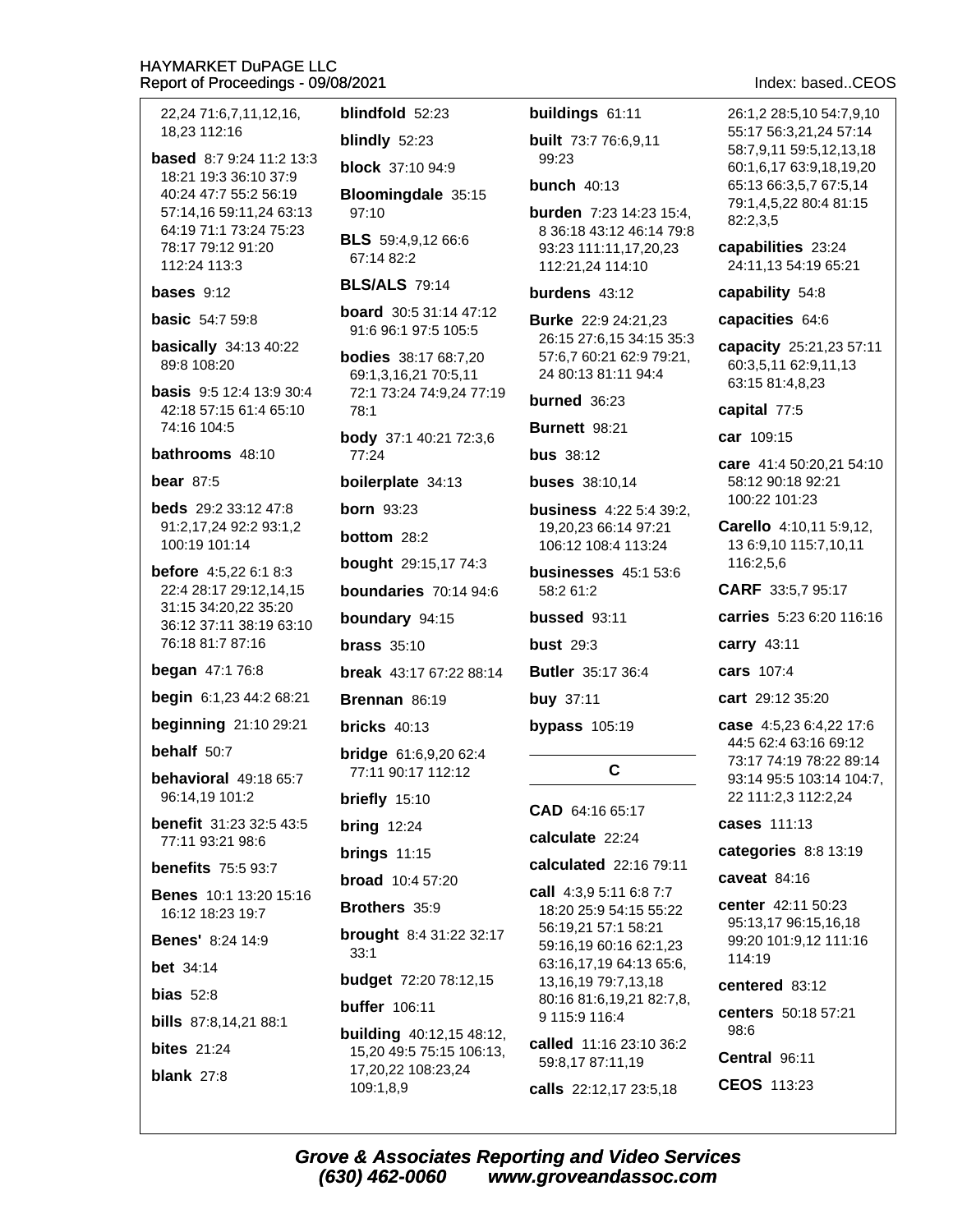22,24 71:6,7,11,12,16, 18.23 112:16 **based** 8:7 9:24 11:2 13:3 18:21 19:3 36:10 37:9 40:24 47:7 55:2 56:19 57:14,16 59:11,24 63:13 64:19 71:1 73:24 75:23 78:17 79:12 91:20 112:24 113:3 bases  $9:12$ **basic** 54:7 59:8 basically  $34:1340:22$ 89:8 108:20 **basis** 9:5 12:4 13:9 30:4 42:18 57:15 61:4 65:10 74:16 104:5 bathrooms 48:10 bear  $87:5$ **beds** 29:2 33:12 47:8 91:2,17,24 92:2 93:1,2 100:19 101:14 **before** 4:5,22 6:1 8:3 22:4 28:17 29:12,14,15 31:15 34:20,22 35:20 36:12 37:11 38:19 63:10 76:18 81:7 87:16 **began** 47:1 76:8 begin 6:1,23 44:2 68:21 beginning 21:10 29:21 behalf 50:7 behavioral 49:18 65:7 96:14,19 101:2 **benefit** 31:23 32:5 43:5 77:11 93:21 98:6 **benefits** 75:5 93:7 **Benes** 10:1 13:20 15:16 16:12 18:23 19:7 **Benes' 8:24 14:9 bet** 34:14

bias  $52:8$ 

**bills** 87:8,14,21 88:1

**bites** 21:24 blank  $27:8$ 

blindfold 52:23

blindly 52:23

**block** 37:10 94:9

Bloomingdale 35:15 97:10

**BLS** 59:4,9,12 66:6 67:14 82:2

# **BLS/ALS** 79:14

**board** 30:5 31:14 47:12 91:6 96:1 97:5 105:5

**bodies** 38:17 68:7,20 69:1,3,16,21 70:5,11 72:1 73:24 74:9,24 77:19 78:1

**body** 37:1 40:21 72:3,6 77:24

boilerplate 34:13

**born** 93:23

**bottom** 28:2

bought 29:15,17 74:3

boundaries  $70:1494:6$ 

boundary 94:15

**brass**  $35:10$ 

**break** 43:17 67:22 88:14

Brennan 86:19

bricks  $40:13$ 

**bridge** 61:6,9,20 62:4 77:11 90:17 112:12

briefly 15:10

**bring 12:24** 

brings  $11:15$ 

**broad** 10:4 57:20

Brothers 35:9

brought 8:4 31:22 32:17  $33:1$ 

**budget** 72:20 78:12,15

**buffer** 106:11

**building** 40:12,15 48:12, 15,20 49:5 75:15 106:13, 17,20,22 108:23,24 109:1,8,9

# buildings 61:11

**built** 73:7 76:6.9.11  $99.23$ 

bunch  $40:13$ 

burden 7:23 14:23 15:4, 8 36:18 43:12 46:14 79:8 93:23 111:11,17,20,23 112:21,24 114:10

# burdens 43:12

**Burke** 22:9 24:21.23 26:15 27:6,15 34:15 35:3 57:6,7 60:21 62:9 79:21, 24 80:13 81:11 94:4

burned 36:23

**Burnett 98:21** 

**bus** 38:12

**buses** 38:10.14

**business** 4:22 5:4 39:2. 19,20,23 66:14 97:21 106:12 108:4 113:24

**businesses** 45:1 53:6 58:2 61:2

bussed 93:11

**bust** 29:3

**Butler** 35:17 36:4

buy 37:11

bypass  $105:19$ 

 $\mathbf{C}$ 

 $CAD 64.1665.17$ 

calculate 22:24

#### calculated 22:16 79:11

call 4:3.9 5:11 6:8 7:7 18:20 25:9 54:15 55:22 56:19,21 57:1 58:21 59:16,19 60:16 62:1,23 63:16,17,19 64:13 65:6, 13, 16, 19 79: 7, 13, 18 80:16 81:6,19,21 82:7,8, 9 115:9 116:4

called 11:16 23:10 36:2 59:8,17 87:11,19

calls 22:12,17 23:5,18

Index: based..CEOS

26:1.2 28:5.10 54:7.9.10 55:17 56:3.21.24 57:14 58:7,9,11 59:5,12,13,18 60:1,6,17 63:9,18,19,20 65:13 66:3.5.7 67:5.14 79:1,4,5,22 80:4 81:15 82:2,3,5

capabilities 23:24 24:11,13 54:19 65:21

#### capability 54:8

#### capacities 64:6

capacity 25:21,23 57:11 60:3,5,11 62:9,11,13 63:15 81:4,8,23

#### capital 77:5

car 109:15

care 41:4 50:20,21 54:10 58:12 90:18 92:21 100:22 101:23

Carello 4:10.11 5:9.12 13 6:9,10 115:7,10,11 116:2,5,6

CARF 33:5,7 95:17

carries 5:23 6:20 116:16

carry 43:11

cars 107:4

cart 29:12 35:20

case 4:5,23 6:4,22 17:6 44:5 62:4 63:16 69:12 73:17 74:19 78:22 89:14 93:14 95:5 103:14 104:7, 22 111:2,3 112:2,24

cases 111:13

#### categories 8:8 13:19

caveat  $84:16$ 

center 42:11 50:23 95:13,17 96:15,16,18 99:20 101:9,12 111:16 114:19

centered 83:12

centers 50:18 57:21 98:6

Central 96:11

CEOS 113:23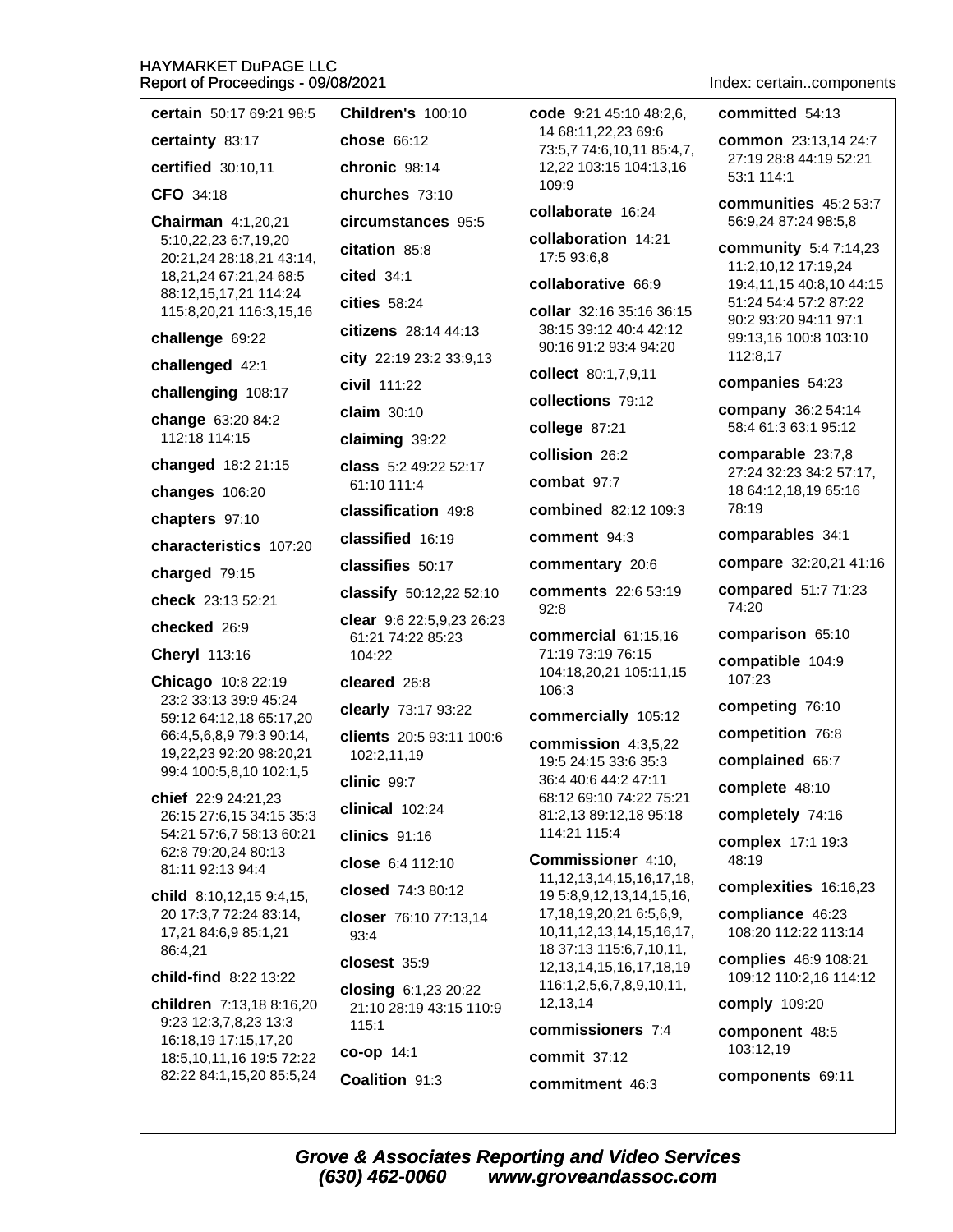| certain 50:17 69:21 98:5                                 | <b>Children's 100:10</b>                       | code 9:21 45:10 48:2,6,                                    | committed 54:13                                 |
|----------------------------------------------------------|------------------------------------------------|------------------------------------------------------------|-------------------------------------------------|
| certainty 83:17                                          | <b>chose 66:12</b>                             | 14 68:11,22,23 69:6<br>73:5,7 74:6,10,11 85:4,7,           | common 23:13,14 24:7                            |
| certified 30:10,11                                       | chronic 98:14                                  | 12,22 103:15 104:13,16                                     | 27:19 28:8 44:19 52:21<br>53:1 114:1            |
| CFO 34:18                                                | churches 73:10                                 | 109:9                                                      | communities 45:2 53:7                           |
| <b>Chairman</b> 4:1,20,21                                | circumstances 95:5                             | collaborate 16:24                                          | 56:9,24 87:24 98:5,8                            |
| 5:10,22,23 6:7,19,20<br>20:21,24 28:18,21 43:14,         | citation 85:8                                  | collaboration 14:21<br>17:5 93:6,8                         | <b>community</b> 5:4 7:14,23                    |
| 18,21,24 67:21,24 68:5                                   | cited 34:1                                     | collaborative 66:9                                         | 11:2,10,12 17:19,24<br>19:4,11,15 40:8,10 44:15 |
| 88:12,15,17,21 114:24<br>115:8,20,21 116:3,15,16         | cities 58:24                                   | collar 32:16 35:16 36:15                                   | 51:24 54:4 57:2 87:22                           |
| challenge 69:22                                          | citizens 28:14 44:13                           | 38:15 39:12 40:4 42:12                                     | 90:2 93:20 94:11 97:1<br>99:13,16 100:8 103:10  |
| challenged 42:1                                          | city 22:19 23:2 33:9,13                        | 90:16 91:2 93:4 94:20                                      | 112:8,17                                        |
| challenging 108:17                                       | civil 111:22                                   | collect 80:1,7,9,11                                        | companies 54:23                                 |
| change 63:20 84:2                                        | claim 30:10                                    | collections 79:12                                          | company 36:2 54:14<br>58:4 61:3 63:1 95:12      |
| 112:18 114:15                                            | claiming 39:22                                 | college 87:21                                              |                                                 |
| changed 18:2 21:15                                       | class 5:2 49:22 52:17                          | collision 26:2<br>combat 97:7                              | comparable 23:7,8<br>27:24 32:23 34:2 57:17,    |
| changes 106:20                                           | 61:10 111:4                                    | combined 82:12 109:3                                       | 18 64:12,18,19 65:16<br>78:19                   |
| chapters 97:10                                           | classification 49:8                            |                                                            | comparables 34:1                                |
| characteristics 107:20                                   | classified 16:19                               | comment 94:3                                               | compare 32:20,21 41:16                          |
| charged 79:15                                            | classifies 50:17                               | commentary 20:6                                            |                                                 |
| check 23:13 52:21                                        | classify 50:12,22 52:10                        | <b>comments</b> 22:6 53:19<br>92:8                         | compared 51:7 71:23<br>74:20                    |
| checked 26:9                                             | clear 9:6 22:5,9,23 26:23<br>61:21 74:22 85:23 | commercial 61:15,16                                        | comparison 65:10                                |
| <b>Cheryl</b> 113:16                                     | 104:22                                         | 71:19 73:19 76:15                                          | compatible 104:9                                |
| Chicago 10:8 22:19                                       | cleared 26:8                                   | 104:18,20,21 105:11,15<br>106:3                            | 107:23                                          |
| 23:2 33:13 39:9 45:24<br>59:12 64:12,18 65:17,20         | clearly 73:17 93:22                            | commercially 105:12                                        | competing 76:10                                 |
| 66:4,5,6,8,9 79:3 90:14,                                 | clients 20:5 93:11 100:6                       | commission 4:3,5,22                                        | competition 76:8                                |
| 19,22,23 92:20 98:20,21<br>99:4 100:5,8,10 102:1,5       | 102:2,11,19                                    | 19:5 24:15 33:6 35:3                                       | complained 66:7                                 |
| chief 22:9 24:21,23                                      | clinic 99:7                                    | 36:4 40:6 44:2 47:11<br>68:12 69:10 74:22 75:21            | complete 48:10                                  |
| 26:15 27:6,15 34:15 35:3                                 | clinical 102:24                                | 81:2,13 89:12,18 95:18<br>114:21 115:4                     | completely 74:16                                |
| 54:21 57:6,7 58:13 60:21<br>62:8 79:20,24 80:13          | clinics 91:16                                  | <b>Commissioner</b> 4:10,                                  | complex 17:1 19:3<br>48:19                      |
| 81:11 92:13 94:4                                         | close 6:4 112:10                               | 11, 12, 13, 14, 15, 16, 17, 18,                            | complexities 16:16,23                           |
| child 8:10,12,15 9:4,15,<br>20 17:3,7 72:24 83:14,       | closed 74:3 80:12                              | 19 5:8,9,12,13,14,15,16,<br>17, 18, 19, 20, 21 6: 5, 6, 9, | compliance 46:23                                |
| 17,21 84:6,9 85:1,21                                     | closer 76:10 77:13,14<br>93:4                  | 10, 11, 12, 13, 14, 15, 16, 17,                            | 108:20 112:22 113:14                            |
| 86:4,21                                                  | closest 35:9                                   | 18 37:13 115:6,7,10,11,<br>12, 13, 14, 15, 16, 17, 18, 19  | complies 46:9 108:21                            |
| child-find 8:22 13:22                                    | closing 6:1,23 20:22                           | 116:1,2,5,6,7,8,9,10,11,                                   | 109:12 110:2,16 114:12                          |
| children 7:13,18 8:16,20<br>9:23 12:3,7,8,23 13:3        | 21:10 28:19 43:15 110:9                        | 12,13,14                                                   | comply 109:20                                   |
| 16:18,19 17:15,17,20                                     | 115:1                                          | commissioners 7:4                                          | component 48:5<br>103:12,19                     |
| 18:5, 10, 11, 16 19:5 72: 22<br>82:22 84:1,15,20 85:5,24 | co-op 14:1<br>Coalition 91:3                   | commit 37:12                                               | components 69:11                                |
|                                                          |                                                | commitment 46:3                                            |                                                 |
|                                                          |                                                |                                                            |                                                 |

Index: certain..components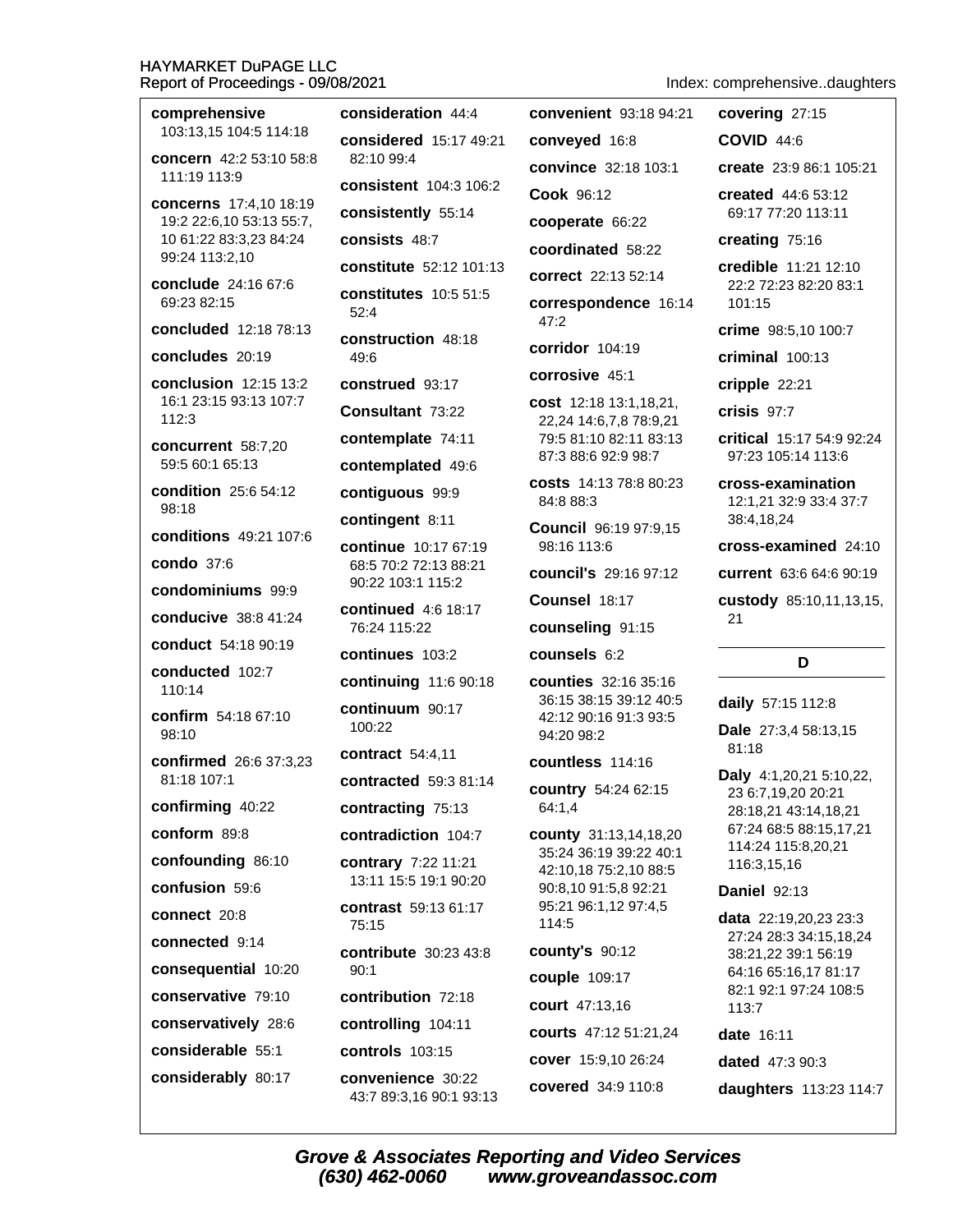comprehensive 103:13.15 104:5 114:18 concern 42:2 53:10 58:8 111:19 113:9 concerns 17:4,10 18:19 19:2 22:6,10 53:13 55:7, 10 61:22 83:3,23 84:24 99:24 113:2,10 conclude 24:16 67:6 69:23 82:15 concluded 12:18 78:13 concludes 20:19 conclusion 12:15 13:2 16:1 23:15 93:13 107:7 112:3 concurrent 58:7,20 59:5 60:1 65:13 condition 25:6 54:12 98:18 conditions 49:21 107:6 condo 37:6 condominiums 99:9 conducive 38:8 41:24 conduct 54:18 90:19 conducted 102:7 110:14 confirm 54:18 67:10 98:10 confirmed 26:6 37:3,23 81:18 107:1 confirming 40:22 conform 89:8 confounding 86:10 confusion 59:6 connect 20:8 connected 9:14 consequential 10:20 conservative 79:10 conservatively 28:6

considerable 55:1

considerably 80:17

consideration 44:4 considered 15:17 49:21  $82.10994$ consistent 104:3 106:2 consistently 55:14 consists 48:7 constitute 52:12 101:13 **constitutes** 10:5 51:5  $52:4$ construction 48:18 49:6 construed 93:17 Consultant 73:22 contemplate 74:11 contemplated 49:6 contiguous 99:9 contingent 8:11 continue 10:17 67:19 68:5 70:2 72:13 88:21 90:22 103:1 115:2 **continued** 4:6 18:17 76:24 115:22 continues 103:2 continuing 11:6 90:18 continuum 90:17 100:22 contract 54:4,11 contracted 59:3 81:14 contracting 75:13 contradiction 104:7 contrary 7:22 11:21 13:11 15:5 19:1 90:20 contrast 59:13 61:17 75:15 contribute 30:23 43:8  $90.1$ contribution 72:18 controlling 104:11 **controls** 103:15 convenience 30:22 43:7 89:3,16 90:1 93:13

convenient 93:18 94:21 conveyed 16:8 convince 32:18 103:1 Cook 96:12 cooperate 66:22 coordinated 58:22 correct 22:13 52:14 correspondence 16:14  $47:2$ corridor 104:19 corrosive 45:1 cost 12:18 13:1,18,21, 22,24 14:6,7,8 78:9,21 79:5 81:10 82:11 83:13 87:3 88:6 92:9 98:7 **costs** 14:13 78:8 80:23 84:8 88:3 Council 96:19 97:9,15 98:16 113:6 council's 29:16 97:12 Counsel 18:17 counseling 91:15 counsels 6:2 **counties** 32:16 35:16 36:15 38:15 39:12 40:5 42:12 90:16 91:3 93:5 94:20 98:2 countless 114:16 country 54:24 62:15 64:1,4 county 31:13,14,18,20 35:24 36:19 39:22 40:1 42:10,18 75:2,10 88:5 90:8,10 91:5,8 92:21 95:21 96:1,12 97:4,5

Index: comprehensive..daughters

covering 27:15

**COVID 44:6** create 23:9 86:1 105:21

created 44:6 53:12 69:17 77:20 113:11

creating 75:16

credible 11:21 12:10 22:2 72:23 82:20 83:1 101:15

crime 98:5.10 100:7

criminal 100:13

cripple 22:21

crisis 97:7

critical 15:17 54:9 92:24 97:23 105:14 113:6

cross-examination 12:1.21 32:9 33:4 37:7 38:4.18.24

cross-examined 24:10

current 63:6 64:6 90:19

custody 85:10,11,13,15,  $21$ 

# D

daily 57:15 112:8

Dale 27:3,4 58:13,15 81:18

**Daly** 4:1,20,21 5:10,22, 23 6:7,19,20 20:21 28:18,21 43:14,18,21 67:24 68:5 88:15,17,21 114:24 115:8,20,21 116:3,15,16

**Daniel 92:13** 

data 22:19,20,23 23:3 27:24 28:3 34:15.18.24 38:21,22 39:1 56:19 64:16 65:16,17 81:17 82:1 92:1 97:24 108:5  $113:7$ 

date 16:11

dated 47:3 90:3

daughters 113:23 114:7

114:5

county's 90:12

couple 109:17

court 47:13,16

courts 47:12 51:21,24

cover 15:9,10 26:24

covered 34:9 110:8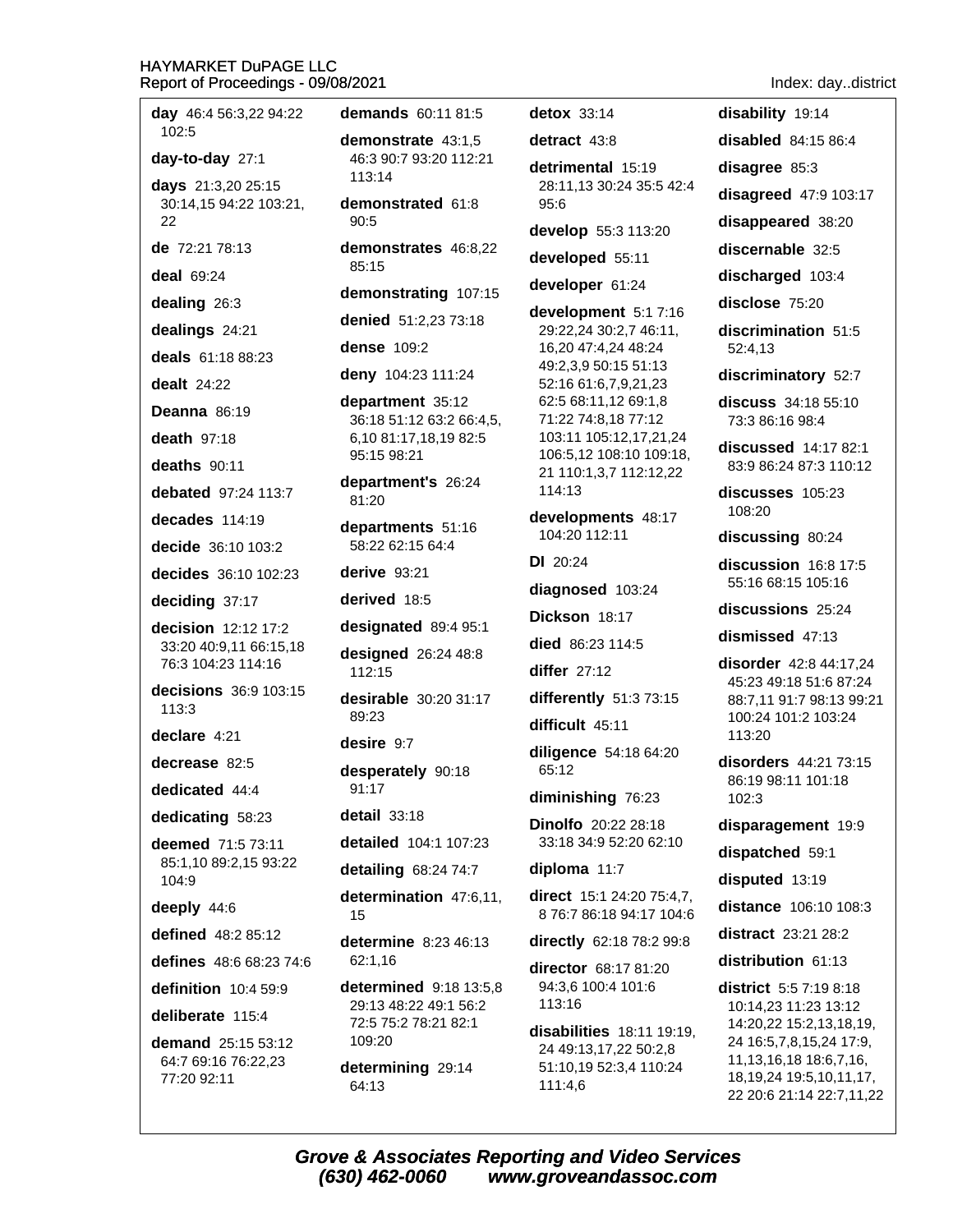| <b>day</b> 46:4 56:3,22 94:22<br>102:5       | d                             |
|----------------------------------------------|-------------------------------|
| day-to-day 27:1                              | d<br>$\overline{\phantom{a}}$ |
| days 21:3,20 25:15                           | í                             |
| 30:14,15 94:22 103:21,<br>22                 | d٥<br>ļ                       |
| de 72:21 78:13                               | d٥                            |
| deal 69:24                                   | å                             |
| dealing 26:3                                 | d                             |
| dealings 24:21                               | d                             |
| deals 61:18 88:23                            | d                             |
| <b>dealt</b> 24:22                           | d                             |
| Deanna 86:19                                 | d                             |
| death 97:18                                  |                               |
| deaths 90:11                                 | ì                             |
| debated 97:24 113:7                          | d٥<br>å                       |
| decades 114:19                               | d                             |
| decide 36:10 103:2                           | ļ                             |
| decides 36:10 102:23                         | d                             |
| deciding 37:17                               | d                             |
| decision 12:12 17:2                          | d                             |
| 33:20 40:9,11 66:15,18<br>76:3 104:23 114:16 | d                             |
| decisions 36:9 103:15<br>113:3               | d٥<br>å                       |
| declare 4:21                                 | d٥                            |
| decrease 82:5                                | d                             |
| dedicated 44:4                               | ļ                             |
| dedicating 58:23                             | d                             |
| deemed 71:5 73:11                            | d                             |
| 85:1,10 89:2,15 93:22<br>104:9               | d                             |
| deeply 44:6                                  | d                             |
| defined 48:2 85:12                           | d                             |
| <b>defines</b> 48:6 68:23 74:6               | 6                             |
| definition 10:4 59:9                         | d٥                            |
| deliberate 115:4                             |                               |
| demand 25:15 53:12                           |                               |
| 64:7 69:16 76:22,23<br>77:20 92:11           | d<br>f                        |

**emands** 60:11 81:5 emonstrate 43:1.5 46:3 90:7 93:20 112:21  $113.14$ emonstrated 61:8  $90:5$ emonstrates 46:8.22 85:15 emonstrating 107:15 enied 51:2.23 73:18 ense 109:2 eny 104:23 111:24 epartment 35:12 36:18 51:12 63:2 66:4,5, 6,10 81:17,18,19 82:5 95:15 98:21 epartment's 26:24 81:20 epartments 51:16 58:22 62:15 64:4 erive 93:21 erived 18:5 esignated 89:4 95:1 esigned 26:24 48:8 112:15 esirable 30:20 31:17 89:23 esire 9:7 esperately 90:18 91:17 **etail** 33:18 etailed 104:1 107:23 etailing 68:24 74:7 etermination 47:6,11, 15 etermine 8:23 46:13 62:1.16 etermined 9:18 13:5,8 29:13 48:22 49:1 56:2 72:5 75:2 78:21 82:1 109:20 etermining 29:14 64:13

detox 33:14 detract  $43:8$ detrimental 15:19 28:11,13 30:24 35:5 42:4  $95:6$ develop 55:3 113:20 developed 55:11 developer 61:24 development 5:1 7:16 29:22,24 30:2,7 46:11, 16,20 47:4,24 48:24 49:2,3,9 50:15 51:13 52:16 61:6,7,9,21,23 62:5 68:11,12 69:1,8 71:22 74:8,18 77:12 103:11 105:12,17,21,24 106:5,12 108:10 109:18, 21 110:1,3,7 112:12,22 114:13 developments 48:17 104:20 112:11  $DI$  20:24 diagnosed 103:24 Dickson 18:17 died 86:23 114:5 differ  $27:12$ differently 51:3 73:15 difficult 45:11 diligence 54:18 64:20 65:12 diminishing 76:23 **Dinolfo** 20:22 28:18 33:18 34:9 52:20 62:10 diploma 11:7 direct 15:1 24:20 75:4,7, 8 76:7 86:18 94:17 104:6 directly 62:18 78:2 99:8 director 68:17 81:20 94:3.6 100:4 101:6

Index: day..district

disabled  $84:1586:4$ 

disagree 85:3

disability 19:14

disagreed 47:9 103:17

disappeared 38:20

discernable 32:5

discharged 103:4

disclose 75:20

discrimination 51:5 52:4,13

discriminatory 52:7

discuss 34:18 55:10 73:3 86:16 98:4

discussed 14:17 82:1 83:9 86:24 87:3 110:12

discusses 105:23 108:20

discussing 80:24

discussion 16:8 17:5 55:16 68:15 105:16

discussions 25:24

dismissed 47:13

disorder 42:8 44:17,24 45:23 49:18 51:6 87:24 88:7,11 91:7 98:13 99:21 100:24 101:2 103:24 113:20

disorders 44:21 73:15 86:19 98:11 101:18 102:3

disparagement 19:9

dispatched 59:1

disputed 13:19

distance 106:10 108:3

distract 23:21 28:2

distribution 61:13

district 5:5 7:19 8:18 10:14,23 11:23 13:12 14:20,22 15:2,13,18,19, 24 16:5,7,8,15,24 17:9, 11, 13, 16, 18 18: 6, 7, 16, 18, 19, 24 19: 5, 10, 11, 17, 22 20:6 21:14 22:7,11,22

**Grove & Associates Reporting and Video Services** (630) 462-0060 www.groveandassoc.com

113:16

111:4,6

disabilities 18:11 19:19,

24 49:13,17,22 50:2,8

51:10,19 52:3,4 110:24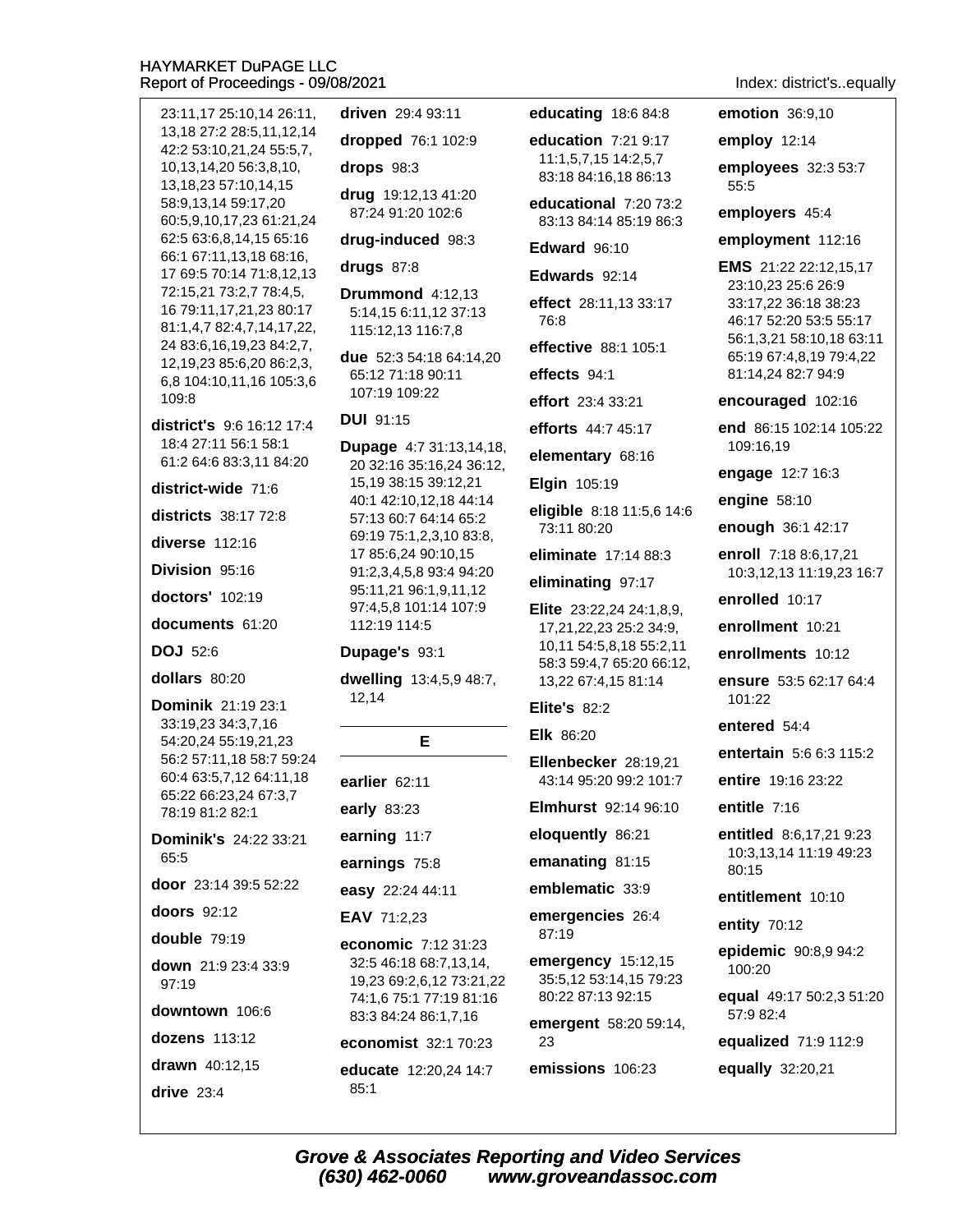23:11,17 25:10,14 26:11, 13.18 27:2 28:5.11.12.14 42:2 53:10,21,24 55:5,7, 10, 13, 14, 20 56: 3, 8, 10, 13, 18, 23 57: 10, 14, 15 58:9,13,14 59:17,20 60:5,9,10,17,23 61:21,24 62:5 63:6,8,14,15 65:16 66:1 67:11,13,18 68:16, 17 69:5 70:14 71:8,12,13 72:15,21 73:2,7 78:4,5, 16 79:11,17,21,23 80:17 81:1,4,7 82:4,7,14,17,22, 24 83:6, 16, 19, 23 84: 2, 7, 12, 19, 23 85: 6, 20 86: 2, 3, 6,8 104:10,11,16 105:3,6 109:8 district's 9:6 16:12 17:4 18:4 27:11 56:1 58:1 61:2 64:6 83:3,11 84:20 district-wide 71:6 districts 38:17 72:8 diverse  $112:16$ Division 95:16  $dactors'$  102:19 documents 61:20 **DOJ** 52:6 dollars 80:20 Dominik 21:19 23:1 33:19,23 34:3,7,16 54:20,24 55:19,21,23 56:2 57:11,18 58:7 59:24 60:4 63:5,7,12 64:11,18 65:22 66:23,24 67:3,7 78:19 81:2 82:1 Dominik's 24:22 33:21 65:5 door 23:14 39:5 52:22 doors 92:12 double  $79:19$ down 21:9 23:4 33:9 97:19 downtown 106:6 dozens 113:12 drawn 40:12,15 drive  $23:4$ 

driven 29:4 93:11 dropped 76:1 102:9 drops  $98:3$ drug 19:12,13 41:20 87:24 91:20 102:6 drug-induced 98:3 drugs  $87:8$ **Drummond** 4:12.13 5:14.15 6:11.12 37:13 115:12,13 116:7,8 due 52:3 54:18 64:14,20 65:12 71:18 90:11 107:19 109:22 **DUI** 91:15 **Dupage 4:7 31:13,14,18,** 20 32:16 35:16,24 36:12, 15, 19 38: 15 39: 12, 21 40:1 42:10,12,18 44:14 57:13 60:7 64:14 65:2 69:19 75:1,2,3,10 83:8, 17 85:6,24 90:10,15 91:2,3,4,5,8 93:4 94:20 95:11,21 96:1,9,11,12 97:4,5,8 101:14 107:9 112:19 114:5 Dupage's 93:1 dwelling 13:4,5,9 48:7, 12.14 E earlier 62:11 early 83:23 earning 11:7 earnings 75:8 easy 22:24 44:11 EAV 71:2,23 economic 7:12 31:23 32:5 46:18 68:7,13,14, 19,23 69:2,6,12 73:21,22

74:1,6 75:1 77:19 81:16 83:3 84:24 86:1,7,16 economist 32:1 70:23 educate 12:20,24 14:7  $85:1$ 

educating 18:6 84:8

education  $7:21.9:17$ 11:1.5.7.15 14:2.5.7 83:18 84:16,18 86:13

educational 7:20 73:2 83:13 84:14 85:19 86:3

Edward 96:10

Edwards 92:14

effect 28:11.13 33:17  $76.8$ 

effective 88:1 105:1

effects 94:1

effort 23:4 33:21

efforts 44:7 45:17

elementary 68:16

Elgin 105:19

eligible 8:18 11:5,6 14:6 73:11 80:20

eliminate 17:14 88:3

eliminating 97:17

**Elite**  $23:22,24$   $24:1,8,9$ 17,21,22,23 25:2 34:9, 10,11 54:5,8,18 55:2,11 58:3 59:4,7 65:20 66:12, 13,22 67:4,15 81:14

Elite's  $82.2$ 

Elk 86:20

Ellenbecker 28:19,21 43:14 95:20 99:2 101:7

**Elmhurst** 92:14 96:10

eloquently 86:21

emanating 81:15

emblematic 33:9

emergencies 26:4 87:19

emergency 15:12,15 35:5,12 53:14,15 79:23 80:22 87:13 92:15

emergent 58:20 59:14, 23

emissions 106:23

Index: district's..equally

emotion 36:9,10

employ 12:14

employees 32:3 53:7 55:5

employers 45:4

employment 112:16

EMS 21:22 22:12,15,17 23:10,23 25:6 26:9 33:17,22 36:18 38:23 46:17 52:20 53:5 55:17 56:1,3,21 58:10,18 63:11 65:19 67:4,8,19 79:4,22 81:14,24 82:7 94:9

encouraged 102:16

end 86:15 102:14 105:22 109:16,19

engage 12:7 16:3

engine  $58:10$ 

enough 36:1 42:17

enroll 7:18 8:6.17.21 10:3,12,13 11:19,23 16:7

enrolled 10:17

enrollment 10:21

enrollments 10:12

ensure 53:5 62:17 64:4 101:22

entered 54:4

entertain 5:6 6:3 115:2

entire 19:16 23:22

entitle 7:16

entitled 8:6.17.21 9:23 10:3,13,14 11:19 49:23 80:15

entitlement 10:10

entity 70:12

epidemic 90:8,9 94:2 100:20

equal 49:17 50:2,3 51:20 57:9 82:4

equalized 71:9 112:9

equally 32:20,21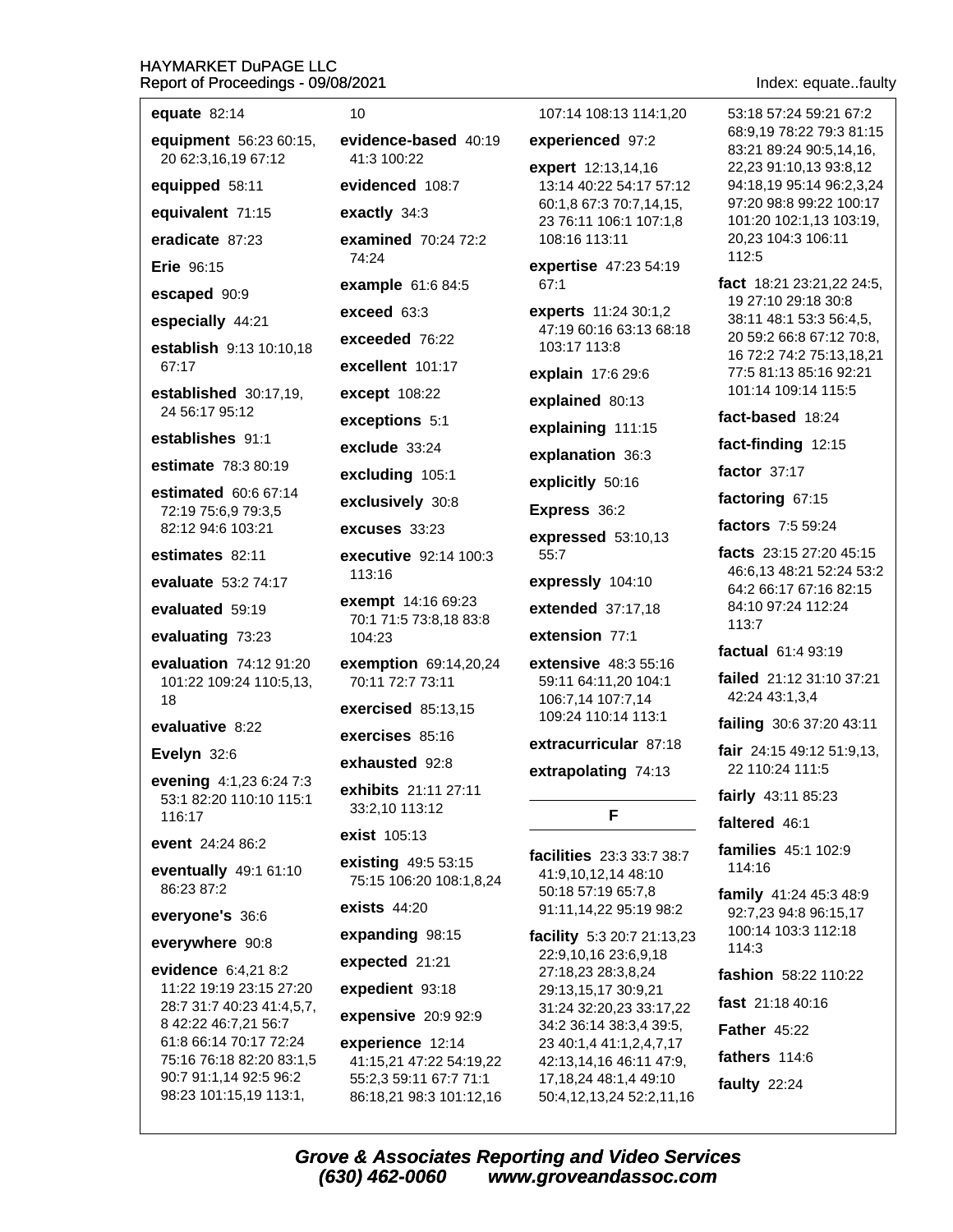# $\frac{H}{R}$

98:23 101:15,19 113:1,

| HAYMARKET DuPAGE LLC<br>Report of Proceedings - 09/08/2021 |                                                |                                                                        | Index: equatefault                                  |
|------------------------------------------------------------|------------------------------------------------|------------------------------------------------------------------------|-----------------------------------------------------|
| equate $82:14$                                             | 10 <sup>1</sup>                                | 107:14 108:13 114:1,20                                                 | 53:18 57:24 59:21 67:2                              |
| equipment 56:23 60:15,<br>20 62:3,16,19 67:12              | evidence-based 40:19<br>41:3 100:22            | experienced 97:2                                                       | 68:9,19 78:22 79:3 81:15<br>83:21 89:24 90:5,14,16, |
| equipped 58:11                                             | evidenced 108:7                                | expert 12:13,14,16<br>13:14 40:22 54:17 57:12                          | 22,23 91:10,13 93:8,12<br>94:18,19 95:14 96:2,3,24  |
| equivalent 71:15                                           | exactly 34:3                                   | 60:1,8 67:3 70:7,14,15,                                                | 97:20 98:8 99:22 100:17                             |
| eradicate 87:23                                            | examined 70:24 72:2                            | 23 76:11 106:1 107:1,8<br>108:16 113:11                                | 101:20 102:1,13 103:19,<br>20,23 104:3 106:11       |
| <b>Erie</b> 96:15                                          | 74:24                                          | expertise 47:23 54:19                                                  | 112:5                                               |
| escaped 90:9                                               | example 61:6 84:5                              | 67:1                                                                   | fact 18:21 23:21,22 24:5,                           |
| especially 44:21                                           | exceed 63:3                                    | experts 11:24 30:1,2                                                   | 19 27:10 29:18 30:8<br>38:11 48:1 53:3 56:4,5,      |
| establish 9:13 10:10,18                                    | exceeded 76:22                                 | 47:19 60:16 63:13 68:18<br>103:17 113:8                                | 20 59:2 66:8 67:12 70:8,                            |
| 67:17                                                      | excellent 101:17                               | explain 17:6 29:6                                                      | 16 72:2 74:2 75:13,18,21<br>77:5 81:13 85:16 92:21  |
| established 30:17,19,                                      | except 108:22                                  |                                                                        | 101:14 109:14 115:5                                 |
| 24 56:17 95:12                                             | exceptions 5:1                                 | explained 80:13                                                        | fact-based 18:24                                    |
| establishes 91:1                                           | exclude 33:24                                  | explaining 111:15                                                      | fact-finding 12:15                                  |
| estimate 78:3 80:19                                        | excluding 105:1                                | explanation 36:3                                                       | factor 37:17                                        |
| estimated 60:6 67:14                                       | exclusively 30:8                               | explicitly 50:16                                                       | factoring 67:15                                     |
| 72:19 75:6,9 79:3,5<br>82:12 94:6 103:21                   | excuses 33:23                                  | Express 36:2                                                           | factors 7:5 59:24                                   |
| estimates 82:11                                            | executive 92:14 100:3                          | expressed 53:10,13<br>55:7                                             | facts 23:15 27:20 45:15                             |
|                                                            | 113:16                                         | expressly 104:10                                                       | 46:6,13 48:21 52:24 53:2                            |
| evaluate 53:2 74:17                                        | <b>exempt</b> 14:16 69:23                      |                                                                        | 64:2 66:17 67:16 82:15<br>84:10 97:24 112:24        |
| evaluated 59:19                                            | 70:1 71:5 73:8,18 83:8                         | extended 37:17,18                                                      | 113:7                                               |
| evaluating 73:23                                           | 104:23                                         | extension 77:1                                                         | factual 61:4 93:19                                  |
| evaluation 74:12 91:20<br>101:22 109:24 110:5,13,          | exemption 69:14,20,24<br>70:11 72:7 73:11      | <b>extensive</b> 48:3 55:16<br>59:11 64:11,20 104:1                    | failed 21:12 31:10 37:21<br>42:24 43:1,3,4          |
| 18                                                         | exercised 85:13,15                             | 106:7,14 107:7,14<br>109:24 110:14 113:1                               |                                                     |
| evaluative 8:22                                            | exercises 85:16                                | extracurricular 87:18                                                  | failing 30:6 37:20 43:11                            |
| Evelyn 32:6                                                | exhausted 92:8                                 | extrapolating 74:13                                                    | fair $24:1549:1251:9,13$ ,<br>22 110:24 111:5       |
| evening 4:1,23 6:24 7:3<br>53:1 82:20 110:10 115:1         | exhibits 21:11 27:11                           |                                                                        | fairly 43:11 85:23                                  |
| 116:17                                                     | 33:2,10 113:12                                 | F                                                                      | faltered 46:1                                       |
| event 24:24 86:2                                           | exist 105:13                                   |                                                                        | <b>families</b> 45:1 102:9                          |
| eventually 49:1 61:10<br>86:23 87:2                        | existing 49:5 53:15<br>75:15 106:20 108:1,8,24 | facilities 23:3 33:7 38:7<br>41:9,10,12,14 48:10<br>50:18 57:19 65:7,8 | 114:16                                              |
| everyone's 36:6                                            | <b>exists 44:20</b>                            | 91:11,14,22 95:19 98:2                                                 | family 41:24 45:3 48:9<br>92:7,23 94:8 96:15,17     |
| everywhere 90:8                                            | expanding 98:15                                | <b>facility</b> $5:320:721:13,23$                                      | 100:14 103:3 112:18<br>114:3                        |
| evidence 6:4,21 8:2                                        | expected 21:21                                 | 22:9,10,16 23:6,9,18<br>27:18,23 28:3,8,24                             | fashion 58:22 110:22                                |
| 11:22 19:19 23:15 27:20                                    | expedient 93:18                                | 29:13,15,17 30:9,21                                                    |                                                     |
| 28:7 31:7 40:23 41:4,5,7,<br>8 42:22 46:7,21 56:7          | expensive 20:9 92:9                            | 31:24 32:20,23 33:17,22<br>34:2 36:14 38:3,4 39:5,                     | fast 21:18 40:16                                    |
| 61:8 66:14 70:17 72:24                                     | experience 12:14                               | 23 40:1,4 41:1,2,4,7,17                                                | <b>Father 45:22</b>                                 |
| 75:16 76:18 82:20 83:1,5<br>90:7 91:1,14 92:5 96:2         | 41:15,21 47:22 54:19,22                        | 42:13,14,16 46:11 47:9,                                                | fathers 114:6                                       |
|                                                            | 55:2,3 59:11 67:7 71:1                         | 17, 18, 24 48: 1, 4 49: 10                                             | faulty $22.24$                                      |

faulty 22:24

**Grove & Associates Reporting and Video Services**  $(630)$  462-0060 www.groveandassoc.com

50:4,12,13,24 52:2,11,16

86:18,21 98:3 101:12,16

# te..faulty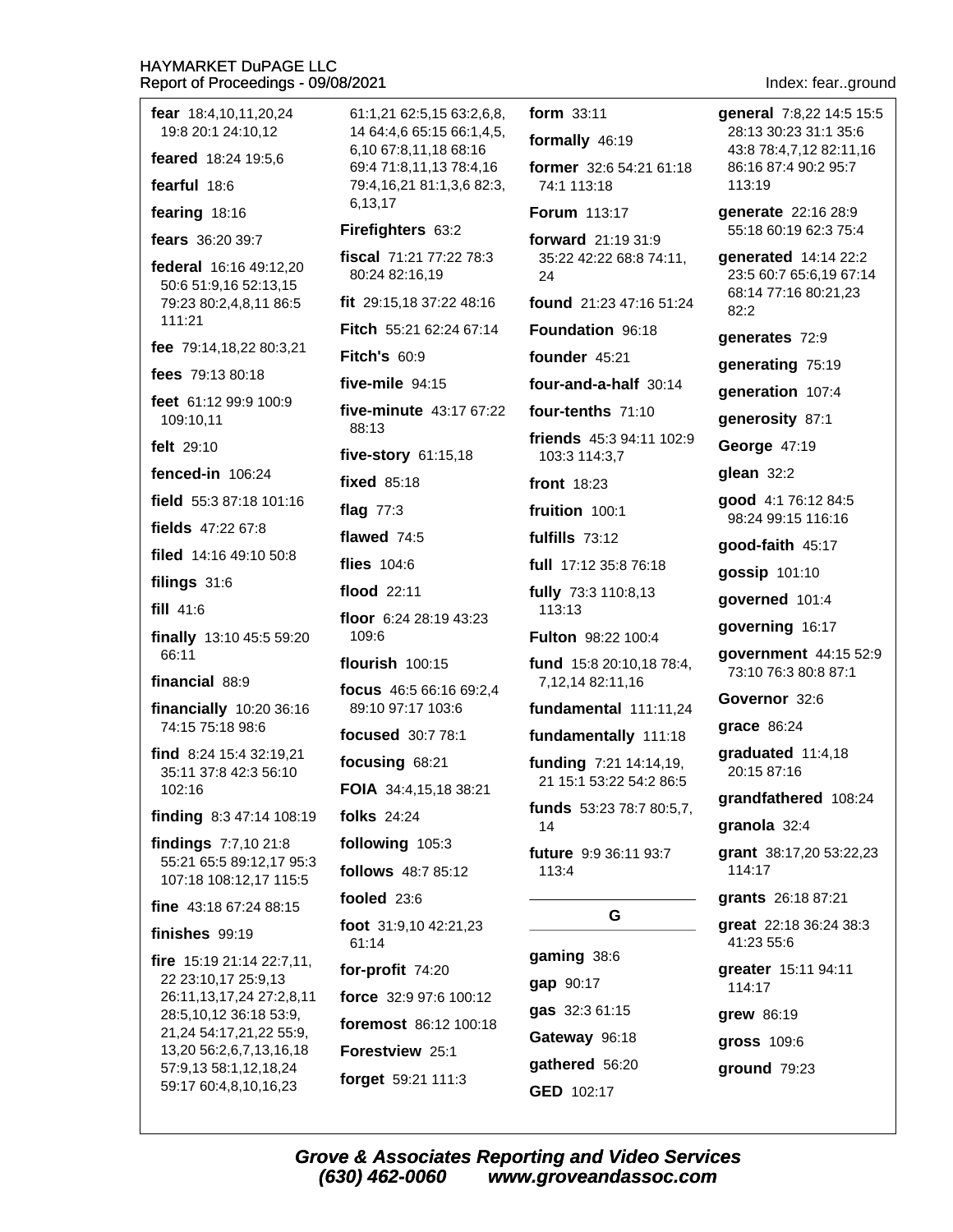#### **HAYMARKET DuPAGE LLC** Re

| Report of Proceedings - 09/08/2021                                         |                               |
|----------------------------------------------------------------------------|-------------------------------|
| fear 18:4,10,11,20,24<br>19:8 20:1 24:10,12                                | 61:1,21<br>14 64:4<br>6,1067  |
| feared 18:24 19:5,6                                                        | 69:471                        |
| fearful 18:6<br>fearing 18:16                                              | 79:4,16<br>6,13,17            |
| fears 36:20 39:7                                                           | Firefigh                      |
| federal 16:16 49:12,20<br>50:6 51:9,16 52:13,15                            | fiscal 7<br>80:248            |
| 79:23 80:2,4,8,11 86:5<br>111:21                                           | fit 29:15<br>Fitch 5          |
| fee 79:14,18,22 80:3,21                                                    |                               |
| fees 79:13 80:18                                                           | <b>Fitch's</b>                |
| feet 61:12 99:9 100:9<br>109:10,11                                         | five-mil<br>five-mir<br>88:13 |
| felt 29:10                                                                 | five-sto                      |
| fenced-in 106:24                                                           | fixed 8                       |
| field 55:3 87:18 101:16                                                    | flag $77$ :                   |
| fields 47:22 67:8                                                          | flawed                        |
| filed $14:1649:1050:8$                                                     | flies 10                      |
| filings 31:6                                                               | flood <sub>2</sub>            |
| fill $41:6$                                                                | floor $6:$                    |
| finally 13:10 45:5 59:20<br>66:11                                          | 109:6<br>flourish             |
| financial 88:9                                                             | focus 4                       |
| financially 10:20 36:16<br>74:15 75:18 98:6                                | 89:109                        |
| find 8:24 15:4 32:19,21                                                    | focused                       |
| 35:11 37:8 42:3 56:10                                                      | focusin                       |
| 102:16<br>finding 8:3 47:14 108:19                                         | FOIA 34<br>folks 24           |
|                                                                            |                               |
| findings 7:7,10 21:8<br>55:21 65:5 89:12,17 95:3<br>107:18 108:12,17 115:5 | followir<br>follows           |
| fine 43:18 67:24 88:15                                                     | fooled                        |
| finishes 99:19                                                             | <b>foot</b> 31:<br>61:14      |
| fire 15:19 21:14 22:7,11,<br>22 23:10,17 25:9,13                           | for-prof                      |
| 26:11,13,17,24 27:2,8,11                                                   | force 3                       |
| 28:5,10,12 36:18 53:9,<br>21,24 54:17,21,22 55:9,                          | foremo:                       |
| 13,20 56:2,6,7,13,16,18                                                    | Forestv                       |
| 57:9,13 58:1,12,18,24<br>59:17 60:4,8,10,16,23                             | forget !                      |
|                                                                            |                               |

62:5,15 63:2,6,8, .6 65:15 66:1.4.5. 3.11,1868:16  $:8,11,1378:4,16$ 3,21 81:1,3,6 82:3,  $iters$  63:2 1:21 77:22 78:3 32:16,19 5,18 37:22 48:16 5:21 62:24 67:14 60:9  $e$  94:15 nute 43:17 67:22 ry 61:15,18  $5:18$  $\cdot$ 3 74:5  $4:6$  $2:11$ :24 28:19 43:23 100:15 **ו** 16:5 66:16 69:2.4 97:17 103:6  $d$  30:7 78:1 g 68:21 4:4,15,18 38:21  $4:24$ ng 105:3 48:7 85:12  $23:6$ :9,10 42:21,23  $fit 74:20$ 2:9 97:6 100:12 st 86:12 100:18 **riew** 25:1 gathered 56:20 59:21 111:3 GED 102:17

form 33:11 general 7:8,22 14:5 15:5 28:13 30:23 31:1 35:6 formally 46:19 43:8 78:4,7,12 82:11,16 former 32:6 54:21 61:18 86:16 87:4 90:2 95:7 74:1 113:18 113:19 Forum 113:17 qenerate 22:16 28:9 55:18 60:19 62:3 75:4 forward 21:19 31:9 35:22 42:22 68:8 74:11, generated 14:14 22:2 23:5 60:7 65:6,19 67:14 24 68:14 77:16 80:21,23 found 21:23 47:16 51:24 82:2 Foundation 96:18 generates 72:9 founder 45:21 generating 75:19 four-and-a-half 30:14 generation 107:4 four-tenths 71:10 generosity 87:1 friends 45:3 94:11 102:9 George 47:19 103:3 114:3.7 glean 32:2 front 18:23 qood 4:1 76:12 84:5 fruition 100:1 98:24 99:15 116:16 fulfills 73:12 good-faith 45:17 full 17:12 35:8 76:18 gossip 101:10 fully 73:3 110:8,13 governed 101:4 113:13 governing 16:17 **Fulton** 98:22 100:4 government 44:15 52:9 fund 15:8 20:10,18 78:4, 73:10 76:3 80:8 87:1 7,12,14 82:11,16 Governor 32:6 fundamental 111:11,24 grace 86:24 fundamentally 111:18 graduated 11:4,18 funding 7:21 14:14,19, 20:15 87:16 21 15:1 53:22 54:2 86:5 grandfathered 108:24 funds 53:23 78:7 80:5,7, granola 32:4 14 future 9:9 36:11 93:7 grant 38:17,20 53:22,23 114:17 113:4 grants 26:18 87:21 G great 22:18 36:24 38:3 41:23 55:6 gaming 38:6 gap 90:17 114:17 gas 32:3 61:15 grew 86:19 Gateway 96:18

greater 15:11 94:11

gross 109:6

ground 79:23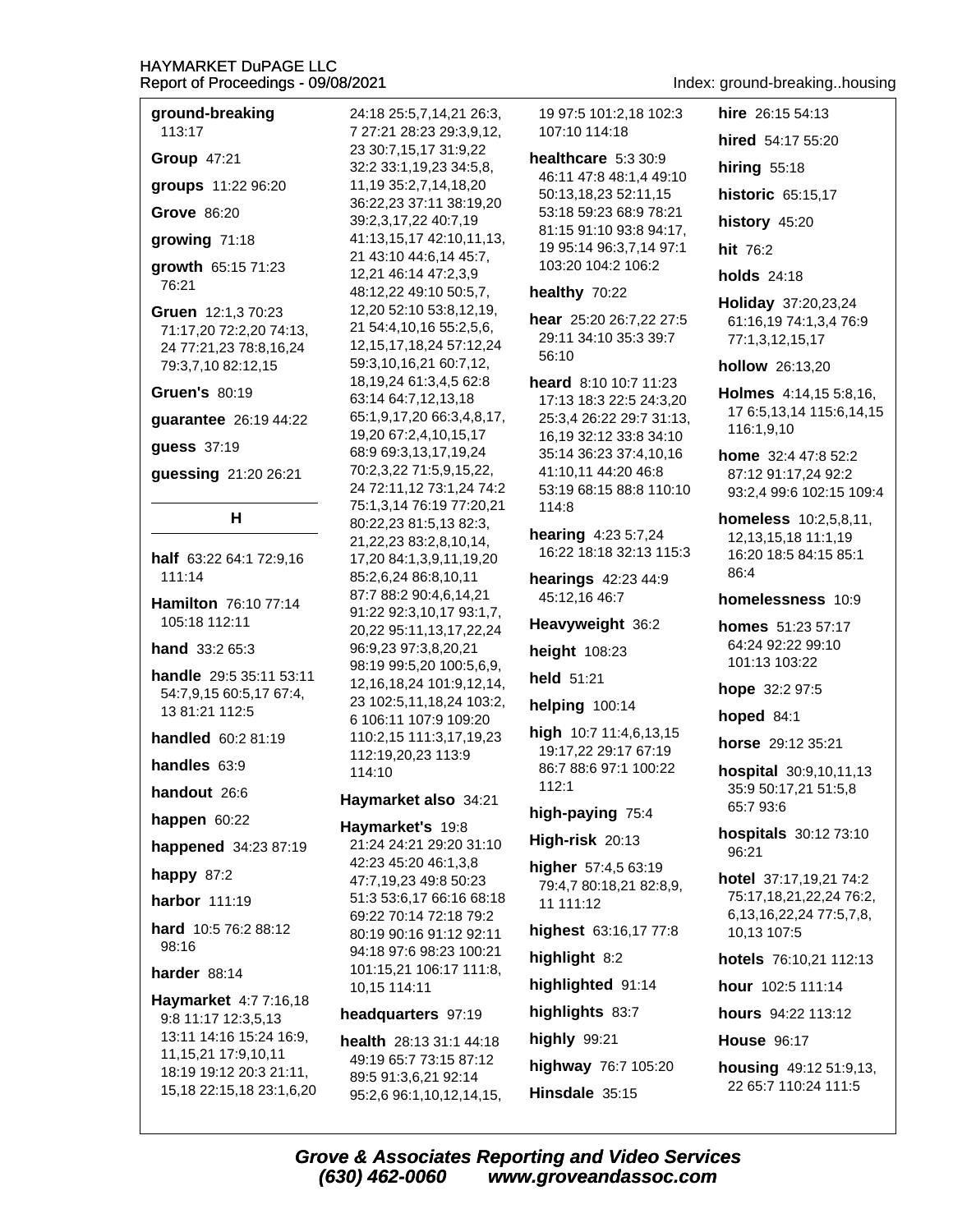ground-breaking 113:17

**Group 47:21** 

groups 11:22 96:20

Grove 86:20

growing 71:18

growth 65:15 71:23 76:21

Gruen 12:1.3 70:23 71:17,20 72:2,20 74:13, 24 77:21,23 78:8,16,24 79:3,7,10 82:12,15

**Gruen's 80:19** 

quarantee 26:19 44:22

guess 37:19

guessing 21:20 26:21

# H

half 63:22 64:1 72:9,16  $111:14$ 

**Hamilton** 76:10 77:14  $105.18$  112.11

hand 33:2 65:3

handle 29:5 35:11 53:11 54:7,9,15 60:5,17 67:4, 13 81:21 112:5

handled 60:2 81:19

handles  $63:9$ 

handout 26:6

happen 60:22

happened 34:23 87:19

happy  $87:2$ 

**harbor** 111:19

hard 10:5 76:2 88:12 98:16

# harder 88:14

Haymarket 4:7 7:16,18 9:8 11:17 12:3,5,13 13:11 14:16 15:24 16:9, 11, 15, 21 17: 9, 10, 11 18:19 19:12 20:3 21:11, 15, 18 22: 15, 18 23: 1, 6, 20 24:18 25:5.7.14.21 26:3. 7 27:21 28:23 29:3.9.12. 23 30:7,15,17 31:9,22 32:2 33:1,19,23 34:5,8, 11,19 35:2,7,14,18,20 36:22,23 37:11 38:19,20 39:2,3,17,22 40:7,19 41:13,15,17 42:10,11,13, 21 43:10 44:6,14 45:7, 12,21 46:14 47:2,3,9 48:12,22 49:10 50:5,7, 12,20 52:10 53:8,12,19, 21 54:4,10,16 55:2,5,6, 12, 15, 17, 18, 24 57: 12, 24 59:3,10,16,21 60:7,12, 18, 19, 24 61: 3, 4, 5 62: 8 63:14 64:7,12,13,18 65:1,9,17,20 66:3,4,8,17, 19,20 67:2,4,10,15,17 68:9 69:3,13,17,19,24 70:2,3,22 71:5,9,15,22, 24 72:11,12 73:1,24 74:2 75:1,3,14 76:19 77:20,21 80:22,23 81:5,13 82:3, 21, 22, 23 83: 2, 8, 10, 14, 17,20 84:1,3,9,11,19,20 85:2,6,24 86:8,10,11 87:7 88:2 90:4,6,14,21 91:22 92:3,10,17 93:1,7, 20,22 95:11,13,17,22,24 96:9,23 97:3,8,20,21 98:19 99:5,20 100:5,6,9, 12, 16, 18, 24 101: 9, 12, 14, 23 102:5,11,18,24 103:2, 6 106:11 107:9 109:20 110:2,15 111:3,17,19,23 112:19,20,23 113:9 114:10

Haymarket also 34:21

Haymarket's 19:8 21:24 24:21 29:20 31:10 42:23 45:20 46:1,3,8 47:7,19,23 49:8 50:23 51:3 53:6,17 66:16 68:18 69:22 70:14 72:18 79:2 80:19 90:16 91:12 92:11 94:18 97:6 98:23 100:21 101:15,21 106:17 111:8, 10,15 114:11

# headquarters 97:19

health 28:13 31:1 44:18 49:19 65:7 73:15 87:12 89:5 91:3,6,21 92:14 95:2,6 96:1,10,12,14,15, 19 97:5 101:2.18 102:3 107:10 114:18

healthcare  $5:330:9$ 46:11 47:8 48:1,4 49:10 50:13,18,23 52:11,15 53:18 59:23 68:9 78:21 81:15 91:10 93:8 94:17, 19 95:14 96:3,7,14 97:1 103:20 104:2 106:2

# healthy 70:22

hear 25:20 26:7,22 27:5 29:11 34:10 35:3 39:7 56:10

heard 8:10 10:7 11:23 17:13 18:3 22:5 24:3,20 25:3,4 26:22 29:7 31:13, 16,19 32:12 33:8 34:10 35:14 36:23 37:4,10,16 41:10,11 44:20 46:8 53:19 68:15 88:8 110:10 114:8

hearing 4:23 5:7,24 16:22 18:18 32:13 115:3

hearings 42:23 44:9 45:12,16 46:7

Heavyweight 36:2

height 108:23

held 51:21

helping  $100:14$ 

high 10:7 11:4,6,13,15 19:17.22 29:17 67:19 86:7 88:6 97:1 100:22  $112:1$ 

# high-paying 75:4

High-risk 20:13

higher 57:4,5 63:19 79:4,7 80:18,21 82:8,9, 11 111:12

highest 63:16,17 77:8

highlight 8:2

highlighted 91:14

highlights 83:7

highly  $99:21$ highway 76:7 105:20 Hinsdale 35:15

# Index: ground-breaking..housing

hire 26:15 54:13 hired 54:17 55:20

hiring  $55:18$ 

historic 65:15,17

history 45:20

hit 76:2

**holds** 24:18

Holiday 37:20,23,24 61:16,19 74:1,3,4 76:9 77:1,3,12,15,17

**hollow** 26:13,20

Holmes 4:14,15 5:8,16, 17 6:5, 13, 14 115:6, 14, 15 116:1,9,10

home 32:4 47:8 52:2 87:12 91:17.24 92:2 93:2,4 99:6 102:15 109:4

**homeless** 10:2,5,8,11, 12, 13, 15, 18 11: 1, 19 16:20 18:5 84:15 85:1 86:4

# homelessness 10:9

homes 51:23 57:17 64:24 92:22 99:10  $101.13103.22$ 

hope 32:2 97:5

hoped 84:1

horse 29:12 35:21

hospital 30:9,10,11,13 35:9 50:17,21 51:5,8 65:7 93:6

**hospitals** 30:12 73:10  $96.21$ 

hotel 37:17,19,21 74:2 75:17,18,21,22,24 76:2, 6, 13, 16, 22, 24, 77: 5, 7, 8, 10,13 107:5

hotels 76:10,21 112:13

hour 102:5 111:14

**hours** 94:22 113:12

**House 96:17** 

housing 49:12 51:9,13, 22 65:7 110:24 111:5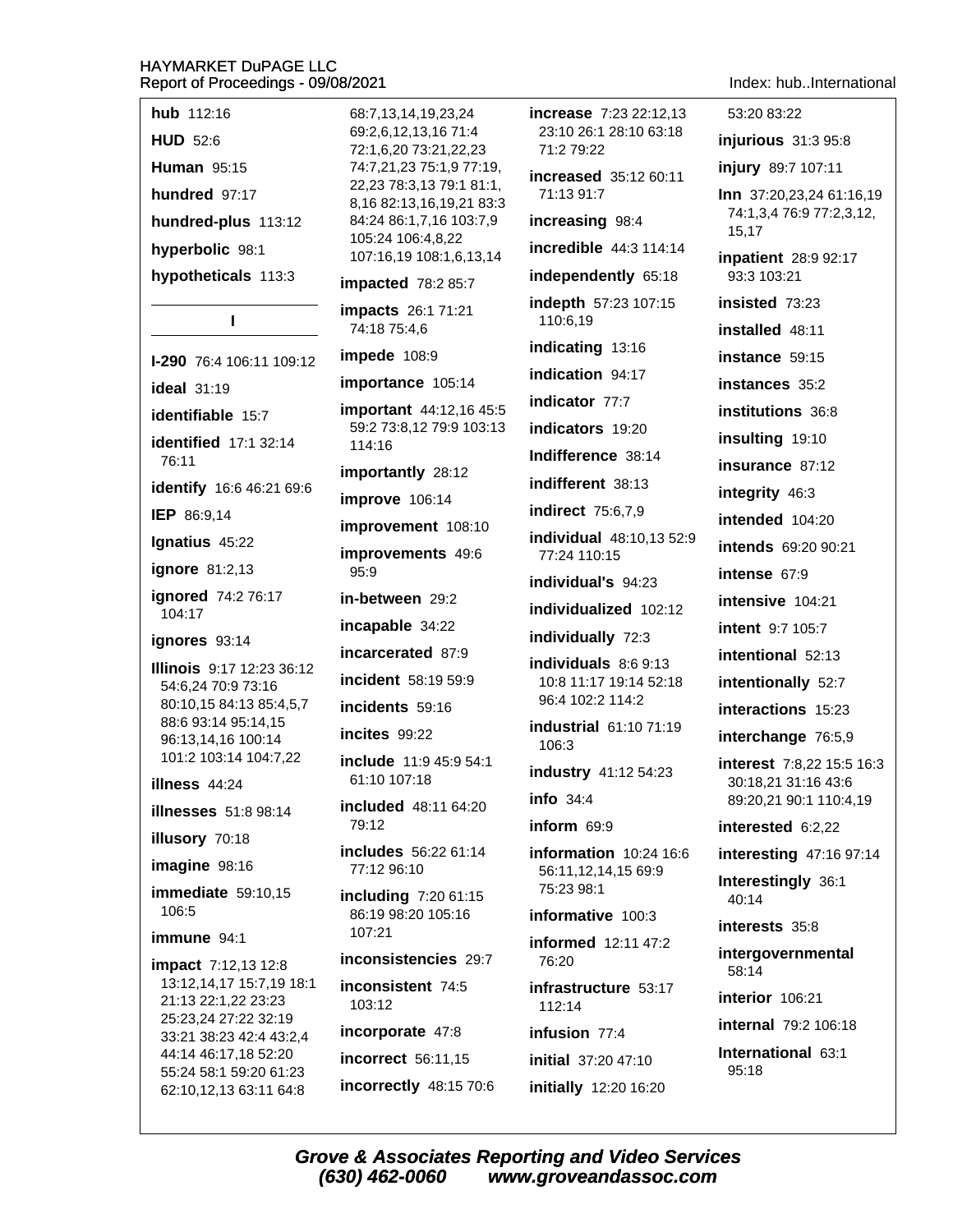hub 112:16 HUD 52:6 **Human 95:15** hundred 97:17

hundred-plus 113:12

hyperbolic 98:1

hypotheticals 113:3

# $\mathbf{I}$

**I-290** 76:4 106:11 109:12

ideal  $31:19$ 

identifiable 15:7

**identified** 17:1 32:14 76:11

identify 16:6 46:21 69:6

IEP 86:9,14

Ignatius 45:22

**ignore** 81:2,13

ignored 74:2 76:17 104:17

ianores 93:14

Illinois 9:17 12:23 36:12 54:6,24 70:9 73:16 80:10,15 84:13 85:4,5,7 88:6 93:14 95:14.15 96:13.14.16 100:14 101:2 103:14 104:7,22

illness 44:24

**illnesses** 51:8 98:14

illusory 70:18

imagine 98:16

immediate 59:10,15 106:5

immune 94:1

**impact** 7:12,13 12:8 13:12,14,17 15:7,19 18:1 21:13 22:1,22 23:23 25:23,24 27:22 32:19 33:21 38:23 42:4 43:2,4 44:14 46:17,18 52:20 55:24 58:1 59:20 61:23 62:10,12,13 63:11 64:8

68:7.13.14.19.23.24 69:2.6.12.13.16 71:4 72:1,6,20 73:21,22,23 74:7,21,23 75:1,9 77:19, 22,23 78:3,13 79:1 81:1, 8,16 82:13,16,19,21 83:3 84:24 86:1,7,16 103:7,9 105:24 106:4.8.22 107:16,19 108:1,6,13,14

impacted 78:2 85:7

impacts 26:1 71:21 74:18 75:4.6

impede 108:9

importance 105:14

important 44:12,16 45:5 59:2 73:8,12 79:9 103:13 114:16

importantly 28:12

improve 106:14

improvement 108:10

improvements 49:6

 $95:9$ 

in-between 29:2

incapable 34:22

incarcerated 87:9

incident 58:19 59:9

incidents 59:16

incites 99:22

include 11:9 45:9 54:1 61:10 107:18

included 48:11 64:20 79:12

includes 56:22 61:14 77:12 96:10

including 7:20 61:15 86:19 98:20 105:16 107:21

inconsistencies 29:7

inconsistent 74:5 103:12

incorporate 47:8

incorrect 56:11,15 incorrectly 48:15 70:6 increase 7:23 22:12.13 23:10 26:1 28:10 63:18  $71.279.22$ increased 35:12 60:11 71:13 91:7 increasing 98:4 incredible 44:3 114:14 independently 65:18 indepth 57:23 107:15 110:6.19 indicating 13:16 indication 94:17 indicator 77:7 indicators 19:20 Indifference 38:14 indifferent 38:13 **indirect** 75:6.7.9 individual 48:10,13 52:9 77:24 110:15 individual's 94:23 individualized 102:12 individually 72:3 individuals 8:6 9:13 10:8 11:17 19:14 52:18 96:4 102:2 114:2 industrial 61:10 71:19 106:3 industry 41:12 54:23 info  $34:4$  $inform 69:9$ information 10:24 16:6 56:11,12,14,15 69:9 75:23 98:1 informative 100:3 informed 12:11 47:2 76:20 infrastructure 53:17

15.17 inpatient 28:9 92:17 93:3 103:21 insisted 73:23

installed 48:11

53:20 83:22

injurious 31:3 95:8

injury 89:7 107:11

Inn 37:20,23,24 61:16,19

74:1,3,4 76:9 77:2,3,12,

instance 59:15

instances 35:2

institutions 36:8

insulting 19:10

insurance 87:12

integrity 46:3

intended 104:20

intends 69:20 90:21

intense 67:9

intensive 104:21

**intent** 9:7 105:7

intentional 52:13

intentionally 52:7

interactions 15:23

interchange 76:5,9

interest 7:8,22 15:5 16:3 30:18,21 31:16 43:6 89:20,21 90:1 110:4,19

interested 6:2,22

interesting 47:16 97:14

Interestingly 36:1 40:14

interests 35:8

intergovernmental 58:14

interior 106:21

**internal** 79:2 106:18

International 63:1 95:18

**Grove & Associates Reporting and Video Services** (630) 462-0060 www.groveandassoc.com

112:14

infusion 77:4

initial 37:20 47:10

initially 12:20 16:20

# Index: hub..International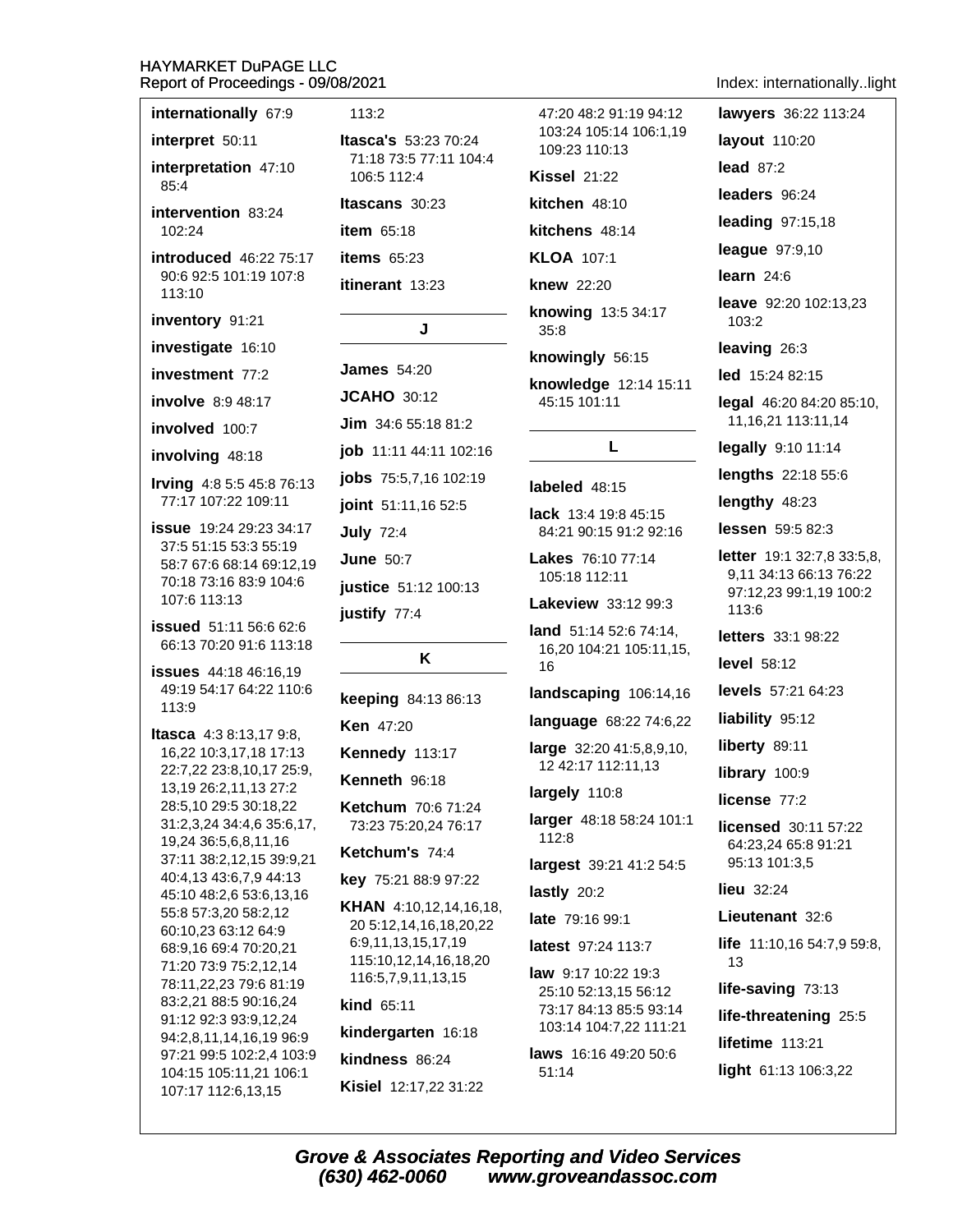| internationally 67:9 |  |
|----------------------|--|
|----------------------|--|

interpret 50:11

interpretation 47:10 85:4

intervention 83:24 102:24

introduced 46:22 75:17 90:6 92:5 101:19 107:8 113:10

inventory 91:21

investigate 16:10

investment 77:2

**involve** 8:9 48:17

involved 100:7

involving 48:18

**Irving**  $4:85:545:876:13$ 77:17 107:22 109:11

issue 19:24 29:23 34:17 37:5 51:15 53:3 55:19 58:7 67:6 68:14 69:12,19 70:18 73:16 83:9 104:6 107:6 113:13

**issued** 51:11 56:6 62:6 66:13 70:20 91:6 113:18

**issues** 44:18 46:16.19 49:19 54:17 64:22 110:6  $113.9$ 

**Itasca** 4:3 8:13,17 9:8, 16,22 10:3,17,18 17:13 22:7,22 23:8,10,17 25:9, 13,19 26:2,11,13 27:2 28:5,10 29:5 30:18,22 31:2,3,24 34:4,6 35:6,17, 19,24 36:5,6,8,11,16 37:11 38:2,12,15 39:9,21 40:4,13 43:6,7,9 44:13 45:10 48:2,6 53:6,13,16 55:8 57:3,20 58:2,12 60:10,23 63:12 64:9 68:9,16 69:4 70:20,21 71:20 73:9 75:2,12,14 78:11,22,23 79:6 81:19 83:2,21 88:5 90:16,24 91:12 92:3 93:9,12,24 94:2,8,11,14,16,19 96:9 97:21 99:5 102:2.4 103:9 104:15 105:11,21 106:1 107:17 112:6,13,15

# $113:2$

**Itasca's 53:23 70:24** 71:18 73:5 77:11 104:4 106:5 112:4

Itascans 30:23 **item** 65:18 items  $65:23$ 

itinerant 13:23

**James** 54:20 **JCAHO 30:12** 

J

**Jim**  $34:65:1881:2$ job 11:11 44:11 102:16 jobs 75:5,7,16 102:19

joint 51:11,16 52:5

**July 72:4** 

**June 50:7** 

justify 77:4

justice 51:12 100:13

keeping 84:13 86:13

K

**Ken** 47:20

Kennedy 113:17

Kenneth 96:18

**Ketchum 70:6 71:24** 73:23 75:20.24 76:17

**Ketchum's 74:4** 

key 75:21 88:9 97:22

**KHAN** 4:10,12,14,16,18, 20 5:12,14,16,18,20,22 6:9,11,13,15,17,19 115:10,12,14,16,18,20 116:5,7,9,11,13,15

# **kind 65:11**

kindergarten 16:18

kindness 86:24

Kisiel 12:17,22 31:22

47:20 48:2 91:19 94:12 103:24 105:14 106:1.19 109:23 110:13 **Kissel 21:22** kitchen 48:10 kitchens 48:14

**KLOA** 107:1

**knew 22:20** 

knowing 13:5 34:17  $35:8$ 

knowingly 56:15

knowledge 12:14 15:11 45:15 101:11

# L

# labeled 48:15

lack 13:4 19:8 45:15 84:21 90:15 91:2 92:16

Lakes 76:10 77:14 105:18 112:11

**Lakeview** 33:12 99:3

land 51:14 52:6 74:14, 16,20 104:21 105:11,15, 16

landscaping 106:14,16

lanquage 68:22 74:6,22

large 32:20 41:5,8,9,10, 12 42:17 112:11,13

largely 110:8

larger 48:18 58:24 101:1 112:8

largest 39:21 41:2 54:5

lastly 20:2

late 79:16 99:1

latest 97:24 113:7

law 9:17 10:22 19:3 25:10 52:13,15 56:12 73:17 84:13 85:5 93:14 103:14 104:7,22 111:21

laws 16:16 49:20 50:6  $51:14$ 

Index: internationally..light lawyers 36:22 113:24 layout 110:20 lead  $87:2$ leaders 96:24 leading 97:15,18 league 97:9,10 learn  $24:6$ leave 92:20 102:13,23  $103:2$ leaving 26:3 led 15:24 82:15 legal 46:20 84:20 85:10, 11, 16, 21 113: 11, 14 legally 9:10 11:14 **lengths**  $22:185:6$ lengthy 48:23 lessen 59:5 82:3 letter 19:1 32:7,8 33:5,8, 9,11 34:13 66:13 76:22 97:12,23 99:1,19 100:2 113:6 letters 33:1 98:22 **level** 58:12 levels 57:21 64:23 liability 95:12 liberty 89:11 library 100:9 license 77:2 licensed 30:11 57:22 64:23,24 65:8 91:21 95:13 101:3,5 lieu 32:24 Lieutenant 32:6 life 11:10,16 54:7,9 59:8, 13 life-saving  $73:13$ life-threatening 25:5 lifetime 113:21 light 61:13 106:3,22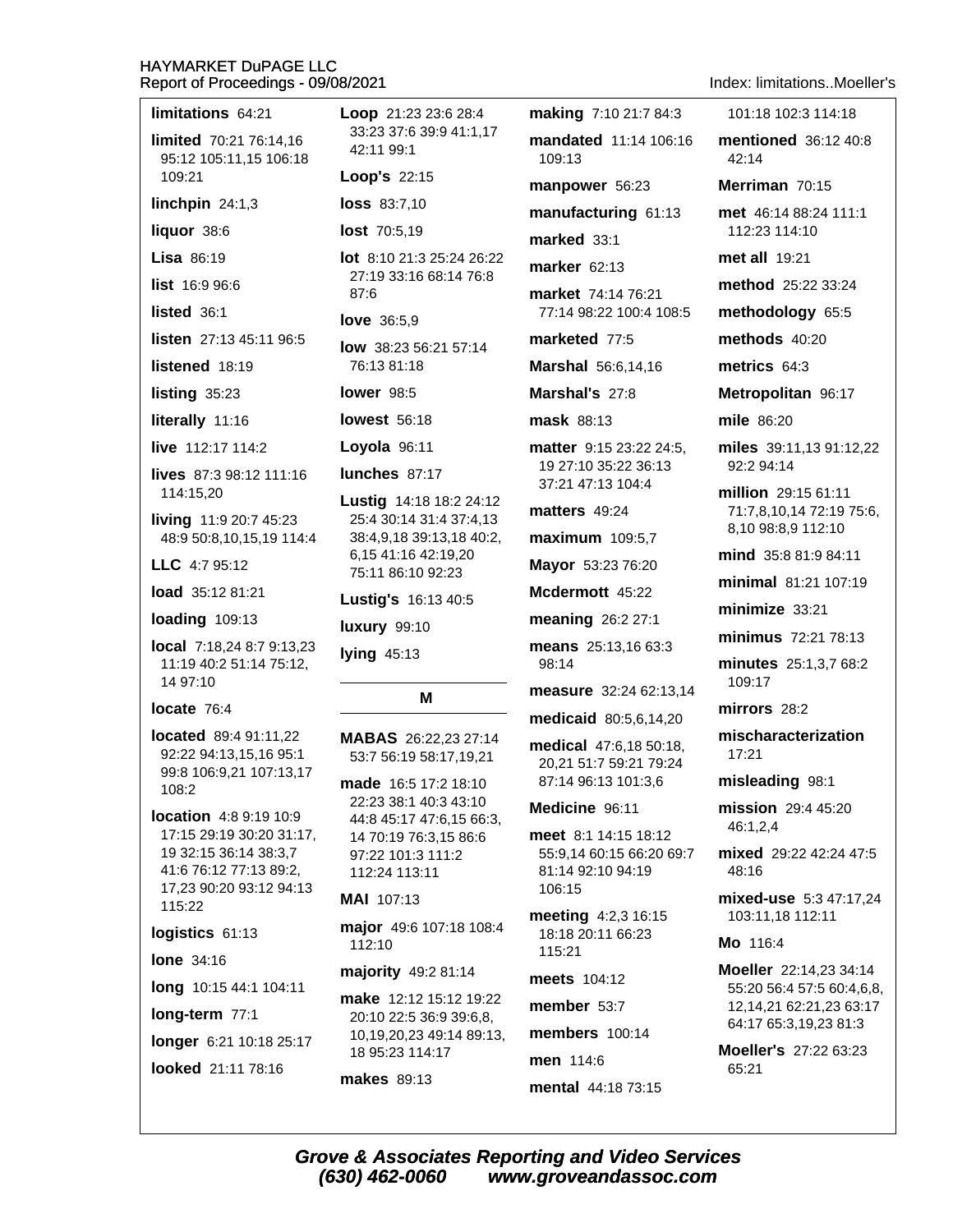Loop 21:23 23:6 28:4

42:11 99:1

33:23 37:6 39:9 41:1.17

limitations 64:21

long-term  $77:1$ 

longer 6:21 10:18 25:17

looked 21:11 78:16

limited 70:21 76:14.16

| 95:12 105:11,15 106:18                                                                                                                     | 42.II JJ.I                                                                                                                            |  |
|--------------------------------------------------------------------------------------------------------------------------------------------|---------------------------------------------------------------------------------------------------------------------------------------|--|
| 109:21                                                                                                                                     | Loop's 22:15                                                                                                                          |  |
| linchpin $24:1,3$                                                                                                                          | loss 83:7,10                                                                                                                          |  |
| liquor 38:6                                                                                                                                | lost 70:5,19                                                                                                                          |  |
| <b>Lisa 86:19</b>                                                                                                                          | <b>lot</b> 8:10 21:3 25:24 26:22                                                                                                      |  |
| list 16:996:6                                                                                                                              | 27:19 33:16 68:14 76:8<br>87:6                                                                                                        |  |
| listed 36:1                                                                                                                                | <b>love</b> $36:5,9$                                                                                                                  |  |
| listen 27:13 45:11 96:5                                                                                                                    | <b>low</b> $38:2356:2157:14$                                                                                                          |  |
| listened 18:19                                                                                                                             | 76:13 81:18                                                                                                                           |  |
| listing 35:23                                                                                                                              | lower $98:5$                                                                                                                          |  |
| literally 11:16                                                                                                                            | <b>lowest</b> 56:18                                                                                                                   |  |
| live 112:17 114:2                                                                                                                          | Loyola 96:11                                                                                                                          |  |
| lives 87:3 98:12 111:16                                                                                                                    | lunches 87:17                                                                                                                         |  |
| 114:15,20<br>living 11:9 20:7 45:23<br>48:9 50:8,10,15,19 114:4<br>LLC 4:7 95:12                                                           | Lustig 14:18 18:2 24:12<br>25:4 30:14 31:4 37:4,13<br>38:4,9,18 39:13,18 40:2,<br>6,15 41:16 42:19,20<br>75:11 86:10 92:23            |  |
| <b>load</b> 35:12 81:21                                                                                                                    | Lustig's 16:13 40:5                                                                                                                   |  |
| loading 109:13                                                                                                                             | <b>luxury</b> 99:10                                                                                                                   |  |
| local 7:18,24 8:7 9:13,23<br>11:19 40:2 51:14 75:12,<br>14 97:10                                                                           | lying 45:13                                                                                                                           |  |
| locate 76:4                                                                                                                                | м                                                                                                                                     |  |
| located 89:4 91:11,22<br>92:22 94:13,15,16 95:1<br>99:8 106:9,21 107:13,17<br>108:2                                                        | MABAS 26:22,23 27:14<br>53:7 56:19 58:17,19,21<br>made 16:5 17:2 18:10                                                                |  |
| location 4:8 9:19 10:9<br>17:15 29:19 30:20 31:17,<br>19 32:15 36:14 38:3,7<br>41:6 76:12 77:13 89:2,<br>17,23 90:20 93:12 94:13<br>115:22 | 22:23 38:1 40:3 43:10<br>44:8 45:17 47:6,15 66:3,<br>14 70:19 76:3,15 86:6<br>97:22 101:3 111:2<br>112:24 113:11<br><b>MAI</b> 107:13 |  |
| logistics 61:13                                                                                                                            | major 49:6 107:18 108:4<br>112:10                                                                                                     |  |
| <b>lone</b> 34:16                                                                                                                          | majority 49:2 81:14                                                                                                                   |  |
| long 10:15 44:1 104:11                                                                                                                     |                                                                                                                                       |  |

make 12:12 15:12 19:22 20:10 22:5 36:9 39:6,8, 10,19,20,23 49:14 89:13, 18 95:23 114:17

**makes** 89:13

(630) 462-0060

making 7:10 21:7 84:3 mandated 11:14 106:16

 $109.13$ 

manpower 56:23

manufacturing 61:13

marked 33:1

marker 62:13

market 74:14 76:21 77:14 98:22 100:4 108:5

marketed 77:5

Marshal 56:6,14,16

Marshal's 27:8

mask 88:13

19 27:10 35:22 36:13 37:21 47:13 104:4

matters 49:24

maximum 109:5,7

Mayor 53:23 76:20

Mcdermott 45:22

meaning 26:2 27:1

means 25:13,16 63:3 98:14

measure 32:24 62:13.14

medicaid 80:5,6,14,20

medical 47:6,18 50:18, 20,21 51:7 59:21 79:24 87:14 96:13 101:3.6

Medicine 96:11

meet 8:1 14:15 18:12 55:9.14 60:15 66:20 69:7 81:14 92:10 94:19 106:15

meeting 4:2,3 16:15 18:18 20:11 66:23 115:21

meets 104:12

member  $53:7$ 

members 100:14

men 114:6 mental 44:18 73:15 Index: limitations Moeller's

101:18 102:3 114:18

mentioned 36:12 40:8

 $42.14$ Merriman 70:15 met 46:14 88:24 111:1 112:23 114:10 met all 19:21 method 25:22 33:24 methodology 65:5 methods 40:20 metrics 64:3 Metropolitan 96:17 mile 86:20 matter 9:15 23:22 24:5. miles 39:11.13 91:12.22 92:2 94:14 million 29:15 61:11 71:7,8,10,14 72:19 75:6, 8,10 98:8,9 112:10 mind 35:8 81:9 84:11 minimal 81:21 107:19  $minimize$  33:21 minimus 72:21 78:13 minutes 25:1,3,7 68:2 109:17 mirrors 28:2 mischaracterization 17:21 misleading 98:1 mission 29:4 45:20 46:1,2,4 mixed 29:22 42:24 47:5 48:16 mixed-use 5:3 47:17,24 103:11,18 112:11 Mo 116:4 Moeller 22:14,23 34:14 55:20 56:4 57:5 60:4,6,8, 12,14,21 62:21,23 63:17 64:17 65:3,19,23 81:3 Moeller's 27:22 63:23 65:21 **Grove & Associates Reporting and Video Services** www.groveandassoc.com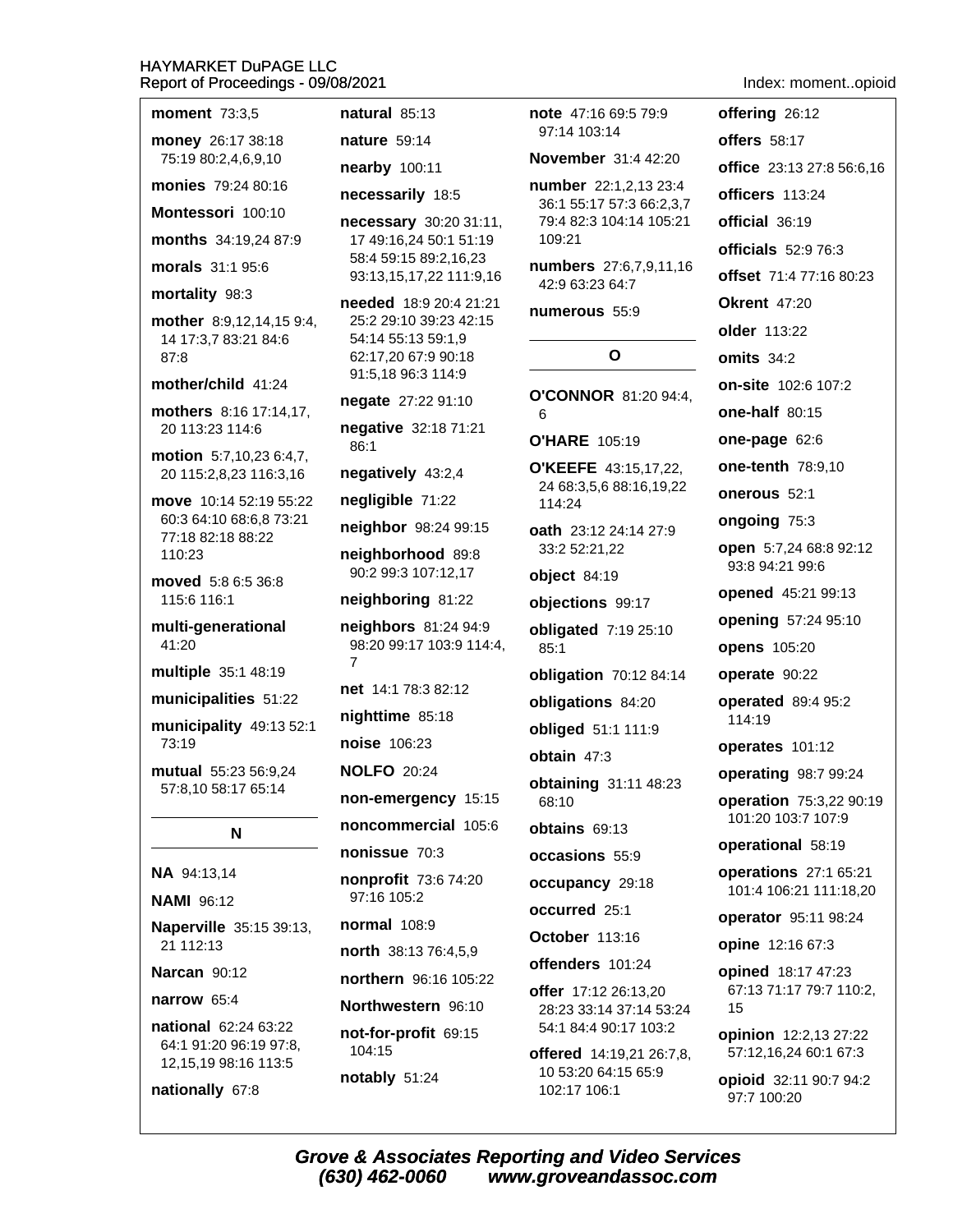$\sim$   $\sim$   $\sim$ 

 $-100 - 10$ 

 $\sim 1$   $\approx 2$ 

nationally 67:8

| moment 73:3,5                                        | natural 85:13                                    | note 47.1                  |
|------------------------------------------------------|--------------------------------------------------|----------------------------|
| money 26:17 38:18                                    | <b>nature</b> 59:14                              | 97:14 10                   |
| 75:19 80:2,4,6,9,10                                  | nearby 100:11                                    | <b>Novemb</b>              |
| monies 79:24 80:16                                   | necessarily 18:5                                 | number<br>36:1 55:         |
| Montessori 100:10                                    | necessary 30:20 31:11,                           | 79:4 82:                   |
| months 34:19,24 87:9                                 | 17 49:16,24 50:1 51:19<br>58:4 59:15 89:2,16,23  | 109:21                     |
| morals 31:1 95:6                                     | 93:13,15,17,22 111:9,16                          | numbers<br>42:9 63:2       |
| mortality 98:3                                       | needed 18:9 20:4 21:21                           | numerou                    |
| mother 8:9,12,14,15 9:4,<br>14 17:3,7 83:21 84:6     | 25:2 29:10 39:23 42:15<br>54:14 55:13 59:1,9     |                            |
| 87:8                                                 | 62:17,20 67:9 90:18                              |                            |
| mother/child 41:24                                   | 91:5,18 96:3 114:9                               |                            |
| mothers 8:16 17:14,17,                               | negate 27:22 91:10                               | O'CONN<br>6                |
| 20 113:23 114:6                                      | negative 32:18 71:21<br>86:1                     | <b>O'HARE</b>              |
| motion 5:7,10,23 6:4,7,<br>20 115:2,8,23 116:3,16    | negatively 43:2,4                                | <b>O'KEEFE</b><br>24 68:3, |
| move 10:14 52:19 55:22                               | negligible 71:22                                 | 114:24                     |
| 60:3 64:10 68:6,8 73:21<br>77:18 82:18 88:22         | neighbor 98:24 99:15                             | oath 23:                   |
| 110:23                                               | neighborhood 89:8                                | 33:2 52:2                  |
| moved 5:8 6:5 36:8                                   | 90:2 99:3 107:12,17                              | object 8                   |
| 115:6 116:1                                          | neighboring 81:22                                | objection                  |
| multi-generational<br>41:20                          | neighbors 81:24 94:9<br>98:20 99:17 103:9 114:4, | obligated<br>85:1          |
| multiple 35:1 48:19                                  | 7                                                | obligatio                  |
| municipalities 51:22                                 | net 14:1 78:3 82:12                              | obligatio                  |
| municipality 49:13 52:1                              | nighttime 85:18                                  | obliged                    |
| 73:19                                                | noise 106:23                                     | obtain 4                   |
| mutual 55:23 56:9,24<br>57:8,10 58:17 65:14          | <b>NOLFO</b> 20:24                               | obtaining                  |
|                                                      | non-emergency 15:15                              | 68:10                      |
| N                                                    | noncommercial 105:6                              | obtains                    |
|                                                      | nonissue 70:3                                    | occasior                   |
| NA 94:13,14                                          | nonprofit 73:6 74:20<br>97:16 105:2              | occupan                    |
| <b>NAMI 96:12</b>                                    | <b>normal</b> 108:9                              | occurred                   |
| Naperville 35:15 39:13,<br>21 112:13                 | north 38:13 76:4,5,9                             | <b>October</b>             |
| <b>Narcan</b> 90:12                                  | northern 96:16 105:22                            | offender                   |
| narrow 65:4                                          | Northwestern 96:10                               | offer 17:                  |
| national 62:24 63:22                                 | not-for-profit 69:15                             | 28:23 33<br>54:1 84:4      |
| 64:1 91:20 96:19 97:8,                               | 104:15                                           | offered                    |
| 12, 15, 19 98: 16 113: 5<br>$\sim 42.0$ $\sim 10.70$ | notably 51:24                                    | 10 53:20<br>00.474         |
|                                                      |                                                  |                            |

note 47:16 69:5 79:9  $3:14$ er 31:4 42:20 22:1,2,13 23:4 17 57:3 66:2,3,7 3 104:14 105:21  $27:6,7,9,11,16$ 23 64:7  $1S$  55:9  $\mathbf{o}$ OR 81:20 94:4. 105:19  $= 43:15,17,22,$ 5,6 88:16,19,22 12 24:14 27:9 21,22 4:19 ns 99:17  $d$  7:19 25:10 n 70:12 84:14 ns 84:20 51:1 111:9  $7:3$ g 31:11 48:23 69:13 **is** 55:9  $CV 29:18$  $125:1$ 113:16  $$101:24$ 12 26:13,20 15 :14 37:14 53:24 4 90:17 103:2

14:19,21 26:7,8, 64:15 65:9 102:17 106:1

# Index: moment..opioid

offering 26:12 **offers** 58:17 office 23:13 27:8 56:6,16 officers 113:24 official 36:19 officials  $52:976:3$ offset 71:4 77:16 80:23 **Okrent 47:20** older 113:22 omits  $34:2$ on-site 102:6 107:2 one-half 80:15 one-page 62:6 one-tenth 78:9,10 onerous 52:1 ongoing 75:3 open 5:7,24 68:8 92:12 93:8 94:21 99:6 opened 45:21 99:13 opening 57:24 95:10 opens 105:20 operate 90:22 operated 89:4 95:2 114:19 operates 101:12 operating 98:7 99:24 operation 75:3,22 90:19 101:20 103:7 107:9 operational 58:19 operations 27:1 65:21 101:4 106:21 111:18,20 operator 95:11 98:24 opine 12:16 67:3 opined 18:17 47:23 67:13 71:17 79:7 110:2, opinion 12:2,13 27:22 57:12,16,24 60:1 67:3

opioid 32:11 90:7 94:2 97:7 100:20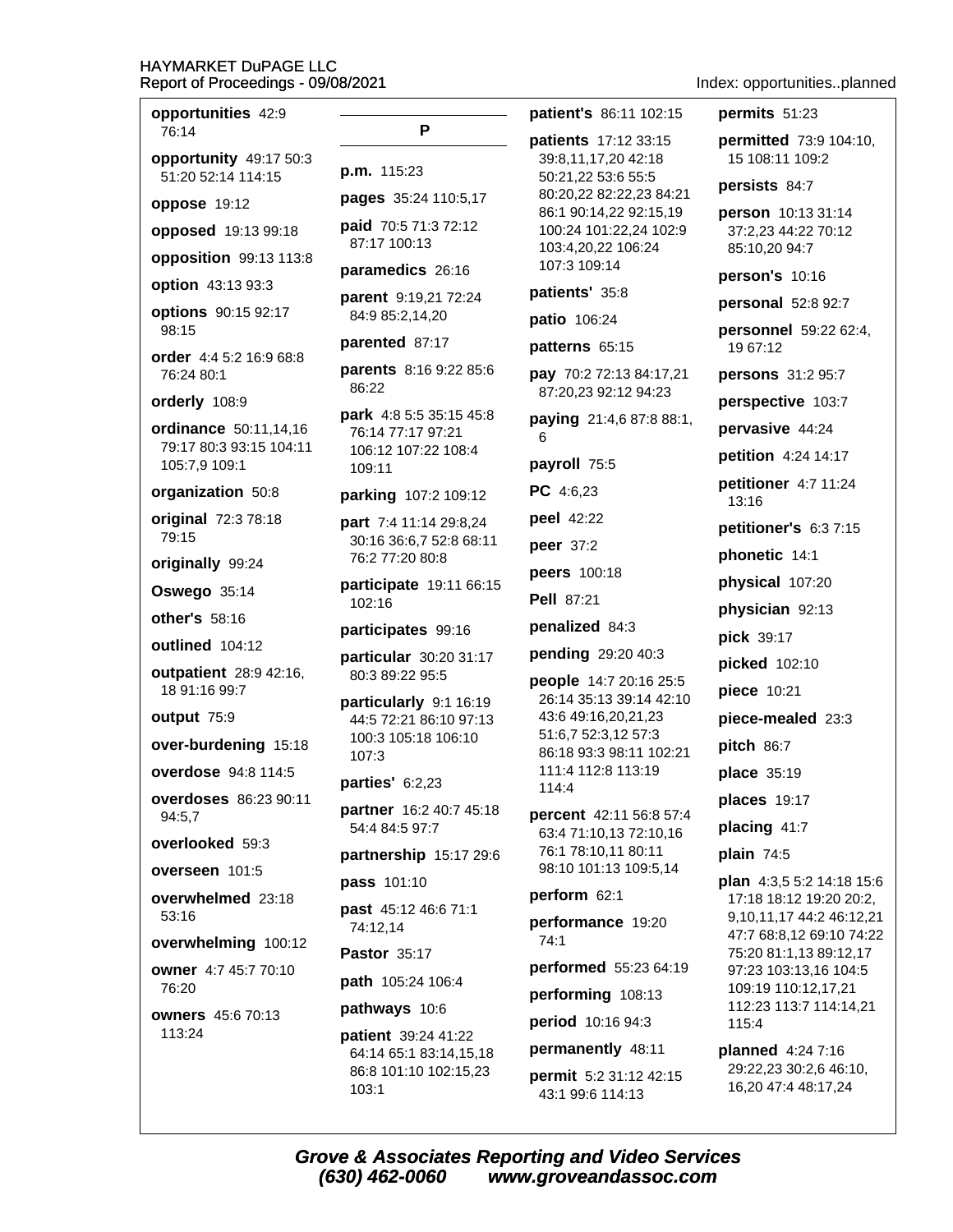| opportunities 42:9<br>76:14                                            |
|------------------------------------------------------------------------|
| opportunity 49:17 50:3<br>ľ<br>51:20 52:14 114:15                      |
| ľ<br>oppose 19:12                                                      |
| ŗ<br>opposed 19:13 99:18                                               |
| opposition 99:13 113:8                                                 |
| ľ<br>option 43:13 93:3                                                 |
| ŗ<br>options 90:15 92:17<br>98:15                                      |
| ľ<br>order 4:4 5:2 16:9 68:8<br>ľ<br>76:24 80:1                        |
| orderly 108:9                                                          |
| ľ<br>ordinance 50:11,14,16<br>79:17 80:3 93:15 104:11<br>105:7,9 109:1 |
| organization 50:8<br>ŗ                                                 |
| original 72:3 78:18<br>ŗ<br>79:15                                      |
| originally 99:24                                                       |
| ľ<br>Oswego 35:14                                                      |
| other's 58:16<br>ľ                                                     |
| outlined 104:12<br>ŗ                                                   |
| outpatient 28:9 42:16,<br>18 91:16 99:7                                |
| ŗ<br>output 75:9                                                       |
| over-burdening 15:18                                                   |
| overdose 94:8 114:5<br>ľ                                               |
| overdoses 86:23 90:11<br>ľ<br>94:5,7                                   |
| overlooked 59:3<br>ľ                                                   |
| overseen 101:5<br>ŗ                                                    |
| overwhelmed 23:18<br>ľ<br>53:16                                        |
| <b>overwhelming</b> 100:12<br>F                                        |
| owner 4:7 45:7 70:10<br>ľ<br>76:20                                     |
| ľ<br><b>owners</b> 45:6 70:13<br>113:24<br>ľ                           |
|                                                                        |

| Р                                                                                |
|----------------------------------------------------------------------------------|
| p.m. 115:23                                                                      |
| pages 35:24 110:5,17                                                             |
| paid 70:5 71:3 72:12<br>87:17 100:13                                             |
| paramedics 26:16                                                                 |
| parent 9:19,21 72:24<br>84:9 85:2,14,20                                          |
| parented 87:17                                                                   |
| <b>parents</b> 8:16 9:22 85:6<br>86:22                                           |
| park 4:8 5:5 35:15 45:8<br>76:14 77:17 97:21<br>106:12 107:22 108:4<br>109:11    |
| parking 107:2 109:12                                                             |
| part 7:4 11:14 29:8,24<br>30:16 36:6,7 52:8 68:11<br>76:2 77:20 80:8             |
| participate 19:11 66:15<br>102:16                                                |
| participates 99:16                                                               |
| particular 30:20 31:17<br>80:3 89:22 95:5                                        |
| particularly 9:1 16:19<br>44:5 72:21 86:10 97:13<br>100:3 105:18 106:10<br>107:3 |
| <b>parties' 6:2,23</b>                                                           |
| partner 16:2 40:7 45:18<br>54:4 84:5 97:7                                        |
| partnership 15:17 29:6                                                           |
| pass 101:10                                                                      |
| past 45:12 46:6 71:1<br>74:12,14                                                 |
| Pastor 35:17                                                                     |
| path 105:24 106:4                                                                |
| pathways 10:6                                                                    |
| oatient 39:24 41:22                                                              |

64:14 65:1 83:14,15,18 86:8 101:10 102:15,23  $103:1$ 

patient's 86:11 102:15

patients 17:12 33:15 39:8,11,17,20 42:18 50:21,22 53:6 55:5 80:20,22 82:22,23 84:21 86:1 90:14,22 92:15,19 100:24 101:22,24 102:9 103:4,20,22 106:24 107:3 109:14

# patients' 35:8

patio 106:24

patterns 65:15

pay 70:2 72:13 84:17,21 87:20,23 92:12 94:23

paying 21:4,6 87:8 88:1, 6

payroll 75:5

PC 4:6,23

peel 42:22

peer 37:2

peers 100:18

**Pell 87:21** 

penalized 84:3

#### pending 29:20 40:3

people 14:7 20:16 25:5 26:14 35:13 39:14 42:10 43:6 49:16,20,21,23 51:6,7 52:3,12 57:3 86:18 93:3 98:11 102:21 111:4 112:8 113:19 114:4

percent 42:11 56:8 57:4 63:4 71:10,13 72:10,16 76:1 78:10,11 80:11 98:10 101:13 109:5,14

#### perform 62:1

performance 19:20  $74:1$ 

performed 55:23 64:19

performing 108:13

period 10:16 94:3

permanently 48:11

permit 5:2 31:12 42:15 43:1 99:6 114:13

Index: opportunities..planned

#### permits 51:23

permitted 73:9 104:10, 15 108:11 109:2

#### persists 84:7

person 10:13 31:14 37:2,23 44:22 70:12 85:10,20 94:7

person's 10:16

**personal** 52:8 92:7

personnel 59:22 62:4, 19 67:12

persons 31:2 95:7

perspective 103:7

pervasive 44:24

petition 4:24 14:17

petitioner 4:7 11:24  $13:16$ 

petitioner's 6:37:15

phonetic 14:1

physical 107:20

physician 92:13

pick 39:17

picked 102:10

piece 10:21

piece-mealed 23:3

pitch 86:7

place 35:19

places 19:17

placing 41:7

plain 74:5

plan 4:3,5 5:2 14:18 15:6 17:18 18:12 19:20 20:2, 9,10,11,17 44:2 46:12,21 47:7 68:8,12 69:10 74:22 75:20 81:1.13 89:12.17 97:23 103:13,16 104:5 109:19 110:12,17,21 112:23 113:7 114:14,21 115:4

planned 4:24 7:16 29:22,23 30:2,6 46:10, 16,20 47:4 48:17,24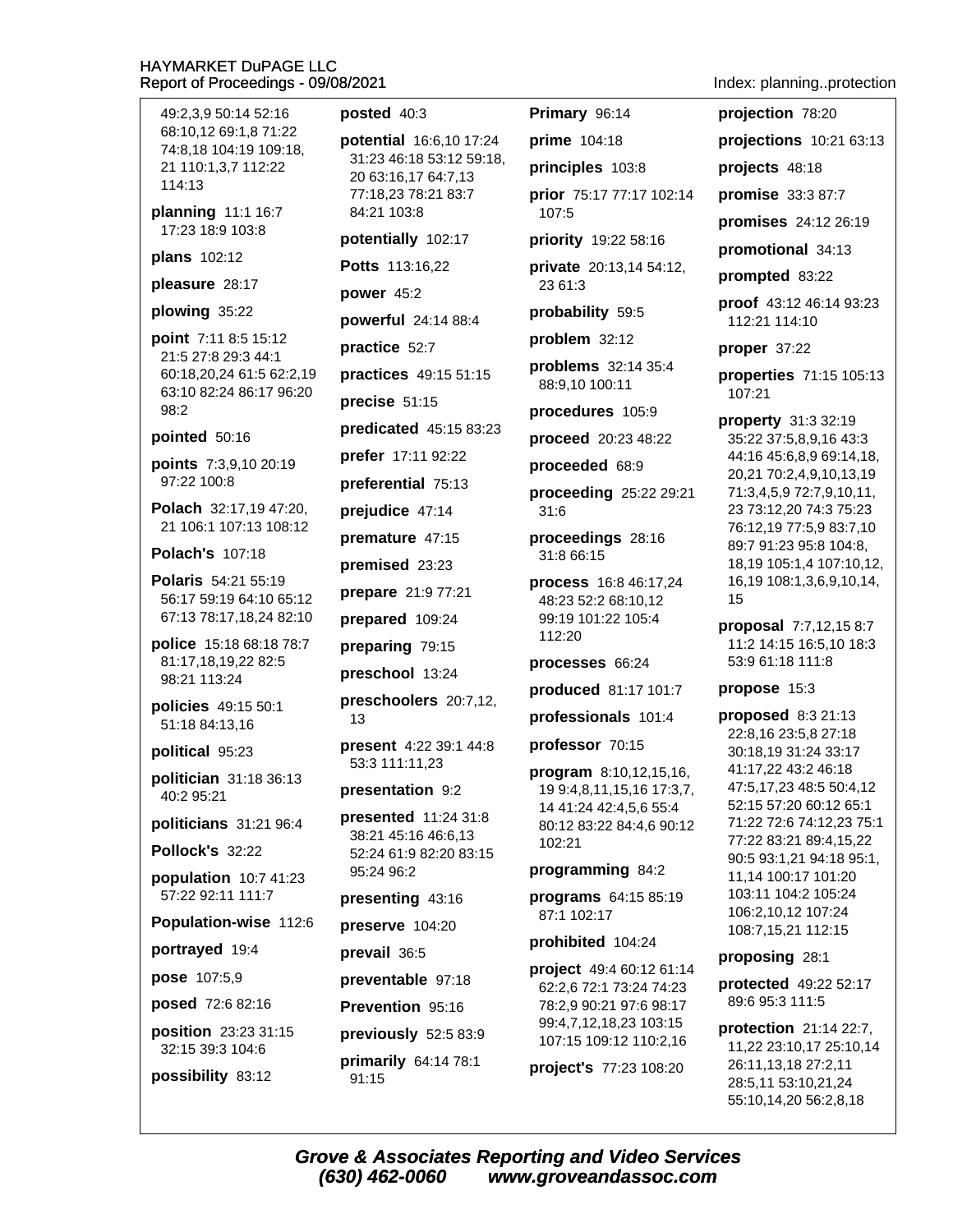49:2.3.9 50:14 52:16 68:10.12 69:1.8 71:22 74:8,18 104:19 109:18, 21 110:1,3,7 112:22 114:13

planning 11:1 16:7 17:23 18:9 103:8

plans 102:12

pleasure 28:17

# plowing 35:22

**point** 7:11 8:5 15:12 21:5 27:8 29:3 44:1 60:18.20.24 61:5 62:2.19 63:10 82:24 86:17 96:20 98:2

# pointed 50:16

points 7:3,9,10 20:19 97:22 100:8

Polach 32:17,19 47:20, 21 106:1 107:13 108:12

**Polach's 107:18** 

Polaris 54:21 55:19 56:17 59:19 64:10 65:12 67:13 78:17,18,24 82:10

police 15:18 68:18 78:7 81:17,18,19,22 82:5 98:21 113:24

policies 49:15 50:1 51:18 84:13,16

# political 95:23

politician 31:18 36:13 40:2 95:21

politicians 31:21 96:4

# Pollock's 32:22

population  $10:741:23$ 57:22 92:11 111:7

Population-wise 112:6

portrayed 19:4

```
pose 107:5,9
```
posed 72:6 82:16

position 23:23 31:15 32:15 39:3 104:6

possibility 83:12

# posted 40:3

potential 16:6,10 17:24 31:23 46:18 53:12 59:18, 20 63:16,17 64:7,13 77:18.23 78:21 83:7 84:21 103:8

potentially 102:17

Potts 113:16,22

power 45:2

**powerful** 24:14 88:4

practice 52:7

practices 49:15 51:15

precise 51:15

predicated 45:15 83:23

prefer 17:11 92:22

preferential 75:13

prejudice 47:14

premature 47:15

premised 23:23

prepare 21:9 77:21

prepared 109:24

preparing 79:15

preschool 13:24

preschoolers 20:7,12,  $13$ 

present 4:22 39:1 44:8 53:3 111:11,23

presentation 9:2

**presented** 11:24 31:8 38:21 45:16 46:6,13 52:24 61:9 82:20 83:15 95:24 96:2

presenting 43:16

preserve 104:20

prevail 36:5

preventable 97:18

Prevention 95:16

previously 52:5 83:9

primarily 64:14 78:1 91:15

Primary 96:14

prime 104:18 principles 103:8

prior 75:17 77:17 102:14 107:5

priority 19:22 58:16

private 20:13,14 54:12, 23 61:3

probability 59:5

problem 32:12

problems 32:14 35:4 88:9,10 100:11

procedures 105:9

proceed 20:23 48:22

proceeded 68:9

proceeding 25:22 29:21  $31:6$ 

proceedings 28:16 31:8 66:15

process 16:8 46:17,24 48:23 52:2 68:10.12 99:19 101:22 105:4 112:20

# processes 66:24

produced 81:17 101:7

professionals 101:4

professor 70:15

program 8:10,12,15,16, 19 9:4,8,11,15,16 17:3,7, 14 41:24 42:4,5,6 55:4 80:12 83:22 84:4.6 90:12 102:21

# programming 84:2

programs 64:15 85:19 87:1 102:17

prohibited 104:24

project 49:4 60:12 61:14 62:2,6 72:1 73:24 74:23 78:2,9 90:21 97:6 98:17 99:4,7,12,18,23 103:15 107:15 109:12 110:2,16

project's 77:23 108:20

Index: planning..protection

projections 10:21 63:13

projects 48:18

projection 78:20

promise 33:3 87:7

**promises** 24:12 26:19

promotional 34:13

prompted 83:22

proof 43:12 46:14 93:23 112:21 114:10

proper 37:22

properties 71:15 105:13 107:21

property 31:3 32:19 35:22 37:5,8,9,16 43:3 44:16 45:6,8,9 69:14,18, 20,21 70:2,4,9,10,13,19 71:3,4,5,9 72:7,9,10,11, 23 73:12,20 74:3 75:23 76:12,19 77:5,9 83:7,10 89:7 91:23 95:8 104:8, 18,19 105:1,4 107:10,12, 16,19 108:1,3,6,9,10,14, 15

proposal 7:7,12,15 8:7 11:2 14:15 16:5,10 18:3 53:9 61:18 111:8

# propose 15:3

proposed 8:3 21:13 22:8,16 23:5,8 27:18 30:18,19 31:24 33:17 41:17,22 43:2 46:18 47:5,17,23 48:5 50:4,12 52:15 57:20 60:12 65:1 71:22 72:6 74:12,23 75:1 77:22 83:21 89:4,15,22 90:5 93:1.21 94:18 95:1. 11,14 100:17 101:20 103:11 104:2 105:24 106:2.10.12 107:24 108:7,15,21 112:15

proposing 28:1

protected 49:22 52:17 89:6 95:3 111:5

**protection** 21:14 22:7. 11,22 23:10,17 25:10,14 26:11,13,18 27:2,11 28:5,11 53:10,21,24 55:10,14,20 56:2,8,18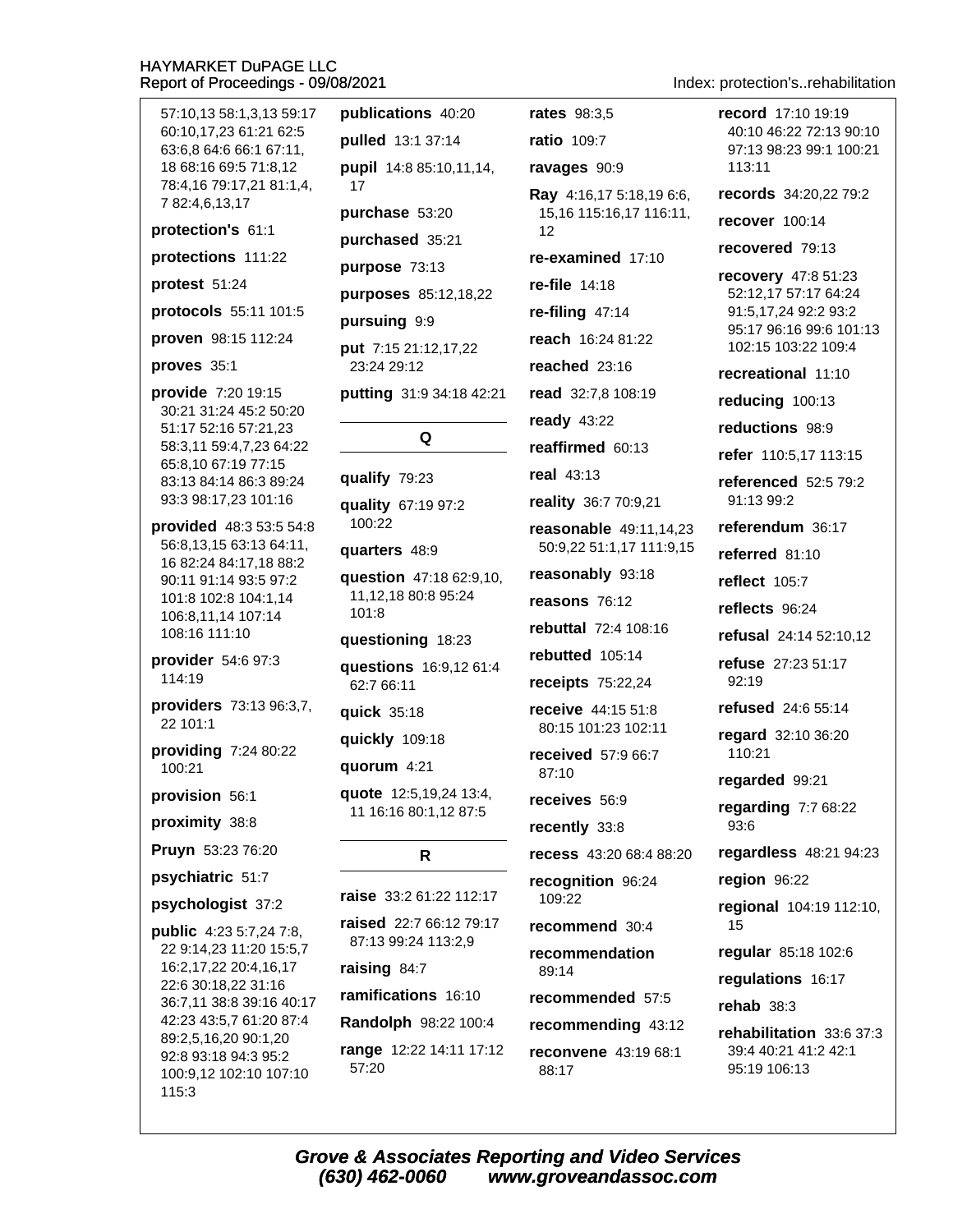publications 40:20 **rates** 98:3.5 record 17:10 19:19 57:10,13 58:1,3,13 59:17 40:10 46:22 72:13 90:10 60:10.17.23 61:21 62:5 ratio 109:7 pulled 13:1 37:14 63:6,8 64:6 66:1 67:11, 97:13 98:23 99:1 100:21 18 68:16 69:5 71:8,12 pupil 14:8 85:10,11,14, ravages 90:9 113:11 78:4,16 79:17,21 81:1,4, 17 records 34:20,22 79:2 Ray 4:16,17 5:18,19 6:6, 7 82:4,6,13,17 purchase 53:20 15,16 115:16,17 116:11, recover 100:14 protection's 61:1  $12$ purchased 35:21 recovered 79:13 re-examined 17:10 protections 111:22 purpose 73:13 recovery 47:8 51:23 protest 51:24 re-file 14:18 52:12,17 57:17 64:24 purposes 85:12,18,22 protocols 55:11 101:5 91:5.17.24 92:2 93:2 re-filing  $47:14$ pursuing 9:9 95:17 96:16 99:6 101:13 proven 98:15 112:24 reach 16:24 81:22 102:15 103:22 109:4 put 7:15 21:12,17,22 proves 35:1 23:24 29:12 reached 23:16 recreational 11:10 provide 7:20 19:15 putting 31:9 34:18 42:21 read 32:7,8 108:19 reducing 100:13 30:21 31:24 45:2 50:20 ready  $43:22$ reductions 98:9 51:17 52:16 57:21,23 Q 58:3,11 59:4,7,23 64:22 reaffirmed 60:13 refer 110:5,17 113:15 65:8,10 67:19 77:15 real 43:13 qualify 79:23 83:13 84:14 86:3 89:24 referenced 52:5 79:2 93:3 98:17,23 101:16 91:13 99:2 reality 36:7 70:9,21 quality 67:19 97:2 100:22 provided 48:3 53:5 54:8 referendum 36:17 reasonable 49:11,14,23 56:8,13,15 63:13 64:11, 50:9,22 51:1,17 111:9,15 quarters 48:9 referred 81:10 16 82:24 84:17,18 88:2 reasonably 93:18 question 47:18 62:9,10, 90:11 91:14 93:5 97:2 reflect 105:7 11.12.18 80:8 95:24 101:8 102:8 104:1,14 reasons 76:12 reflects 96:24  $101:8$ 106:8,11,14 107:14 rebuttal 72:4 108:16 108:16 111:10 refusal 24:14 52:10,12 questioning 18:23 rebutted 105:14 provider  $54:697:3$ refuse 27:23 51:17 questions 16:9,12 61:4 114:19 receipts 75:22,24  $92.19$ 62:7 66:11 providers 73:13 96:3.7. refused 24:6 55:14 quick 35:18 receive 44:15 51:8 22 101:1 80:15 101:23 102:11 regard 32:10 36:20 quickly 109:18 providing 7:24 80:22 received 57:9 66:7 110:21 quorum 4:21 100:21 87:10 regarded 99:21 provision 56:1 quote 12:5,19,24 13:4, receives 56:9 regarding  $7:768:22$ 11 16:16 80:1,12 87:5 proximity 38:8 93:6 recently 33:8 Pruyn 53:23 76:20 regardless 48:21 94:23 recess 43:20 68:4 88:20 R. psychiatric 51:7 recognition 96:24 region 96:22 raise 33:2 61:22 112:17 109:22 psychologist 37:2 regional 104:19 112:10, raised 22:7 66:12 79:17 recommend 30:4 15 **public** 4:23 5:7,24 7:8, 87:13 99:24 113:2,9 22 9:14,23 11:20 15:5,7 requiar 85:18 102:6 recommendation 16:2,17,22 20:4,16,17 raising 84:7  $89:14$ requlations 16:17 22:6 30:18,22 31:16 ramifications 16:10 recommended 57:5 36:7,11 38:8 39:16 40:17 rehab  $38:3$ 42:23 43:5,7 61:20 87:4 Randolph 98:22 100:4 recommending 43:12 rehabilitation 33:6 37:3 89:2,5,16,20 90:1,20 range 12:22 14:11 17:12 39:4 40:21 41:2 42:1 reconvene 43:19 68:1 92:8 93:18 94:3 95:2 57:20 95:19 106:13 88:17 100:9,12 102:10 107:10 115:3

Index: protection's..rehabilitation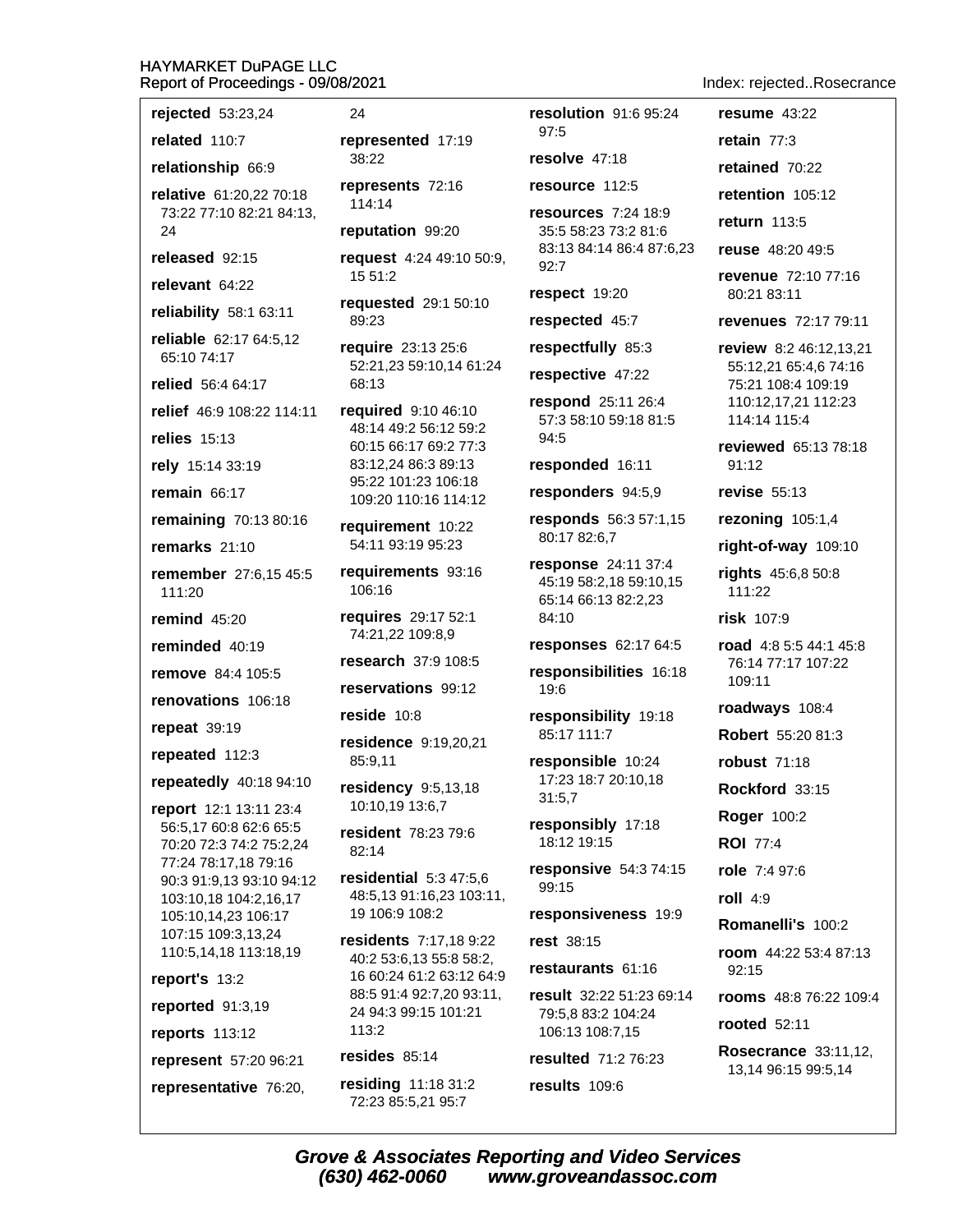rejected 53:23,24

related 110:7

relationship 66:9

relative 61:20,22 70:18 73:22 77:10 82:21 84:13,  $24$ 

released 92:15

relevant 64:22

reliability 58:1 63:11

reliable 62:17 64:5,12 65:10 74:17

relied 56:4 64:17

relief 46:9 108:22 114:11

relies  $15:13$ 

rely 15:14 33:19

remain  $66:17$ 

remaining 70:13 80:16

remarks  $21:10$ 

remember 27:6,15 45:5 111:20

remind  $45:20$ 

reminded 40:19

remove 84:4 105:5

renovations 106:18

repeat 39:19

repeated 112:3

repeatedly 40:18 94:10

report 12:1 13:11 23:4 56:5,17 60:8 62:6 65:5 70:20 72:3 74:2 75:2,24 77:24 78:17,18 79:16 90:3 91:9,13 93:10 94:12 103:10,18 104:2,16,17 105:10,14,23 106:17 107:15 109:3,13,24 110:5,14,18 113:18,19

report's 13:2

reported 91:3,19

reports 113:12

represent 57:20 96:21

representative 76:20,

24

represented 17:19  $38.22$ 

represents 72:16 114:14

reputation 99:20

request 4:24 49:10 50:9, 15 51:2

requested 29:1 50:10  $89.23$ 

require 23:13 25:6 52:21,23 59:10,14 61:24 68:13

required 9:10 46:10 48:14 49:2 56:12 59:2 60:15 66:17 69:2 77:3 83:12,24 86:3 89:13 95:22 101:23 106:18 109:20 110:16 114:12

requirement 10:22 54:11 93:19 95:23

requirements 93:16 106:16

requires 29:17 52:1 74:21,22 109:8,9

research 37:9 108:5

reservations 99:12

reside  $10:8$ 

residence 9:19,20,21 85:9,11

residency 9:5,13,18 10:10,19 13:6,7

resident 78:23 79:6  $82:14$ 

residential  $5:3,47:5.6$ 48:5.13 91:16.23 103:11. 19 106:9 108:2

residents 7:17,18 9:22 40:2 53:6,13 55:8 58:2, 16 60:24 61:2 63:12 64:9 88:5 91:4 92:7,20 93:11, 24 94:3 99:15 101:21  $113:2$ 

resides  $85.14$ 

(630) 462-0060

residing 11:18 31:2 72:23 85:5,21 95:7

resolution 91:6 95:24 97:5 resolve 47:18 resource 112:5 resources 7:24 18:9 35:5 58:23 73:2 81:6 83:13 84:14 86:4 87:6,23  $92:7$ respect 19:20

respected 45:7

respectfully 85:3

respective 47:22

respond 25:11 26:4 57:3 58:10 59:18 81:5 94:5

responded 16:11

responders 94:5,9

responds 56:3 57:1,15 80:17 82:6,7

response 24:11 37:4 45:19 58:2,18 59:10,15 65:14 66:13 82:2,23 84:10

**responses** 62:17 64:5

responsibilities 16:18  $19:6$ 

responsibility 19:18 85:17 111:7

responsible 10:24 17:23 18:7 20:10,18  $31:5,7$ 

responsibly 17:18 18:12 19:15

responsive 54:3 74:15 99:15

responsiveness 19:9

rest 38:15

restaurants 61:16

result 32:22 51:23 69:14 79:5,8 83:2 104:24 106:13 108:7,15

resulted 71:2 76:23

www.groveandassoc.com

results 109:6

**Grove & Associates Reporting and Video Services** 

Index: rejected..Rosecrance

resume  $43:22$ 

retain  $77:3$ 

retained 70:22

retention 105:12

return 113:5

reuse 48:20 49:5

revenue 72:10 77:16 80:21 83:11

revenues 72:17 79:11

review 8:2 46:12.13.21 55:12,21 65:4,6 74:16 75:21 108:4 109:19 110:12,17,21 112:23 114:14 115:4

reviewed 65:13 78:18 91:12

revise  $55:13$ 

rezoning 105:1,4

right-of-way 109:10

rights 45:6,8 50:8 111:22

risk 107:9

road 4:8 5:5 44:1 45:8 76:14 77:17 107:22 109:11

roadways 108:4

Robert 55:20 81:3

**robust 71:18** 

Rockford 33:15

**Roger 100:2** 

**ROI** 77:4

role 7:4 97:6

**rooted** 52:11

roll  $4:9$ 

Romanelli's 100:2

room 44:22 53:4 87:13  $92:15$ 

rooms 48:8 76:22 109:4

**Rosecrance 33:11.12.** 

13,14 96:15 99:5,14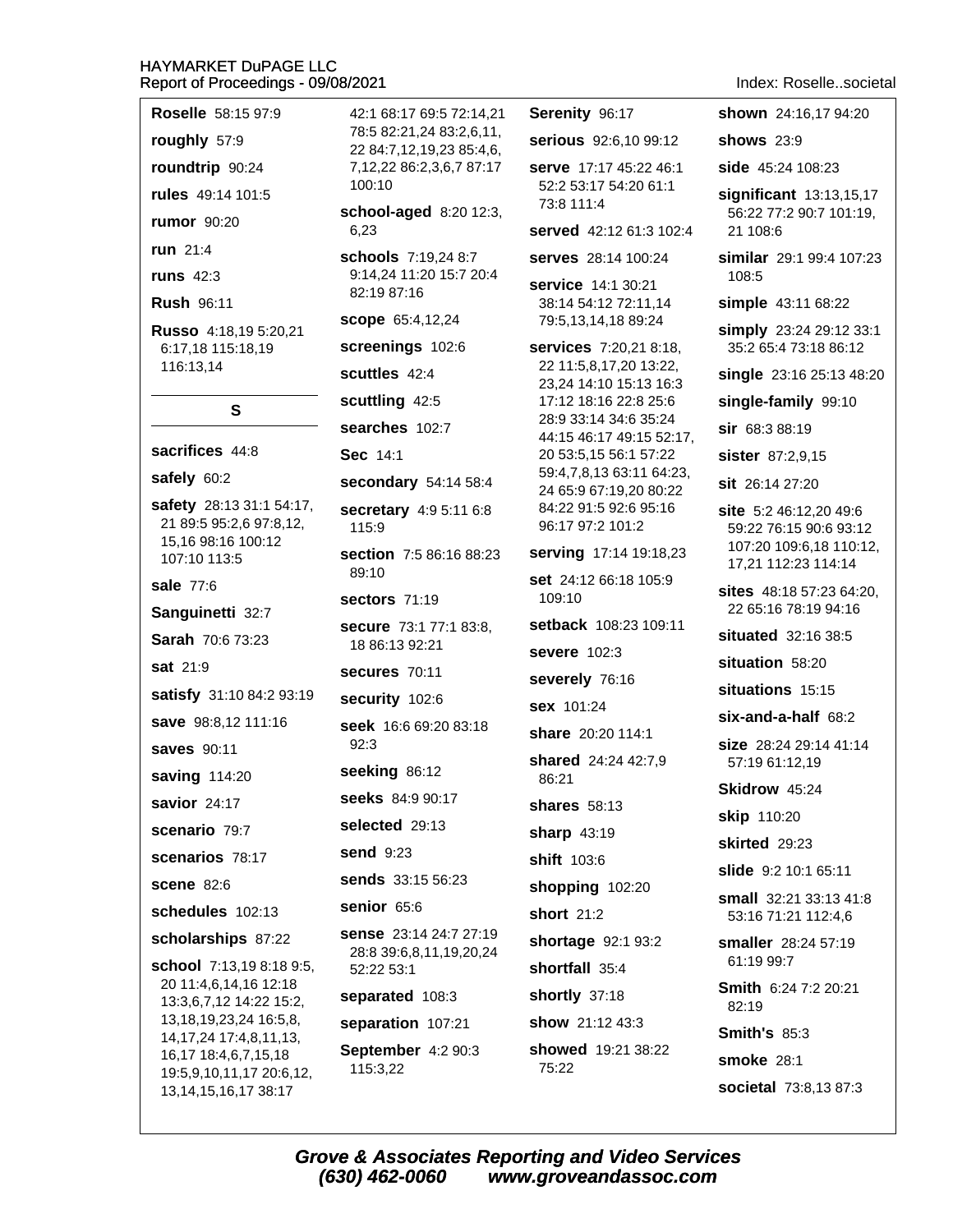Roselle 58:15 97:9

roughly 57:9

roundtrip 90:24

rules 49:14 101:5

rumor 90:20

run 21:4

runs  $42:3$ 

**Rush 96:11** 

Russo 4:18,19 5:20,21 6:17.18 115:18.19 116:13,14

S

# sacrifices 44:8 safely 60:2 safety 28:13 31:1 54:17, 21 89:5 95:2,6 97:8,12, 15,16 98:16 100:12 107:10 113:5 sale 77:6 Sanguinetti 32:7 Sarah 70:6 73:23 sat 21:9 satisfy 31:10 84:2 93:19 save 98:8.12 111:16 saves 90:11 saving 114:20 savior 24:17 scenario 79:7 scenarios 78:17 **scene 82:6** schedules 102:13 scholarships 87:22 school 7:13,19 8:18 9:5, 20 11:4,6,14,16 12:18 13:3,6,7,12 14:22 15:2, 13, 18, 19, 23, 24 16: 5, 8, 14, 17, 24 17: 4, 8, 11, 13, 16,17 18:4,6,7,15,18

19:5,9,10,11,17 20:6,12,

13, 14, 15, 16, 17 38: 17

78:5 82:21.24 83:2.6.11. 22 84:7,12,19,23 85:4,6, 7,12,22 86:2,3,6,7 87:17 100:10 school-aged 8:20 12:3, 6,23 schools 7:19,24 8:7 9:14,24 11:20 15:7 20:4 82:19 87:16 scope 65:4,12,24 screenings 102:6 scuttles 42:4 scuttling 42:5 searches 102:7 Sec 14:1 secondary 54:14 58:4 secretary 4:9 5:11 6:8 115:9 section 7:5 86:16 88:23  $89:10$ sectors 71:19 secure 73:1 77:1 83:8, 18 86:13 92:21 secures 70:11 security 102:6 seek 16:6 69:20 83:18  $92:3$ seeking 86:12 seeks 84:9 90:17 selected 29:13 send 9:23 sends 33:15 56:23 senior 65:6 sense 23:14 24:7 27:19 28:8 39:6,8,11,19,20,24 52:22 53:1 separated 108:3 separation 107:21 September 4:2 90:3 115:3,22

42:1 68:17 69:5 72:14.21

Serenity 96:17 serious 92:6.10 99:12 serve 17:17 45:22 46:1 52:2 53:17 54:20 61:1 73:8 111:4 served 42:12 61:3 102:4 serves 28:14 100:24 service 14:1 30:21 38:14 54:12 72:11.14 79:5.13.14.18 89:24 **services** 7:20,21 8:18, 22 11:5.8.17.20 13:22. 23,24 14:10 15:13 16:3 17:12 18:16 22:8 25:6 28:9 33:14 34:6 35:24 44:15 46:17 49:15 52:17, 20 53:5,15 56:1 57:22 59:4,7,8,13 63:11 64:23, 24 65:9 67:19,20 80:22 84:22 91:5 92:6 95:16 96:17 97:2 101:2 serving 17:14 19:18,23 set 24:12 66:18 105:9  $109:10$ setback 108:23 109:11 severe 102:3 severely 76:16 **sex** 101:24 share 20:20 114:1 shared 24:24 42:7,9 86:21 **shares** 58:13 sharp  $43:19$ shift 103:6 shopping 102:20 short  $21:2$ shortage 92:1 93:2 shortfall 35:4 shortly 37:18 show 21:12 43:3 showed 19:21 38:22

Index: Roselle..societal

shown 24:16.17 94:20 shows  $23:9$ side 45:24 108:23 significant 13:13,15,17 56:22 77:2 90:7 101:19, 21 108:6 similar 29:1 99:4 107:23 108:5 simple 43:11 68:22 simply 23:24 29:12 33:1 35:2 65:4 73:18 86:12 single 23:16 25:13 48:20 single-family 99:10 sir 68:3 88:19 sister 87:2,9,15 sit 26:14 27:20 site 5:2 46:12.20 49:6 59:22 76:15 90:6 93:12 107:20 109:6,18 110:12, 17,21 112:23 114:14 sites 48:18 57:23 64:20, 22 65:16 78:19 94:16 situated 32:16 38:5 situation 58:20 situations 15:15  $six$ -and-a-half  $68:2$ size 28:24 29:14 41:14 57:19 61:12,19 Skidrow 45:24 **skip** 110:20 skirted 29:23 slide 9:2 10:1 65:11 small 32:21 33:13 41:8 53:16 71:21 112:4,6 smaller 28:24 57:19 61:19 99:7 Smith 6:24 7:2 20:21 82:19 **Smith's 85:3** smoke 28:1

societal 73:8,13 87:3

75:22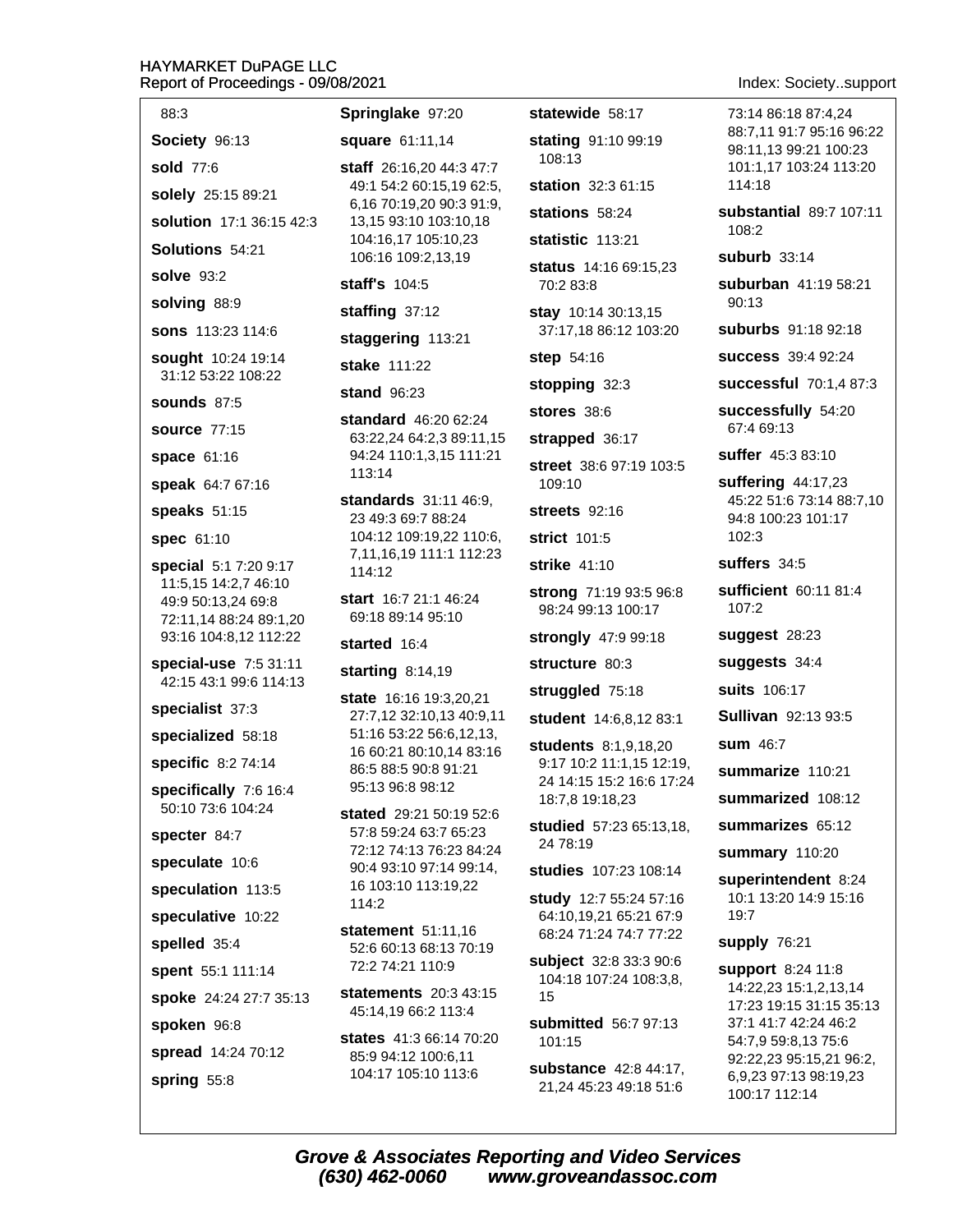| 88:3                                            | Springlake 97:20                                     | statewide 58:17                                  | 73:14 86:18 87:4,24                               |
|-------------------------------------------------|------------------------------------------------------|--------------------------------------------------|---------------------------------------------------|
| Society 96:13                                   | square 61:11,14                                      | stating 91:10 99:19                              | 88:7,11 91:7 95:16 96:22<br>98:11,13 99:21 100:23 |
| <b>sold</b> 77:6                                | staff 26:16,20 44:3 47:7                             | 108:13                                           | 101:1,17 103:24 113:20                            |
| solely 25:15 89:21                              | 49:1 54:2 60:15,19 62:5,<br>6,16 70:19,20 90:3 91:9, | station 32:3 61:15                               | 114:18                                            |
| solution 17:1 36:15 42:3                        | 13,15 93:10 103:10,18                                | stations 58:24                                   | substantial 89:7 107:11<br>108:2                  |
| Solutions 54:21                                 | 104:16,17 105:10,23<br>106:16 109:2,13,19            | statistic 113:21                                 | <b>suburb</b> 33:14                               |
| <b>solve</b> 93:2                               | staff's 104:5                                        | status 14:16 69:15,23<br>70:2 83:8               | suburban 41:19 58:21                              |
| solving 88:9                                    | staffing 37:12                                       | stay 10:14 30:13,15                              | 90:13                                             |
| <b>sons</b> 113:23 114:6                        | staggering 113:21                                    | 37:17,18 86:12 103:20                            | suburbs 91:18 92:18                               |
| sought 10:24 19:14                              | stake 111:22                                         | step 54:16                                       | <b>SUCCESS</b> 39:4 92:24                         |
| 31:12 53:22 108:22                              | <b>stand 96:23</b>                                   | stopping 32:3                                    | successful 70:1,4 87:3                            |
| <b>sounds 87:5</b>                              | <b>standard</b> 46:20 62:24                          | stores 38:6                                      | successfully 54:20                                |
| <b>source 77:15</b>                             | 63:22,24 64:2,3 89:11,15                             | strapped 36:17                                   | 67:4 69:13                                        |
| space 61:16                                     | 94:24 110:1,3,15 111:21<br>113:14                    | street 38:6 97:19 103:5                          | <b>suffer</b> 45:3 83:10                          |
| speak 64:7 67:16                                | standards 31:11 46:9,                                | 109:10                                           | suffering 44:17,23<br>45:22 51:6 73:14 88:7,10    |
| speaks 51:15                                    | 23 49:3 69:7 88:24                                   | streets $92:16$                                  | 94:8 100:23 101:17                                |
| spec 61:10                                      | 104:12 109:19,22 110:6,<br>7,11,16,19 111:1 112:23   | strict 101:5                                     | 102:3                                             |
| special 5:1 7:20 9:17<br>11:5,15 14:2,7 46:10   | 114:12                                               | strike 41:10                                     | suffers 34:5                                      |
| 49:9 50:13,24 69:8                              | start 16:7 21:1 46:24                                | strong 71:19 93:5 96:8<br>98:24 99:13 100:17     | sufficient 60:11 81:4<br>107:2                    |
| 72:11,14 88:24 89:1,20<br>93:16 104:8,12 112:22 | 69:18 89:14 95:10                                    | strongly 47:9 99:18                              | suggest 28:23                                     |
| special-use 7:5 31:11                           | started 16:4                                         | structure 80:3                                   | suggests 34:4                                     |
| 42:15 43:1 99:6 114:13                          | starting 8:14,19                                     | struggled 75:18                                  | <b>suits</b> 106:17                               |
| specialist 37:3                                 | state 16:16 19:3,20,21<br>27:7,12 32:10,13 40:9,11   | student 14:6,8,12 83:1                           | <b>Sullivan</b> 92:13 93:5                        |
| specialized 58:18                               | 51:16 53:22 56:6,12,13,                              | students 8:1,9,18,20                             | <b>sum</b> 46:7                                   |
| specific 8:2 74:14                              | 16 60:21 80:10,14 83:16<br>86:5 88:5 90:8 91:21      | 9:17 10:2 11:1,15 12:19,                         | summarize 110:21                                  |
| specifically 7:6 16:4                           | 95:13 96:8 98:12                                     | 24 14:15 15:2 16:6 17:24<br>18:7,8 19:18,23      | summarized 108:12                                 |
| 50:10 73:6 104:24                               | <b>stated</b> 29:21 50:19 52:6                       | <b>studied</b> 57:23 65:13,18,                   | summarizes 65:12                                  |
| specter 84:7                                    | 57:8 59:24 63:7 65:23<br>72:12 74:13 76:23 84:24     | 24 78:19                                         | summary 110:20                                    |
| speculate 10:6                                  | 90:4 93:10 97:14 99:14,                              | studies 107:23 108:14                            | superintendent 8:24                               |
| speculation 113:5                               | 16 103:10 113:19,22<br>114:2                         | study 12:7 55:24 57:16                           | 10:1 13:20 14:9 15:16                             |
| speculative 10:22                               | statement 51:11,16                                   | 64:10,19,21 65:21 67:9<br>68:24 71:24 74:7 77:22 | 19:7                                              |
| spelled 35:4                                    | 52:6 60:13 68:13 70:19                               | <b>subject</b> 32:8 33:3 90:6                    | supply 76:21                                      |
| spent 55:1 111:14                               | 72:2 74:21 110:9                                     | 104:18 107:24 108:3,8,                           | support 8:24 11:8<br>14:22,23 15:1,2,13,14        |
| spoke 24:24 27:7 35:13                          | <b>statements</b> 20:3 43:15<br>45:14,19 66:2 113:4  | 15                                               | 17:23 19:15 31:15 35:13                           |
| spoken 96:8                                     | <b>states</b> 41:3 66:14 70:20                       | submitted 56:7 97:13<br>101:15                   | 37:1 41:7 42:24 46:2<br>54:7,9 59:8,13 75:6       |
| spread 14:24 70:12                              | 85:9 94:12 100:6,11                                  | substance 42:8 44:17,                            | 92:22,23 95:15,21 96:2,                           |
| spring 55:8                                     | 104:17 105:10 113:6                                  | 21,24 45:23 49:18 51:6                           | 6,9,23 97:13 98:19,23<br>100:17 112:14            |

Index: Society..support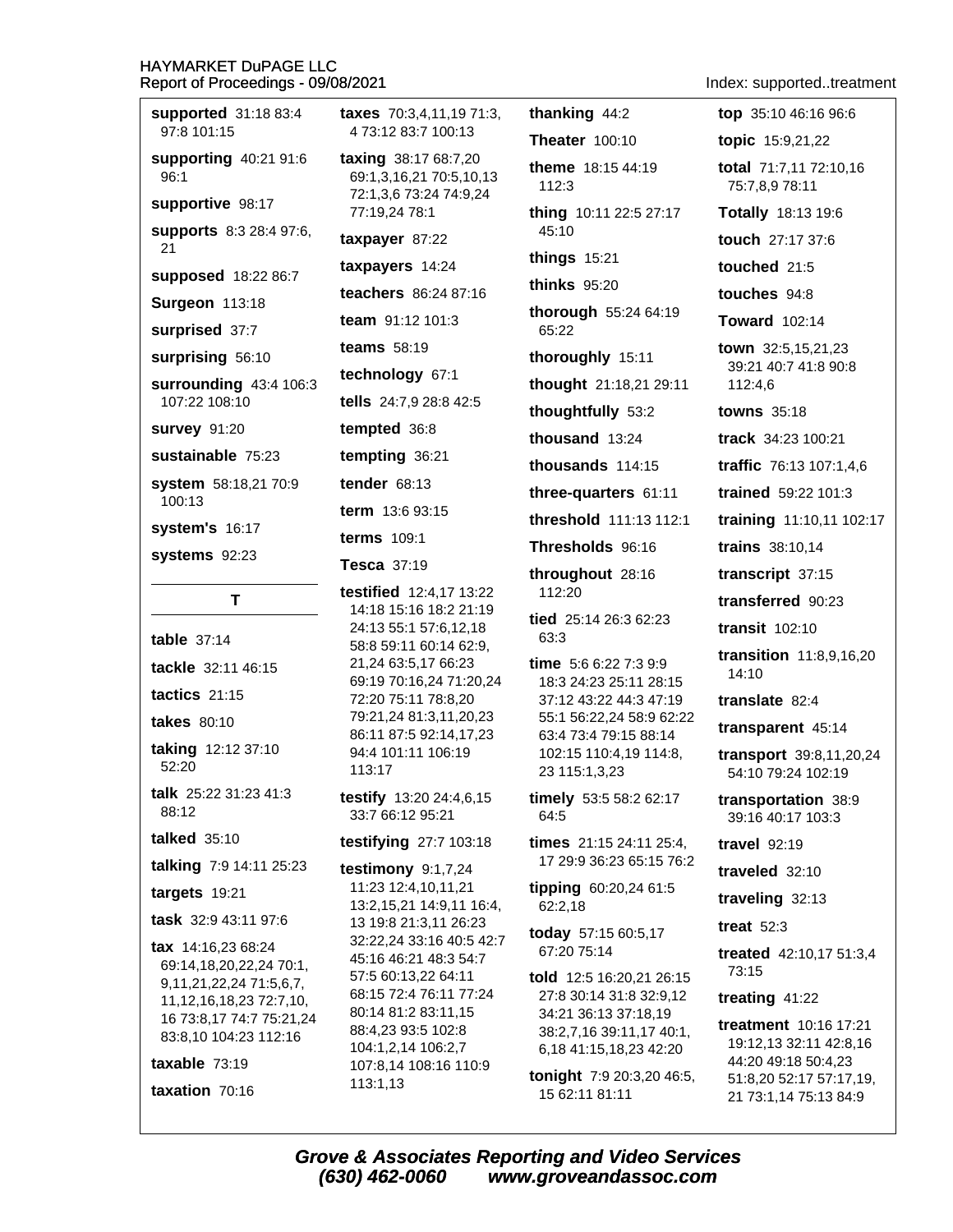supported 31:18 83:4

97:8 101:15

**Surgeon 113:18** 

surprised 37:7

surprising 56:10

107:22 108:10

system's 16:17

systems 92:23

table  $37:14$ 

tactics  $21:15$ 

takes 80:10

52:20

 $88.12$ 

talked  $35:10$ 

targets 19:21

T

**survey 91:20** 

100:13

96:1

 $21$ 

4 73:12 83:7 100:13 Theater 100:10 supporting 40:21 91:6 taxing 38:17 68:7,20 theme 18:15 44:19 69:1,3,16,21 70:5,10,13 112:3 72:1,3,6 73:24 74:9,24 supportive 98:17 77:19,24 78:1 thing 10:11 22:5 27:17 supports 8:3 28:4 97:6, 45:10 taxpayer 87:22 things  $15:21$ taxpayers 14:24 supposed 18:22 86:7 thinks 95:20 teachers 86:24 87:16 thorough 55:24 64:19 team 91:12 101:3 65:22 **teams** 58:19 thoroughly 15:11 technology 67:1 surrounding 43:4 106:3 thought 21:18,21 29:11 tells 24:7,9 28:8 42:5 thoughtfully 53:2 tempted 36:8 thousand 13:24 sustainable 75:23 tempting 36:21 thousands  $114:15$ system 58:18,21 70:9 tender  $68:13$ three-quarters 61:11 term 13:6 93:15 threshold 111:13 112:1 **terms** 109:1 Thresholds 96:16 Tesca 37:19 throughout 28:16 testified 12:4.17 13:22 112:20 14:18 15:16 18:2 21:19 tied 25:14 26:3 62:23 24:13 55:1 57:6,12,18 63:3 58:8 59:11 60:14 62:9, 21,24 63:5,17 66:23 time  $5:66:227:39:9$ tackle 32:11 46:15 69:19 70:16,24 71:20,24 18:3 24:23 25:11 28:15 72:20 75:11 78:8.20 37:12 43:22 44:3 47:19 79:21,24 81:3,11,20,23 55:1 56:22,24 58:9 62:22 86:11 87:5 92:14,17,23 63:4 73:4 79:15 88:14 taking 12:12 37:10 94:4 101:11 106:19 102:15 110:4,19 114:8, 113:17 23 115:1,3,23 talk 25:22 31:23 41:3 testify 13:20 24:4,6,15 timely 53:5 58:2 62:17 33:7 66:12 95:21 64:5 testifying 27:7 103:18 times 21:15 24:11 25:4. 17 29:9 36:23 65:15 76:2 talking 7:9 14:11 25:23 testimony  $9:1,7,24$ 11:23 12:4,10,11,21 tipping 60:20,24 61:5 13:2,15,21 14:9,11 16:4, 62:2,18 task 32:9 43:11 97:6 13 19:8 21:3,11 26:23 today 57:15 60:5,17 32:22,24 33:16 40:5 42:7 tax 14:16,23 68:24 67:20 75:14 45:16 46:21 48:3 54:7 69:14,18,20,22,24 70:1, 57:5 60:13,22 64:11 told 12:5 16:20,21 26:15 9,11,21,22,24 71:5,6,7, 68:15 72:4 76:11 77:24 27:8 30:14 31:8 32:9,12 11, 12, 16, 18, 23 72: 7, 10, 80:14 81:2 83:11,15 34:21 36:13 37:18,19 16 73:8,17 74:7 75:21,24 88:4.23 93:5 102:8 38:2,7,16 39:11,17 40:1, 83:8,10 104:23 112:16 104:1,2,14 106:2,7

**taxes** 70:3.4.11.19 71:3.

taxable  $73:19$ 

taxation 70:16

Index: supported..treatment

thanking  $44:2$ top 35:10 46:16 96:6 topic 15:9,21,22 total 71:7,11 72:10,16 75:7,8,9 78:11 Totally 18:13 19:6 touch 27:17 37:6 touched 21:5 touches 94:8 **Toward** 102:14 town 32:5.15.21.23 39:21 40:7 41:8 90:8 112:4,6 **towns** 35:18 track 34:23 100:21 traffic 76:13 107:1,4,6 trained 59:22 101:3 training 11:10,11 102:17 trains 38:10,14 transcript 37:15 transferred 90:23 transit  $102:10$ transition 11:8,9,16,20 14:10 translate 82:4 transparent 45:14 transport 39:8,11,20,24 54:10 79:24 102:19 transportation 38:9 39:16 40:17 103:3 travel 92:19 traveled 32:10 traveling 32:13 treat  $52:3$ treated 42:10.17 51:3.4 73:15 treating  $41:22$ treatment 10:16 17:21 19:12,13 32:11 42:8,16 6,18 41:15,18,23 42:20 44:20 49:18 50:4,23 tonight 7:9 20:3,20 46:5, 51:8,20 52:17 57:17,19, 15 62:11 81:11 21 73:1,14 75:13 84:9

**Grove & Associates Reporting and Video Services** (630) 462-0060 www.groveandassoc.com

107:8,14 108:16 110:9

113:1,13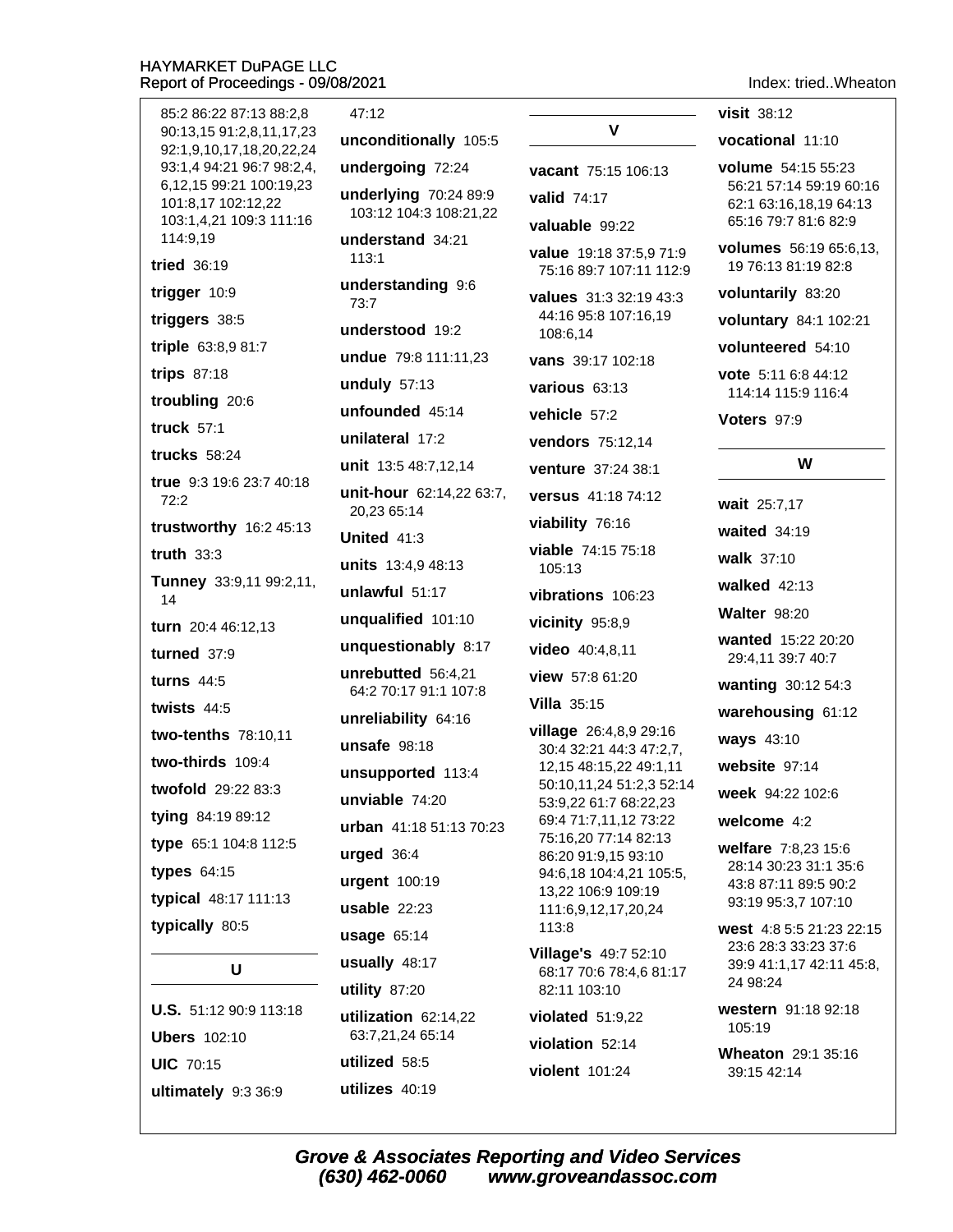ultimately 9:3 36:9

| 85:2 86:22 87:13 88:2,8                              | 47:12                                       |                                                    |
|------------------------------------------------------|---------------------------------------------|----------------------------------------------------|
| 90:13,15 91:2,8,11,17,23<br>92:1,9,10,17,18,20,22,24 | unconditionally 105:5                       | v                                                  |
| 93:1,4 94:21 96:7 98:2,4,                            | undergoing 72:24                            | <b>vacant</b> 75:15 106:13                         |
| 6,12,15 99:21 100:19,23<br>101:8,17 102:12,22        | underlying 70:24 89:9                       | valid 74:17                                        |
| 103:1,4,21 109:3 111:16                              | 103:12 104:3 108:21,22                      | valuable 99:22                                     |
| 114:9,19<br>tried 36:19                              | understand 34:21<br>113:1                   | value 19:18 37:5,9 71:9<br>75:16 89:7 107:11 112:9 |
| trigger 10:9                                         | understanding 9:6<br>73:7                   | values 31:3 32:19 43:3                             |
| triggers 38:5                                        | understood 19:2                             | 44:16 95:8 107:16,19<br>108:6,14                   |
| triple 63:8,9 81:7                                   | undue 79:8 111:11,23                        | vans 39:17 102:18                                  |
| trips 87:18                                          | unduly $57:13$                              | various 63:13                                      |
| troubling 20:6                                       | unfounded 45:14                             | vehicle 57:2                                       |
| truck 57:1                                           | unilateral 17:2                             | vendors 75:12,14                                   |
| <b>trucks</b> 58:24                                  | unit 13:5 48:7,12,14                        | venture 37:24 38:1                                 |
| <b>true</b> 9:3 19:6 23:7 40:18<br>72:2              | unit-hour 62:14,22 63:7,                    | <b>versus</b> 41:18 74:12                          |
| trustworthy 16:2 45:13                               | 20,23 65:14                                 | viability 76:16                                    |
| truth $33:3$                                         | United $41:3$                               | <b>viable</b> 74:15 75:18                          |
| Tunney 33:9,11 99:2,11,                              | units 13:4,9 48:13                          | 105:13                                             |
| 14                                                   | unlawful 51:17                              | vibrations 106:23                                  |
| turn 20:4 46:12,13                                   | unqualified 101:10                          | vicinity 95:8,9                                    |
| turned 37:9                                          | unquestionably 8:17                         | video 40:4,8,11                                    |
| turns $44:5$                                         | unrebutted 56:4,21<br>64:2 70:17 91:1 107:8 | view 57:8 61:20                                    |
| twists $44:5$                                        | unreliability 64:16                         | <b>Villa</b> $35:15$                               |
| two-tenths 78:10,11                                  | unsafe $98:18$                              | village 26:4,8,9 29:16<br>30:4 32:21 44:3 47:2,7,  |
| two-thirds 109:4                                     | unsupported 113:4                           | 12,15 48:15,22 49:1,11                             |
| twofold 29:22 83:3                                   | unviable 74:20                              | 50:10,11,24 51:2,3 52:14<br>53:9,22 61:7 68:22,23  |
| tying 84:19 89:12                                    | <b>urban</b> $41:1851:1370:23$              | 69:4 71:7,11,12 73:22                              |
| type 65:1 104:8 112:5                                | urged 36:4                                  | 75:16,20 77:14 82:13<br>86:20 91:9,15 93:10        |
| types 64:15                                          | urgent 100:19                               | 94:6,18 104:4,21 105:5,                            |
| typical 48:17 111:13                                 | $usable$ 22:23                              | 13,22 106:9 109:19<br>111:6,9,12,17,20,24          |
| typically 80:5                                       | usage 65:14                                 | 113:8                                              |
|                                                      | usually 48:17                               | <b>Village's 49:7 52:10</b>                        |
| U                                                    | utility 87:20                               | 68:17 70:6 78:4,6 81:17<br>82:11 103:10            |
| <b>U.S.</b> 51:12 90:9 113:18                        | utilization 62:14,22                        | violated $51:9,22$                                 |
| <b>Ubers</b> 102:10                                  | 63:7,21,24 65:14                            | violation 52:14                                    |
| <b>UIC 70:15</b>                                     | utilized 58:5                               | violent 101:24                                     |
| ultimately 9.3.36.9                                  | utilizes $40:19$                            |                                                    |

Index: tried..Wheaton

visit 38:12

vocational 11:10

volume 54:15 55:23 56:21 57:14 59:19 60:16 62:1 63:16,18,19 64:13 65:16 79:7 81:6 82:9

volumes 56:19 65:6,13, 19 76:13 81:19 82:8

voluntarily 83:20

voluntary 84:1 102:21

volunteered 54:10

vote 5:11 6:8 44:12 114:14 115:9 116:4

Voters 97:9

# W

wait 25:7,17 waited  $34:19$ 

walk 37:10

walked 42:13

**Walter 98:20** 

wanted 15:22 20:20 29:4,11 39:7 40:7

wanting 30:12 54:3

warehousing 61:12

**ways** 43:10

website 97:14

week 94:22 102:6

welcome 4:2

welfare 7:8,23 15:6 28:14 30:23 31:1 35:6 43:8 87:11 89:5 90:2 93:19 95:3,7 107:10

west 4:8 5:5 21:23 22:15 23:6 28:3 33:23 37:6 39:9 41:1,17 42:11 45:8, 24 98:24

western 91:18 92:18 105:19

Wheaton 29:1 35:16 39:15 42:14